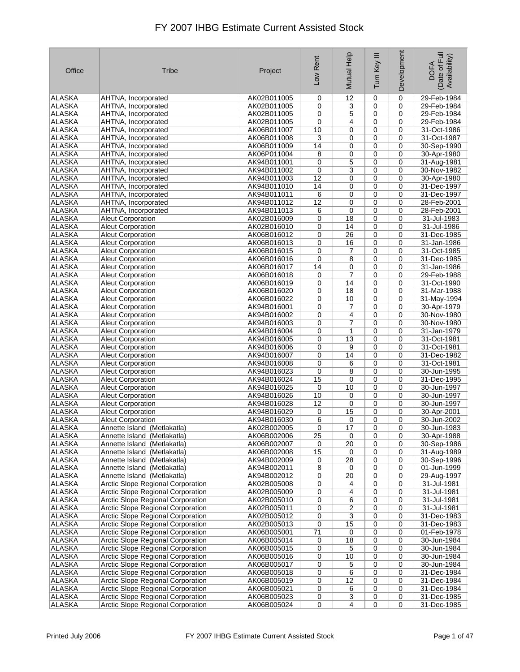| Office        | <b>Tribe</b>                             | Project     | Low Rent | Mutual Help     | Ξ<br>Tum Key | Development | Date of Full<br>Availability)<br><b>DOFA</b> |
|---------------|------------------------------------------|-------------|----------|-----------------|--------------|-------------|----------------------------------------------|
| <b>ALASKA</b> | AHTNA, Incorporated                      | AK02B011005 | 0        | 12              | $\mathbf 0$  | 0           | 29-Feb-1984                                  |
| <b>ALASKA</b> | AHTNA, Incorporated                      | AK02B011005 | 0        | 3               | 0            | $\mathbf 0$ | 29-Feb-1984                                  |
| <b>ALASKA</b> | AHTNA, Incorporated                      | AK02B011005 | 0        | 5               | 0            | $\mathbf 0$ | 29-Feb-1984                                  |
| <b>ALASKA</b> | AHTNA, Incorporated                      | AK02B011005 | 0        | 4               | 0            | 0           | 29-Feb-1984                                  |
| <b>ALASKA</b> | AHTNA, Incorporated                      | AK06B011007 | 10       | 0               | 0            | 0           | 31-Oct-1986                                  |
| <b>ALASKA</b> | AHTNA, Incorporated                      | AK06B011008 | 3        | 0               | 0            | 0           | 31-Oct-1987                                  |
| <b>ALASKA</b> | AHTNA, Incorporated                      | AK06B011009 | 14       | 0               | 0            | 0           | 30-Sep-1990                                  |
| <b>ALASKA</b> | AHTNA, Incorporated                      | AK06P011004 | 8        | 0               | 0            | $\mathbf 0$ | 30-Apr-1980                                  |
| <b>ALASKA</b> | AHTNA, Incorporated                      | AK94B011001 | 0        | 5               | 0            | 0           | 31-Aug-1981                                  |
| <b>ALASKA</b> | AHTNA, Incorporated                      | AK94B011002 | 0        | 3               | 0            | 0           | 30-Nov-1982                                  |
| <b>ALASKA</b> | AHTNA, Incorporated                      | AK94B011003 | 12       | 0               | 0            | $\mathbf 0$ | 30-Apr-1980                                  |
| <b>ALASKA</b> | AHTNA, Incorporated                      | AK94B011010 | 14       | 0               | 0            | 0           | 31-Dec-1997                                  |
| <b>ALASKA</b> | AHTNA, Incorporated                      | AK94B011011 | 6        | 0               | 0            | 0           | 31-Dec-1997                                  |
| <b>ALASKA</b> | AHTNA, Incorporated                      | AK94B011012 | 12       | 0               | 0            | 0           | 28-Feb-2001                                  |
| <b>ALASKA</b> | AHTNA, Incorporated                      | AK94B011013 | 6        | 0               | $\mathbf 0$  | $\mathbf 0$ | 28-Feb-2001                                  |
| <b>ALASKA</b> | <b>Aleut Corporation</b>                 | AK02B016009 | 0        | 18              | 0            | 0           | 31-Jul-1983                                  |
| <b>ALASKA</b> | <b>Aleut Corporation</b>                 | AK02B016010 | 0        | 14              | 0            | 0           | 31-Jul-1986                                  |
| <b>ALASKA</b> | Aleut Corporation                        | AK06B016012 | 0        | $\overline{26}$ | 0            | 0           | 31-Dec-1985                                  |
| <b>ALASKA</b> | <b>Aleut Corporation</b>                 | AK06B016013 | 0        | 16              | 0            | 0           | 31-Jan-1986                                  |
| <b>ALASKA</b> | <b>Aleut Corporation</b>                 | AK06B016015 | 0        | 7               | 0            | $\mathbf 0$ | 31-Oct-1985                                  |
| <b>ALASKA</b> | <b>Aleut Corporation</b>                 | AK06B016016 | 0        | 8               | 0            | 0           | 31-Dec-1985                                  |
| <b>ALASKA</b> | <b>Aleut Corporation</b>                 | AK06B016017 | 14       | 0               | 0            | 0           | 31-Jan-1986                                  |
| <b>ALASKA</b> | <b>Aleut Corporation</b>                 | AK06B016018 | 0        | $\overline{7}$  | 0            | 0           | 29-Feb-1988                                  |
| <b>ALASKA</b> | <b>Aleut Corporation</b>                 | AK06B016019 | 0        | 14              | 0            | 0           | 31-Oct-1990                                  |
| <b>ALASKA</b> | <b>Aleut Corporation</b>                 | AK06B016020 | 0        | 18              | 0            | 0           | 31-Mar-1988                                  |
| <b>ALASKA</b> | <b>Aleut Corporation</b>                 | AK06B016022 | 0        | 10              | 0            | 0           | 31-May-1994                                  |
| <b>ALASKA</b> | <b>Aleut Corporation</b>                 | AK94B016001 | 0        | 7               | $\mathbf 0$  | $\mathbf 0$ | 30-Apr-1979                                  |
| <b>ALASKA</b> | <b>Aleut Corporation</b>                 | AK94B016002 | 0        | 4               | 0            | 0           | 30-Nov-1980                                  |
| <b>ALASKA</b> | <b>Aleut Corporation</b>                 | AK94B016003 | 0        | 7               | 0            | 0           | 30-Nov-1980                                  |
| <b>ALASKA</b> | <b>Aleut Corporation</b>                 | AK94B016004 | 0        | $\mathbf{1}$    | 0            | 0           | 31-Jan-1979                                  |
| <b>ALASKA</b> | <b>Aleut Corporation</b>                 | AK94B016005 | 0        | 13              | 0            | 0           | 31-Oct-1981                                  |
| <b>ALASKA</b> | <b>Aleut Corporation</b>                 | AK94B016006 | 0        | 9               | 0            | 0           | 31-Oct-1981                                  |
| <b>ALASKA</b> | <b>Aleut Corporation</b>                 | AK94B016007 | 0        | 14              | 0            | 0           | 31-Dec-1982                                  |
| <b>ALASKA</b> | <b>Aleut Corporation</b>                 | AK94B016008 | 0        | 6               | 0            | 0           | 31-Oct-1981                                  |
| <b>ALASKA</b> | <b>Aleut Corporation</b>                 | AK94B016023 | 0        | 8               | 0            | 0           | 30-Jun-1995                                  |
| <b>ALASKA</b> | <b>Aleut Corporation</b>                 | AK94B016024 | 15       | 0               | 0            | 0           | 31-Dec-1995                                  |
| <b>ALASKA</b> | <b>Aleut Corporation</b>                 | AK94B016025 | 0        | 10              | 0            | 0           | 30-Jun-1997                                  |
| <b>ALASKA</b> | Aleut Corporation                        | AK94B016026 | 10       | 0               | 0            | 0           | 30-Jun-1997                                  |
| <b>ALASKA</b> | <b>Aleut Corporation</b>                 | AK94B016028 | 12       | 0               | 0            | 0           | 30-Jun-1997                                  |
| <b>ALASKA</b> | <b>Aleut Corporation</b>                 | AK94B016029 | 0        | 15              | 0            | 0           | 30-Apr-2001                                  |
| <b>ALASKA</b> | <b>Aleut Corporation</b>                 | AK94B016030 | 6        | 0               | 0            | 0           | 30-Jun-2002                                  |
| <b>ALASKA</b> | Annette Island (Metlakatla)              | AK02B002005 | 0        | 17              | 0            | 0           | 30-Jun-1983                                  |
| <b>ALASKA</b> | Annette Island (Metlakatla)              | AK06B002006 | 25       | 0               | 0            | 0           | 30-Apr-1988                                  |
| ALASKA        | Annette Island (Metlakatla)              | AK06B002007 | 0        | 20              | 0            | 0           | 30-Sep-1986                                  |
| ALASKA        | Annette Island (Metlakatla)              | AK06B002008 | 15       | 0               | 0            | 0           | 31-Aug-1989                                  |
| <b>ALASKA</b> | Annette Island (Metlakatla)              | AK94B002009 | 0        | 28              | 0            | 0           | 30-Sep-1996                                  |
| ALASKA        | Annette Island (Metlakatla)              | AK94B002011 | 8        | 0               | 0            | 0           | 01-Jun-1999                                  |
| <b>ALASKA</b> | Annette Island (Metlakatla)              | AK94B002012 | 0        | 20              | 0            | 0           | 29-Aug-1997                                  |
| <b>ALASKA</b> | Arctic Slope Regional Corporation        | AK02B005008 | 0        | 4               | 0            | 0           | 31-Jul-1981                                  |
| ALASKA        | <b>Arctic Slope Regional Corporation</b> | AK02B005009 | 0        | 4               | 0            | 0           | 31-Jul-1981                                  |
| <b>ALASKA</b> | Arctic Slope Regional Corporation        | AK02B005010 | 0        | 6               | 0            | 0           | 31-Jul-1981                                  |
| <b>ALASKA</b> | Arctic Slope Regional Corporation        | AK02B005011 | 0        | 2               | 0            | 0           | 31-Jul-1981                                  |
| <b>ALASKA</b> | <b>Arctic Slope Regional Corporation</b> | AK02B005012 | 0        | 3               | 0            | 0           | 31-Dec-1983                                  |
| <b>ALASKA</b> | Arctic Slope Regional Corporation        | AK02B005013 | 0        | 15              | 0            | 0           | 31-Dec-1983                                  |
| ALASKA        | Arctic Slope Regional Corporation        | AK06B005001 | 71       | 0               | 0            | 0           | 01-Feb-1978                                  |
| <b>ALASKA</b> | Arctic Slope Regional Corporation        | AK06B005014 | 0        | 18              | 0            | 0           | 30-Jun-1984                                  |
| ALASKA        | <b>Arctic Slope Regional Corporation</b> | AK06B005015 | 0        | 5               | 0            | 0           | 30-Jun-1984                                  |
| ALASKA        | Arctic Slope Regional Corporation        | AK06B005016 | 0        | 10              | 0            | 0           | 30-Jun-1984                                  |
| <b>ALASKA</b> | <b>Arctic Slope Regional Corporation</b> | AK06B005017 | 0        | 5               | 0            | 0           | 30-Jun-1984                                  |
| ALASKA        | Arctic Slope Regional Corporation        | AK06B005018 | 0        | 6               | 0            | 0           | 31-Dec-1984                                  |
| <b>ALASKA</b> | Arctic Slope Regional Corporation        | AK06B005019 | 0        | 12              | 0            | 0           | 31-Dec-1984                                  |
| ALASKA        | <b>Arctic Slope Regional Corporation</b> | AK06B005021 | 0        | 6               | 0            | 0           | 31-Dec-1984                                  |
| ALASKA        | Arctic Slope Regional Corporation        | AK06B005023 | 0        | 3               | 0            | 0           | 31-Dec-1985                                  |
| ALASKA        | Arctic Slope Regional Corporation        | AK06B005024 | 0        | 4               | $\pmb{0}$    | 0           | 31-Dec-1985                                  |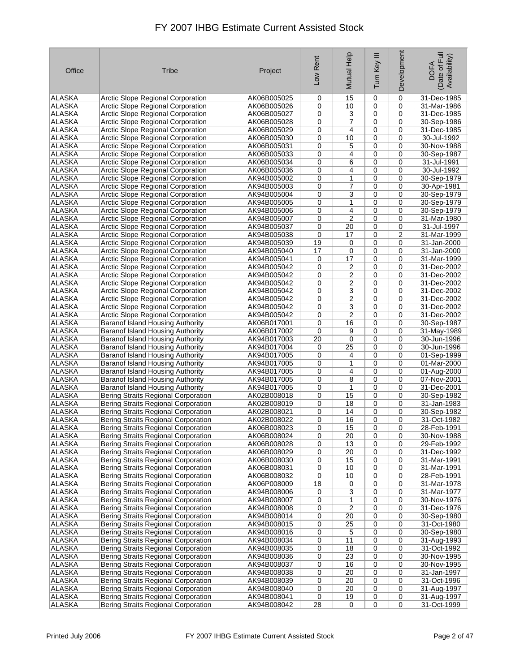| Office                         | Tribe                                                                                | Project                    | Low Rent | Mutual Help             | Ξ<br>Tum Key | Development      | Date of Full<br>Availability)<br><b>DOFA</b> |
|--------------------------------|--------------------------------------------------------------------------------------|----------------------------|----------|-------------------------|--------------|------------------|----------------------------------------------|
| ALASKA                         | <b>Arctic Slope Regional Corporation</b>                                             | AK06B005025                | 0        | 15                      | 0            | 0                | 31-Dec-1985                                  |
| <b>ALASKA</b>                  | <b>Arctic Slope Regional Corporation</b>                                             | AK06B005026                | 0        | 10                      | 0            | 0                | 31-Mar-1986                                  |
| <b>ALASKA</b>                  | <b>Arctic Slope Regional Corporation</b>                                             | AK06B005027                | 0        | 3                       | 0            | 0                | 31-Dec-1985                                  |
| <b>ALASKA</b>                  | <b>Arctic Slope Regional Corporation</b>                                             | AK06B005028                | 0        | 7                       | 0            | 0                | 30-Sep-1986                                  |
| <b>ALASKA</b>                  | <b>Arctic Slope Regional Corporation</b>                                             | AK06B005029                | 0        | 4                       | $\mathbf 0$  | 0                | 31-Dec-1985                                  |
| <b>ALASKA</b>                  | Arctic Slope Regional Corporation                                                    | AK06B005030                | 0        | 10                      | 0            | 0                | 30-Jul-1992                                  |
| <b>ALASKA</b>                  | <b>Arctic Slope Regional Corporation</b>                                             | AK06B005031                | 0        | 5                       | 0            | 0                | 30-Nov-1988                                  |
| <b>ALASKA</b><br><b>ALASKA</b> | Arctic Slope Regional Corporation                                                    | AK06B005033                | 0        | 4                       | 0            | 0                | 30-Sep-1987                                  |
| <b>ALASKA</b>                  | <b>Arctic Slope Regional Corporation</b><br><b>Arctic Slope Regional Corporation</b> | AK06B005034<br>AK06B005036 | 0<br>0   | 6<br>4                  | 0<br>0       | 0<br>0           | 31-Jul-1991<br>30-Jul-1992                   |
| <b>ALASKA</b>                  | Arctic Slope Regional Corporation                                                    | AK94B005002                | 0        | $\mathbf{1}$            | 0            | 0                | 30-Sep-1979                                  |
| <b>ALASKA</b>                  | <b>Arctic Slope Regional Corporation</b>                                             | AK94B005003                | 0        | 7                       | 0            | 0                | 30-Apr-1981                                  |
| <b>ALASKA</b>                  | Arctic Slope Regional Corporation                                                    | AK94B005004                | 0        | 3                       | 0            | 0                | 30-Sep-1979                                  |
| <b>ALASKA</b>                  | <b>Arctic Slope Regional Corporation</b>                                             | AK94B005005                | 0        | 1                       | 0            | 0                | 30-Sep-1979                                  |
| <b>ALASKA</b>                  | Arctic Slope Regional Corporation                                                    | AK94B005006                | 0        | 4                       | 0            | 0                | 30-Sep-1979                                  |
| <b>ALASKA</b>                  | <b>Arctic Slope Regional Corporation</b>                                             | AK94B005007                | 0        | $\overline{c}$          | 0            | $\mathbf 0$      | 31-Mar-1980                                  |
| <b>ALASKA</b>                  | Arctic Slope Regional Corporation                                                    | AK94B005037                | 0        | 20                      | 0            | 0                | 31-Jul-1997                                  |
| <b>ALASKA</b>                  | <b>Arctic Slope Regional Corporation</b>                                             | AK94B005038                | 0        | 17                      | 0            | $\overline{2}$   | 31-Mar-1999                                  |
| <b>ALASKA</b>                  | Arctic Slope Regional Corporation                                                    | AK94B005039                | 19       | 0                       | 0            | 0                | 31-Jan-2000                                  |
| <b>ALASKA</b>                  | <b>Arctic Slope Regional Corporation</b>                                             | AK94B005040                | 17       | 0                       | 0            | 0                | 31-Jan-2000                                  |
| <b>ALASKA</b>                  | <b>Arctic Slope Regional Corporation</b>                                             | AK94B005041                | 0        | 17                      | 0            | 0                | 31-Mar-1999                                  |
| <b>ALASKA</b>                  | <b>Arctic Slope Regional Corporation</b>                                             | AK94B005042                | 0        | 2                       | 0            | 0                | 31-Dec-2002                                  |
| <b>ALASKA</b>                  | <b>Arctic Slope Regional Corporation</b>                                             | AK94B005042                | 0        | $\overline{c}$          | 0            | 0                | 31-Dec-2002                                  |
| <b>ALASKA</b>                  | Arctic Slope Regional Corporation                                                    | AK94B005042                | 0        | 2                       | 0            | 0                | 31-Dec-2002                                  |
| <b>ALASKA</b>                  | Arctic Slope Regional Corporation                                                    | AK94B005042                | 0        | $\overline{\mathbf{3}}$ | 0            | 0                | 31-Dec-2002                                  |
| <b>ALASKA</b>                  | <b>Arctic Slope Regional Corporation</b>                                             | AK94B005042                | 0        | 2                       | 0            | 0                | 31-Dec-2002                                  |
| <b>ALASKA</b>                  | Arctic Slope Regional Corporation                                                    | AK94B005042                | 0        | 3                       | 0            | 0                | 31-Dec-2002                                  |
| <b>ALASKA</b>                  | <b>Arctic Slope Regional Corporation</b>                                             | AK94B005042                | 0        | $\overline{c}$          | 0            | 0                | 31-Dec-2002                                  |
| <b>ALASKA</b><br><b>ALASKA</b> | Baranof Island Housing Authority                                                     | AK06B017001                | 0<br>0   | 16<br>9                 | 0<br>0       | 0<br>$\mathbf 0$ | 30-Sep-1987                                  |
| <b>ALASKA</b>                  | Baranof Island Housing Authority<br>Baranof Island Housing Authority                 | AK06B017002<br>AK94B017003 | 20       | 0                       | 0            | 0                | 31-May-1989<br>30-Jun-1996                   |
| <b>ALASKA</b>                  | Baranof Island Housing Authority                                                     | AK94B017004                | 0        | 25                      | 0            | 0                | 30-Jun-1996                                  |
| <b>ALASKA</b>                  | <b>Baranof Island Housing Authority</b>                                              | AK94B017005                | 0        | 4                       | 0            | 0                | 01-Sep-1999                                  |
| <b>ALASKA</b>                  | Baranof Island Housing Authority                                                     | AK94B017005                | 0        | 1                       | 0            | 0                | 01-Mar-2000                                  |
| <b>ALASKA</b>                  | Baranof Island Housing Authority                                                     | AK94B017005                | 0        | 4                       | 0            | 0                | 01-Aug-2000                                  |
| <b>ALASKA</b>                  | Baranof Island Housing Authority                                                     | AK94B017005                | 0        | 8                       | 0            | 0                | 07-Nov-2001                                  |
| <b>ALASKA</b>                  | Baranof Island Housing Authority                                                     | AK94B017005                | 0        | $\mathbf{1}$            | 0            | $\mathbf 0$      | 31-Dec-2001                                  |
| ALASKA                         | Bering Straits Regional Corporation                                                  | AK02B008018                | 0        | 15                      | 0            | 0                | 30-Sep-1982                                  |
| <b>ALASKA</b>                  | Bering Straits Regional Corporation                                                  | AK02B008019                | 0        | 18                      | 0            | 0                | 31-Jan-1983                                  |
| <b>ALASKA</b>                  | Bering Straits Regional Corporation                                                  | AK02B008021                | 0        | 14                      | 0            | 0                | 30-Sep-1982                                  |
| <b>ALASKA</b>                  | <b>Bering Straits Regional Corporation</b>                                           | AK02B008022                | 0        | 16                      | 0            | 0                | 31-Oct-1982                                  |
| <b>ALASKA</b>                  | <b>Bering Straits Regional Corporation</b>                                           | AK06B008023                | 0        | 15                      | 0            | 0                | 28-Feb-1991                                  |
| ALASKA                         | Bering Straits Regional Corporation                                                  | AK06B008024                | 0        | 20                      | 0            | 0                | 30-Nov-1988                                  |
| <b>ALASKA</b>                  | Bering Straits Regional Corporation                                                  | AK06B008028                | 0        | 13                      | 0            | 0                | 29-Feb-1992                                  |
| ALASKA                         | Bering Straits Regional Corporation                                                  | AK06B008029                | 0        | 20                      | 0            | 0                | 31-Dec-1992                                  |
| <b>ALASKA</b><br><b>ALASKA</b> | Bering Straits Regional Corporation<br>Bering Straits Regional Corporation           | AK06B008030<br>AK06B008031 | 0<br>0   | 15<br>10                | 0<br>0       | 0<br>0           | 31-Mar-1991<br>31-Mar-1991                   |
| <b>ALASKA</b>                  | <b>Bering Straits Regional Corporation</b>                                           | AK06B008032                | 0        | 10                      | 0            | 0                | 28-Feb-1991                                  |
| ALASKA                         | <b>Bering Straits Regional Corporation</b>                                           | AK06P008009                | 18       | 0                       | 0            | 0                | 31-Mar-1978                                  |
| ALASKA                         | Bering Straits Regional Corporation                                                  | AK94B008006                | 0        | 3                       | 0            | 0                | 31-Mar-1977                                  |
| <b>ALASKA</b>                  | Bering Straits Regional Corporation                                                  | AK94B008007                | 0        | 1                       | 0            | 0                | 30-Nov-1976                                  |
| ALASKA                         | <b>Bering Straits Regional Corporation</b>                                           | AK94B008008                | 0        | 2                       | 0            | 0                | 31-Dec-1976                                  |
| <b>ALASKA</b>                  | Bering Straits Regional Corporation                                                  | AK94B008014                | 0        | 20                      | 0            | 0                | 30-Sep-1980                                  |
| <b>ALASKA</b>                  | Bering Straits Regional Corporation                                                  | AK94B008015                | 0        | 25                      | 0            | 0                | 31-Oct-1980                                  |
| <b>ALASKA</b>                  | Bering Straits Regional Corporation                                                  | AK94B008016                | 0        | 5                       | 0            | 0                | 30-Sep-1980                                  |
| <b>ALASKA</b>                  | Bering Straits Regional Corporation                                                  | AK94B008034                | 0        | 11                      | 0            | 0                | 31-Aug-1993                                  |
| <b>ALASKA</b>                  | Bering Straits Regional Corporation                                                  | AK94B008035                | 0        | 18                      | 0            | 0                | 31-Oct-1992                                  |
| ALASKA                         | Bering Straits Regional Corporation                                                  | AK94B008036                | 0        | 23                      | 0            | 0                | 30-Nov-1995                                  |
| <b>ALASKA</b>                  | Bering Straits Regional Corporation                                                  | AK94B008037                | 0        | 16                      | 0            | 0                | 30-Nov-1995                                  |
| <b>ALASKA</b>                  | Bering Straits Regional Corporation                                                  | AK94B008038                | 0        | 20                      | 0            | 0                | 31-Jan-1997                                  |
| <b>ALASKA</b>                  | Bering Straits Regional Corporation                                                  | AK94B008039                | 0        | 20                      | 0            | 0                | 31-Oct-1996                                  |
| ALASKA                         | Bering Straits Regional Corporation                                                  | AK94B008040                | 0        | 20                      | 0            | 0                | 31-Aug-1997                                  |
| ALASKA<br>ALASKA               | Bering Straits Regional Corporation<br>Bering Straits Regional Corporation           | AK94B008041<br>AK94B008042 | 0<br>28  | 19<br>0                 | 0<br>0       | 0<br>0           | 31-Aug-1997<br>31-Oct-1999                   |
|                                |                                                                                      |                            |          |                         |              |                  |                                              |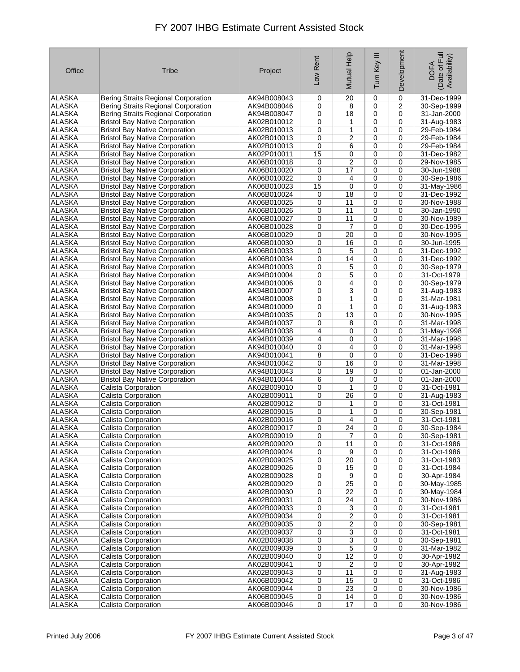| Office        | Tribe                                 | Project     | Low Rent    | Mutual Help     | Ξ<br>Tum Key   | Development | Date of Full<br>Availability)<br><b>DOFA</b> |
|---------------|---------------------------------------|-------------|-------------|-----------------|----------------|-------------|----------------------------------------------|
| ALASKA        | Bering Straits Regional Corporation   | AK94B008043 | 0           | 20              | $\mathbf 0$    | 0           | 31-Dec-1999                                  |
| <b>ALASKA</b> | Bering Straits Regional Corporation   | AK94B008046 | 0           | 8               | 0              | 2           | 30-Sep-1999                                  |
| <b>ALASKA</b> | Bering Straits Regional Corporation   | AK94B008047 | 0           | 18              | 0              | 0           | 31-Jan-2000                                  |
| <b>ALASKA</b> | <b>Bristol Bay Native Corporation</b> | AK02B010012 | 0           | 1               | 0              | 0           | 31-Aug-1983                                  |
| <b>ALASKA</b> | <b>Bristol Bay Native Corporation</b> | AK02B010013 | 0           | 1               | 0              | 0           | 29-Feb-1984                                  |
| <b>ALASKA</b> | <b>Bristol Bay Native Corporation</b> | AK02B010013 | 0           | 2               | 0              | 0           | 29-Feb-1984                                  |
| <b>ALASKA</b> | <b>Bristol Bay Native Corporation</b> | AK02B010013 | 0           | 6               | 0              | 0           | 29-Feb-1984                                  |
| <b>ALASKA</b> | <b>Bristol Bay Native Corporation</b> | AK02P010011 | 15          | 0               | 0              | 0           | 31-Dec-1982                                  |
| <b>ALASKA</b> | <b>Bristol Bay Native Corporation</b> | AK06B010018 | 0           | $\overline{c}$  | 0              | $\mathbf 0$ | 29-Nov-1985                                  |
| <b>ALASKA</b> | <b>Bristol Bay Native Corporation</b> | AK06B010020 | 0           | 17              | 0              | 0           | 30-Jun-1988                                  |
| <b>ALASKA</b> | <b>Bristol Bay Native Corporation</b> | AK06B010022 | $\mathbf 0$ | 4               | 0              | 0           | 30-Sep-1986                                  |
| <b>ALASKA</b> | <b>Bristol Bay Native Corporation</b> | AK06B010023 | 15          | 0               | 0              | 0           | 31-May-1986                                  |
| <b>ALASKA</b> | <b>Bristol Bay Native Corporation</b> | AK06B010024 | 0           | 18              | 0              | 0           | 31-Dec-1992                                  |
| <b>ALASKA</b> | <b>Bristol Bay Native Corporation</b> | AK06B010025 | 0           | 11              | 0              | 0           | 30-Nov-1988                                  |
| <b>ALASKA</b> | <b>Bristol Bay Native Corporation</b> | AK06B010026 | 0           | 11              | $\mathbf 0$    | 0           | 30-Jan-1990                                  |
| <b>ALASKA</b> | <b>Bristol Bay Native Corporation</b> | AK06B010027 | 0           | 11              | 0              | $\mathbf 0$ | 30-Nov-1989                                  |
| ALASKA        | <b>Bristol Bay Native Corporation</b> | AK06B010028 | 0           | 7               | 0              | 0           | 30-Dec-1995                                  |
| <b>ALASKA</b> | <b>Bristol Bay Native Corporation</b> | AK06B010029 | 0           | 20              | 0              | 0           | 30-Nov-1995                                  |
| <b>ALASKA</b> | <b>Bristol Bay Native Corporation</b> | AK06B010030 | 0           | 16              | 0              | 0           | 30-Jun-1995                                  |
| <b>ALASKA</b> | <b>Bristol Bay Native Corporation</b> | AK06B010033 | 0           | 5               | 0              | 0           | 31-Dec-1992                                  |
| <b>ALASKA</b> | <b>Bristol Bay Native Corporation</b> | AK06B010034 | 0           | 14              | 0              | 0           | 31-Dec-1992                                  |
| <b>ALASKA</b> | <b>Bristol Bay Native Corporation</b> | AK94B010003 | 0           | 5               | 0              | 0           | 30-Sep-1979                                  |
| <b>ALASKA</b> | <b>Bristol Bay Native Corporation</b> | AK94B010004 | 0           | 5               | 0              | $\mathbf 0$ | 31-Oct-1979                                  |
| <b>ALASKA</b> | <b>Bristol Bay Native Corporation</b> | AK94B010006 | 0           | 4               | 0              | 0           | 30-Sep-1979                                  |
| <b>ALASKA</b> | <b>Bristol Bay Native Corporation</b> | AK94B010007 | 0           | 3               | 0              | 0           | 31-Aug-1983                                  |
| <b>ALASKA</b> | <b>Bristol Bay Native Corporation</b> | AK94B010008 | 0           | 1               | 0              | 0           | 31-Mar-1981                                  |
| <b>ALASKA</b> | <b>Bristol Bay Native Corporation</b> | AK94B010009 | 0           | 1               | 0              | 0           | 31-Aug-1983                                  |
| <b>ALASKA</b> | <b>Bristol Bay Native Corporation</b> | AK94B010035 | 0           | 13              | 0              | $\mathbf 0$ | 30-Nov-1995                                  |
| <b>ALASKA</b> | <b>Bristol Bay Native Corporation</b> | AK94B010037 | 0           | 8               | 0              | 0           | 31-Mar-1998                                  |
| <b>ALASKA</b> | <b>Bristol Bay Native Corporation</b> | AK94B010038 | 4           | 0               | 0              | $\mathbf 0$ | 31-May-1998                                  |
| <b>ALASKA</b> | <b>Bristol Bay Native Corporation</b> | AK94B010039 | 4           | 0               | 0              | 0           | 31-Mar-1998                                  |
| <b>ALASKA</b> | <b>Bristol Bay Native Corporation</b> | AK94B010040 | 0           | 4               | 0              | 0           | 31-Mar-1998                                  |
| <b>ALASKA</b> | <b>Bristol Bay Native Corporation</b> | AK94B010041 | 8           | 0               | 0              | 0           | 31-Dec-1998                                  |
| <b>ALASKA</b> | <b>Bristol Bay Native Corporation</b> | AK94B010042 | 0           | 16              | 0              | 0           | 31-Mar-1998                                  |
| <b>ALASKA</b> | <b>Bristol Bay Native Corporation</b> | AK94B010043 | 0           | 19              | 0              | 0           | 01-Jan-2000                                  |
| <b>ALASKA</b> | <b>Bristol Bay Native Corporation</b> | AK94B010044 | 6           | 0               | 0              | 0           | 01-Jan-2000                                  |
| <b>ALASKA</b> | Calista Corporation                   | AK02B009010 | 0           | $\mathbf{1}$    | 0              | 0           | 31-Oct-1981                                  |
| <b>ALASKA</b> | Calista Corporation                   | AK02B009011 | 0           | 26              | 0              | 0           | 31-Aug-1983                                  |
| <b>ALASKA</b> | Calista Corporation                   | AK02B009012 | 0           | 1               | 0              | 0           | 31-Oct-1981                                  |
| <b>ALASKA</b> | Calista Corporation                   | AK02B009015 | 0           | $\mathbf{1}$    | $\mathbf 0$    | 0           | 30-Sep-1981                                  |
| <b>ALASKA</b> | Calista Corporation                   | AK02B009016 | 0           | $\overline{4}$  | 0              | 0           | 31-Oct-1981                                  |
| <b>ALASKA</b> | Calista Corporation                   | AK02B009017 | 0           | 24              | 0              | 0           | 30-Sep-1984                                  |
| <b>ALASKA</b> | Calista Corporation                   | AK02B009019 | 0           | 7               | 0              | 0           | 30-Sep-1981                                  |
| ALASKA        | Calista Corporation                   | AK02B009020 | 0           | 11              | 0              | 0           | 31-Oct-1986                                  |
| ALASKA        | Calista Corporation                   | AK02B009024 | 0           | 9               | 0              | 0           | 31-Oct-1986                                  |
| ALASKA        | Calista Corporation                   | AK02B009025 | 0           | 20              | 0              | 0           | 31-Oct-1983                                  |
| <b>ALASKA</b> | Calista Corporation                   | AK02B009026 | 0           | 15              | 0              | 0           | 31-Oct-1984                                  |
| <b>ALASKA</b> | Calista Corporation                   | AK02B009028 | 0           | 9               | 0              | 0           | 30-Apr-1984                                  |
| <b>ALASKA</b> | Calista Corporation                   | AK02B009029 | 0           | $\overline{25}$ | 0              | 0           | 30-May-1985                                  |
| ALASKA        | Calista Corporation                   | AK02B009030 | 0           | 22              | 0              | 0           | 30-May-1984                                  |
| ALASKA        | Calista Corporation                   | AK02B009031 | 0           | 24              | 0              | 0           | 30-Nov-1986                                  |
| ALASKA        | Calista Corporation                   | AK02B009033 | 0           | 3               | 0              | $\mathbf 0$ | 31-Oct-1981                                  |
| ALASKA        | Calista Corporation                   | AK02B009034 | 0           | $\overline{2}$  | 0              | 0           | 31-Oct-1981                                  |
| <b>ALASKA</b> | Calista Corporation                   | AK02B009035 | 0           | $\overline{2}$  | 0              | 0           | 30-Sep-1981                                  |
| ALASKA        | Calista Corporation                   | AK02B009037 | 0           | $\overline{3}$  | 0              | 0           | 31-Oct-1981                                  |
| ALASKA        | Calista Corporation                   | AK02B009038 | 0           | $\overline{3}$  | 0              | 0           | 30-Sep-1981                                  |
| ALASKA        | Calista Corporation                   | AK02B009039 | 0           | $\overline{5}$  | 0              | 0           | 31-Mar-1982                                  |
| ALASKA        | Calista Corporation                   | AK02B009040 | 0           | 12              | 0              | 0           | 30-Apr-1982                                  |
| ALASKA        | Calista Corporation                   | AK02B009041 | 0           | 2               | 0              | 0           | 30-Apr-1982                                  |
| ALASKA        | Calista Corporation                   | AK02B009043 | 0           | 11              | 0              | 0           | 31-Aug-1983                                  |
| <b>ALASKA</b> | Calista Corporation                   | AK06B009042 | 0           | 15              | 0              | 0           | 31-Oct-1986                                  |
| ALASKA        | Calista Corporation                   | AK06B009044 | 0           | 23              | 0              | 0           | 30-Nov-1986                                  |
| ALASKA        | Calista Corporation                   | AK06B009045 | 0           | 14              | 0              | 0           | 30-Nov-1986                                  |
| ALASKA        | Calista Corporation                   | AK06B009046 | 0           | 17              | $\overline{0}$ | 0           | 30-Nov-1986                                  |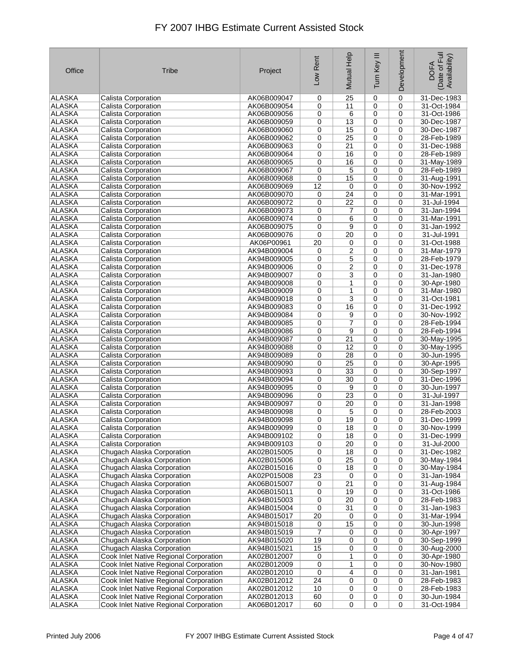| Office                         | <b>Tribe</b>                                             | Project                    | Low Rent        | Mutual Help         | Ξ<br>Turn Key | Development | Date of Full<br>Availability)<br><b>DOFA</b> |
|--------------------------------|----------------------------------------------------------|----------------------------|-----------------|---------------------|---------------|-------------|----------------------------------------------|
| <b>ALASKA</b>                  | Calista Corporation                                      | AK06B009047                | 0               | 25                  | 0             | $\mathbf 0$ | 31-Dec-1983                                  |
| <b>ALASKA</b>                  | Calista Corporation                                      | AK06B009054                | 0               | 11                  | 0             | 0           | 31-Oct-1984                                  |
| <b>ALASKA</b>                  | Calista Corporation                                      | AK06B009056                | 0               | 6                   | $\mathbf 0$   | $\mathbf 0$ | 31-Oct-1986                                  |
| <b>ALASKA</b>                  | Calista Corporation                                      | AK06B009059                | 0               | 13                  | 0             | 0           | 30-Dec-1987                                  |
| <b>ALASKA</b>                  | <b>Calista Corporation</b>                               | AK06B009060                | 0               | 15                  | 0             | 0           | 30-Dec-1987                                  |
| <b>ALASKA</b>                  | Calista Corporation                                      | AK06B009062                | 0               | 25                  | $\mathbf 0$   | $\mathbf 0$ | 28-Feb-1989                                  |
| <b>ALASKA</b>                  | Calista Corporation                                      | AK06B009063                | 0               | 21                  | 0             | 0           | 31-Dec-1988                                  |
| <b>ALASKA</b>                  | Calista Corporation                                      | AK06B009064                | 0               | 16                  | 0             | 0           | 28-Feb-1989                                  |
| <b>ALASKA</b>                  | Calista Corporation                                      | AK06B009065                | 0               | 16                  | $\mathbf 0$   | $\mathbf 0$ | 31-May-1989                                  |
| <b>ALASKA</b>                  | Calista Corporation                                      | AK06B009067                | 0               | 5                   | $\mathbf 0$   | $\mathbf 0$ | 28-Feb-1989                                  |
| <b>ALASKA</b>                  | Calista Corporation                                      | AK06B009068                | 0               | 15                  | 0             | 0           | 31-Aug-1991                                  |
| <b>ALASKA</b>                  | Calista Corporation                                      | AK06B009069                | 12              | 0                   | 0             | 0           | 30-Nov-1992                                  |
| <b>ALASKA</b>                  | Calista Corporation                                      | AK06B009070                | 0               | 24                  | 0             | $\mathbf 0$ | 31-Mar-1991                                  |
| <b>ALASKA</b>                  | Calista Corporation                                      | AK06B009072                | 0               | $\overline{22}$     | 0             | 0           | 31-Jul-1994                                  |
| <b>ALASKA</b>                  | Calista Corporation                                      | AK06B009073                | 0               | 7                   | $\mathbf 0$   | 0           | 31-Jan-1994                                  |
| <b>ALASKA</b>                  | Calista Corporation                                      | AK06B009074                | 0               | 6                   | 0             | $\mathbf 0$ | 31-Mar-1991                                  |
| <b>ALASKA</b>                  | Calista Corporation                                      | AK06B009075                | 0               | 9                   | $\mathbf 0$   | 0           | 31-Jan-1992                                  |
| <b>ALASKA</b>                  | <b>Calista Corporation</b>                               | AK06B009076                | 0               | 20                  | 0             | $\mathbf 0$ | 31-Jul-1991                                  |
| <b>ALASKA</b><br><b>ALASKA</b> | Calista Corporation                                      | AK06P00961<br>AK94B009004  | $\overline{20}$ | 0<br>$\overline{2}$ | 0             | 0           | 31-Oct-1988                                  |
| <b>ALASKA</b>                  | Calista Corporation<br><b>Calista Corporation</b>        | AK94B009005                | 0<br>0          | 5                   | 0<br>0        | 0<br>0      | 31-Mar-1979<br>28-Feb-1979                   |
| <b>ALASKA</b>                  | <b>Calista Corporation</b>                               | AK94B009006                | 0               | 2                   | $\mathbf 0$   | $\mathbf 0$ | 31-Dec-1978                                  |
| <b>ALASKA</b>                  | <b>Calista Corporation</b>                               | AK94B009007                | 0               | 3                   | 0             | $\mathbf 0$ | 31-Jan-1980                                  |
| <b>ALASKA</b>                  | Calista Corporation                                      | AK94B009008                | 0               | 1                   | $\mathbf 0$   | 0           | 30-Apr-1980                                  |
| <b>ALASKA</b>                  | Calista Corporation                                      | AK94B009009                | 0               | 1                   | 0             | $\mathbf 0$ | 31-Mar-1980                                  |
| <b>ALASKA</b>                  | Calista Corporation                                      | AK94B009018                | 0               | 3                   | 0             | 0           | 31-Oct-1981                                  |
| <b>ALASKA</b>                  | Calista Corporation                                      | AK94B009083                | 0               | 16                  | 0             | 0           | 31-Dec-1992                                  |
| <b>ALASKA</b>                  | Calista Corporation                                      | AK94B009084                | 0               | 9                   | 0             | $\mathbf 0$ | 30-Nov-1992                                  |
| <b>ALASKA</b>                  | Calista Corporation                                      | AK94B009085                | 0               | 7                   | 0             | $\mathbf 0$ | 28-Feb-1994                                  |
| <b>ALASKA</b>                  | Calista Corporation                                      | AK94B009086                | 0               | 9                   | 0             | 0           | 28-Feb-1994                                  |
| <b>ALASKA</b>                  | Calista Corporation                                      | AK94B009087                | 0               | 21                  | 0             | 0           | 30-May-1995                                  |
| <b>ALASKA</b>                  | Calista Corporation                                      | AK94B009088                | 0               | 12                  | 0             | $\mathbf 0$ | 30-May-1995                                  |
| <b>ALASKA</b>                  | Calista Corporation                                      | AK94B009089                | 0               | 28                  | 0             | 0           | 30-Jun-1995                                  |
| <b>ALASKA</b>                  | Calista Corporation                                      | AK94B009090                | 0               | 25                  | $\mathbf 0$   | $\mathbf 0$ | 30-Apr-1995                                  |
| <b>ALASKA</b>                  | Calista Corporation                                      | AK94B009093                | 0               | 33                  | 0             | $\mathbf 0$ | 30-Sep-1997                                  |
| <b>ALASKA</b>                  | Calista Corporation                                      | AK94B009094                | 0               | 30                  | 0             | $\mathbf 0$ | 31-Dec-1996                                  |
| <b>ALASKA</b>                  | Calista Corporation                                      | AK94B009095                | 0               | 9                   | $\mathbf 0$   | $\mathbf 0$ | 30-Jun-1997                                  |
| <b>ALASKA</b>                  | Calista Corporation                                      | AK94B009096                | 0               | 23                  | 0             | 0           | 31-Jul-1997                                  |
| <b>ALASKA</b>                  | Calista Corporation                                      | AK94B009097                | 0               | 20                  | 0             | 0           | 31-Jan-1998                                  |
| <b>ALASKA</b>                  | Calista Corporation                                      | AK94B009098                | 0               | 5                   | 0             | 0           | 28-Feb-2003                                  |
| <b>ALASKA</b>                  | Calista Corporation                                      | AK94B009098                | 0               | 19                  | 0             | 0           | 31-Dec-1999                                  |
| <b>ALASKA</b>                  | Calista Corporation                                      | AK94B009099                | 0               | $\overline{18}$     | 0             | 0           | 30-Nov-1999                                  |
| <b>ALASKA</b>                  | Calista Corporation                                      | AK94B009102                | 0               | 18                  | 0             | 0           | 31-Dec-1999                                  |
| ALASKA                         | Calista Corporation                                      | AK94B009103                | 0               | 20                  | 0             | 0           | 31-Jul-2000                                  |
| ALASKA                         | Chugach Alaska Corporation                               | AK02B015005                | 0               | 18                  | 0             | 0           | 31-Dec-1982                                  |
| ALASKA                         | Chugach Alaska Corporation                               | AK02B015006                | 0               | 25                  | 0             | 0           | 30-May-1984                                  |
| ALASKA                         | Chugach Alaska Corporation                               | AK02B015016                | 0               | 18                  | 0             | $\mathbf 0$ | 30-May-1984                                  |
| <b>ALASKA</b><br><b>ALASKA</b> | Chugach Alaska Corporation                               | AK02P015008                | 23              | 0                   | 0             | 0           | 31-Jan-1984                                  |
| ALASKA                         | Chugach Alaska Corporation                               | AK06B015007<br>AK06B015011 | 0               | 21<br>19            | 0<br>0        | 0<br>0      | 31-Aug-1984<br>31-Oct-1986                   |
| ALASKA                         | Chugach Alaska Corporation<br>Chugach Alaska Corporation | AK94B015003                | 0<br>0          | 20                  | 0             | 0           | 28-Feb-1983                                  |
| ALASKA                         | Chugach Alaska Corporation                               | AK94B015004                | 0               | 31                  | 0             | 0           | 31-Jan-1983                                  |
| <b>ALASKA</b>                  | Chugach Alaska Corporation                               | AK94B015017                | $\overline{20}$ | 0                   | 0             | 0           | 31-Mar-1994                                  |
| <b>ALASKA</b>                  | Chugach Alaska Corporation                               | AK94B015018                | 0               | 15                  | 0             | $\mathbf 0$ | 30-Jun-1998                                  |
| ALASKA                         | Chugach Alaska Corporation                               | AK94B015019                | 7               | 0                   | $\mathbf 0$   | 0           | 30-Apr-1997                                  |
| <b>ALASKA</b>                  | Chugach Alaska Corporation                               | AK94B015020                | 19              | 0                   | 0             | 0           | 30-Sep-1999                                  |
| ALASKA                         | Chugach Alaska Corporation                               | AK94B015021                | 15              | 0                   | 0             | 0           | 30-Aug-2000                                  |
| ALASKA                         | Cook Inlet Native Regional Corporation                   | AK02B012007                | 0               | 1                   | 0             | 0           | 30-Apr-1980                                  |
| ALASKA                         | Cook Inlet Native Regional Corporation                   | AK02B012009                | 0               | 1                   | 0             | 0           | 30-Nov-1980                                  |
| ALASKA                         | Cook Inlet Native Regional Corporation                   | AK02B012010                | 0               | 4                   | $\mathbf 0$   | 0           | 31-Jan-1981                                  |
| ALASKA                         | Cook Inlet Native Regional Corporation                   | AK02B012012                | 24              | 0                   | 0             | 0           | 28-Feb-1983                                  |
| ALASKA                         | Cook Inlet Native Regional Corporation                   | AK02B012012                | 10              | 0                   | 0             | 0           | 28-Feb-1983                                  |
| <b>ALASKA</b>                  | Cook Inlet Native Regional Corporation                   | AK02B012013                | 60              | 0                   | 0             | 0           | 30-Jun-1984                                  |
| ALASKA                         | Cook Inlet Native Regional Corporation                   | AK06B012017                | 60              | 0                   | 0             | 0           | 31-Oct-1984                                  |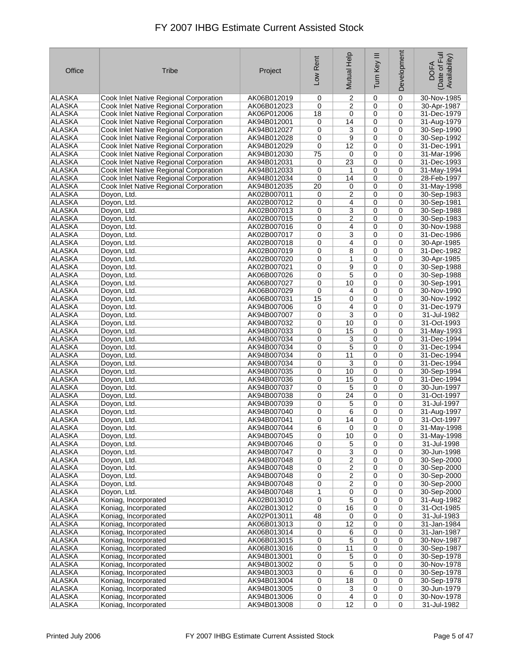| Office                         | Tribe                                                                            | Project                    | Low Rent | Mutual Help             | Ξ<br>Turn Key | Development      | Date of Full<br>Availability)<br><b>DOFA</b> |
|--------------------------------|----------------------------------------------------------------------------------|----------------------------|----------|-------------------------|---------------|------------------|----------------------------------------------|
| <b>ALASKA</b>                  | Cook Inlet Native Regional Corporation                                           | AK06B012019                | 0        | 2                       | 0             | 0                | 30-Nov-1985                                  |
| <b>ALASKA</b>                  | Cook Inlet Native Regional Corporation                                           | AK06B012023                | 0        | 2                       | 0             | 0                | 30-Apr-1987                                  |
| <b>ALASKA</b>                  | Cook Inlet Native Regional Corporation                                           | AK06P012006                | 18       | 0                       | $\mathbf 0$   | $\mathbf 0$      | 31-Dec-1979                                  |
| <b>ALASKA</b>                  | Cook Inlet Native Regional Corporation                                           | AK94B012001                | 0        | 14                      | 0             | $\mathbf 0$      | 31-Aug-1979                                  |
| <b>ALASKA</b>                  | Cook Inlet Native Regional Corporation                                           | AK94B012027                | 0        | 3                       | $\mathbf 0$   | $\mathbf 0$      | 30-Sep-1990                                  |
| <b>ALASKA</b>                  | Cook Inlet Native Regional Corporation                                           | AK94B012028                | 0        | 9                       | $\mathbf 0$   | $\mathbf 0$      | 30-Sep-1992                                  |
| <b>ALASKA</b><br><b>ALASKA</b> | Cook Inlet Native Regional Corporation<br>Cook Inlet Native Regional Corporation | AK94B012029<br>AK94B012030 | 0<br>75  | 12<br>0                 | 0<br>0        | 0<br>0           | 31-Dec-1991<br>31-Mar-1996                   |
| <b>ALASKA</b>                  | Cook Inlet Native Regional Corporation                                           | AK94B012031                | 0        | 23                      | 0             | 0                | 31-Dec-1993                                  |
| <b>ALASKA</b>                  | Cook Inlet Native Regional Corporation                                           | AK94B012033                | 0        | 1                       | $\mathbf 0$   | 0                | 31-May-1994                                  |
| <b>ALASKA</b>                  | Cook Inlet Native Regional Corporation                                           | AK94B012034                | 0        | 14                      | 0             | $\mathbf 0$      | 28-Feb-1997                                  |
| <b>ALASKA</b>                  | Cook Inlet Native Regional Corporation                                           | AK94B012035                | 20       | 0                       | $\mathbf 0$   | 0                | 31-May-1998                                  |
| <b>ALASKA</b>                  | Doyon, Ltd.                                                                      | AK02B007011                | 0        | $\overline{c}$          | 0             | $\mathbf 0$      | 30-Sep-1983                                  |
| <b>ALASKA</b>                  | Doyon, Ltd.                                                                      | AK02B007012                | 0        | 4                       | 0             | 0                | 30-Sep-1981                                  |
| <b>ALASKA</b>                  | Doyon, Ltd.                                                                      | AK02B007013                | 0        | 3                       | 0             | 0                | 30-Sep-1988                                  |
| <b>ALASKA</b>                  | Doyon, Ltd.                                                                      | AK02B007015                | 0        | 2                       | 0             | 0                | 30-Sep-1983                                  |
| <b>ALASKA</b>                  | Doyon, Ltd.                                                                      | AK02B007016                | 0        | 4                       | $\mathbf 0$   | $\mathbf 0$      | 30-Nov-1988                                  |
| <b>ALASKA</b>                  | Doyon, Ltd.                                                                      | AK02B007017                | 0        | 3                       | 0             | 0                | 31-Dec-1986                                  |
| <b>ALASKA</b><br><b>ALASKA</b> | Doyon, Ltd.<br>Doyon, Ltd.                                                       | AK02B007018<br>AK02B007019 | 0<br>0   | 4<br>8                  | 0<br>0        | 0<br>0           | 30-Apr-1985<br>31-Dec-1982                   |
| <b>ALASKA</b>                  | Doyon, Ltd.                                                                      | AK02B007020                | 0        | $\mathbf{1}$            | 0             | 0                | 30-Apr-1985                                  |
| <b>ALASKA</b>                  | Doyon, Ltd.                                                                      | AK02B007021                | 0        | 9                       | $\mathbf 0$   | $\mathbf 0$      | 30-Sep-1988                                  |
| <b>ALASKA</b>                  | Doyon, Ltd.                                                                      | AK06B007026                | 0        | 5                       | 0             | 0                | 30-Sep-1988                                  |
| <b>ALASKA</b>                  | Doyon, Ltd.                                                                      | AK06B007027                | 0        | 10                      | 0             | 0                | 30-Sep-1991                                  |
| <b>ALASKA</b>                  | Doyon, Ltd.                                                                      | AK06B007029                | 0        | 4                       | $\mathbf 0$   | $\mathbf 0$      | 30-Nov-1990                                  |
| <b>ALASKA</b>                  | Doyon, Ltd.                                                                      | AK06B007031                | 15       | 0                       | 0             | 0                | 30-Nov-1992                                  |
| <b>ALASKA</b>                  | Doyon, Ltd.                                                                      | AK94B007006                | 0        | 4                       | 0             | 0                | 31-Dec-1979                                  |
| <b>ALASKA</b>                  | Doyon, Ltd.                                                                      | AK94B007007                | 0        | 3                       | 0             | 0                | 31-Jul-1982                                  |
| <b>ALASKA</b>                  | Doyon, Ltd.                                                                      | AK94B007032                | 0        | 10                      | $\mathbf 0$   | $\mathbf 0$      | 31-Oct-1993                                  |
| <b>ALASKA</b><br><b>ALASKA</b> | Doyon, Ltd.<br>Doyon, Ltd.                                                       | AK94B007033<br>AK94B007034 | 0<br>0   | 15<br>3                 | 0<br>0        | $\mathbf 0$<br>0 | 31-May-1993<br>31-Dec-1994                   |
| <b>ALASKA</b>                  | Doyon, Ltd.                                                                      | AK94B007034                | 0        | $\overline{5}$          | 0             | 0                | 31-Dec-1994                                  |
| <b>ALASKA</b>                  | Doyon, Ltd.                                                                      | AK94B007034                | 0        | 11                      | 0             | 0                | 31-Dec-1994                                  |
| <b>ALASKA</b>                  | Doyon, Ltd.                                                                      | AK94B007034                | 0        | 3                       | $\mathbf 0$   | 0                | 31-Dec-1994                                  |
| <b>ALASKA</b>                  | Doyon, Ltd.                                                                      | AK94B007035                | 0        | 10                      | 0             | 0                | 30-Sep-1994                                  |
| <b>ALASKA</b>                  | Doyon, Ltd.                                                                      | AK94B007036                | 0        | 15                      | 0             | 0                | 31-Dec-1994                                  |
| <b>ALASKA</b>                  | Doyon, Ltd.                                                                      | AK94B007037                | 0        | 5                       | 0             | $\mathbf 0$      | 30-Jun-1997                                  |
| <b>ALASKA</b>                  | Doyon, Ltd.                                                                      | AK94B007038                | 0        | 24                      | 0             | 0                | 31-Oct-1997                                  |
| <b>ALASKA</b><br><b>ALASKA</b> | Doyon, Ltd.<br>Doyon, Ltd.                                                       | AK94B007039<br>AK94B007040 | 0<br>0   | 5<br>6                  | 0<br>0        | 0<br>0           | 31-Jul-1997<br>31-Aug-1997                   |
| <b>ALASKA</b>                  | Doyon, Ltd.                                                                      | AK94B007041                | 0        | 14                      | 0             | 0                | 31-Oct-1997                                  |
| <b>ALASKA</b>                  | Doyon, Ltd.                                                                      | AK94B007044                | 6        | 0                       | 0             | 0                | 31-May-1998                                  |
| ALASKA                         | Doyon, Ltd.                                                                      | AK94B007045                | 0        | 10                      | 0             | 0                | 31-May-1998                                  |
| ALASKA                         | Doyon, Ltd.                                                                      | AK94B007046                | 0        | 5                       | 0             | 0                | 31-Jul-1998                                  |
| ALASKA                         | Doyon, Ltd.                                                                      | AK94B007047                | 0        | $\overline{\mathbf{3}}$ | 0             | 0                | 30-Jun-1998                                  |
| ALASKA                         | Doyon, Ltd.                                                                      | AK94B007048                | 0        | $\overline{2}$          | 0             | 0                | 30-Sep-2000                                  |
| ALASKA                         | Doyon, Ltd.                                                                      | AK94B007048                | 0        | $\overline{2}$          | 0             | 0                | 30-Sep-2000                                  |
| <b>ALASKA</b>                  | Doyon, Ltd.                                                                      | AK94B007048                | 0        | $\overline{c}$          | 0             | 0                | 30-Sep-2000                                  |
| ALASKA<br>ALASKA               | Doyon, Ltd.<br>Doyon, Ltd.                                                       | AK94B007048<br>AK94B007048 | 0<br>1   | 2<br>0                  | 0<br>0        | 0<br>0           | 30-Sep-2000<br>30-Sep-2000                   |
| <b>ALASKA</b>                  | Koniag, Incorporated                                                             | AK02B013010                | 0        | $\overline{5}$          | 0             | 0                | 31-Aug-1982                                  |
| ALASKA                         | Koniag, Incorporated                                                             | AK02B013012                | 0        | 16                      | 0             | 0                | 31-Oct-1985                                  |
| ALASKA                         | Koniag, Incorporated                                                             | AK02P013011                | 48       | 0                       | 0             | 0                | 31-Jul-1983                                  |
| ALASKA                         | Koniag, Incorporated                                                             | AK06B013013                | 0        | 12                      | 0             | 0                | 31-Jan-1984                                  |
| ALASKA                         | Koniag, Incorporated                                                             | AK06B013014                | 0        | 6                       | 0             | 0                | 31-Jan-1987                                  |
| ALASKA                         | Koniag, Incorporated                                                             | AK06B013015                | 0        | 5                       | 0             | 0                | 30-Nov-1987                                  |
| ALASKA                         | Koniag, Incorporated                                                             | AK06B013016                | 0        | 11                      | 0             | 0                | 30-Sep-1987                                  |
| ALASKA<br>ALASKA               | Koniag, Incorporated                                                             | AK94B013001                | 0        | 5                       | 0             | 0<br>0           | 30-Sep-1978<br>30-Nov-1978                   |
| <b>ALASKA</b>                  | Koniag, Incorporated<br>Koniag, Incorporated                                     | AK94B013002<br>AK94B013003 | 0<br>0   | 5<br>6                  | 0<br>0        | 0                | 30-Sep-1978                                  |
| ALASKA                         | Koniag, Incorporated                                                             | AK94B013004                | 0        | 18                      | 0             | 0                | 30-Sep-1978                                  |
| ALASKA                         | Koniag, Incorporated                                                             | AK94B013005                | 0        | 3                       | 0             | 0                | 30-Jun-1979                                  |
| ALASKA                         | Koniag, Incorporated                                                             | AK94B013006                | 0        | 4                       | 0             | 0                | 30-Nov-1978                                  |
| ALASKA                         | Koniag, Incorporated                                                             | AK94B013008                | 0        | 12                      | 0             | 0                | 31-Jul-1982                                  |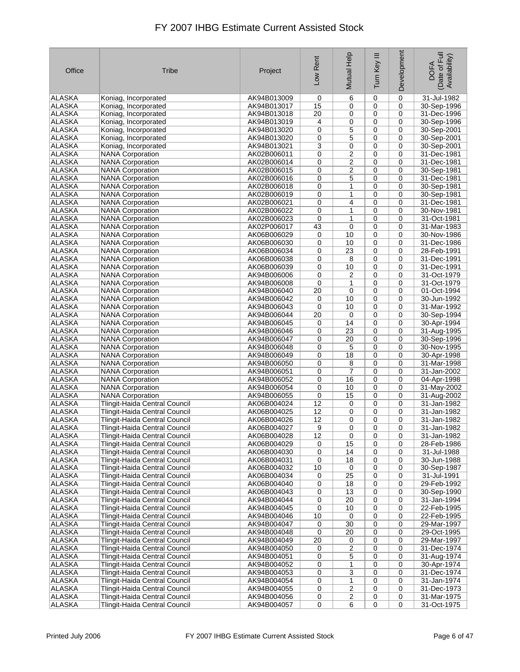| Office                         | <b>Tribe</b>                                                          | Project                    | Low Rent          | Mutual Help             | Ξ<br>Tum Key   | Development                | Date of Full<br>Availability)<br><b>DOFA</b> |
|--------------------------------|-----------------------------------------------------------------------|----------------------------|-------------------|-------------------------|----------------|----------------------------|----------------------------------------------|
| ALASKA                         | Koniag, Incorporated                                                  | AK94B013009                | 0                 | 6                       | $\mathbf 0$    | $\mathbf 0$                | 31-Jul-1982                                  |
| <b>ALASKA</b>                  | Koniag, Incorporated                                                  | AK94B013017                | 15                | 0                       | 0              | $\mathbf 0$                | 30-Sep-1996                                  |
| <b>ALASKA</b>                  | Koniag, Incorporated                                                  | AK94B013018                | 20                | 0                       | $\mathbf 0$    | $\mathbf 0$                | 31-Dec-1996                                  |
| <b>ALASKA</b>                  | Koniag, Incorporated                                                  | AK94B013019                | 4                 | 0                       | 0              | 0                          | 30-Sep-1996                                  |
| <b>ALASKA</b>                  | Koniag, Incorporated                                                  | AK94B013020                | 0                 | 5                       | 0              | 0                          | 30-Sep-2001                                  |
| <b>ALASKA</b>                  | Koniag, Incorporated                                                  | AK94B013020                | 0                 | 5                       | 0              | 0                          | 30-Sep-2001                                  |
| <b>ALASKA</b>                  | Koniag, Incorporated                                                  | AK94B013021                | 3                 | 0                       | 0              | 0                          | 30-Sep-2001                                  |
| <b>ALASKA</b><br><b>ALASKA</b> | <b>NANA Corporation</b><br><b>NANA Corporation</b>                    | AK02B006011<br>AK02B006014 | 0                 | 2                       | $\mathbf 0$    | $\mathbf 0$<br>$\mathbf 0$ | 31-Dec-1981<br>31-Dec-1981                   |
| <b>ALASKA</b>                  | <b>NANA Corporation</b>                                               | AK02B006015                | 0<br>0            | 2<br>2                  | 0<br>0         | 0                          | 30-Sep-1981                                  |
| <b>ALASKA</b>                  | <b>NANA Corporation</b>                                               | AK02B006016                | 0                 | 5                       | $\mathbf 0$    | $\mathbf 0$                | 31-Dec-1981                                  |
| <b>ALASKA</b>                  | <b>NANA Corporation</b>                                               | AK02B006018                | 0                 | 1                       | 0              | 0                          | 30-Sep-1981                                  |
| <b>ALASKA</b>                  | <b>NANA Corporation</b>                                               | AK02B006019                | 0                 | 1                       | 0              | 0                          | 30-Sep-1981                                  |
| <b>ALASKA</b>                  | <b>NANA Corporation</b>                                               | AK02B006021                | 0                 | 4                       | 0              | 0                          | 31-Dec-1981                                  |
| <b>ALASKA</b>                  | <b>NANA Corporation</b>                                               | AK02B006022                | 0                 | $\mathbf{1}$            | $\mathbf 0$    | $\mathbf 0$                | 30-Nov-1981                                  |
| <b>ALASKA</b>                  | <b>NANA Corporation</b>                                               | AK02B006023                | $\mathbf 0$       | $\mathbf{1}$            | 0              | 0                          | 31-Oct-1981                                  |
| <b>ALASKA</b>                  | <b>NANA Corporation</b>                                               | AK02P006017                | 43                | 0                       | 0              | 0                          | 31-Mar-1983                                  |
| <b>ALASKA</b>                  | <b>NANA Corporation</b>                                               | AK06B006029                | 0                 | 10                      | 0              | 0                          | 30-Nov-1986                                  |
| <b>ALASKA</b>                  | <b>NANA Corporation</b>                                               | AK06B006030                | 0                 | 10                      | 0              | 0                          | 31-Dec-1986                                  |
| <b>ALASKA</b>                  | <b>NANA Corporation</b>                                               | AK06B006034                | 0                 | 23                      | 0              | $\mathbf 0$                | 28-Feb-1991                                  |
| <b>ALASKA</b>                  | <b>NANA Corporation</b>                                               | AK06B006038                | 0                 | 8                       | 0              | 0                          | 31-Dec-1991                                  |
| <b>ALASKA</b>                  | <b>NANA Corporation</b>                                               | AK06B006039                | 0                 | 10                      | 0              | 0                          | 31-Dec-1991                                  |
| <b>ALASKA</b>                  | <b>NANA Corporation</b>                                               | AK94B006006                | 0                 | 2                       | 0              | $\mathbf 0$                | 31-Oct-1979                                  |
| <b>ALASKA</b>                  | <b>NANA Corporation</b>                                               | AK94B006008                | 0                 | 1                       | 0              | 0                          | 31-Oct-1979                                  |
| <b>ALASKA</b>                  | <b>NANA Corporation</b>                                               | AK94B006040                | 20                | 0                       | 0              | 0                          | 01-Oct-1994                                  |
| <b>ALASKA</b>                  | <b>NANA Corporation</b>                                               | AK94B006042                | 0                 | 10                      | 0              | 0                          | 30-Jun-1992                                  |
| <b>ALASKA</b><br><b>ALASKA</b> | <b>NANA Corporation</b><br><b>NANA Corporation</b>                    | AK94B006043<br>AK94B006044 | $\mathbf 0$<br>20 | 10<br>0                 | 0<br>0         | 0<br>$\mathbf 0$           | 31-Mar-1992<br>30-Sep-1994                   |
| <b>ALASKA</b>                  | <b>NANA Corporation</b>                                               | AK94B006045                | 0                 | 14                      | 0              | 0                          | 30-Apr-1994                                  |
| <b>ALASKA</b>                  | <b>NANA Corporation</b>                                               | AK94B006046                | 0                 | 23                      | 0              | $\mathbf 0$                | 31-Aug-1995                                  |
| <b>ALASKA</b>                  | <b>NANA Corporation</b>                                               | AK94B006047                | 0                 | 20                      | 0              | 0                          | 30-Sep-1996                                  |
| <b>ALASKA</b>                  | <b>NANA Corporation</b>                                               | AK94B006048                | 0                 | 5                       | 0              | 0                          | 30-Nov-1995                                  |
| <b>ALASKA</b>                  | <b>NANA Corporation</b>                                               | AK94B006049                | 0                 | 18                      | 0              | 0                          | 30-Apr-1998                                  |
| <b>ALASKA</b>                  | <b>NANA Corporation</b>                                               | AK94B006050                | 0                 | 8                       | 0              | 0                          | 31-Mar-1998                                  |
| <b>ALASKA</b>                  | <b>NANA Corporation</b>                                               | AK94B006051                | 0                 | 7                       | 0              | 0                          | 31-Jan-2002                                  |
| <b>ALASKA</b>                  | <b>NANA Corporation</b>                                               | AK94B006052                | 0                 | 16                      | 0              | 0                          | 04-Apr-1998                                  |
| <b>ALASKA</b>                  | <b>NANA Corporation</b>                                               | AK94B006054                | 0                 | 10                      | 0              | 0                          | 31-May-2002                                  |
| <b>ALASKA</b>                  | <b>NANA Corporation</b>                                               | AK94B006055                | 0                 | 15                      | 0              | 0                          | 31-Aug-2002                                  |
| <b>ALASKA</b>                  | Tlingit-Haida Central Council                                         | AK06B004024                | 12                | 0                       | 0              | $\mathbf 0$                | 31-Jan-1982                                  |
| <b>ALASKA</b>                  | Tlingit-Haida Central Council                                         | AK06B004025                | 12                | 0                       | $\mathbf 0$    | $\mathbf 0$                | 31-Jan-1982                                  |
| <b>ALASKA</b>                  | <b>Tlingit-Haida Central Council</b>                                  | AK06B004026                | 12                | 0                       | 0              | 0                          | 31-Jan-1982                                  |
| <b>ALASKA</b>                  | Tlingit-Haida Central Council                                         | AK06B004027                | 9                 | 0                       | 0              | 0                          | 31-Jan-1982                                  |
| ALASKA<br>ALASKA               | Tlingit-Haida Central Council                                         | AK06B004028<br>AK06B004029 | 12                | 0                       | 0              | 0                          | 31-Jan-1982                                  |
| ALASKA                         | Tlingit-Haida Central Council<br><b>Tlingit-Haida Central Council</b> | AK06B004030                | 0<br>0            | 15<br>14                | 0<br>0         | 0<br>0                     | 28-Feb-1986<br>31-Jul-1988                   |
| ALASKA                         | Tlingit-Haida Central Council                                         | AK06B004031                | 0                 | 18                      | 0              | 0                          | 30-Jun-1988                                  |
| ALASKA                         | Tlingit-Haida Central Council                                         | AK06B004032                | 10                | 0                       | 0              | 0                          | 30-Sep-1987                                  |
| <b>ALASKA</b>                  | Tlingit-Haida Central Council                                         | AK06B004034                | 0                 | 25                      | 0              | 0                          | 31-Jul-1991                                  |
| <b>ALASKA</b>                  | Tlingit-Haida Central Council                                         | AK06B004040                | 0                 | 18                      | 0              | 0                          | 29-Feb-1992                                  |
| ALASKA                         | Tlingit-Haida Central Council                                         | AK06B004043                | 0                 | 13                      | 0              | 0                          | 30-Sep-1990                                  |
| ALASKA                         | <b>Tlingit-Haida Central Council</b>                                  | AK94B004044                | 0                 | 20                      | 0              | 0                          | 31-Jan-1994                                  |
| ALASKA                         | Tlingit-Haida Central Council                                         | AK94B004045                | 0                 | 10                      | 0              | 0                          | 22-Feb-1995                                  |
| ALASKA                         | <b>Tlingit-Haida Central Council</b>                                  | AK94B004046                | 10                | 0                       | 0              | 0                          | 22-Feb-1995                                  |
| <b>ALASKA</b>                  | Tlingit-Haida Central Council                                         | AK94B004047                | 0                 | 30                      | 0              | 0                          | 29-Mar-1997                                  |
| ALASKA                         | Tlingit-Haida Central Council                                         | AK94B004048                | 0                 | 20                      | 0              | 0                          | 29-Oct-1995                                  |
| ALASKA                         | Tlingit-Haida Central Council                                         | AK94B004049                | 20                | 0                       | 0              | 0                          | 29-Mar-1997                                  |
| ALASKA                         | Tlingit-Haida Central Council                                         | AK94B004050                | 0                 | $\overline{2}$          | 0              | 0                          | 31-Dec-1974                                  |
| ALASKA                         | Tlingit-Haida Central Council                                         | AK94B004051                | 0                 | 5                       | 0              | 0                          | 31-Aug-1974                                  |
| ALASKA<br>ALASKA               | Tlingit-Haida Central Council<br>Tlingit-Haida Central Council        | AK94B004052<br>AK94B004053 | 0<br>0            | 1<br>3                  | 0<br>0         | 0<br>0                     | 30-Apr-1974<br>31-Dec-1974                   |
| <b>ALASKA</b>                  | Tlingit-Haida Central Council                                         | AK94B004054                | 0                 | 1                       | 0              | 0                          | 31-Jan-1974                                  |
| ALASKA                         | Tlingit-Haida Central Council                                         | AK94B004055                | 0                 | $\overline{\mathbf{c}}$ | 0              | 0                          | 31-Dec-1973                                  |
| ALASKA                         | Tlingit-Haida Central Council                                         | AK94B004056                | 0                 | $\overline{c}$          | 0              | 0                          | 31-Mar-1975                                  |
| ALASKA                         | Tlingit-Haida Central Council                                         | AK94B004057                | 0                 | 6                       | $\overline{0}$ | 0                          | 31-Oct-1975                                  |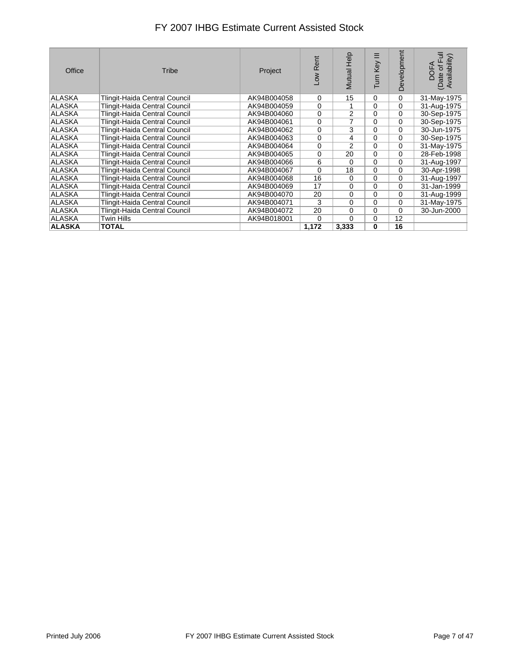| Office        | Tribe                                | Project     | -ow Rent    | Mutual Help    | Ξ<br>Turn Key | Development | of Full<br>(Date of Full<br>Availability)<br><b>DOFA</b> |
|---------------|--------------------------------------|-------------|-------------|----------------|---------------|-------------|----------------------------------------------------------|
| ALASKA        | Tlingit-Haida Central Council        | AK94B004058 | 0           | 15             | 0             | $\mathbf 0$ | 31-May-1975                                              |
| ALASKA        | <b>Tlingit-Haida Central Council</b> | AK94B004059 | 0           | 1              | $\Omega$      | 0           | 31-Aug-1975                                              |
| ALASKA        | Tlingit-Haida Central Council        | AK94B004060 | 0           | $\overline{2}$ | $\Omega$      | $\Omega$    | 30-Sep-1975                                              |
| ALASKA        | Tlingit-Haida Central Council        | AK94B004061 | $\mathbf 0$ | 7              | $\Omega$      | $\Omega$    | 30-Sep-1975                                              |
| ALASKA        | <b>Tlingit-Haida Central Council</b> | AK94B004062 | 0           | 3              | $\Omega$      | 0           | 30-Jun-1975                                              |
| ALASKA        | Tlingit-Haida Central Council        | AK94B004063 | 0           | 4              | $\Omega$      | 0           | 30-Sep-1975                                              |
| ALASKA        | <b>Tlingit-Haida Central Council</b> | AK94B004064 | 0           | $\overline{2}$ | $\Omega$      | 0           | 31-May-1975                                              |
| ALASKA        | Tlingit-Haida Central Council        | AK94B004065 | 0           | 20             | $\Omega$      | 0           | 28-Feb-1998                                              |
| <b>ALASKA</b> | Tlingit-Haida Central Council        | AK94B004066 | 6           | 0              | $\mathbf 0$   | $\Omega$    | 31-Aug-1997                                              |
| ALASKA        | Tlingit-Haida Central Council        | AK94B004067 | 0           | 18             | 0             | 0           | 30-Apr-1998                                              |
| ALASKA        | Tlingit-Haida Central Council        | AK94B004068 | 16          | 0              | $\mathbf 0$   | 0           | 31-Aug-1997                                              |
| ALASKA        | Tlingit-Haida Central Council        | AK94B004069 | 17          | 0              | $\Omega$      | $\Omega$    | 31-Jan-1999                                              |
| ALASKA        | <b>Tlingit-Haida Central Council</b> | AK94B004070 | 20          | 0              | 0             | 0           | 31-Aug-1999                                              |
| ALASKA        | Tlingit-Haida Central Council        | AK94B004071 | 3           | 0              | $\Omega$      | 0           | 31-May-1975                                              |
| ALASKA        | Tlingit-Haida Central Council        | AK94B004072 | 20          | 0              | $\mathbf 0$   | $\Omega$    | 30-Jun-2000                                              |
| ALASKA        | Twin Hills                           | AK94B018001 | 0           | 0              | 0             | 12          |                                                          |
| <b>ALASKA</b> | <b>TOTAL</b>                         |             | 1,172       | 3,333          | 0             | 16          |                                                          |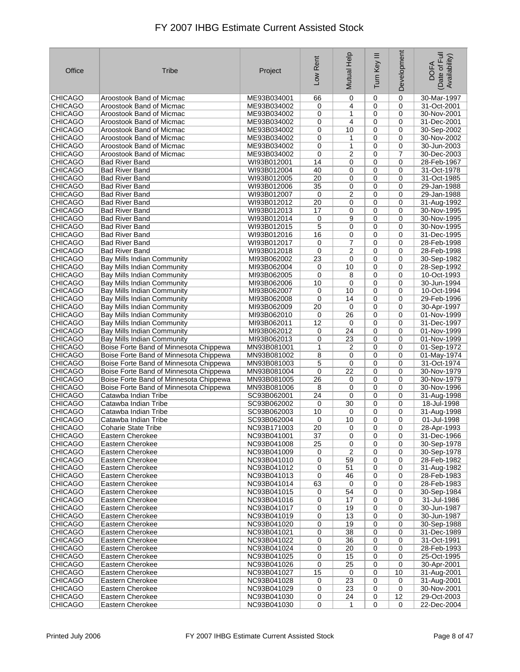| Office         | Tribe                                  | Project     | Low Rent        | Mutual Help    | Ξ<br>Turn Key | Development | Date of Full<br>Availability)<br><b>DOFA</b> |
|----------------|----------------------------------------|-------------|-----------------|----------------|---------------|-------------|----------------------------------------------|
| <b>CHICAGO</b> | Aroostook Band of Micmac               | ME93B034001 | 66              | 0              | $\mathbf 0$   | 0           | 30-Mar-1997                                  |
| <b>CHICAGO</b> | Aroostook Band of Micmac               | ME93B034002 | 0               | 4              | 0             | 0           | 31-Oct-2001                                  |
| <b>CHICAGO</b> | Aroostook Band of Micmac               | ME93B034002 | 0               | 1              | 0             | 0           | 30-Nov-2001                                  |
| <b>CHICAGO</b> | Aroostook Band of Micmac               | ME93B034002 | 0               | 4              | 0             | 0           | 31-Dec-2001                                  |
| <b>CHICAGO</b> | Aroostook Band of Micmac               | ME93B034002 | 0               | 10             | $\mathbf 0$   | 0           | 30-Sep-2002                                  |
| <b>CHICAGO</b> | Aroostook Band of Micmac               | ME93B034002 | $\mathbf 0$     | 1              | $\mathbf 0$   | 0           | 30-Nov-2002                                  |
| <b>CHICAGO</b> | Aroostook Band of Micmac               | ME93B034002 | 0               | 1              | 0             | 0           | 30-Jun-2003                                  |
| <b>CHICAGO</b> | Aroostook Band of Micmac               | ME93B034002 | 0               | 2              | 0             | 7           | 30-Dec-2003                                  |
| <b>CHICAGO</b> | <b>Bad River Band</b>                  | WI93B012001 | 14              | 0              | 0             | 0           | 28-Feb-1967                                  |
| <b>CHICAGO</b> | <b>Bad River Band</b>                  | WI93B012004 | 40              | 0              | 0             | $\mathbf 0$ | 31-Oct-1978                                  |
| <b>CHICAGO</b> | <b>Bad River Band</b>                  | WI93B012005 | 20              | 0              | 0             | 0           | 31-Oct-1985                                  |
| <b>CHICAGO</b> | Bad River Band                         | WI93B012006 | 35              | 0              | $\mathbf 0$   | 0           | 29-Jan-1988                                  |
| <b>CHICAGO</b> | Bad River Band                         | WI93B012007 | 0               | $\overline{c}$ | 0             | 0           | 29-Jan-1988                                  |
| <b>CHICAGO</b> | Bad River Band                         | WI93B012012 | 20              | 0              | 0             | 0           | 31-Aug-1992                                  |
| <b>CHICAGO</b> | <b>Bad River Band</b>                  | WI93B012013 | 17              | 0              | 0             | $\mathbf 0$ | 30-Nov-1995                                  |
| <b>CHICAGO</b> | Bad River Band                         | WI93B012014 | 0               | 9              | $\mathbf 0$   | 0           | 30-Nov-1995                                  |
| <b>CHICAGO</b> | Bad River Band                         | WI93B012015 | 5               | 0              | $\mathbf 0$   | 0           | 30-Nov-1995                                  |
| <b>CHICAGO</b> |                                        |             | 16              | 0              | $\mathbf 0$   | 0           |                                              |
|                | Bad River Band                         | WI93B012016 |                 |                |               |             | 31-Dec-1995                                  |
| <b>CHICAGO</b> | <b>Bad River Band</b>                  | WI93B012017 | 0               | 7              | 0             | 0           | 28-Feb-1998                                  |
| <b>CHICAGO</b> | <b>Bad River Band</b>                  | WI93B012018 | $\mathbf 0$     | $\overline{c}$ | $\mathbf 0$   | 0           | 28-Feb-1998                                  |
| <b>CHICAGO</b> | Bay Mills Indian Community             | MI93B062002 | 23              | 0              | 0             | 0           | 30-Sep-1982                                  |
| <b>CHICAGO</b> | <b>Bay Mills Indian Community</b>      | MI93B062004 | 0               | 10             | 0             | 0           | 28-Sep-1992                                  |
| <b>CHICAGO</b> | Bay Mills Indian Community             | MI93B062005 | $\mathbf 0$     | 8              | $\mathbf 0$   | 0           | 10-Oct-1993                                  |
| <b>CHICAGO</b> | Bay Mills Indian Community             | MI93B062006 | 10              | 0              | $\mathbf 0$   | 0           | 30-Jun-1994                                  |
| <b>CHICAGO</b> | <b>Bay Mills Indian Community</b>      | MI93B062007 | 0               | 10             | $\mathbf 0$   | 0           | 10-Oct-1994                                  |
| <b>CHICAGO</b> | Bay Mills Indian Community             | MI93B062008 | 0               | 14             | 0             | 0           | 29-Feb-1996                                  |
| <b>CHICAGO</b> | Bay Mills Indian Community             | MI93B062009 | 20              | 0              | 0             | 0           | 30-Apr-1997                                  |
| <b>CHICAGO</b> | <b>Bay Mills Indian Community</b>      | MI93B062010 | 0               | 26             | 0             | 0           | 01-Nov-1999                                  |
| <b>CHICAGO</b> | <b>Bay Mills Indian Community</b>      | MI93B062011 | 12              | 0              | 0             | $\mathbf 0$ | 31-Dec-1997                                  |
| <b>CHICAGO</b> | Bay Mills Indian Community             | MI93B062012 | 0               | 24             | $\mathbf 0$   | 0           | 01-Nov-1999                                  |
| <b>CHICAGO</b> | Bay Mills Indian Community             | MI93B062013 | 0               | 23             | 0             | 0           | 01-Nov-1999                                  |
| <b>CHICAGO</b> | Boise Forte Band of Minnesota Chippewa | MN93B081001 | 1               | 2              | 0             | 0           | 01-Sep-1972                                  |
| <b>CHICAGO</b> | Boise Forte Band of Minnesota Chippewa | MN93B081002 | 8               | 0              | 0             | 0           | 01-May-1974                                  |
| <b>CHICAGO</b> | Boise Forte Band of Minnesota Chippewa | MN93B081003 | 5               | 0              | 0             | $\pmb{0}$   | 31-Oct-1974                                  |
| <b>CHICAGO</b> | Boise Forte Band of Minnesota Chippewa | MN93B081004 | 0               | 22             | 0             | 0           | 30-Nov-1979                                  |
| <b>CHICAGO</b> | Boise Forte Band of Minnesota Chippewa | MN93B081005 | 26              | 0              | 0             | 0           | 30-Nov-1979                                  |
| <b>CHICAGO</b> | Boise Forte Band of Minnesota Chippewa | MN93B081006 | 8               | 0              | $\mathbf 0$   | 0           | 30-Nov-1996                                  |
| <b>CHICAGO</b> | Catawba Indian Tribe                   | SC93B062001 | 24              | 0              | 0             | 0           | 31-Aug-1998                                  |
| <b>CHICAGO</b> | Catawba Indian Tribe                   | SC93B062002 | 0               | 30             | 0             | 0           | 18-Jul-1998                                  |
| <b>CHICAGO</b> | Catawba Indian Tribe                   | SC93B062003 | 10              | 0              | 0             | 0           | 31-Aug-1998                                  |
| <b>CHICAGO</b> | Catawba Indian Tribe                   | SC93B062004 | 0               | 10             | 0             | 0           | 01-Jul-1998                                  |
| <b>CHICAGO</b> | <b>Coharie State Tribe</b>             | NC93B171003 | $\overline{20}$ | 0              | $\mathbf 0$   | 0           | 28-Apr-1993                                  |
| <b>CHICAGO</b> | Eastern Cherokee                       | NC93B041001 | 37              | 0              | 0             | 0           | 31-Dec-1966                                  |
| <b>CHICAGO</b> | Eastern Cherokee                       | NC93B041008 | 25              | 0              | 0             | 0           | 30-Sep-1978                                  |
| <b>CHICAGO</b> | Eastern Cherokee                       | NC93B041009 | 0               | 2              | 0             | 0           | 30-Sep-1978                                  |
| <b>CHICAGO</b> | Eastern Cherokee                       | NC93B041010 | 0               | 59             | 0             | $\mathbf 0$ | 28-Feb-1982                                  |
| CHICAGO        | Eastern Cherokee                       | NC93B041012 | 0               | 51             | 0             | 0           | 31-Aug-1982                                  |
| <b>CHICAGO</b> | Eastern Cherokee                       | NC93B041013 | 0               | 46             | 0             | $\mathbf 0$ | 28-Feb-1983                                  |
| <b>CHICAGO</b> | Eastern Cherokee                       | NC93B041014 | 63              | 0              | 0             | 0           | 28-Feb-1983                                  |
| <b>CHICAGO</b> | Eastern Cherokee                       | NC93B041015 | 0               | 54             | 0             | 0           | 30-Sep-1984                                  |
| <b>CHICAGO</b> | Eastern Cherokee                       | NC93B041016 | 0               | 17             | 0             | 0           | 31-Jul-1986                                  |
| <b>CHICAGO</b> | Eastern Cherokee                       | NC93B041017 | 0               | 19             | 0             | 0           | 30-Jun-1987                                  |
| <b>CHICAGO</b> | Eastern Cherokee                       | NC93B041019 | 0               | 13             |               | 0           | 30-Jun-1987                                  |
|                |                                        | NC93B041020 |                 | 19             | 0             |             |                                              |
| <b>CHICAGO</b> | Eastern Cherokee                       |             | 0               |                | 0             | 0           | 30-Sep-1988                                  |
| <b>CHICAGO</b> | Eastern Cherokee                       | NC93B041021 | 0               | 38             | 0             | 0           | 31-Dec-1989                                  |
| <b>CHICAGO</b> | Eastern Cherokee                       | NC93B041022 | $\mathbf 0$     | 36             | 0             | 0           | 31-Oct-1991                                  |
| CHICAGO        | Eastern Cherokee                       | NC93B041024 | 0               | 20             | 0             | 0           | 28-Feb-1993                                  |
| <b>CHICAGO</b> | Eastern Cherokee                       | NC93B041025 | 0               | 15             | 0             | 0           | 25-Oct-1995                                  |
| <b>CHICAGO</b> | Eastern Cherokee                       | NC93B041026 | 0               | 25             | 0             | $\mathbf 0$ | 30-Apr-2001                                  |
| CHICAGO        | Eastern Cherokee                       | NC93B041027 | 15              | 0              | 0             | 10          | 31-Aug-2001                                  |
| CHICAGO        | Eastern Cherokee                       | NC93B041028 | 0               | 23             | 0             | 0           | 31-Aug-2001                                  |
| <b>CHICAGO</b> | Eastern Cherokee                       | NC93B041029 | 0               | 23             | 0             | 0           | 30-Nov-2001                                  |
| <b>CHICAGO</b> | Eastern Cherokee                       | NC93B041030 | 0               | 24             | 0             | 12          | 29-Oct-2003                                  |
| <b>CHICAGO</b> | Eastern Cherokee                       | NC93B041030 | 0               | $\mathbf{1}$   | 0             | $\mathbf 0$ | 22-Dec-2004                                  |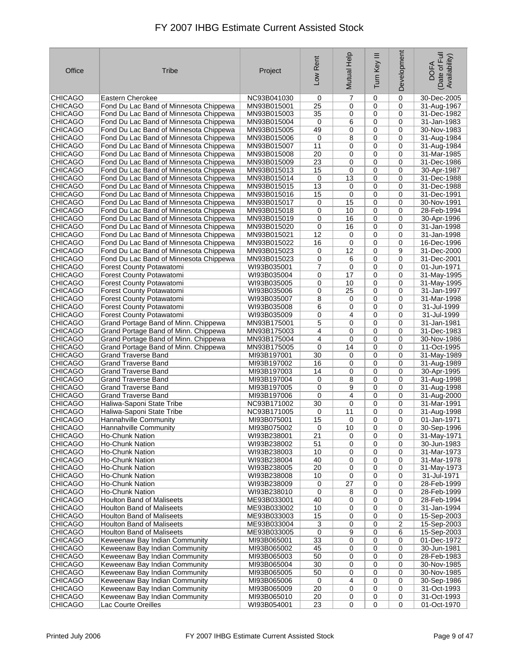| Office         | Tribe                                  | Project     | Low Rent        | Mutual Help | Ξ<br>Tum Key | Development    | Date of Full<br>Availability)<br><b>DOFA</b> |
|----------------|----------------------------------------|-------------|-----------------|-------------|--------------|----------------|----------------------------------------------|
| <b>CHICAGO</b> | Eastern Cherokee                       | NC93B041030 | 0               | 7           | 0            | 0              | 30-Dec-2005                                  |
| <b>CHICAGO</b> | Fond Du Lac Band of Minnesota Chippewa | MN93B015001 | 25              | 0           | 0            | 0              | 31-Aug-1967                                  |
| <b>CHICAGO</b> | Fond Du Lac Band of Minnesota Chippewa | MN93B015003 | 35              | 0           | 0            | 0              | 31-Dec-1982                                  |
| <b>CHICAGO</b> | Fond Du Lac Band of Minnesota Chippewa | MN93B015004 | 0               | 6           | 0            | 0              | 31-Jan-1983                                  |
| <b>CHICAGO</b> | Fond Du Lac Band of Minnesota Chippewa | MN93B015005 | 49              | 0           | 0            | 0              | 30-Nov-1983                                  |
| <b>CHICAGO</b> | Fond Du Lac Band of Minnesota Chippewa | MN93B015006 | 0               | 8           | 0            | 0              | 31-Aug-1984                                  |
| <b>CHICAGO</b> | Fond Du Lac Band of Minnesota Chippewa | MN93B015007 | 11              | 0           | 0            | 0              | 31-Aug-1984                                  |
| <b>CHICAGO</b> | Fond Du Lac Band of Minnesota Chippewa | MN93B015008 | 20              | 0           | 0            | 0              | 31-Mar-1985                                  |
| <b>CHICAGO</b> | Fond Du Lac Band of Minnesota Chippewa | MN93B015009 | 23              | 0           | 0            | 0              | 31-Dec-1986                                  |
| <b>CHICAGO</b> | Fond Du Lac Band of Minnesota Chippewa | MN93B015013 | 15              | 0           | 0            | 0              | 30-Apr-1987                                  |
| <b>CHICAGO</b> | Fond Du Lac Band of Minnesota Chippewa | MN93B015014 | 0               | 13          | 0            | 0              | 31-Dec-1988                                  |
| <b>CHICAGO</b> | Fond Du Lac Band of Minnesota Chippewa | MN93B015015 | 13              | 0           | 0            | 0              | 31-Dec-1988                                  |
| <b>CHICAGO</b> | Fond Du Lac Band of Minnesota Chippewa | MN93B015016 | 15              | 0           | 0            | 0              | 31-Dec-1991                                  |
| <b>CHICAGO</b> | Fond Du Lac Band of Minnesota Chippewa | MN93B015017 | 0               | 15          | 0            | 0              | 30-Nov-1991                                  |
| <b>CHICAGO</b> | Fond Du Lac Band of Minnesota Chippewa | MN93B015018 | 0               | 10          | 0            | 0              | 28-Feb-1994                                  |
| <b>CHICAGO</b> | Fond Du Lac Band of Minnesota Chippewa | MN93B015019 | 0               | 16          | 0            | 0              | 30-Apr-1996                                  |
| <b>CHICAGO</b> | Fond Du Lac Band of Minnesota Chippewa |             | 0               | 16          | 0            | 0              | 31-Jan-1998                                  |
|                | Fond Du Lac Band of Minnesota Chippewa | MN93B015020 | 12              |             |              | 0              | 31-Jan-1998                                  |
| <b>CHICAGO</b> |                                        | MN93B015021 |                 | 0           | 0            |                |                                              |
| <b>CHICAGO</b> | Fond Du Lac Band of Minnesota Chippewa | MN93B015022 | 16              | 0           | 0            | 0              | 16-Dec-1996                                  |
| <b>CHICAGO</b> | Fond Du Lac Band of Minnesota Chippewa | MN93B015023 | 0               | 12          | 0            | 9              | 31-Dec-2000                                  |
| <b>CHICAGO</b> | Fond Du Lac Band of Minnesota Chippewa | MN93B015023 | 0               | 6           | 0            | 0              | 31-Dec-2001                                  |
| <b>CHICAGO</b> | <b>Forest County Potawatomi</b>        | WI93B035001 | 7               | 0           | 0            | 0              | 01-Jun-1971                                  |
| <b>CHICAGO</b> | Forest County Potawatomi               | WI93B035004 | 0               | 17          | 0            | 0              | 31-May-1995                                  |
| <b>CHICAGO</b> | Forest County Potawatomi               | WI93B035005 | 0               | 10          | 0            | 0              | 31-May-1995                                  |
| <b>CHICAGO</b> | <b>Forest County Potawatomi</b>        | WI93B035006 | 0               | 25          | 0            | 0              | 31-Jan-1997                                  |
| <b>CHICAGO</b> | Forest County Potawatomi               | WI93B035007 | 8               | 0           | 0            | 0              | 31-Mar-1998                                  |
| <b>CHICAGO</b> | Forest County Potawatomi               | WI93B035008 | 6               | 0           | 0            | 0              | 31-Jul-1999                                  |
| <b>CHICAGO</b> | Forest County Potawatomi               | WI93B035009 | 0               | 4           | 0            | 0              | 31-Jul-1999                                  |
| <b>CHICAGO</b> | Grand Portage Band of Minn. Chippewa   | MN93B175001 | 5               | 0           | 0            | 0              | 31-Jan-1981                                  |
| <b>CHICAGO</b> | Grand Portage Band of Minn. Chippewa   | MN93B175003 | 4               | 0           | 0            | 0              | 31-Dec-1983                                  |
| <b>CHICAGO</b> | Grand Portage Band of Minn. Chippewa   | MN93B175004 | 4               | 0           | 0            | 0              | 30-Nov-1986                                  |
| <b>CHICAGO</b> | Grand Portage Band of Minn. Chippewa   | MN93B175005 | 0               | 14          | 0            | 0              | 11-Oct-1995                                  |
| <b>CHICAGO</b> | <b>Grand Traverse Band</b>             | MI93B197001 | 30              | 0           | 0            | 0              | 31-May-1989                                  |
| <b>CHICAGO</b> | <b>Grand Traverse Band</b>             | MI93B197002 | 16              | 0           | 0            | 0              | 31-Aug-1989                                  |
| <b>CHICAGO</b> | <b>Grand Traverse Band</b>             | MI93B197003 | 14              | 0           | 0            | 0              | 30-Apr-1995                                  |
| <b>CHICAGO</b> | <b>Grand Traverse Band</b>             | MI93B197004 | 0               | 8           | 0            | 0              | 31-Aug-1998                                  |
| <b>CHICAGO</b> | <b>Grand Traverse Band</b>             | MI93B197005 | 0               | 9           | 0            | 0              | 31-Aug-1998                                  |
| <b>CHICAGO</b> | <b>Grand Traverse Band</b>             | MI93B197006 | 0               | 4           | 0            | 0              | 31-Aug-2000                                  |
| <b>CHICAGO</b> | Haliwa-Saponi State Tribe              | NC93B171002 | 30              | 0           | 0            | 0              | 31-Mar-1991                                  |
| <b>CHICAGO</b> | Haliwa-Saponi State Tribe              | NC93B171005 | 0               | 11          | 0            | 0              | 31-Aug-1998                                  |
| <b>CHICAGO</b> | Hannahville Community                  | MI93B075001 | 15              | 0           | 0            | 0              | 01-Jan-1971                                  |
| <b>CHICAGO</b> | Hannahville Community                  | MI93B075002 | 0               | 10          | 0            | 0              | 30-Sep-1996                                  |
| <b>CHICAGO</b> | Ho-Chunk Nation                        | WI93B238001 | 21              | 0           | 0            | 0              | 31-May-1971                                  |
| <b>CHICAGO</b> | Ho-Chunk Nation                        | WI93B238002 | 51              | 0           | 0            | 0              | 30-Jun-1983                                  |
| <b>CHICAGO</b> | <b>Ho-Chunk Nation</b>                 | WI93B238003 | 10              | 0           | 0            | 0              | 31-Mar-1973                                  |
| CHICAGO        | Ho-Chunk Nation                        | WI93B238004 | 40              | 0           | $\mathbf 0$  | 0              | 31-Mar-1978                                  |
| CHICAGO        | <b>Ho-Chunk Nation</b>                 | WI93B238005 | 20              | 0           | 0            | 0              | 31-May-1973                                  |
| <b>CHICAGO</b> | Ho-Chunk Nation                        | WI93B238008 | 10              | 0           | 0            | 0              | 31-Jul-1971                                  |
| <b>CHICAGO</b> | <b>Ho-Chunk Nation</b>                 | WI93B238009 | 0               | 27          | 0            | 0              | 28-Feb-1999                                  |
|                | Ho-Chunk Nation                        |             |                 |             |              | 0              |                                              |
| CHICAGO        | <b>Houlton Band of Maliseets</b>       | WI93B238010 | 0               | 8           | 0            |                | 28-Feb-1999<br>28-Feb-1994                   |
| <b>CHICAGO</b> |                                        | ME93B033001 | 40              | 0           | 0            | 0              |                                              |
| CHICAGO        | Houlton Band of Maliseets              | ME93B033002 | 10              | 0           | 0            | 0              | 31-Jan-1994                                  |
| CHICAGO        | <b>Houlton Band of Maliseets</b>       | ME93B033003 | 15              | 0           | 0            | 0              | 15-Sep-2003                                  |
| <b>CHICAGO</b> | <b>Houlton Band of Maliseets</b>       | ME93B033004 | 3               | 0           | 0            | $\overline{c}$ | 15-Sep-2003                                  |
| <b>CHICAGO</b> | <b>Houlton Band of Maliseets</b>       | ME93B033005 | 0               | 9           | 0            | 6              | 15-Sep-2003                                  |
| <b>CHICAGO</b> | Keweenaw Bay Indian Community          | MI93B065001 | 33              | 0           | 0            | 0              | 01-Dec-1972                                  |
| CHICAGO        | Keweenaw Bay Indian Community          | MI93B065002 | 45              | 0           | 0            | 0              | 30-Jun-1981                                  |
| <b>CHICAGO</b> | Keweenaw Bay Indian Community          | MI93B065003 | 50              | 0           | 0            | 0              | 28-Feb-1983                                  |
| <b>CHICAGO</b> | Keweenaw Bay Indian Community          | MI93B065004 | 30              | 0           | 0            | 0              | 30-Nov-1985                                  |
| CHICAGO        | Keweenaw Bay Indian Community          | MI93B065005 | 50              | 0           | 0            | 0              | 30-Nov-1985                                  |
| CHICAGO        | Keweenaw Bay Indian Community          | MI93B065006 | 0               | 4           | 0            | 0              | 30-Sep-1986                                  |
| CHICAGO        | Keweenaw Bay Indian Community          | MI93B065009 | 20              | 0           | 0            | 0              | 31-Oct-1993                                  |
| <b>CHICAGO</b> | Keweenaw Bay Indian Community          | MI93B065010 | 20              | 0           | 0            | 0              | 31-Oct-1993                                  |
| <b>CHICAGO</b> | Lac Courte Oreilles                    | WI93B054001 | $\overline{23}$ | 0           | 0            | $\mathbf 0$    | 01-Oct-1970                                  |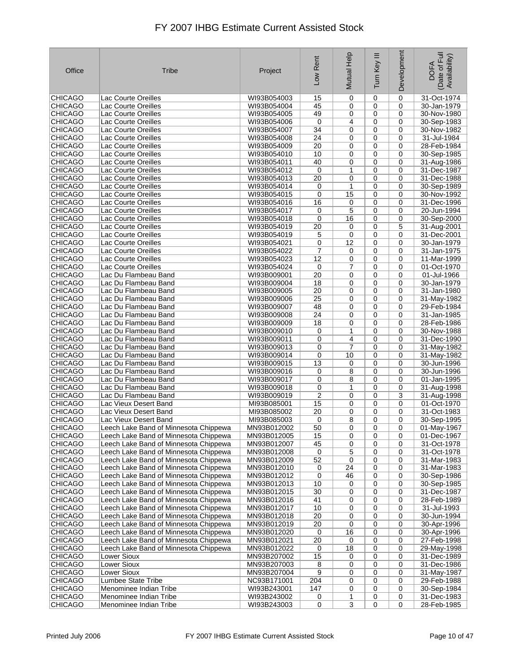| Office         | Tribe                                 | Project     | Low Rent         | Mutual Help    | Ξ<br>Turn Key  | Development | Date of Full<br>Availability)<br><b>DOFA</b> |
|----------------|---------------------------------------|-------------|------------------|----------------|----------------|-------------|----------------------------------------------|
| <b>CHICAGO</b> | Lac Courte Oreilles                   | WI93B054003 | 15               | 0              | 0              | 0           | 31-Oct-1974                                  |
| <b>CHICAGO</b> | Lac Courte Oreilles                   | WI93B054004 | 45               | 0              | 0              | 0           | 30-Jan-1979                                  |
| <b>CHICAGO</b> | Lac Courte Oreilles                   | WI93B054005 | 49               | 0              | 0              | 0           | 30-Nov-1980                                  |
| <b>CHICAGO</b> | Lac Courte Oreilles                   | WI93B054006 | 0                | 4              | $\mathbf 0$    | 0           | 30-Sep-1983                                  |
| <b>CHICAGO</b> | Lac Courte Oreilles                   | WI93B054007 | 34               | 0              | $\mathbf 0$    | 0           | 30-Nov-1982                                  |
| <b>CHICAGO</b> | Lac Courte Oreilles                   | WI93B054008 | 24               | 0              | $\mathbf 0$    | $\mathbf 0$ | 31-Jul-1984                                  |
| <b>CHICAGO</b> | Lac Courte Oreilles                   | WI93B054009 | 20               | 0              | 0              | 0           | 28-Feb-1984                                  |
| <b>CHICAGO</b> | Lac Courte Oreilles                   | WI93B054010 | 10               | 0              | 0              | 0           | 30-Sep-1985                                  |
| <b>CHICAGO</b> | <b>Lac Courte Oreilles</b>            | WI93B054011 | 40               | 0              | 0              | 0           | 31-Aug-1986                                  |
| <b>CHICAGO</b> | Lac Courte Oreilles                   | WI93B054012 | 0                | 1              | $\mathbf 0$    | 0           | 31-Dec-1987                                  |
| <b>CHICAGO</b> | Lac Courte Oreilles                   | WI93B054013 | 20               | 0              | $\mathbf 0$    | 0           | 31-Dec-1988                                  |
| <b>CHICAGO</b> | Lac Courte Oreilles                   | WI93B054014 | 0                | 1              | 0              | 0           | 30-Sep-1989                                  |
| <b>CHICAGO</b> | Lac Courte Oreilles                   | WI93B054015 | 0                | 15             | 0              | 0           | 30-Nov-1992                                  |
| <b>CHICAGO</b> | Lac Courte Oreilles                   | WI93B054016 | 16               | 0              | 0              | 0           | 31-Dec-1996                                  |
| <b>CHICAGO</b> | Lac Courte Oreilles                   | WI93B054017 | 0                | 5              | 0              | 0           | 20-Jun-1994                                  |
| <b>CHICAGO</b> | Lac Courte Oreilles                   | WI93B054018 | 0                | 16             | $\mathbf 0$    | 0           | 30-Sep-2000                                  |
| <b>CHICAGO</b> | Lac Courte Oreilles                   | WI93B054019 | 20               | 0              | $\mathbf 0$    | 5           | 31-Aug-2001                                  |
| <b>CHICAGO</b> | Lac Courte Oreilles                   | WI93B054019 | 5                | 0              | $\mathbf 0$    | 0           | 31-Dec-2001                                  |
| <b>CHICAGO</b> | Lac Courte Oreilles                   | WI93B054021 | 0                | 12             | 0              | 0           | 30-Jan-1979                                  |
| <b>CHICAGO</b> | Lac Courte Oreilles                   | WI93B054022 | 7                | 0              | 0              | 0           | 31-Jan-1975                                  |
| <b>CHICAGO</b> | Lac Courte Oreilles                   | WI93B054023 | 12               | 0              | $\mathbf 0$    | 0           | 11-Mar-1999                                  |
| <b>CHICAGO</b> | Lac Courte Oreilles                   | WI93B054024 | 0                | 7              | 0              | 0           | 01-Oct-1970                                  |
| <b>CHICAGO</b> | Lac Du Flambeau Band                  | WI93B009001 | 20               | $\mathbf 0$    | $\mathbf 0$    | 0           | 01-Jul-1966                                  |
| <b>CHICAGO</b> | Lac Du Flambeau Band                  | WI93B009004 | 18               | 0              | $\mathbf 0$    | 0           | 30-Jan-1979                                  |
| <b>CHICAGO</b> | Lac Du Flambeau Band                  | WI93B009005 | $\overline{20}$  | 0              | 0              | 0           | 31-Jan-1980                                  |
| <b>CHICAGO</b> | Lac Du Flambeau Band                  | WI93B009006 | 25               | 0              | 0              | 0           | 31-May-1982                                  |
| <b>CHICAGO</b> | Lac Du Flambeau Band                  | WI93B009007 | 48               | 0              | 0              | 0           | 29-Feb-1984                                  |
| <b>CHICAGO</b> | Lac Du Flambeau Band                  | WI93B009008 | 24               | 0              | 0              | 0           | 31-Jan-1985                                  |
| <b>CHICAGO</b> | Lac Du Flambeau Band                  | WI93B009009 | 18               | 0              | 0              | 0           | 28-Feb-1986                                  |
| <b>CHICAGO</b> | Lac Du Flambeau Band                  | WI93B009010 | 0                | 1              | $\mathbf 0$    | 0           | 30-Nov-1988                                  |
| <b>CHICAGO</b> | Lac Du Flambeau Band                  | WI93B009011 | 0                | 4              | 0              | 0           | 31-Dec-1990                                  |
| <b>CHICAGO</b> | Lac Du Flambeau Band                  | WI93B009013 | 0                | 7              | 0              | 0           | 31-May-1982                                  |
| <b>CHICAGO</b> | Lac Du Flambeau Band                  | WI93B009014 | 0                | 10             | 0              | 0           | 31-May-1982                                  |
| <b>CHICAGO</b> | Lac Du Flambeau Band                  | WI93B009015 | 13               | 0              | 0              | $\mathbf 0$ | 30-Jun-1996                                  |
| <b>CHICAGO</b> | Lac Du Flambeau Band                  | WI93B009016 | 0                | 8              | $\mathbf 0$    | 0           | 30-Jun-1996                                  |
| <b>CHICAGO</b> | Lac Du Flambeau Band                  | WI93B009017 | 0                | 8              | $\mathbf 0$    | 0           | 01-Jan-1995                                  |
| <b>CHICAGO</b> | Lac Du Flambeau Band                  | WI93B009018 | 0                | 1              | $\mathbf 0$    | $\mathbf 0$ | 31-Aug-1998                                  |
| <b>CHICAGO</b> | Lac Du Flambeau Band                  | WI93B009019 | $\boldsymbol{2}$ | 0              | 0              | 3           | 31-Aug-1998                                  |
| <b>CHICAGO</b> | Lac Vieux Desert Band                 | MI93B085001 | 15               | 0              | 0              | 0           | 01-Oct-1970                                  |
| <b>CHICAGO</b> | Lac Vieux Desert Band                 | MI93B085002 | 20               | 0              | $\mathbf 0$    | 0           | 31-Oct-1983                                  |
| <b>CHICAGO</b> | Lac Vieux Desert Band                 | MI93B085003 | 0                | 8              | 0              | 0           | 30-Sep-1995                                  |
| <b>CHICAGO</b> | Leech Lake Band of Minnesota Chippewa | MN93B012002 | $\overline{50}$  | 0              | $\pmb{0}$      | 0           | 01-May-1967                                  |
| <b>CHICAGO</b> | Leech Lake Band of Minnesota Chippewa | MN93B012005 | 15               | 0              | 0              | 0           | 01-Dec-1967                                  |
| <b>CHICAGO</b> | Leech Lake Band of Minnesota Chippewa | MN93B012007 | 45               | 0              | 0              | 0           | 31-Oct-1978                                  |
| <b>CHICAGO</b> | Leech Lake Band of Minnesota Chippewa | MN93B012008 | 0                | 5              | 0              | 0           | 31-Oct-1978                                  |
| <b>CHICAGO</b> | Leech Lake Band of Minnesota Chippewa | MN93B012009 | 52               | 0              | 0              | 0           | 31-Mar-1983                                  |
| CHICAGO        | Leech Lake Band of Minnesota Chippewa | MN93B012010 | 0                | 24             | 0              | 0           | 31-Mar-1983                                  |
| CHICAGO        | Leech Lake Band of Minnesota Chippewa | MN93B012012 | 0                | 46             | 0              | 0           | 30-Sep-1986                                  |
| <b>CHICAGO</b> | Leech Lake Band of Minnesota Chippewa | MN93B012013 | 10               | 0              | 0              | 0           | 30-Sep-1985                                  |
| CHICAGO        | Leech Lake Band of Minnesota Chippewa | MN93B012015 | 30               | 0              | 0              | 0           | 31-Dec-1987                                  |
| <b>CHICAGO</b> | Leech Lake Band of Minnesota Chippewa | MN93B012016 | 41               | 0              | 0              | 0           | 28-Feb-1989                                  |
| <b>CHICAGO</b> | Leech Lake Band of Minnesota Chippewa | MN93B012017 | 10               | 0              | 0              | 0           | 31-Jul-1993                                  |
| <b>CHICAGO</b> | Leech Lake Band of Minnesota Chippewa | MN93B012018 | $\overline{20}$  | 0              | 0              | 0           | 30-Jun-1994                                  |
| <b>CHICAGO</b> | Leech Lake Band of Minnesota Chippewa | MN93B012019 | 20               | 0              | 0              | 0           | 30-Apr-1996                                  |
| CHICAGO        | Leech Lake Band of Minnesota Chippewa | MN93B012020 | 0                | 16             | 0              | 0           | 30-Apr-1996                                  |
| <b>CHICAGO</b> | Leech Lake Band of Minnesota Chippewa | MN93B012021 | 20               | 0              | 0              | 0           | 27-Feb-1998                                  |
| CHICAGO        | Leech Lake Band of Minnesota Chippewa | MN93B012022 | 0                | 18             | 0              | 0           | 29-May-1998                                  |
| <b>CHICAGO</b> | <b>Lower Sioux</b>                    | MN93B207002 | 15               | 0              | 0              | 0           | 31-Dec-1989                                  |
| CHICAGO        | Lower Sioux                           | MN93B207003 | 8                | 0              | 0              | 0           | 31-Dec-1986                                  |
| CHICAGO        | Lower Sioux                           | MN93B207004 | 9                | 0              | 0              | 0           | 31-May-1987                                  |
| CHICAGO        | Lumbee State Tribe                    | NC93B171001 | 204              | 0              | 0              | 0           | 29-Feb-1988                                  |
| CHICAGO        | Menominee Indian Tribe                | WI93B243001 | 147              | 0              | 0              | 0           | 30-Sep-1984                                  |
| <b>CHICAGO</b> | Menominee Indian Tribe                | WI93B243002 | 0                | 1              | 0              | 0           | 31-Dec-1983                                  |
| <b>CHICAGO</b> | Menominee Indian Tribe                | WI93B243003 | $\overline{0}$   | $\overline{3}$ | $\overline{0}$ | 0           | 28-Feb-1985                                  |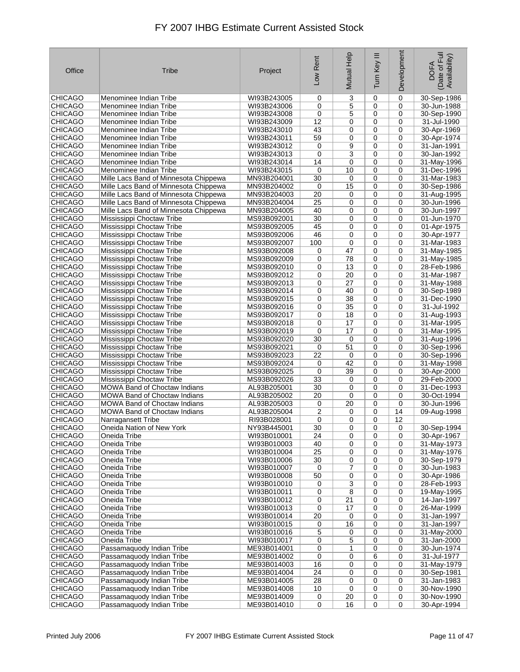| Office                           | Tribe                                                                          | Project                    | Low Rent             | Mutual Help    | Ξ<br>Tum Key     | Development     | Date of Full<br>Availability)<br><b>DOFA</b> |
|----------------------------------|--------------------------------------------------------------------------------|----------------------------|----------------------|----------------|------------------|-----------------|----------------------------------------------|
| <b>CHICAGO</b>                   | Menominee Indian Tribe                                                         | WI93B243005                | 0                    | 3              | 0                | 0               | 30-Sep-1986                                  |
| <b>CHICAGO</b>                   | Menominee Indian Tribe                                                         | WI93B243006                | 0                    | 5              | 0                | 0               | 30-Jun-1988                                  |
| <b>CHICAGO</b>                   | Menominee Indian Tribe                                                         | WI93B243008                | 0                    | 5              | 0                | 0               | 30-Sep-1990                                  |
| <b>CHICAGO</b>                   | Menominee Indian Tribe                                                         | WI93B243009                | 12                   | 0              | 0                | 0               | 31-Jul-1990                                  |
| <b>CHICAGO</b>                   | Menominee Indian Tribe                                                         | WI93B243010                | 43                   | 0              | 0                | 0               | 30-Apr-1969                                  |
| <b>CHICAGO</b>                   | Menominee Indian Tribe                                                         | WI93B243011                | 59                   | 0              | 0                | 0               | 30-Apr-1974                                  |
| <b>CHICAGO</b>                   | Menominee Indian Tribe                                                         | WI93B243012                | 0                    | 9              | 0                | 0               | 31-Jan-1991                                  |
| <b>CHICAGO</b>                   | Menominee Indian Tribe                                                         | WI93B243013                | 0                    | 3              | 0                | $\mathbf 0$     | 30-Jan-1992                                  |
| <b>CHICAGO</b>                   | Menominee Indian Tribe                                                         | WI93B243014                | 14                   | 0              | 0                | $\mathbf 0$     | 31-May-1996                                  |
| <b>CHICAGO</b>                   | Menominee Indian Tribe                                                         | WI93B243015                | 0                    | 10             | 0                | 0               | 31-Dec-1996                                  |
| <b>CHICAGO</b>                   | Mille Lacs Band of Minnesota Chippewa                                          | MN93B204001                | 30                   | 0              | 0                | 0               | 31-Mar-1983                                  |
| <b>CHICAGO</b>                   | Mille Lacs Band of Minnesota Chippewa                                          | MN93B204002                | 0                    | 15             | 0                | 0               | 30-Sep-1986                                  |
| <b>CHICAGO</b><br><b>CHICAGO</b> | Mille Lacs Band of Minnesota Chippewa<br>Mille Lacs Band of Minnesota Chippewa | MN93B204003<br>MN93B204004 | 20<br>25             | 0<br>0         | 0<br>0           | 0<br>0          | 31-Aug-1995<br>30-Jun-1996                   |
| <b>CHICAGO</b>                   | Mille Lacs Band of Minnesota Chippewa                                          | MN93B204005                | 40                   | 0              | $\mathbf 0$      | $\mathbf 0$     | 30-Jun-1997                                  |
| <b>CHICAGO</b>                   | Mississippi Choctaw Tribe                                                      | MS93B092001                | 30                   | 0              | 0                | $\mathbf 0$     | 01-Jun-1970                                  |
| <b>CHICAGO</b>                   | Mississippi Choctaw Tribe                                                      | MS93B092005                | 45                   | 0              | 0                | 0               | 01-Apr-1975                                  |
| <b>CHICAGO</b>                   | Mississippi Choctaw Tribe                                                      | MS93B092006                | 46                   | 0              | 0                | 0               | 30-Apr-1977                                  |
| <b>CHICAGO</b>                   | Mississippi Choctaw Tribe                                                      | MS93B092007                | 100                  | 0              | 0                | 0               | 31-Mar-1983                                  |
| <b>CHICAGO</b>                   | Mississippi Choctaw Tribe                                                      | MS93B092008                | 0                    | 47             | 0                | $\mathbf 0$     | 31-May-1985                                  |
| <b>CHICAGO</b>                   | Mississippi Choctaw Tribe                                                      | MS93B092009                | 0                    | 78             | 0                | 0               | 31-May-1985                                  |
| <b>CHICAGO</b>                   | Mississippi Choctaw Tribe                                                      | MS93B092010                | 0                    | 13             | $\mathbf 0$      | 0               | 28-Feb-1986                                  |
| <b>CHICAGO</b>                   | Mississippi Choctaw Tribe                                                      | MS93B092012                | 0                    | 20             | 0                | 0               | 31-Mar-1987                                  |
| <b>CHICAGO</b>                   | Mississippi Choctaw Tribe                                                      | MS93B092013                | 0                    | 27             | 0                | 0               | 31-May-1988                                  |
| <b>CHICAGO</b>                   | Mississippi Choctaw Tribe                                                      | MS93B092014                | 0                    | 40             | 0                | 0               | 30-Sep-1989                                  |
| <b>CHICAGO</b>                   | Mississippi Choctaw Tribe                                                      | MS93B092015                | 0                    | 38             | 0                | 0               | 31-Dec-1990                                  |
| <b>CHICAGO</b>                   | Mississippi Choctaw Tribe                                                      | MS93B092016                | 0                    | 35             | 0                | 0               | 31-Jul-1992                                  |
| <b>CHICAGO</b>                   | Mississippi Choctaw Tribe                                                      | MS93B092017                | 0                    | 18             | 0                | 0               | 31-Aug-1993                                  |
| <b>CHICAGO</b>                   | Mississippi Choctaw Tribe                                                      | MS93B092018                | 0                    | 17             | 0                | 0               | 31-Mar-1995                                  |
| <b>CHICAGO</b>                   | Mississippi Choctaw Tribe                                                      | MS93B092019                | $\mathbf 0$          | 17             | 0                | $\mathbf 0$     | 31-Mar-1995                                  |
| <b>CHICAGO</b>                   | Mississippi Choctaw Tribe                                                      | MS93B092020                | 30                   | 0              | 0                | 0               | 31-Aug-1996                                  |
| <b>CHICAGO</b>                   | Mississippi Choctaw Tribe                                                      | MS93B092021                | 0                    | 51             | 0                | 0               | 30-Sep-1996                                  |
| <b>CHICAGO</b>                   | Mississippi Choctaw Tribe                                                      | MS93B092023                | 22                   | 0              | 0                | 0               | 30-Sep-1996                                  |
| <b>CHICAGO</b>                   | Mississippi Choctaw Tribe                                                      | MS93B092024                | 0                    | 42             | $\mathbf 0$      | 0               | 31-May-1998                                  |
| <b>CHICAGO</b>                   | Mississippi Choctaw Tribe                                                      | MS93B092025                | 0                    | 39             | 0                | 0               | 30-Apr-2000                                  |
| <b>CHICAGO</b>                   | Mississippi Choctaw Tribe                                                      | MS93B092026                | 33                   | 0              | 0                | 0               | 29-Feb-2000                                  |
| <b>CHICAGO</b>                   | <b>MOWA Band of Choctaw Indians</b>                                            | AL93B205001                | 30                   | 0              | 0                | 0               | 31-Dec-1993                                  |
| <b>CHICAGO</b>                   | <b>MOWA Band of Choctaw Indians</b>                                            | AL93B205002                | 20                   | 0              | 0                | 0               | 30-Oct-1994                                  |
| <b>CHICAGO</b>                   | <b>MOWA Band of Choctaw Indians</b>                                            | AL93B205003                | 0                    | 20             | 0                | 0               | 30-Jun-1996                                  |
| <b>CHICAGO</b>                   | <b>MOWA Band of Choctaw Indians</b>                                            | AL93B205004                | 2                    | 0              | 0                | 14              | 09-Aug-1998                                  |
| <b>CHICAGO</b><br><b>CHICAGO</b> | Narragansett Tribe<br>Oneida Nation of New York                                | RI93B028001                | 0<br>$\overline{30}$ | 0              | $\mathbf 0$<br>0 | 12<br>$\pmb{0}$ |                                              |
| <b>CHICAGO</b>                   | Oneida Tribe                                                                   | NY93B445001<br>WI93B010001 | 24                   | 0<br>0         | 0                | 0               | 30-Sep-1994<br>30-Apr-1967                   |
| <b>CHICAGO</b>                   | Oneida Tribe                                                                   | WI93B010003                | 40                   | 0              | 0                | 0               | 31-May-1973                                  |
| <b>CHICAGO</b>                   | Oneida Tribe                                                                   | WI93B010004                | 25                   | 0              | 0                | 0               | 31-May-1976                                  |
| <b>CHICAGO</b>                   | Oneida Tribe                                                                   | WI93B010006                | 30                   | 0              | 0                | 0               | 30-Sep-1979                                  |
| CHICAGO                          | Oneida Tribe                                                                   | WI93B010007                | 0                    | $\overline{7}$ | $\mathbf 0$      | 0               | 30-Jun-1983                                  |
| <b>CHICAGO</b>                   | Oneida Tribe                                                                   | WI93B010008                | 50                   | 0              | 0                | 0               | 30-Apr-1986                                  |
| <b>CHICAGO</b>                   | Oneida Tribe                                                                   | WI93B010010                | 0                    | 3              | 0                | 0               | 28-Feb-1993                                  |
| CHICAGO                          | Oneida Tribe                                                                   | WI93B010011                | 0                    | 8              | 0                | 0               | 19-May-1995                                  |
| <b>CHICAGO</b>                   | Oneida Tribe                                                                   | WI93B010012                | 0                    | 21             | 0                | 0               | 14-Jan-1997                                  |
| <b>CHICAGO</b>                   | Oneida Tribe                                                                   | WI93B010013                | 0                    | 17             | 0                | 0               | 26-Mar-1999                                  |
| CHICAGO                          | Oneida Tribe                                                                   | WI93B010014                | 20                   | 0              | 0                | 0               | 31-Jan-1997                                  |
| CHICAGO                          | Oneida Tribe                                                                   | WI93B010015                | 0                    | 16             | 0                | 0               | 31-Jan-1997                                  |
| <b>CHICAGO</b>                   | Oneida Tribe                                                                   | WI93B010016                | 5                    | 0              | 0                | 0               | 31-May-2000                                  |
| <b>CHICAGO</b>                   | Oneida Tribe                                                                   | WI93B010017                | 0                    | 5              | 0                | 0               | 31-Jan-2000                                  |
| CHICAGO                          | Passamaquody Indian Tribe                                                      | ME93B014001                | 0                    | 1              | 0                | 0               | 30-Jun-1974                                  |
| <b>CHICAGO</b>                   | Passamaquody Indian Tribe                                                      | ME93B014002                | 0                    | 0              | 6                | 0               | 31-Jul-1977                                  |
| <b>CHICAGO</b>                   | Passamaquody Indian Tribe                                                      | ME93B014003                | 16                   | 0              | $\mathbf 0$      | 0               | 31-May-1979                                  |
| CHICAGO                          | Passamaquody Indian Tribe                                                      | ME93B014004                | 24                   | 0              | 0                | 0               | 30-Sep-1981                                  |
| CHICAGO                          | Passamaquody Indian Tribe                                                      | ME93B014005                | 28                   | 0              | 0                | 0               | 31-Jan-1983                                  |
| <b>CHICAGO</b>                   | Passamaquody Indian Tribe                                                      | ME93B014008                | 10                   | 0              | 0                | 0               | 30-Nov-1990                                  |
| <b>CHICAGO</b>                   | Passamaquody Indian Tribe                                                      | ME93B014009                | 0                    | 20             | 0                | 0               | 30-Nov-1990<br>30-Apr-1994                   |
| <b>CHICAGO</b>                   | Passamaquody Indian Tribe                                                      | ME93B014010                | 0                    | 16             | 0                | 0               |                                              |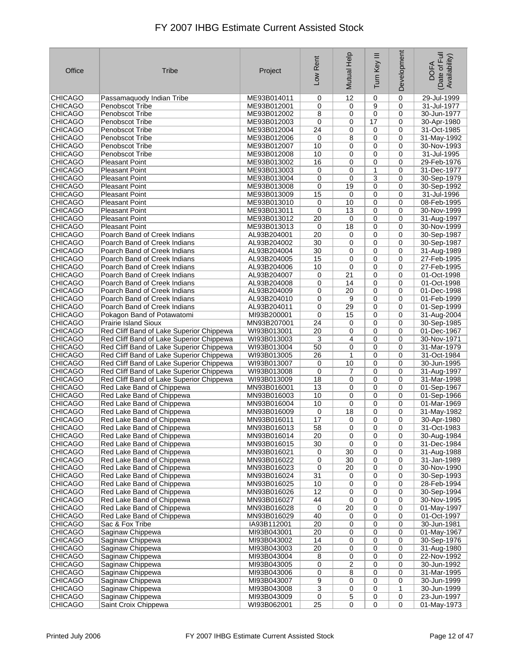| Office         | Tribe                                    | Project     | Low Rent        | Mutual Help             | Ξ<br>Turn Key  | Development  | Date of Full<br>Availability)<br><b>DOFA</b> |
|----------------|------------------------------------------|-------------|-----------------|-------------------------|----------------|--------------|----------------------------------------------|
| <b>CHICAGO</b> | Passamaquody Indian Tribe                | ME93B014011 | 0               | 12                      | 0              | 0            | 29-Jul-1999                                  |
| <b>CHICAGO</b> | Penobscot Tribe                          | ME93B012001 | 0               | 0                       | 9              | $\mathbf 0$  | 31-Jul-1977                                  |
| <b>CHICAGO</b> | Penobscot Tribe                          | ME93B012002 | 8               | 0                       | 0              | 0            | 30-Jun-1977                                  |
| <b>CHICAGO</b> | Penobscot Tribe                          | ME93B012003 | 0               | 0                       | 17             | 0            | 30-Apr-1980                                  |
| <b>CHICAGO</b> | Penobscot Tribe                          | ME93B012004 | 24              | 0                       | 0              | $\mathbf 0$  | 31-Oct-1985                                  |
| <b>CHICAGO</b> | Penobscot Tribe                          | ME93B012006 | 0               | 8                       | 0              | 0            | 31-May-1992                                  |
| <b>CHICAGO</b> | Penobscot Tribe                          | ME93B012007 | 10              | 0                       | 0              | $\mathbf 0$  | 30-Nov-1993                                  |
| <b>CHICAGO</b> | Penobscot Tribe                          | ME93B012008 | 10              | 0                       | 0              | 0            | 31-Jul-1995                                  |
| <b>CHICAGO</b> | <b>Pleasant Point</b>                    | ME93B013002 | 16              | 0                       | 0              | 0            | 29-Feb-1976                                  |
| <b>CHICAGO</b> | <b>Pleasant Point</b>                    | ME93B013003 | 0               | 0                       | $\mathbf{1}$   | $\mathbf 0$  | 31-Dec-1977                                  |
| <b>CHICAGO</b> | <b>Pleasant Point</b>                    | ME93B013004 | 0               | 0                       | 3              | $\mathbf 0$  | 30-Sep-1979                                  |
| <b>CHICAGO</b> | <b>Pleasant Point</b>                    | ME93B013008 | 0               | 19                      | 0              | 0            | 30-Sep-1992                                  |
| <b>CHICAGO</b> | <b>Pleasant Point</b>                    | ME93B013009 | 15              | 0                       | 0              | 0            | 31-Jul-1996                                  |
| <b>CHICAGO</b> | <b>Pleasant Point</b>                    | ME93B013010 | 0               | 10                      | 0              | 0            | 08-Feb-1995                                  |
| <b>CHICAGO</b> | <b>Pleasant Point</b>                    | ME93B013011 | 0               | 13                      | 0              | 0            | 30-Nov-1999                                  |
| <b>CHICAGO</b> | <b>Pleasant Point</b>                    | ME93B013012 | 20              | 0                       | 0              | $\mathbf 0$  | 31-Aug-1997                                  |
| <b>CHICAGO</b> | <b>Pleasant Point</b>                    | ME93B013013 | 0               | 18                      | 0              | $\mathbf 0$  | 30-Nov-1999                                  |
| <b>CHICAGO</b> | Poarch Band of Creek Indians             | AL93B204001 | 20              | 0                       | 0              | $\mathbf 0$  | 30-Sep-1987                                  |
| <b>CHICAGO</b> | Poarch Band of Creek Indians             | AL93B204002 | 30              | 0                       | 0              | $\mathbf 0$  | 30-Sep-1987                                  |
| <b>CHICAGO</b> | Poarch Band of Creek Indians             | AL93B204004 | 30              | 0                       | 0              | 0            | 31-Aug-1989                                  |
| <b>CHICAGO</b> | Poarch Band of Creek Indians             | AL93B204005 | 15              | 0                       | 0              | $\mathbf 0$  | 27-Feb-1995                                  |
| <b>CHICAGO</b> | Poarch Band of Creek Indians             | AL93B204006 | 10              | 0                       | 0              | 0            | 27-Feb-1995                                  |
| <b>CHICAGO</b> | Poarch Band of Creek Indians             |             | 0               | 21                      | 0              | 0            | 01-Oct-1998                                  |
| <b>CHICAGO</b> | Poarch Band of Creek Indians             | AL93B204007 |                 |                         |                |              |                                              |
| <b>CHICAGO</b> |                                          | AL93B204008 | 0               | 14<br>20                | 0              | 0            | 01-Oct-1998                                  |
|                | Poarch Band of Creek Indians             | AL93B204009 | 0               |                         | 0              | 0            | 01-Dec-1998                                  |
| <b>CHICAGO</b> | Poarch Band of Creek Indians             | AL93B204010 | 0               | 9                       | 0              | $\mathbf 0$  | 01-Feb-1999                                  |
| <b>CHICAGO</b> | Poarch Band of Creek Indians             | AL93B204011 | 0               | 29                      | 0              | 0            | 01-Sep-1999                                  |
| <b>CHICAGO</b> | Pokagon Band of Potawatomi               | MI93B200001 | 0               | 15                      | 0              | 0            | 31-Aug-2004                                  |
| <b>CHICAGO</b> | <b>Prairie Island Sioux</b>              | MN93B207001 | 24              | 0                       | 0              | 0            | 30-Sep-1985                                  |
| <b>CHICAGO</b> | Red Cliff Band of Lake Superior Chippewa | WI93B013001 | 20              | 0                       | 0              | $\mathbf 0$  | 01-Dec-1967                                  |
| <b>CHICAGO</b> | Red Cliff Band of Lake Superior Chippewa | WI93B013003 | 3               | 4                       | 0              | 0            | 30-Nov-1971                                  |
| <b>CHICAGO</b> | Red Cliff Band of Lake Superior Chippewa | WI93B013004 | 50              | 0                       | 0              | 0            | 31-Mar-1979                                  |
| <b>CHICAGO</b> | Red Cliff Band of Lake Superior Chippewa | WI93B013005 | 26              | 1                       | 0              | 0            | 31-Oct-1984                                  |
| <b>CHICAGO</b> | Red Cliff Band of Lake Superior Chippewa | WI93B013007 | 0               | 10                      | 0              | 0            | 30-Jun-1995                                  |
| <b>CHICAGO</b> | Red Cliff Band of Lake Superior Chippewa | WI93B013008 | 0               | 7                       | 0              | $\mathbf 0$  | 31-Aug-1997                                  |
| <b>CHICAGO</b> | Red Cliff Band of Lake Superior Chippewa | WI93B013009 | 18              | 0                       | 0              | $\mathbf 0$  | 31-Mar-1998                                  |
| <b>CHICAGO</b> | Red Lake Band of Chippewa                | MN93B016001 | 13              | 0                       | 0              | 0            | 01-Sep-1967                                  |
| <b>CHICAGO</b> | Red Lake Band of Chippewa                | MN93B016003 | 10              | 0                       | 0              | 0            | 01-Sep-1966                                  |
| <b>CHICAGO</b> | Red Lake Band of Chippewa                | MN93B016004 | 10              | 0                       | 0              | 0            | 01-Mar-1969                                  |
| <b>CHICAGO</b> | Red Lake Band of Chippewa                | MN93B016009 | 0               | 18                      | 0              | $\mathbf 0$  | 31-May-1982                                  |
| <b>CHICAGO</b> | Red Lake Band of Chippewa                | MN93B016011 | 17              | 0                       | 0              | $\mathbf 0$  | 30-Apr-1980                                  |
| <b>CHICAGO</b> | Red Lake Band of Chippewa                | MN93B016013 | 58              | 0                       | 0              | 0            | 31-Oct-1983                                  |
| <b>CHICAGO</b> | Red Lake Band of Chippewa                | MN93B016014 | 20              | 0                       | 0              | 0            | 30-Aug-1984                                  |
| <b>CHICAGO</b> | Red Lake Band of Chippewa                | MN93B016015 | 30              | 0                       | 0              | 0            | 31-Dec-1984                                  |
| <b>CHICAGO</b> | Red Lake Band of Chippewa                | MN93B016021 | 0               | 30                      | 0              | 0            | 31-Aug-1988                                  |
| <b>CHICAGO</b> | Red Lake Band of Chippewa                | MN93B016022 | 0               | 30                      | 0              | 0            | 31-Jan-1989                                  |
| CHICAGO        | Red Lake Band of Chippewa                | MN93B016023 | 0               | 20                      | 0              | 0            | 30-Nov-1990                                  |
| <b>CHICAGO</b> | Red Lake Band of Chippewa                | MN93B016024 | 31              | 0                       | 0              | 0            | 30-Sep-1993                                  |
| <b>CHICAGO</b> | Red Lake Band of Chippewa                | MN93B016025 | 10              | 0                       | 0              | 0            | 28-Feb-1994                                  |
| CHICAGO        | Red Lake Band of Chippewa                | MN93B016026 | 12              | 0                       | 0              | 0            | 30-Sep-1994                                  |
| <b>CHICAGO</b> | Red Lake Band of Chippewa                | MN93B016027 | 44              | 0                       | 0              | 0            | 30-Nov-1995                                  |
| <b>CHICAGO</b> | Red Lake Band of Chippewa                | MN93B016028 | 0               | 20                      | 0              | 0            | 01-May-1997                                  |
| <b>CHICAGO</b> | Red Lake Band of Chippewa                | MN93B016029 | 40              | 0                       | 0              | 0            | 01-Oct-1997                                  |
| CHICAGO        | Sac & Fox Tribe                          | IA93B112001 | 20              | 0                       | 0              | 0            | 30-Jun-1981                                  |
| <b>CHICAGO</b> | Saginaw Chippewa                         | MI93B043001 | 20              | 0                       | 0              | 0            | 01-May-1967                                  |
| <b>CHICAGO</b> | Saginaw Chippewa                         | MI93B043002 | 14              | 0                       | 0              | 0            | 30-Sep-1976                                  |
| CHICAGO        | Saginaw Chippewa                         | MI93B043003 | $\overline{20}$ | 0                       | 0              | 0            | 31-Aug-1980                                  |
| <b>CHICAGO</b> | Saginaw Chippewa                         | MI93B043004 | 8               | 0                       | 0              | 0            | 22-Nov-1992                                  |
| <b>CHICAGO</b> | Saginaw Chippewa                         | MI93B043005 | 0               | $\overline{\mathbf{c}}$ | 0              | 0            | 30-Jun-1992                                  |
| CHICAGO        | Saginaw Chippewa                         | MI93B043006 | 0               | 8                       | 0              | 0            | 31-Mar-1995                                  |
| CHICAGO        | Saginaw Chippewa                         | MI93B043007 | $\overline{9}$  | 0                       | 0              | 0            | 30-Jun-1999                                  |
| <b>CHICAGO</b> | Saginaw Chippewa                         | MI93B043008 | $\overline{3}$  | 0                       | 0              | $\mathbf{1}$ | 30-Jun-1999                                  |
| <b>CHICAGO</b> | Saginaw Chippewa                         | MI93B043009 | 0               | 5                       | $\overline{0}$ | 0            | 23-Jun-1997                                  |
| <b>CHICAGO</b> | Saint Croix Chippewa                     | WI93B062001 | $\overline{25}$ | 0                       | 0              | 0            | 01-May-1973                                  |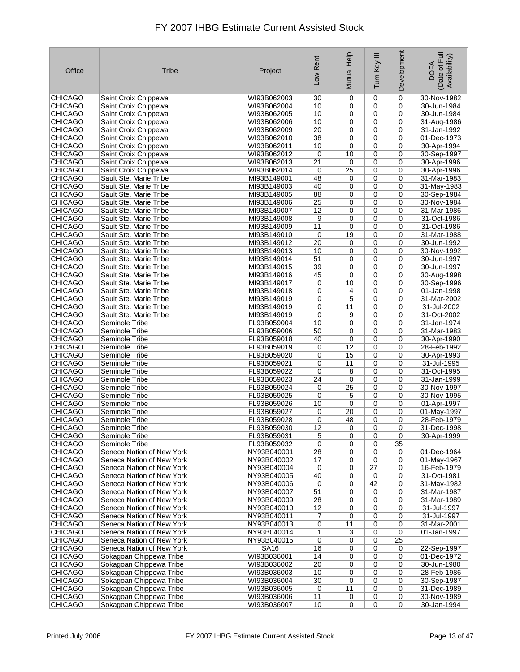| Office                           | <b>Tribe</b>                                           | Project                    | Low Rent | Mutual Help | Ξ<br>Turn Key     | Development | Date of Full<br>Availability)<br><b>DOFA</b> |
|----------------------------------|--------------------------------------------------------|----------------------------|----------|-------------|-------------------|-------------|----------------------------------------------|
| <b>CHICAGO</b>                   | Saint Croix Chippewa                                   | WI93B062003                | 30       | 0           | 0                 | $\mathbf 0$ | 30-Nov-1982                                  |
| <b>CHICAGO</b>                   | Saint Croix Chippewa                                   | WI93B062004                | 10       | 0           | 0                 | $\mathbf 0$ | 30-Jun-1984                                  |
| <b>CHICAGO</b>                   | Saint Croix Chippewa                                   | WI93B062005                | 10       | 0           | 0                 | 0           | 30-Jun-1984                                  |
| <b>CHICAGO</b>                   | Saint Croix Chippewa                                   | WI93B062006                | 10       | 0           | 0                 | 0           | 31-Aug-1986                                  |
| <b>CHICAGO</b>                   | Saint Croix Chippewa                                   | WI93B062009                | 20       | 0           | 0                 | 0           | 31-Jan-1992                                  |
| <b>CHICAGO</b><br><b>CHICAGO</b> | Saint Croix Chippewa<br>Saint Croix Chippewa           | WI93B062010<br>WI93B062011 | 38<br>10 | 0<br>0      | 0<br>0            | 0<br>0      | 01-Dec-1973<br>30-Apr-1994                   |
| <b>CHICAGO</b>                   | Saint Croix Chippewa                                   | WI93B062012                | 0        | 10          | 0                 | 0           | 30-Sep-1997                                  |
| <b>CHICAGO</b>                   | Saint Croix Chippewa                                   | WI93B062013                | 21       | 0           | 0                 | $\mathbf 0$ | 30-Apr-1996                                  |
| <b>CHICAGO</b>                   | Saint Croix Chippewa                                   | WI93B062014                | 0        | 25          | 0                 | 0           | 30-Apr-1996                                  |
| <b>CHICAGO</b>                   | Sault Ste. Marie Tribe                                 | MI93B149001                | 48       | 0           | 0                 | 0           | 31-Mar-1983                                  |
| <b>CHICAGO</b>                   | Sault Ste. Marie Tribe                                 | MI93B149003                | 40       | 0           | 0                 | 0           | 31-May-1983                                  |
| <b>CHICAGO</b>                   | Sault Ste. Marie Tribe                                 | MI93B149005                | 88       | 0           | 0                 | 0           | 30-Sep-1984                                  |
| <b>CHICAGO</b>                   | Sault Ste. Marie Tribe                                 | MI93B149006                | 25       | 0           | 0                 | 0           | 30-Nov-1984                                  |
| <b>CHICAGO</b>                   | Sault Ste. Marie Tribe                                 | MI93B149007                | 12       | 0           | $\mathbf 0$       | 0           | 31-Mar-1986                                  |
| <b>CHICAGO</b>                   | Sault Ste. Marie Tribe                                 | MI93B149008                | 9        | 0           | 0                 | 0           | 31-Oct-1986                                  |
| <b>CHICAGO</b>                   | Sault Ste. Marie Tribe                                 | MI93B149009                | 11       | 0           | 0                 | 0           | 31-Oct-1986                                  |
| <b>CHICAGO</b>                   | Sault Ste. Marie Tribe                                 | MI93B149010                | 0        | 19          | 0                 | 0           | 31-Mar-1988                                  |
| <b>CHICAGO</b>                   | Sault Ste. Marie Tribe                                 | MI93B149012                | 20       | 0           | 0                 | 0           | 30-Jun-1992                                  |
| <b>CHICAGO</b>                   | Sault Ste. Marie Tribe                                 | MI93B149013                | 10       | 0           | 0                 | 0           | 30-Nov-1992                                  |
| <b>CHICAGO</b>                   | Sault Ste. Marie Tribe                                 | MI93B149014                | 51       | 0           | 0                 | 0           | 30-Jun-1997                                  |
| <b>CHICAGO</b>                   | Sault Ste. Marie Tribe                                 | MI93B149015                | 39       | 0           | 0                 | 0           | 30-Jun-1997                                  |
| <b>CHICAGO</b>                   | Sault Ste. Marie Tribe                                 | MI93B149016                | 45       | 0           | 0                 | 0           | 30-Aug-1998                                  |
| <b>CHICAGO</b>                   | Sault Ste. Marie Tribe                                 | MI93B149017                | 0        | 10          | 0                 | 0           | 30-Sep-1996                                  |
| <b>CHICAGO</b>                   | Sault Ste. Marie Tribe                                 | MI93B149018                | 0        | 4           | 0                 | 0           | 01-Jan-1998                                  |
| <b>CHICAGO</b>                   | Sault Ste. Marie Tribe                                 | MI93B149019                | 0        | 5           | 0                 | 0           | 31-Mar-2002                                  |
| <b>CHICAGO</b>                   | Sault Ste. Marie Tribe                                 | MI93B149019                | 0        | 11          | 0                 | 0           | 31-Jul-2002                                  |
| <b>CHICAGO</b><br><b>CHICAGO</b> | Sault Ste. Marie Tribe                                 | MI93B149019                | 0        | 9<br>0      | 0<br>0            | 0           | 31-Oct-2002                                  |
| <b>CHICAGO</b>                   | Seminole Tribe<br>Seminole Tribe                       | FL93B059004<br>FL93B059006 | 10<br>50 | 0           | 0                 | 0<br>0      | 31-Jan-1974<br>31-Mar-1983                   |
| <b>CHICAGO</b>                   | Seminole Tribe                                         | FL93B059018                | 40       | 0           | 0                 | 0           | 30-Apr-1990                                  |
| <b>CHICAGO</b>                   | Seminole Tribe                                         | FL93B059019                | 0        | 12          | 0                 | 0           | 28-Feb-1992                                  |
| <b>CHICAGO</b>                   | Seminole Tribe                                         | FL93B059020                | 0        | 15          | 0                 | 0           | 30-Apr-1993                                  |
| <b>CHICAGO</b>                   | Seminole Tribe                                         | FL93B059021                | 0        | 11          | 0                 | 0           | 31-Jul-1995                                  |
| <b>CHICAGO</b>                   | Seminole Tribe                                         | FL93B059022                | 0        | 8           | 0                 | 0           | 31-Oct-1995                                  |
| <b>CHICAGO</b>                   | Seminole Tribe                                         | FL93B059023                | 24       | 0           | 0                 | 0           | 31-Jan-1999                                  |
| <b>CHICAGO</b>                   | Seminole Tribe                                         | FL93B059024                | 0        | 25          | 0                 | 0           | 30-Nov-1997                                  |
| <b>CHICAGO</b>                   | Seminole Tribe                                         | FL93B059025                | 0        | 5           | 0                 | 0           | 30-Nov-1995                                  |
| <b>CHICAGO</b>                   | Seminole Tribe                                         | FL93B059026                | 10       | 0           | 0                 | 0           | 01-Apr-1997                                  |
| <b>CHICAGO</b>                   | Seminole Tribe                                         | FL93B059027                | 0        | 20          | 0                 | 0           | 01-May-1997                                  |
| <b>CHICAGO</b>                   | Seminole Tribe                                         | FL93B059028                | 0        | 48          | 0                 | 0           | 28-Feb-1979                                  |
| <b>CHICAGO</b>                   | Seminole Tribe                                         | FL93B059030                | 12       | 0           | $\pmb{0}$         | $\pmb{0}$   | 31-Dec-1998                                  |
| <b>CHICAGO</b>                   | Seminole Tribe                                         | FL93B059031                | 5        | 0           | 0                 | 0           | 30-Apr-1999                                  |
| <b>CHICAGO</b>                   | Seminole Tribe                                         | FL93B059032                | 0        | 0           | 0                 | 35          |                                              |
| <b>CHICAGO</b>                   | Seneca Nation of New York                              | NY93B040001                | 28       | 0           | 0                 | 0           | 01-Dec-1964                                  |
| CHICAGO<br>CHICAGO               | Seneca Nation of New York<br>Seneca Nation of New York | NY93B040002<br>NY93B040004 | 17<br>0  | 0<br>0      | $\mathbf 0$<br>27 | 0<br>0      | 01-May-1967<br>16-Feb-1979                   |
| <b>CHICAGO</b>                   | Seneca Nation of New York                              | NY93B040005                | 40       | 0           | 0                 | 0           | 31-Oct-1981                                  |
| <b>CHICAGO</b>                   | Seneca Nation of New York                              | NY93B040006                | 0        | 0           | 42                | 0           | 31-May-1982                                  |
| <b>CHICAGO</b>                   | Seneca Nation of New York                              | NY93B040007                | 51       | 0           | 0                 | 0           | 31-Mar-1987                                  |
| <b>CHICAGO</b>                   | Seneca Nation of New York                              | NY93B040009                | 28       | 0           | 0                 | 0           | 31-Mar-1989                                  |
| <b>CHICAGO</b>                   | Seneca Nation of New York                              | NY93B040010                | 12       | 0           | 0                 | 0           | 31-Jul-1997                                  |
| CHICAGO                          | Seneca Nation of New York                              | NY93B040011                | 7        | 0           | 0                 | 0           | 31-Jul-1997                                  |
| <b>CHICAGO</b>                   | Seneca Nation of New York                              | NY93B040013                | 0        | 11          | 0                 | 0           | 31-Mar-2001                                  |
| <b>CHICAGO</b>                   | Seneca Nation of New York                              | NY93B040014                | 1        | 3           | 0                 | 0           | 01-Jan-1997                                  |
| <b>CHICAGO</b>                   | Seneca Nation of New York                              | NY93B040015                | 0        | 0           | 0                 | 25          |                                              |
| CHICAGO                          | Seneca Nation of New York                              | <b>SA16</b>                | 16       | 0           | 0                 | 0           | 22-Sep-1997                                  |
| <b>CHICAGO</b>                   | Sokagoan Chippewa Tribe                                | WI93B036001                | 14       | 0           | 0                 | 0           | 01-Dec-1972                                  |
| <b>CHICAGO</b>                   | Sokagoan Chippewa Tribe                                | WI93B036002                | 20       | 0           | 0                 | 0           | 30-Jun-1980                                  |
| <b>CHICAGO</b>                   | Sokagoan Chippewa Tribe                                | WI93B036003                | 10       | 0           | 0                 | 0           | 28-Feb-1986                                  |
| <b>CHICAGO</b>                   | Sokagoan Chippewa Tribe                                | WI93B036004                | 30       | 0           | 0                 | 0           | 30-Sep-1987                                  |
| <b>CHICAGO</b>                   | Sokagoan Chippewa Tribe                                | WI93B036005                | 0        | 11          | 0                 | 0           | 31-Dec-1989                                  |
| <b>CHICAGO</b>                   | Sokagoan Chippewa Tribe                                | WI93B036006                | 11       | 0           | 0                 | 0           | 30-Nov-1989                                  |
| <b>CHICAGO</b>                   | Sokagoan Chippewa Tribe                                | WI93B036007                | 10       | 0           | 0                 | $\mathbf 0$ | 30-Jan-1994                                  |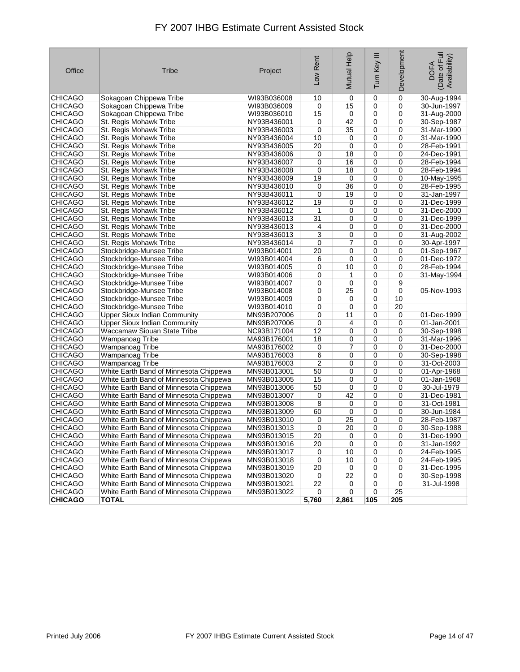| Office         | Tribe                                  | Project     | Low Rent  | Mutual Help     | Tum Key III | Development     | Date of Full<br>Availability)<br><b>DOFA</b> |
|----------------|----------------------------------------|-------------|-----------|-----------------|-------------|-----------------|----------------------------------------------|
| <b>CHICAGO</b> | Sokagoan Chippewa Tribe                | WI93B036008 | 10        | 0               | $\mathbf 0$ | 0               | 30-Aug-1994                                  |
| <b>CHICAGO</b> | Sokagoan Chippewa Tribe                | WI93B036009 | 0         | 15              | 0           | $\mathbf 0$     | 30-Jun-1997                                  |
| <b>CHICAGO</b> | Sokagoan Chippewa Tribe                | WI93B036010 | 15        | 0               | 0           | 0               | 31-Aug-2000                                  |
| <b>CHICAGO</b> | St. Regis Mohawk Tribe                 | NY93B436001 | 0         | 42              | 0           | $\mathbf 0$     | 30-Sep-1987                                  |
| <b>CHICAGO</b> | St. Regis Mohawk Tribe                 | NY93B436003 | 0         | 35              | 0           | 0               | 31-Mar-1990                                  |
| <b>CHICAGO</b> | St. Regis Mohawk Tribe                 | NY93B436004 | 10        | 0               | 0           | 0               | 31-Mar-1990                                  |
| <b>CHICAGO</b> | St. Regis Mohawk Tribe                 | NY93B436005 | 20        | 0               | 0           | $\mathbf 0$     | 28-Feb-1991                                  |
| <b>CHICAGO</b> | St. Regis Mohawk Tribe                 | NY93B436006 | 0         | 18              | 0           | 0               | 24-Dec-1991                                  |
| <b>CHICAGO</b> | St. Regis Mohawk Tribe                 | NY93B436007 | 0         | 16              | 0           | $\mathbf 0$     | 28-Feb-1994                                  |
| <b>CHICAGO</b> | St. Regis Mohawk Tribe                 | NY93B436008 | 0         | 18              | 0           | 0               | 28-Feb-1994                                  |
| <b>CHICAGO</b> | St. Regis Mohawk Tribe                 | NY93B436009 | 19        | $\mathbf 0$     | 0           | $\mathbf 0$     | 10-May-1995                                  |
| <b>CHICAGO</b> | St. Regis Mohawk Tribe                 | NY93B436010 | 0         | 36              | 0           | 0               | 28-Feb-1995                                  |
| <b>CHICAGO</b> | St. Regis Mohawk Tribe                 | NY93B436011 | 0         | 19              | 0           | 0               | 31-Jan-1997                                  |
| <b>CHICAGO</b> | St. Regis Mohawk Tribe                 | NY93B436012 | 19        | 0               | 0           | $\mathbf 0$     | 31-Dec-1999                                  |
| <b>CHICAGO</b> | St. Regis Mohawk Tribe                 | NY93B436012 | 1         | 0               | 0           | $\mathbf 0$     | 31-Dec-2000                                  |
| <b>CHICAGO</b> | St. Regis Mohawk Tribe                 | NY93B436013 | 31        | 0               | 0           | $\mathbf 0$     | 31-Dec-1999                                  |
| <b>CHICAGO</b> | St. Regis Mohawk Tribe                 | NY93B436013 | 4         | 0               | 0           | 0               | 31-Dec-2000                                  |
| <b>CHICAGO</b> | St. Regis Mohawk Tribe                 | NY93B436013 | 3         | 0               | 0           | 0               | 31-Aug-2002                                  |
| <b>CHICAGO</b> | St. Regis Mohawk Tribe                 | NY93B436014 | 0         | 7               | $\mathbf 0$ | $\mathbf 0$     | 30-Apr-1997                                  |
| <b>CHICAGO</b> | Stockbridge-Munsee Tribe               | WI93B014001 | 20        | 0               | 0           | 0               | 01-Sep-1967                                  |
| <b>CHICAGO</b> | Stockbridge-Munsee Tribe               | WI93B014004 | 6         | 0               | 0           | $\mathbf 0$     | 01-Dec-1972                                  |
| <b>CHICAGO</b> | Stockbridge-Munsee Tribe               | WI93B014005 | 0         | 10              | 0           | 0               | 28-Feb-1994                                  |
| <b>CHICAGO</b> | Stockbridge-Munsee Tribe               | WI93B014006 | 0         | 1               | 0           | 0               | 31-May-1994                                  |
| <b>CHICAGO</b> | Stockbridge-Munsee Tribe               | WI93B014007 | 0         | 0               | 0           | 9               |                                              |
| <b>CHICAGO</b> | Stockbridge-Munsee Tribe               | WI93B014008 | 0         | 25              | 0           | 0               | 05-Nov-1993                                  |
| <b>CHICAGO</b> | Stockbridge-Munsee Tribe               | WI93B014009 | 0         | 0               | 0           | 10              |                                              |
| <b>CHICAGO</b> | Stockbridge-Munsee Tribe               | WI93B014010 | 0         | 0               | 0           | 20              |                                              |
| <b>CHICAGO</b> | <b>Upper Sioux Indian Community</b>    | MN93B207006 | 0         | 11              | 0           | 0               | 01-Dec-1999                                  |
| <b>CHICAGO</b> | <b>Upper Sioux Indian Community</b>    | MN93B207006 | 0         | 4               | 0           | 0               | 01-Jan-2001                                  |
| <b>CHICAGO</b> | Waccamaw Siouan State Tribe            | NC93B171004 | 12        | 0               | 0           | 0               | 30-Sep-1998                                  |
| <b>CHICAGO</b> | Wampanoag Tribe                        | MA93B176001 | 18        | 0               | 0           | $\mathbf 0$     | 31-Mar-1996                                  |
| <b>CHICAGO</b> | Wampanoag Tribe                        | MA93B176002 | 0         | 7               | 0           | 0               | 31-Dec-2000                                  |
| <b>CHICAGO</b> | Wampanoag Tribe                        | MA93B176003 | 6         | 0               | 0           | $\mathbf 0$     | 30-Sep-1998                                  |
| <b>CHICAGO</b> | Wampanoag Tribe                        | MA93B176003 | 2         | 0               | 0           | $\mathbf 0$     | 31-Oct-2003                                  |
| <b>CHICAGO</b> | White Earth Band of Minnesota Chippewa | MN93B013001 | 50        | 0               | 0           | $\mathbf 0$     | 01-Apr-1968                                  |
| <b>CHICAGO</b> | White Earth Band of Minnesota Chippewa | MN93B013005 | 15        | 0               | 0           | 0               | 01-Jan-1968                                  |
| <b>CHICAGO</b> | White Earth Band of Minnesota Chippewa | MN93B013006 | 50        | $\mathbf 0$     | 0           | 0               | 30-Jul-1979                                  |
| <b>CHICAGO</b> | White Earth Band of Minnesota Chippewa | MN93B013007 | 0         | 42              | 0           | 0               | 31-Dec-1981                                  |
| CHICAGO        | White Earth Band of Minnesota Chippewa | MN93B013008 | 8         | 0               | $\mathbf 0$ | 0               | 31-Oct-1981                                  |
| <b>CHICAGO</b> | White Earth Band of Minnesota Chippewa | MN93B013009 | 60        | 0               | 0           | $\mathbf 0$     | 30-Jun-1984                                  |
| <b>CHICAGO</b> | White Earth Band of Minnesota Chippewa | MN93B013010 | 0         | 25              | 0           | 0               | 28-Feb-1987                                  |
| <b>CHICAGO</b> | White Earth Band of Minnesota Chippewa | MN93B013013 | 0         | $\overline{20}$ | 0           | 0               | 30-Sep-1988                                  |
| CHICAGO        | White Earth Band of Minnesota Chippewa | MN93B013015 | 20        | 0               | 0           | 0               | 31-Dec-1990                                  |
| <b>CHICAGO</b> | White Earth Band of Minnesota Chippewa | MN93B013016 | <u>20</u> | 0               | 0           | 0               | 31-Jan-1992                                  |
| CHICAGO        | White Earth Band of Minnesota Chippewa | MN93B013017 | 0         | $10$            | 0           | 0               | 24-Feb-1995                                  |
| <b>CHICAGO</b> | White Earth Band of Minnesota Chippewa | MN93B013018 | 0         | 10              | 0           | 0               | 24-Feb-1995                                  |
| CHICAGO        | White Earth Band of Minnesota Chippewa | MN93B013019 | 20        | 0               | 0           | 0               | 31-Dec-1995                                  |
| CHICAGO        | White Earth Band of Minnesota Chippewa | MN93B013020 | 0         | 22              | 0           | 0               | 30-Sep-1998                                  |
| <b>CHICAGO</b> | White Earth Band of Minnesota Chippewa | MN93B013021 | 22        | 0               | 0           | 0               | 31-Jul-1998                                  |
| <b>CHICAGO</b> | White Earth Band of Minnesota Chippewa | MN93B013022 | 0         | 0               | 0           | $\overline{25}$ |                                              |
| <b>CHICAGO</b> | <b>TOTAL</b>                           |             | 5,760     | 2,861           | 105         | 205             |                                              |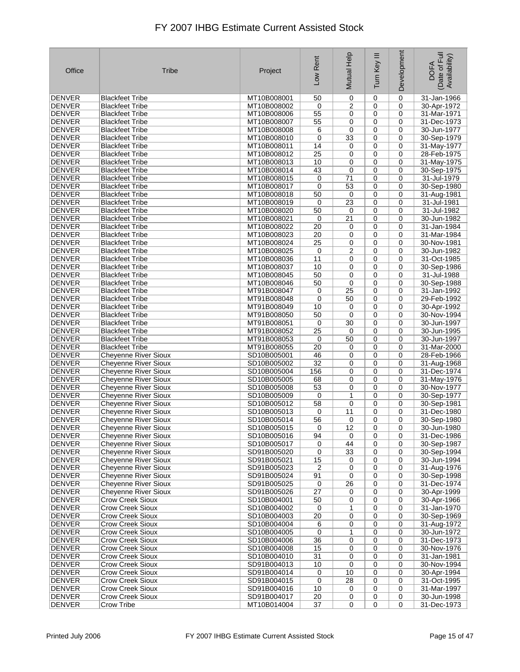| Office        | Tribe                       | Project     | Low Rent        | Mutual Help     | Ξ<br>Turn Key | Development | Date of Full<br>Availability)<br><b>DOFA</b> |
|---------------|-----------------------------|-------------|-----------------|-----------------|---------------|-------------|----------------------------------------------|
| <b>DENVER</b> | Blackfeet Tribe             | MT10B008001 | 50              | 0               | 0             | 0           | 31-Jan-1966                                  |
| <b>DENVER</b> | Blackfeet Tribe             | MT10B008002 | 0               | $\overline{2}$  | 0             | $\mathbf 0$ | 30-Apr-1972                                  |
| <b>DENVER</b> | <b>Blackfeet Tribe</b>      | MT10B008006 | 55              | 0               | 0             | 0           | 31-Mar-1971                                  |
| <b>DENVER</b> | <b>Blackfeet Tribe</b>      | MT10B008007 | 55              | 0               | 0             | 0           | 31-Dec-1973                                  |
| <b>DENVER</b> | <b>Blackfeet Tribe</b>      | MT10B008008 | 6               | 0               | 0             | $\mathbf 0$ | 30-Jun-1977                                  |
| <b>DENVER</b> | <b>Blackfeet Tribe</b>      | MT10B008010 | $\mathbf 0$     | 33              | 0             | 0           | 30-Sep-1979                                  |
| <b>DENVER</b> | Blackfeet Tribe             | MT10B008011 | 14              | 0               | 0             | $\mathbf 0$ | 31-May-1977                                  |
| <b>DENVER</b> | <b>Blackfeet Tribe</b>      | MT10B008012 | 25              | 0               | 0             | 0           | 28-Feb-1975                                  |
| <b>DENVER</b> | <b>Blackfeet Tribe</b>      | MT10B008013 | 10              | 0               | 0             | 0           | 31-May-1975                                  |
| <b>DENVER</b> | Blackfeet Tribe             | MT10B008014 | 43              | 0               | 0             | $\mathbf 0$ | 30-Sep-1975                                  |
| <b>DENVER</b> | Blackfeet Tribe             | MT10B008015 | 0               | 71              | 0             | 0           | 31-Jul-1979                                  |
| <b>DENVER</b> | <b>Blackfeet Tribe</b>      | MT10B008017 | 0               | 53              | 0             | 0           | 30-Sep-1980                                  |
| <b>DENVER</b> | <b>Blackfeet Tribe</b>      | MT10B008018 | 50              | $\mathbf 0$     | 0             | 0           | 31-Aug-1981                                  |
| <b>DENVER</b> | <b>Blackfeet Tribe</b>      | MT10B008019 | 0               | 23              | 0             | 0           | 31-Jul-1981                                  |
| <b>DENVER</b> | <b>Blackfeet Tribe</b>      | MT10B008020 | 50              | 0               | 0             | 0           | 31-Jul-1982                                  |
| <b>DENVER</b> | <b>Blackfeet Tribe</b>      | MT10B008021 | 0               | 21              | 0             | $\mathbf 0$ | 30-Jun-1982                                  |
| <b>DENVER</b> | Blackfeet Tribe             | MT10B008022 | 20              | 0               | 0             | $\mathbf 0$ | 31-Jan-1984                                  |
| <b>DENVER</b> | <b>Blackfeet Tribe</b>      | MT10B008023 | 20              | 0               | 0             | 0           | 31-Mar-1984                                  |
| <b>DENVER</b> | <b>Blackfeet Tribe</b>      | MT10B008024 | 25              | 0               | 0             | $\mathbf 0$ | 30-Nov-1981                                  |
| <b>DENVER</b> | <b>Blackfeet Tribe</b>      | MT10B008025 | 0               | $\overline{c}$  | 0             | 0           | 30-Jun-1982                                  |
| <b>DENVER</b> | Blackfeet Tribe             | MT10B008036 | 11              | 0               | 0             | $\mathbf 0$ | 31-Oct-1985                                  |
| <b>DENVER</b> | <b>Blackfeet Tribe</b>      | MT10B008037 | 10              | 0               | 0             | 0           | 30-Sep-1986                                  |
| <b>DENVER</b> | <b>Blackfeet Tribe</b>      | MT10B008045 | 50              | 0               | 0             | 0           | 31-Jul-1988                                  |
| <b>DENVER</b> | <b>Blackfeet Tribe</b>      | MT10B008046 | 50              | 0               | 0             | 0           | 30-Sep-1988                                  |
| <b>DENVER</b> | <b>Blackfeet Tribe</b>      | MT91B008047 | 0               | $\overline{25}$ | 0             | 0           | 31-Jan-1992                                  |
| <b>DENVER</b> | Blackfeet Tribe             | MT91B008048 | 0               | 50              | 0             | $\mathbf 0$ | 29-Feb-1992                                  |
| <b>DENVER</b> | Blackfeet Tribe             | MT91B008049 | 10              | 0               | 0             | 0           | 30-Apr-1992                                  |
| <b>DENVER</b> | <b>Blackfeet Tribe</b>      | MT91B008050 | 50              | 0               | 0             | 0           | 30-Nov-1994                                  |
| <b>DENVER</b> | <b>Blackfeet Tribe</b>      | MT91B008051 | 0               | 30              | 0             | 0           | 30-Jun-1997                                  |
| <b>DENVER</b> | <b>Blackfeet Tribe</b>      | MT91B008052 | 25              | 0               | 0             | $\mathbf 0$ | 30-Jun-1995                                  |
| <b>DENVER</b> | <b>Blackfeet Tribe</b>      | MT91B008053 | 0               | 50              | 0             | 0           | 30-Jun-1997                                  |
| <b>DENVER</b> | <b>Blackfeet Tribe</b>      | MT91B008055 | 20              | 0               | 0             | 0           | 31-Mar-2000                                  |
| <b>DENVER</b> | <b>Cheyenne River Sioux</b> | SD10B005001 | 46              | 0               | 0             | 0           | 28-Feb-1966                                  |
| <b>DENVER</b> | Cheyenne River Sioux        | SD10B005002 | 32              | 0               | 0             | 0           | 31-Aug-1968                                  |
| <b>DENVER</b> | <b>Cheyenne River Sioux</b> | SD10B005004 | 156             | 0               | 0             | 0           | 31-Dec-1974                                  |
| <b>DENVER</b> | <b>Cheyenne River Sioux</b> | SD10B005005 | 68              | 0               | 0             | $\mathbf 0$ | 31-May-1976                                  |
| <b>DENVER</b> | Cheyenne River Sioux        | SD10B005008 | 53              | 0               | 0             | $\mathbf 0$ | 30-Nov-1977                                  |
| <b>DENVER</b> | <b>Cheyenne River Sioux</b> | SD10B005009 | 0               | 1               | 0             | 0           | 30-Sep-1977                                  |
| <b>DENVER</b> | <b>Cheyenne River Sioux</b> | SD10B005012 | 58              | 0               | 0             | 0           | 30-Sep-1981                                  |
| <b>DENVER</b> | <b>Cheyenne River Sioux</b> | SD10B005013 | 0               | 11              | 0             | 0           | 31-Dec-1980                                  |
| <b>DENVER</b> | <b>Cheyenne River Sioux</b> | SD10B005014 | 56              | 0               | 0             | 0           | 30-Sep-1980                                  |
| <b>DENVER</b> | <b>Cheyenne River Sioux</b> | SD10B005015 | 0               | 12              | 0             | 0           | 30-Jun-1980                                  |
| DENVER        | <b>Cheyenne River Sioux</b> | SD10B005016 | 94              | 0               | 0             | 0           | 31-Dec-1986                                  |
| <b>DENVER</b> | Cheyenne River Sioux        | SD10B005017 | 0               | 44              | 0             | 0           | 30-Sep-1987                                  |
| DENVER        | <b>Cheyenne River Sioux</b> | SD91B005020 | 0               | 33              | 0             | 0           | 30-Sep-1994                                  |
| DENVER        | <b>Chevenne River Sioux</b> | SD91B005021 | 15              | 0               | 0             | 0           | 30-Jun-1994                                  |
| DENVER        | <b>Cheyenne River Sioux</b> | SD91B005023 | 2               | 0               | 0             | 0           | 31-Aug-1976                                  |
| DENVER        | <b>Cheyenne River Sioux</b> | SD91B005024 | 91              | 0               | 0             | 0           | 30-Sep-1998                                  |
| <b>DENVER</b> | <b>Cheyenne River Sioux</b> | SD91B005025 | 0               | 26              | 0             | 0           | 31-Dec-1974                                  |
| DENVER        | <b>Cheyenne River Sioux</b> | SD91B005026 | 27              | 0               | 0             | 0           | 30-Apr-1999                                  |
| <b>DENVER</b> | <b>Crow Creek Sioux</b>     | SD10B004001 | 50              | 0               | 0             | 0           | 30-Apr-1966                                  |
| <b>DENVER</b> | <b>Crow Creek Sioux</b>     | SD10B004002 | 0               | 1               | 0             | 0           | 31-Jan-1970                                  |
| <b>DENVER</b> | <b>Crow Creek Sioux</b>     | SD10B004003 | 20              | 0               | 0             | 0           | 30-Sep-1969                                  |
| <b>DENVER</b> | <b>Crow Creek Sioux</b>     | SD10B004004 | 6               | 0               | 0             | 0           | 31-Aug-1972                                  |
| DENVER        | Crow Creek Sioux            | SD10B004005 | 0               | 1               | 0             | 0           | 30-Jun-1972                                  |
| <b>DENVER</b> | <b>Crow Creek Sioux</b>     | SD10B004006 | 36              | 0               | 0             | 0           | 31-Dec-1973                                  |
| DENVER        | <b>Crow Creek Sioux</b>     | SD10B004008 | 15              | 0               | 0             | 0           | 30-Nov-1976                                  |
| <b>DENVER</b> | <b>Crow Creek Sioux</b>     | SD10B004010 | 31              | 0               | 0             | 0           | 31-Jan-1981                                  |
| <b>DENVER</b> | <b>Crow Creek Sioux</b>     | SD91B004013 | 10              | 0               | 0             | 0           | 30-Nov-1994                                  |
| DENVER        | <b>Crow Creek Sioux</b>     | SD91B004014 | 0               | 10              | 0             | 0           | 30-Apr-1994                                  |
| DENVER        | <b>Crow Creek Sioux</b>     | SD91B004015 | 0               | 28              | 0             | 0           | 31-Oct-1995                                  |
| DENVER        | <b>Crow Creek Sioux</b>     | SD91B004016 | 10              | 0               | 0             | 0           | 31-Mar-1997                                  |
| <b>DENVER</b> | <b>Crow Creek Sioux</b>     | SD91B004017 | 20              | 0               | 0             | 0           | 30-Jun-1998                                  |
| DENVER        | Crow Tribe                  | MT10B014004 | $\overline{37}$ | 0               | 0             | 0           | 31-Dec-1973                                  |
|               |                             |             |                 |                 |               |             |                                              |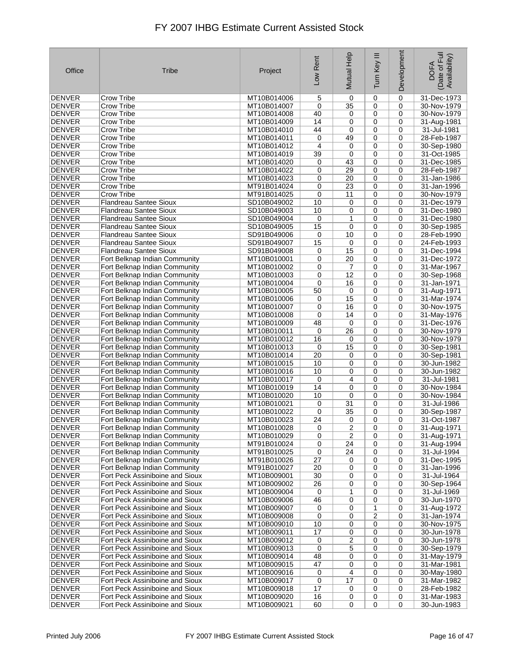| Office                         | Tribe                                                              | Project                    | Low Rent    | Mutual Help    | Ξ<br>Tum Key     | Development      | Date of Full<br>Availability)<br><b>DOFA</b> |
|--------------------------------|--------------------------------------------------------------------|----------------------------|-------------|----------------|------------------|------------------|----------------------------------------------|
| <b>DENVER</b>                  | Crow Tribe                                                         | MT10B014006                | 5           | 0              | 0                | $\mathbf 0$      | 31-Dec-1973                                  |
| <b>DENVER</b>                  | Crow Tribe                                                         | MT10B014007                | 0           | 35             | 0                | 0                | 30-Nov-1979                                  |
| <b>DENVER</b>                  | Crow Tribe                                                         | MT10B014008                | 40          | 0              | 0                | 0                | 30-Nov-1979                                  |
| <b>DENVER</b>                  | Crow Tribe                                                         | MT10B014009                | 14          | 0              | 0                | 0                | 31-Aug-1981                                  |
| <b>DENVER</b>                  | Crow Tribe                                                         | MT10B014010                | 44          | 0              | 0                | 0                | 31-Jul-1981                                  |
| <b>DENVER</b>                  | Crow Tribe                                                         | MT10B014011                | 0           | 49             | 0                | 0                | 28-Feb-1987                                  |
| <b>DENVER</b>                  | Crow Tribe                                                         | MT10B014012                | 4           | 0              | 0                | 0                | 30-Sep-1980                                  |
| <b>DENVER</b>                  | Crow Tribe                                                         | MT10B014019                | 39          | 0              | 0                | 0                | 31-Oct-1985                                  |
| <b>DENVER</b>                  | <b>Crow Tribe</b>                                                  | MT10B014020                | 0           | 43             | $\mathbf 0$      | $\mathbf 0$      | 31-Dec-1985                                  |
| <b>DENVER</b>                  | Crow Tribe                                                         | MT10B014022                | 0           | 29<br>20       | $\mathbf 0$      | 0<br>$\mathbf 0$ | 28-Feb-1987                                  |
| <b>DENVER</b><br><b>DENVER</b> | Crow Tribe<br>Crow Tribe                                           | MT10B014023                | 0<br>0      | 23             | 0<br>$\mathbf 0$ | 0                | 31-Jan-1986<br>31-Jan-1996                   |
| <b>DENVER</b>                  | Crow Tribe                                                         | MT91B014024<br>MT91B014025 | $\mathbf 0$ | 11             | 0                | $\mathbf 0$      | 30-Nov-1979                                  |
| <b>DENVER</b>                  | <b>Flandreau Santee Sioux</b>                                      | SD10B049002                | 10          | 0              | 0                | 0                | 31-Dec-1979                                  |
| <b>DENVER</b>                  | <b>Flandreau Santee Sioux</b>                                      | SD10B049003                | 10          | 0              | 0                | 0                | 31-Dec-1980                                  |
| <b>DENVER</b>                  | <b>Flandreau Santee Sioux</b>                                      | SD10B049004                | 0           | 1              | 0                | $\mathbf 0$      | 31-Dec-1980                                  |
| <b>DENVER</b>                  | <b>Flandreau Santee Sioux</b>                                      | SD10B049005                | 15          | 0              | $\mathbf 0$      | 0                | 30-Sep-1985                                  |
| <b>DENVER</b>                  | <b>Flandreau Santee Sioux</b>                                      | SD91B049006                | 0           | 10             | 0                | 0                | 28-Feb-1990                                  |
| <b>DENVER</b>                  | <b>Flandreau Santee Sioux</b>                                      | SD91B049007                | 15          | 0              | 0                | 0                | 24-Feb-1993                                  |
| <b>DENVER</b>                  | <b>Flandreau Santee Sioux</b>                                      | SD91B049008                | 0           | 15             | 0                | 0                | 31-Dec-1994                                  |
| <b>DENVER</b>                  | Fort Belknap Indian Community                                      | MT10B010001                | 0           | 20             | 0                | 0                | 31-Dec-1972                                  |
| <b>DENVER</b>                  | Fort Belknap Indian Community                                      | MT10B010002                | 0           | 7              | 0                | 0                | 31-Mar-1967                                  |
| <b>DENVER</b>                  | Fort Belknap Indian Community                                      | MT10B010003                | 0           | 12             | 0                | 0                | 30-Sep-1968                                  |
| <b>DENVER</b>                  | Fort Belknap Indian Community                                      | MT10B010004                | 0           | 16             | 0                | 0                | 31-Jan-1971                                  |
| <b>DENVER</b>                  | Fort Belknap Indian Community                                      | MT10B010005                | 50          | $\mathbf 0$    | 0                | $\mathbf 0$      | 31-Aug-1971                                  |
| <b>DENVER</b>                  | Fort Belknap Indian Community                                      | MT10B010006                | 0           | 15             | 0                | 0                | 31-Mar-1974                                  |
| <b>DENVER</b>                  | Fort Belknap Indian Community                                      | MT10B010007                | 0           | 16             | 0                | 0                | 30-Nov-1975                                  |
| <b>DENVER</b>                  | Fort Belknap Indian Community                                      | MT10B010008                | $\mathbf 0$ | 14             | $\mathbf 0$      | 0                | 31-May-1976                                  |
| <b>DENVER</b>                  | Fort Belknap Indian Community                                      | MT10B010009                | 48          | 0              | $\mathbf 0$      | 0                | 31-Dec-1976                                  |
| <b>DENVER</b>                  | Fort Belknap Indian Community                                      | MT10B010011                | $\mathbf 0$ | 26             | 0                | $\mathbf 0$      | 30-Nov-1979                                  |
| <b>DENVER</b>                  | Fort Belknap Indian Community                                      | MT10B010012                | 16          | 0              | 0                | 0                | 30-Nov-1979                                  |
| <b>DENVER</b>                  | Fort Belknap Indian Community                                      | MT10B010013                | 0           | 15             | 0                | 0                | 30-Sep-1981                                  |
| <b>DENVER</b>                  | Fort Belknap Indian Community                                      | MT10B010014                | 20          | 0              | 0                | 0                | 30-Sep-1981                                  |
| <b>DENVER</b>                  | Fort Belknap Indian Community                                      | MT10B010015                | 10          | 0              | $\mathbf 0$      | 0                | 30-Jun-1982                                  |
| <b>DENVER</b>                  | Fort Belknap Indian Community                                      | MT10B010016                | 10          | 0              | 0                | 0                | 30-Jun-1982                                  |
| <b>DENVER</b><br><b>DENVER</b> | Fort Belknap Indian Community                                      | MT10B010017<br>MT10B010019 | 0<br>14     | 4<br>0         | 0                | 0                | 31-Jul-1981                                  |
| <b>DENVER</b>                  | Fort Belknap Indian Community<br>Fort Belknap Indian Community     | MT10B010020                | 10          | 0              | 0<br>0           | 0<br>0           | 30-Nov-1984<br>30-Nov-1984                   |
| <b>DENVER</b>                  | Fort Belknap Indian Community                                      | MT10B010021                | 0           | 31             | 0                | 0                | 31-Jul-1986                                  |
| <b>DENVER</b>                  | Fort Belknap Indian Community                                      | MT10B010022                | 0           | 35             | 0                | 0                | 30-Sep-1987                                  |
| <b>DENVER</b>                  | Fort Belknap Indian Community                                      | MT10B010023                | 24          | 0              | 0                | 0                | 31-Oct-1987                                  |
| <b>DENVER</b>                  | Fort Belknap Indian Community                                      | MT10B010028                | 0           | $\overline{2}$ | 0                | 0                | 31-Aug-1971                                  |
| DENVER                         | Fort Belknap Indian Community                                      | MT10B010029                | 0           | 2              | 0                | 0                | 31-Aug-1971                                  |
| <b>DENVER</b>                  | Fort Belknap Indian Community                                      | MT91B010024                | 0           | 24             | 0                | 0                | 31-Aug-1994                                  |
| <b>DENVER</b>                  | Fort Belknap Indian Community                                      | MT91B010025                | 0           | 24             | 0                | 0                | 31-Jul-1994                                  |
| <b>DENVER</b>                  | Fort Belknap Indian Community                                      | MT91B010026                | 27          | 0              | 0                | 0                | 31-Dec-1995                                  |
| DENVER                         | Fort Belknap Indian Community                                      | MT91B010027                | 20          | 0              | 0                | 0                | 31-Jan-1996                                  |
| DENVER                         | Fort Peck Assiniboine and Sioux                                    | MT10B009001                | 30          | 0              | 0                | 0                | 31-Jul-1964                                  |
| <b>DENVER</b>                  | Fort Peck Assiniboine and Sioux                                    | MT10B009002                | 26          | 0              | 0                | 0                | 30-Sep-1964                                  |
| DENVER                         | Fort Peck Assiniboine and Sioux                                    | MT10B009004                | 0           | 1              | 0                | 0                | 31-Jul-1969                                  |
| <b>DENVER</b>                  | Fort Peck Assiniboine and Sioux                                    | MT10B009006                | 46          | 0              | 0                | 0                | 30-Jun-1970                                  |
| <b>DENVER</b>                  | Fort Peck Assiniboine and Sioux                                    | MT10B009007                | 0           | 0              | 1                | 0                | 31-Aug-1972                                  |
| <b>DENVER</b>                  | Fort Peck Assiniboine and Sioux                                    | MT10B009008                | 0           | 0              | 2                | 0                | 31-Jan-1974                                  |
| DENVER                         | Fort Peck Assiniboine and Sioux                                    | MT10B009010                | 10          | 0              | 0                | 0                | 30-Nov-1975                                  |
| DENVER                         | Fort Peck Assiniboine and Sioux                                    | MT10B009011                | 17          | 0              | 0                | 0                | 30-Jun-1978                                  |
| <b>DENVER</b>                  | Fort Peck Assiniboine and Sioux                                    | MT10B009012                | 0           | 2              | 0                | 0                | 30-Jun-1978                                  |
| DENVER                         | Fort Peck Assiniboine and Sioux                                    | MT10B009013                | 0           | 5              | 0                | 0<br>0           | 30-Sep-1979                                  |
| <b>DENVER</b><br>DENVER        | Fort Peck Assiniboine and Sioux<br>Fort Peck Assiniboine and Sioux | MT10B009014<br>MT10B009015 | 48<br>47    | 0              | 0<br>0           | 0                | 31-May-1979<br>31-Mar-1981                   |
| DENVER                         | Fort Peck Assiniboine and Sioux                                    | MT10B009016                | 0           | 0<br>4         | 0                | 0                | 30-May-1980                                  |
| DENVER                         | Fort Peck Assiniboine and Sioux                                    | MT10B009017                | 0           | 17             | 0                | 0                | 31-Mar-1982                                  |
| DENVER                         | Fort Peck Assiniboine and Sioux                                    | MT10B009018                | 17          | 0              | 0                | 0                | 28-Feb-1982                                  |
| <b>DENVER</b>                  | Fort Peck Assiniboine and Sioux                                    | MT10B009020                | 16          | 0              | 0                | 0                | 31-Mar-1983                                  |
| DENVER                         | Fort Peck Assiniboine and Sioux                                    | MT10B009021                | 60          | $\pmb{0}$      | $\overline{0}$   | $\mathbf 0$      | 30-Jun-1983                                  |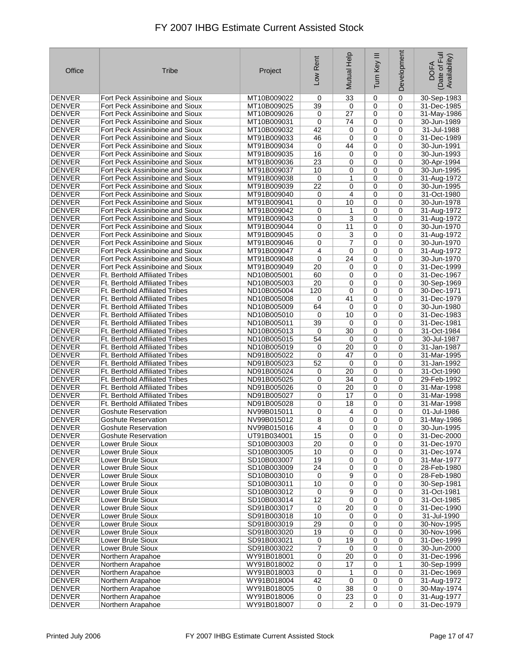| Office                         | Tribe                                                                          | Project                    | Low Rent | Mutual Help      | Ξ<br>Tum Key     | Development | Date of Full<br>Availability)<br><b>DOFA</b> |
|--------------------------------|--------------------------------------------------------------------------------|----------------------------|----------|------------------|------------------|-------------|----------------------------------------------|
| <b>DENVER</b>                  | Fort Peck Assiniboine and Sioux                                                | MT10B009022                | 0        | 33               | 0                | $\mathbf 0$ | 30-Sep-1983                                  |
| <b>DENVER</b>                  | Fort Peck Assiniboine and Sioux                                                | MT10B009025                | 39       | 0                | 0                | 0           | 31-Dec-1985                                  |
| <b>DENVER</b>                  | Fort Peck Assiniboine and Sioux                                                | MT10B009026                | 0        | 27               | 0                | 0           | 31-May-1986                                  |
| <b>DENVER</b>                  | Fort Peck Assiniboine and Sioux                                                | MT10B009031                | 0        | 74               | 0                | 0           | 30-Jun-1989                                  |
| <b>DENVER</b><br><b>DENVER</b> | Fort Peck Assiniboine and Sioux<br>Fort Peck Assiniboine and Sioux             | MT10B009032                | 42       | 0<br>$\mathbf 0$ | 0                | 0<br>0      | 31-Jul-1988<br>31-Dec-1989                   |
| <b>DENVER</b>                  | Fort Peck Assiniboine and Sioux                                                | MT91B009033<br>MT91B009034 | 46<br>0  | 44               | 0<br>0           | 0           | 30-Jun-1991                                  |
| <b>DENVER</b>                  | Fort Peck Assiniboine and Sioux                                                | MT91B009035                | 16       | 0                | 0                | 0           | 30-Jun-1993                                  |
| <b>DENVER</b>                  | Fort Peck Assiniboine and Sioux                                                | MT91B009036                | 23       | 0                | 0                | $\mathbf 0$ | 30-Apr-1994                                  |
| <b>DENVER</b>                  | Fort Peck Assiniboine and Sioux                                                | MT91B009037                | 10       | 0                | 0                | 0           | 30-Jun-1995                                  |
| <b>DENVER</b>                  | Fort Peck Assiniboine and Sioux                                                | MT91B009038                | 0        | 1                | 0                | 0           | 31-Aug-1972                                  |
| <b>DENVER</b>                  | Fort Peck Assiniboine and Sioux                                                | MT91B009039                | 22       | 0                | 0                | 0           | 30-Jun-1995                                  |
| <b>DENVER</b>                  | Fort Peck Assiniboine and Sioux                                                | MT91B009040                | 0        | 4                | 0                | $\mathbf 0$ | 31-Oct-1980                                  |
| <b>DENVER</b>                  | Fort Peck Assiniboine and Sioux                                                | MT91B009041                | 0        | 10               | 0                | 0           | 30-Jun-1978                                  |
| <b>DENVER</b>                  | Fort Peck Assiniboine and Sioux                                                | MT91B009042                | 0        | 1                | 0                | 0           | 31-Aug-1972                                  |
| <b>DENVER</b>                  | Fort Peck Assiniboine and Sioux                                                | MT91B009043                | 0        | 3                | 0                | $\mathbf 0$ | 31-Aug-1972                                  |
| <b>DENVER</b>                  | Fort Peck Assiniboine and Sioux                                                | MT91B009044                | 0        | 11               | 0                | 0           | 30-Jun-1970                                  |
| <b>DENVER</b>                  | Fort Peck Assiniboine and Sioux                                                | MT91B009045                | 0        | 3                | 0                | 0           | 31-Aug-1972                                  |
| <b>DENVER</b><br><b>DENVER</b> | Fort Peck Assiniboine and Sioux<br>Fort Peck Assiniboine and Sioux             | MT91B009046                | 0        | 7                | 0                | 0           | 30-Jun-1970                                  |
| <b>DENVER</b>                  | Fort Peck Assiniboine and Sioux                                                | MT91B009047<br>MT91B009048 | 4<br>0   | 0<br>24          | 0<br>0           | 0<br>0      | 31-Aug-1972<br>30-Jun-1970                   |
| <b>DENVER</b>                  | Fort Peck Assiniboine and Sioux                                                | MT91B009049                | 20       | 0                | 0                | 0           | 31-Dec-1999                                  |
| <b>DENVER</b>                  | <b>Ft. Berthold Affiliated Tribes</b>                                          | ND10B005001                | 60       | 0                | 0                | 0           | 31-Dec-1967                                  |
| <b>DENVER</b>                  | <b>Ft. Berthold Affiliated Tribes</b>                                          | ND10B005003                | 20       | 0                | $\mathbf 0$      | 0           | 30-Sep-1969                                  |
| <b>DENVER</b>                  | Ft. Berthold Affiliated Tribes                                                 | ND10B005004                | 120      | $\mathbf 0$      | 0                | $\mathbf 0$ | 30-Dec-1971                                  |
| <b>DENVER</b>                  | <b>Ft. Berthold Affiliated Tribes</b>                                          | ND10B005008                | 0        | 41               | 0                | 0           | 31-Dec-1979                                  |
| <b>DENVER</b>                  | <b>Ft. Berthold Affiliated Tribes</b>                                          | ND10B005009                | 64       | 0                | 0                | 0           | 30-Jun-1980                                  |
| <b>DENVER</b>                  | <b>Ft. Berthold Affiliated Tribes</b>                                          | ND10B005010                | 0        | 10               | 0                | 0           | 31-Dec-1983                                  |
| <b>DENVER</b>                  | Ft. Berthold Affiliated Tribes                                                 | ND10B005011                | 39       | 0                | 0                | 0           | 31-Dec-1981                                  |
| <b>DENVER</b>                  | <b>Ft. Berthold Affiliated Tribes</b>                                          | ND10B005013                | 0        | 30               | 0                | $\mathbf 0$ | 31-Oct-1984                                  |
| <b>DENVER</b>                  | <b>Ft. Berthold Affiliated Tribes</b>                                          | ND10B005015                | 54       | 0                | 0                | 0           | 30-Jul-1987                                  |
| <b>DENVER</b>                  | <b>Ft. Berthold Affiliated Tribes</b>                                          | ND10B005019                | 0        | 20               | 0                | 0           | 31-Jan-1987                                  |
| <b>DENVER</b>                  | <b>Ft. Berthold Affiliated Tribes</b>                                          | ND91B005022                | 0        | 47               | 0                | 0           | 31-Mar-1995                                  |
| <b>DENVER</b><br><b>DENVER</b> | <b>Ft. Berthold Affiliated Tribes</b><br><b>Ft. Berthold Affiliated Tribes</b> | ND91B005023<br>ND91B005024 | 52<br>0  | 0<br>20          | $\mathbf 0$<br>0 | 0<br>0      | $31$ -Jan-1992<br>31-Oct-1990                |
| DENVER                         | <b>Ft. Berthold Affiliated Tribes</b>                                          | ND91B005025                | 0        | 34               | 0                | 0           | 29-Feb-1992                                  |
| <b>DENVER</b>                  | <b>Ft. Berthold Affiliated Tribes</b>                                          | ND91B005026                | 0        | 20               | 0                | 0           | 31-Mar-1998                                  |
| <b>DENVER</b>                  | <b>Ft. Berthold Affiliated Tribes</b>                                          | ND91B005027                | 0        | 17               | 0                | 0           | 31-Mar-1998                                  |
| <b>DENVER</b>                  | <b>Ft. Berthold Affiliated Tribes</b>                                          | ND91B005028                | 0        | 18               | 0                | 0           | 31-Mar-1998                                  |
| <b>DENVER</b>                  | Goshute Reservation                                                            | NV99B015011                | 0        | 4                | 0                | 0           | 01-Jul-1986                                  |
| <b>DENVER</b>                  | <b>Goshute Reservation</b>                                                     | NV99B015012                | 8        | 0                | 0                | 0           | 31-May-1986                                  |
| <b>DENVER</b>                  | <b>Goshute Reservation</b>                                                     | NV99B015016                | 4        | 0                | 0                | 0           | 30-Jun-1995                                  |
| DENVER                         | Goshute Reservation                                                            | UT91B034001                | 15       | 0                | 0                | 0           | 31-Dec-2000                                  |
| <b>DENVER</b>                  | Lower Brule Sioux                                                              | SD10B003003                | 20       | 0                | 0                | 0           | 31-Dec-1970                                  |
| DENVER<br><b>DENVER</b>        | Lower Brule Sioux<br>Lower Brule Sioux                                         | SD10B003005<br>SD10B003007 | 10<br>19 | 0<br>0           | 0<br>0           | 0<br>0      | 31-Dec-1974                                  |
| DENVER                         | Lower Brule Sioux                                                              | SD10B003009                | 24       | 0                | 0                | 0           | 31-Mar-1977<br>28-Feb-1980                   |
| DENVER                         | Lower Brule Sioux                                                              | SD10B003010                | 0        | 9                | 0                | 0           | 28-Feb-1980                                  |
| <b>DENVER</b>                  | Lower Brule Sioux                                                              | SD10B003011                | 10       | 0                | 0                | 0           | 30-Sep-1981                                  |
| DENVER                         | Lower Brule Sioux                                                              | SD10B003012                | 0        | 9                | 0                | 0           | 31-Oct-1981                                  |
| <b>DENVER</b>                  | Lower Brule Sioux                                                              | SD10B003014                | 12       | $\mathbf 0$      | 0                | 0           | 31-Oct-1985                                  |
| <b>DENVER</b>                  | Lower Brule Sioux                                                              | SD91B003017                | 0        | 20               | 0                | 0           | 31-Dec-1990                                  |
| DENVER                         | Lower Brule Sioux                                                              | SD91B003018                | 10       | 0                | 0                | 0           | 31-Jul-1990                                  |
| DENVER                         | Lower Brule Sioux                                                              | SD91B003019                | 29       | 0                | 0                | 0           | 30-Nov-1995                                  |
| <b>DENVER</b>                  | Lower Brule Sioux                                                              | SD91B003020                | 19       | 0                | 0                | 0           | 30-Nov-1996                                  |
| <b>DENVER</b>                  | Lower Brule Sioux                                                              | SD91B003021                | 0        | 19               | 0                | 0           | 31-Dec-1999                                  |
| DENVER                         | Lower Brule Sioux<br>Northern Arapahoe                                         | SD91B003022<br>WY91B018001 | 7        | 0<br>20          | 0                | 0           | 30-Jun-2000                                  |
| <b>DENVER</b><br>DENVER        | Northern Arapahoe                                                              | WY91B018002                | 0<br>0   | 17               | 0<br>0           | 0<br>1      | 31-Dec-1996<br>30-Sep-1999                   |
| DENVER                         | Northern Arapahoe                                                              | WY91B018003                | 0        | 1                | 0                | 0           | 31-Dec-1969                                  |
| DENVER                         | Northern Arapahoe                                                              | WY91B018004                | 42       | 0                | 0                | 0           | 31-Aug-1972                                  |
| DENVER                         | Northern Arapahoe                                                              | WY91B018005                | 0        | 38               | 0                | 0           | 30-May-1974                                  |
| <b>DENVER</b>                  | Northern Arapahoe                                                              | WY91B018006                | 0        | 23               | 0                | 0           | 31-Aug-1977                                  |
| DENVER                         | Northern Arapahoe                                                              | WY91B018007                | 0        | $\overline{2}$   | $\mathbf 0$      | $\mathbf 0$ | 31-Dec-1979                                  |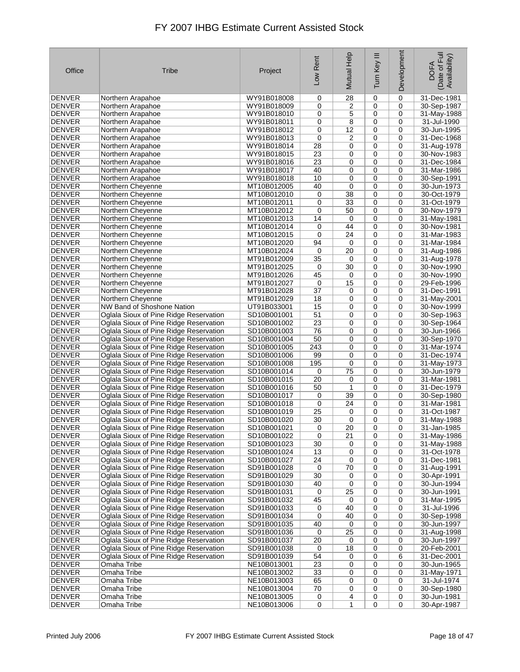| Office                  | Tribe                                                                            | Project                    | Low Rent | Mutual Help     | Ξ<br>Tum Key | Development | Date of Full<br>Availability)<br><b>DOFA</b> |
|-------------------------|----------------------------------------------------------------------------------|----------------------------|----------|-----------------|--------------|-------------|----------------------------------------------|
| <b>DENVER</b>           | Northern Arapahoe                                                                | WY91B018008                | 0        | 28              | 0            | 0           | 31-Dec-1981                                  |
| <b>DENVER</b>           | Northern Arapahoe                                                                | WY91B018009                | 0        | 2               | 0            | 0           | 30-Sep-1987                                  |
| <b>DENVER</b>           | Northern Arapahoe                                                                | WY91B018010                | 0        | 5               | 0            | 0           | 31-May-1988                                  |
| <b>DENVER</b>           | Northern Arapahoe                                                                | WY91B018011                | 0        | 8               | 0            | 0           | 31-Jul-1990                                  |
| <b>DENVER</b>           | Northern Arapahoe                                                                | WY91B018012                | 0        | 12              | 0            | 0           | 30-Jun-1995                                  |
| <b>DENVER</b>           | Northern Arapahoe                                                                | WY91B018013                | 0        | 2               | 0            | 0           | 31-Dec-1968                                  |
| <b>DENVER</b>           | Northern Arapahoe                                                                | WY91B018014                | 28       | 0               | 0            | 0           | 31-Aug-1978                                  |
| <b>DENVER</b>           | Northern Arapahoe                                                                | WY91B018015                | 23       | 0               | 0            | 0           | 30-Nov-1983                                  |
| <b>DENVER</b>           | Northern Arapahoe                                                                | WY91B018016                | 23       | 0               | 0            | $\mathbf 0$ | 31-Dec-1984                                  |
| <b>DENVER</b>           | Northern Arapahoe                                                                | WY91B018017                | 40       | 0               | $\mathbf 0$  | 0           | 31-Mar-1986                                  |
| <b>DENVER</b>           | Northern Arapahoe                                                                | WY91B018018                | 10       | 0               | 0            | 0           | 30-Sep-1991                                  |
| <b>DENVER</b>           | Northern Cheyenne                                                                | MT10B012005                | 40       | 0               | 0            | 0           | 30-Jun-1973                                  |
| <b>DENVER</b>           | Northern Cheyenne                                                                | MT10B012010                | 0        | 38              | 0            | 0           | 30-Oct-1979                                  |
| <b>DENVER</b>           | Northern Cheyenne                                                                | MT10B012011                | 0        | 33              | 0            | 0           | 31-Oct-1979                                  |
| <b>DENVER</b>           | Northern Cheyenne                                                                | MT10B012012                | 0        | 50              | 0            | 0           | 30-Nov-1979                                  |
| DENVER                  | Northern Cheyenne                                                                | MT10B012013                | 14       | 0               | 0            | 0           | 31-May-1981                                  |
| DENVER                  | Northern Chevenne                                                                | MT10B012014                | 0        | 44              | 0            | 0           | 30-Nov-1981                                  |
| <b>DENVER</b>           | Northern Cheyenne                                                                | MT10B012015                | 0        | 24              | 0            | 0           | 31-Mar-1983                                  |
| <b>DENVER</b>           | Northern Cheyenne                                                                | MT10B012020                | 94       | 0               | 0            | 0           | 31-Mar-1984                                  |
| <b>DENVER</b>           | Northern Chevenne                                                                | MT10B012024                | 0        | 20              | 0            | 0           | 31-Aug-1986                                  |
| <b>DENVER</b>           | Northern Cheyenne                                                                | MT91B012009                | 35       | 0               | 0            | 0           | 31-Aug-1978                                  |
| <b>DENVER</b>           | Northern Cheyenne                                                                | MT91B012025                | 0        | 30              | 0            | 0           | 30-Nov-1990                                  |
| <b>DENVER</b>           | Northern Chevenne                                                                | MT91B012026                | 45       | 0               | 0            | 0           | 30-Nov-1990                                  |
| <b>DENVER</b>           | Northern Chevenne                                                                | MT91B012027                | 0        | 15              | 0            | 0           | 29-Feb-1996                                  |
| <b>DENVER</b>           | Northern Cheyenne                                                                | MT91B012028                | 37       | 0               | 0            | 0           | 31-Dec-1991                                  |
| <b>DENVER</b>           | Northern Chevenne                                                                | MT91B012029                | 18       | 0               | 0            | 0           | 31-May-2001                                  |
| <b>DENVER</b>           | NW Band of Shoshone Nation                                                       | UT91B033001                | 15       | 0               | 0            | 0           | 30-Nov-1999                                  |
| <b>DENVER</b>           | Oglala Sioux of Pine Ridge Reservation                                           | SD10B001001                | 51       | 0               | 0            | 0           | 30-Sep-1963                                  |
| DENVER                  | Oglala Sioux of Pine Ridge Reservation                                           | SD10B001002                | 23       | 0               | 0            | 0           | 30-Sep-1964                                  |
| <b>DENVER</b>           | Oglala Sioux of Pine Ridge Reservation                                           | SD10B001003                | 76       | 0               | 0            | $\mathbf 0$ | 30-Jun-1966                                  |
| DENVER                  | Oglala Sioux of Pine Ridge Reservation                                           | SD10B001004                | 50       | 0               | 0            | 0           | 30-Sep-1970                                  |
| <b>DENVER</b>           | Oglala Sioux of Pine Ridge Reservation                                           | SD10B001005                | 243      | 0               | 0            | 0           | 31-Mar-1974                                  |
| <b>DENVER</b>           | Oglala Sioux of Pine Ridge Reservation                                           | SD10B001006                | 99       | 0               | 0            | 0           | 31-Dec-1974                                  |
| <b>DENVER</b>           | Oglala Sioux of Pine Ridge Reservation                                           | SD10B001008                | 195      | 0               | 0            | 0           | 31-May-1973                                  |
| <b>DENVER</b>           | Oglala Sioux of Pine Ridge Reservation                                           | SD10B001014                | 0        | 75              | 0            | 0           | 30-Jun-1979                                  |
| DENVER                  | Oglala Sioux of Pine Ridge Reservation                                           | SD10B001015                | 20       | 0               | 0            | 0           | 31-Mar-1981                                  |
| <b>DENVER</b>           | Oglala Sioux of Pine Ridge Reservation                                           | SD10B001016                | 50       | 1               | 0            | 0           | 31-Dec-1979                                  |
| <b>DENVER</b>           | Oglala Sioux of Pine Ridge Reservation                                           | SD10B001017                | 0        | 39              | 0            | 0           | 30-Sep-1980                                  |
| <b>DENVER</b>           | Oglala Sioux of Pine Ridge Reservation                                           | SD10B001018                | 0        | 24              | 0            | 0           | 31-Mar-1981                                  |
| <b>DENVER</b>           | Oglala Sioux of Pine Ridge Reservation                                           | SD10B001019                | 25       | 0               | 0            | 0           | 31-Oct-1987                                  |
| <b>DENVER</b>           | Oglala Sioux of Pine Ridge Reservation                                           | SD10B001020                | 30       | 0               | $\mathbf 0$  | 0           | 31-May-1988                                  |
| <b>DENVER</b>           | Oglala Sioux of Pine Ridge Reservation                                           | SD10B001021                | 0        | $\overline{20}$ | 0            | 0           | 31-Jan-1985                                  |
| DENVER                  | Oglala Sioux of Pine Ridge Reservation                                           | SD10B001022                | 0        | 21              | 0            | 0           | 31-May-1986                                  |
| <b>DENVER</b>           | Oglala Sioux of Pine Ridge Reservation                                           | SD10B001023                | 30       | 0               | 0            | 0           | 31-May-1988                                  |
| <b>DENVER</b>           | Oglala Sioux of Pine Ridge Reservation                                           | SD10B001024                | 13       | 0               | 0            | 0           | 31-Oct-1978                                  |
| <b>DENVER</b>           | Oglala Sioux of Pine Ridge Reservation                                           | SD10B001027                | 24       | 0               | 0            | 0           | 31-Dec-1981                                  |
| DENVER                  | Oglala Sioux of Pine Ridge Reservation                                           | SD91B001028                | 0        | 70              | 0            | 0           | 31-Aug-1991                                  |
| DENVER                  | Oglala Sioux of Pine Ridge Reservation                                           | SD91B001029                | 30       | 0               | 0            | 0           | 30-Apr-1991                                  |
| <b>DENVER</b>           | Oglala Sioux of Pine Ridge Reservation                                           | SD91B001030                | 40       | 0               | 0            | 0           | 30-Jun-1994                                  |
| <b>DENVER</b>           | Oglala Sioux of Pine Ridge Reservation                                           | SD91B001031                | 0        | $\overline{25}$ | 0            | 0           | 30-Jun-1991                                  |
| <b>DENVER</b>           | Oglala Sioux of Pine Ridge Reservation                                           | SD91B001032<br>SD91B001033 | 45       | 0               | 0            | 0           | 31-Mar-1995                                  |
| DENVER<br><b>DENVER</b> | Oglala Sioux of Pine Ridge Reservation                                           |                            | 0        | 40              | 0            | 0           | 31-Jul-1996                                  |
| <b>DENVER</b>           | Oglala Sioux of Pine Ridge Reservation<br>Oglala Sioux of Pine Ridge Reservation | SD91B001034<br>SD91B001035 | 0<br>40  | 40<br>0         | 0<br>0       | 0<br>0      | 30-Sep-1998<br>30-Jun-1997                   |
| DENVER                  | Oglala Sioux of Pine Ridge Reservation                                           | SD91B001036                | 0        | 25              | 0            | 0           | 31-Aug-1998                                  |
| <b>DENVER</b>           | Oglala Sioux of Pine Ridge Reservation                                           | SD91B001037                | 20       | 0               | 0            | 0           | 30-Jun-1997                                  |
| DENVER                  | Oglala Sioux of Pine Ridge Reservation                                           | SD91B001038                | 0        | 18              | 0            | 0           | 20-Feb-2001                                  |
| <b>DENVER</b>           | Oglala Sioux of Pine Ridge Reservation                                           | SD91B001039                | 54       | 0               | 0            | 6           | 31-Dec-2001                                  |
| <b>DENVER</b>           | Omaha Tribe                                                                      | NE10B013001                | 23       | 0               | 0            | 0           | 30-Jun-1965                                  |
| DENVER                  | Omaha Tribe                                                                      | NE10B013002                | 33       | 0               | 0            | 0           | 31-May-1971                                  |
| DENVER                  | Omaha Tribe                                                                      | NE10B013003                | 65       | 0               | 0            | 0           | 31-Jul-1974                                  |
| DENVER                  | Omaha Tribe                                                                      | NE10B013004                | 70       | 0               | 0            | 0           | 30-Sep-1980                                  |
| <b>DENVER</b>           | Omaha Tribe                                                                      | NE10B013005                | 0        | 4               | 0            | 0           | 30-Jun-1981                                  |
| DENVER                  | Omaha Tribe                                                                      | NE10B013006                | 0        | 1               | 0            | 0           | 30-Apr-1987                                  |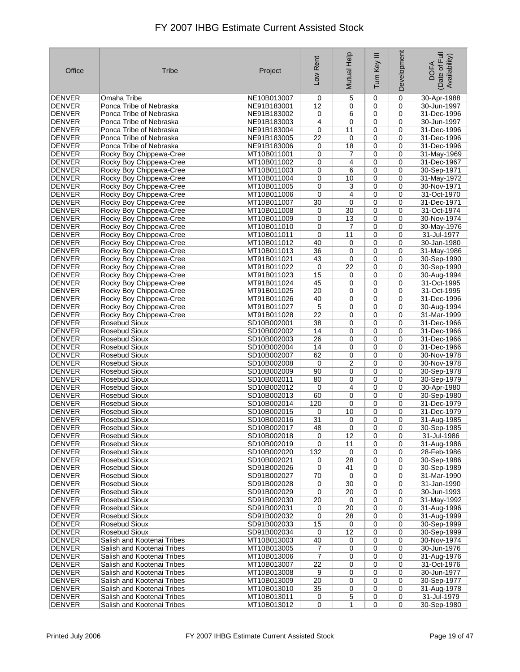| Office                         | Tribe                                                    | Project                    | Low Rent | Mutual Help | Ξ<br>Turn Key | Development      | Date of Full<br>Availability)<br><b>DOFA</b> |
|--------------------------------|----------------------------------------------------------|----------------------------|----------|-------------|---------------|------------------|----------------------------------------------|
| <b>DENVER</b>                  | Omaha Tribe                                              | NE10B013007                | 0        | 5           | 0             | $\mathbf 0$      | 30-Apr-1988                                  |
| <b>DENVER</b>                  | Ponca Tribe of Nebraska                                  | NE91B183001                | 12       | 0           | 0             | 0                | 30-Jun-1997                                  |
| <b>DENVER</b>                  | Ponca Tribe of Nebraska                                  | NE91B183002                | 0        | 6           | $\mathbf 0$   | 0                | 31-Dec-1996                                  |
| <b>DENVER</b>                  | Ponca Tribe of Nebraska                                  | NE91B183003                | 4        | 0           | 0             | 0                | 30-Jun-1997                                  |
| <b>DENVER</b><br><b>DENVER</b> | Ponca Tribe of Nebraska                                  | NE91B183004<br>NE91B183005 | 0<br>22  | 11          | 0             | 0<br>$\mathbf 0$ | 31-Dec-1996<br>31-Dec-1996                   |
| <b>DENVER</b>                  | Ponca Tribe of Nebraska<br>Ponca Tribe of Nebraska       | NE91B183006                | 0        | 0<br>18     | 0<br>0        | 0                | 31-Dec-1996                                  |
| <b>DENVER</b>                  | Rocky Boy Chippewa-Cree                                  | MT10B011001                | 0        | 7           | 0             | 0                | 31-May-1969                                  |
| <b>DENVER</b>                  | Rocky Boy Chippewa-Cree                                  | MT10B011002                | 0        | 4           | 0             | $\mathbf 0$      | 31-Dec-1967                                  |
| <b>DENVER</b>                  | Rocky Boy Chippewa-Cree                                  | MT10B011003                | 0        | 6           | $\mathbf 0$   | 0                | 30-Sep-1971                                  |
| <b>DENVER</b>                  | Rocky Boy Chippewa-Cree                                  | MT10B011004                | 0        | 10          | 0             | 0                | 31-May-1972                                  |
| <b>DENVER</b>                  | Rocky Boy Chippewa-Cree                                  | MT10B011005                | 0        | 3           | $\mathbf 0$   | 0                | 30-Nov-1971                                  |
| <b>DENVER</b>                  | Rocky Boy Chippewa-Cree                                  | MT10B011006                | 0        | 4           | 0             | $\mathbf 0$      | 31-Oct-1970                                  |
| <b>DENVER</b>                  | Rocky Boy Chippewa-Cree                                  | MT10B011007                | 30       | 0           | 0             | 0                | 31-Dec-1971                                  |
| <b>DENVER</b>                  | Rocky Boy Chippewa-Cree                                  | MT10B011008                | 0        | 30          | $\mathbf 0$   | 0                | 31-Oct-1974                                  |
| <b>DENVER</b>                  | Rocky Boy Chippewa-Cree                                  | MT10B011009                | 0        | 13          | 0             | $\mathbf 0$      | 30-Nov-1974                                  |
| <b>DENVER</b>                  | Rocky Boy Chippewa-Cree                                  | MT10B011010                | 0        | 7<br>11     | $\mathbf 0$   | 0<br>0           | 30-May-1976<br>31-Jul-1977                   |
| <b>DENVER</b><br><b>DENVER</b> | Rocky Boy Chippewa-Cree<br>Rocky Boy Chippewa-Cree       | MT10B011011<br>MT10B011012 | 0<br>40  | 0           | 0<br>0        | 0                | 30-Jan-1980                                  |
| <b>DENVER</b>                  | Rocky Boy Chippewa-Cree                                  | MT10B011013                | 36       | 0           | 0             | 0                | 31-May-1986                                  |
| <b>DENVER</b>                  | Rocky Boy Chippewa-Cree                                  | MT91B011021                | 43       | 0           | 0             | 0                | 30-Sep-1990                                  |
| <b>DENVER</b>                  | Rocky Boy Chippewa-Cree                                  | MT91B011022                | 0        | 22          | $\mathbf 0$   | 0                | 30-Sep-1990                                  |
| <b>DENVER</b>                  | Rocky Boy Chippewa-Cree                                  | MT91B011023                | 15       | 0           | 0             | 0                | 30-Aug-1994                                  |
| <b>DENVER</b>                  | Rocky Boy Chippewa-Cree                                  | MT91B011024                | 45       | 0           | $\mathbf 0$   | 0                | 31-Oct-1995                                  |
| <b>DENVER</b>                  | Rocky Boy Chippewa-Cree                                  | MT91B011025                | 20       | 0           | 0             | 0                | 31-Oct-1995                                  |
| <b>DENVER</b>                  | Rocky Boy Chippewa-Cree                                  | MT91B011026                | 40       | 0           | 0             | 0                | 31-Dec-1996                                  |
| <b>DENVER</b>                  | Rocky Boy Chippewa-Cree                                  | MT91B011027                | 5        | 0           | 0             | 0                | 30-Aug-1994                                  |
| <b>DENVER</b>                  | Rocky Boy Chippewa-Cree                                  | MT91B011028                | 22       | 0           | 0             | 0                | 31-Mar-1999                                  |
| <b>DENVER</b>                  | Rosebud Sioux                                            | SD10B002001                | 38       | 0           | 0             | 0                | 31-Dec-1966                                  |
| <b>DENVER</b>                  | Rosebud Sioux                                            | SD10B002002                | 14       | 0           | 0             | 0                | 31-Dec-1966                                  |
| <b>DENVER</b>                  | Rosebud Sioux                                            | SD10B002003                | 26       | 0           | 0             | 0                | 31-Dec-1966                                  |
| <b>DENVER</b><br><b>DENVER</b> | Rosebud Sioux<br>Rosebud Sioux                           | SD10B002004<br>SD10B002007 | 14<br>62 | 0<br>0      | 0<br>0        | 0<br>0           | 31-Dec-1966<br>30-Nov-1978                   |
| <b>DENVER</b>                  | Rosebud Sioux                                            | SD10B002008                | 0        | 2           | $\mathbf 0$   | 0                | 30-Nov-1978                                  |
| <b>DENVER</b>                  | Rosebud Sioux                                            | SD10B002009                | 90       | 0           | 0             | 0                | 30-Sep-1978                                  |
| <b>DENVER</b>                  | Rosebud Sioux                                            | SD10B002011                | 80       | 0           | 0             | 0                | 30-Sep-1979                                  |
| <b>DENVER</b>                  | Rosebud Sioux                                            | SD10B002012                | 0        | 4           | 0             | 0                | 30-Apr-1980                                  |
| <b>DENVER</b>                  | Rosebud Sioux                                            | SD10B002013                | 60       | 0           | 0             | 0                | 30-Sep-1980                                  |
| <b>DENVER</b>                  | Rosebud Sioux                                            | SD10B002014                | 120      | 0           | 0             | 0                | 31-Dec-1979                                  |
| <b>DENVER</b>                  | Rosebud Sioux                                            | SD10B002015                | 0        | 10          | 0             | 0                | 31-Dec-1979                                  |
| <b>DENVER</b>                  | Rosebud Sioux                                            | SD10B002016                | 31       | 0           | 0             | 0                | 31-Aug-1985                                  |
| <b>DENVER</b>                  | <b>Rosebud Sioux</b>                                     | SD10B002017                | 48       | 0           | 0             | 0                | 30-Sep-1985                                  |
| <b>DENVER</b>                  | Rosebud Sioux                                            | SD10B002018                | 0        | 12          | 0             | 0                | 31-Jul-1986                                  |
| <b>DENVER</b><br><b>DENVER</b> | Rosebud Sioux<br>Rosebud Sioux                           | SD10B002019<br>SD10B002020 | 0<br>132 | 11<br>0     | 0<br>0        | 0<br>0           | 31-Aug-1986<br>28-Feb-1986                   |
| <b>DENVER</b>                  | Rosebud Sioux                                            | SD10B002021                | 0        | 28          | 0             | 0                | 30-Sep-1986                                  |
| DENVER                         | Rosebud Sioux                                            | SD91B002026                | 0        | 41          | $\mathbf 0$   | 0                | 30-Sep-1989                                  |
| <b>DENVER</b>                  | Rosebud Sioux                                            | SD91B002027                | 70       | 0           | 0             | 0                | 31-Mar-1990                                  |
| <b>DENVER</b>                  | Rosebud Sioux                                            | SD91B002028                | 0        | 30          | 0             | 0                | 31-Jan-1990                                  |
| DENVER                         | Rosebud Sioux                                            | SD91B002029                | 0        | 20          | 0             | 0                | 30-Jun-1993                                  |
| <b>DENVER</b>                  | Rosebud Sioux                                            | SD91B002030                | 20       | 0           | 0             | 0                | 31-May-1992                                  |
| <b>DENVER</b>                  | Rosebud Sioux                                            | SD91B002031                | 0        | 20          | 0             | $\mathbf 0$      | 31-Aug-1996                                  |
| DENVER                         | Rosebud Sioux                                            | SD91B002032                | 0        | 28          | 0             | 0                | 31-Aug-1999                                  |
| DENVER                         | Rosebud Sioux                                            | SD91B002033                | 15       | 0           | 0             | $\mathbf 0$      | 30-Sep-1999                                  |
| DENVER                         | Rosebud Sioux                                            | SD91B002034                | 0        | 12          | 0             | 0                | 30-Sep-1999                                  |
| <b>DENVER</b>                  | Salish and Kootenai Tribes                               | MT10B013003                | 40       | 0           | 0             | 0                | 30-Nov-1974                                  |
| DENVER                         | Salish and Kootenai Tribes<br>Salish and Kootenai Tribes | MT10B013005<br>MT10B013006 | 7        | 0<br>0      | 0<br>0        | 0<br>0           | 30-Jun-1976                                  |
| <b>DENVER</b><br><b>DENVER</b> | Salish and Kootenai Tribes                               | MT10B013007                | 7<br>22  | 0           | $\mathbf 0$   | $\mathbf 0$      | 31-Aug-1976<br>31-Oct-1976                   |
| DENVER                         | Salish and Kootenai Tribes                               | MT10B013008                | 9        | 0           | 0             | 0                | 30-Jun-1977                                  |
| DENVER                         | Salish and Kootenai Tribes                               | MT10B013009                | 20       | 0           | 0             | 0                | 30-Sep-1977                                  |
| DENVER                         | Salish and Kootenai Tribes                               | MT10B013010                | 35       | 0           | 0             | 0                | 31-Aug-1978                                  |
| <b>DENVER</b>                  | Salish and Kootenai Tribes                               | MT10B013011                | 0        | 5           | 0             | 0                | 31-Jul-1979                                  |
| DENVER                         | Salish and Kootenai Tribes                               | MT10B013012                | 0        | 1           | 0             | 0                | 30-Sep-1980                                  |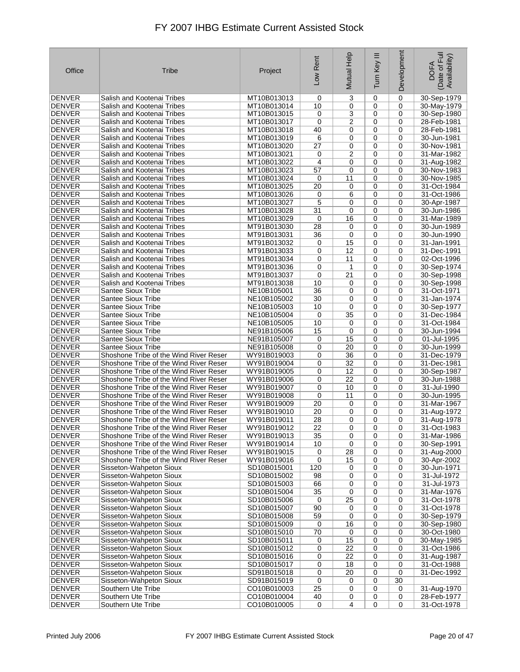| Office                         | Tribe                                                                            | Project                    | Low Rent              | Mutual Help         | Ξ<br>Turn Key  | Development      | Date of Full<br>Availability)<br><b>DOFA</b> |
|--------------------------------|----------------------------------------------------------------------------------|----------------------------|-----------------------|---------------------|----------------|------------------|----------------------------------------------|
| <b>DENVER</b>                  | Salish and Kootenai Tribes                                                       | MT10B013013                | 0                     | 3                   | 0              | 0                | 30-Sep-1979                                  |
| <b>DENVER</b>                  | Salish and Kootenai Tribes                                                       | MT10B013014                | 10                    | 0                   | 0              | 0                | 30-May-1979                                  |
| <b>DENVER</b>                  | Salish and Kootenai Tribes                                                       | MT10B013015                | 0                     | 3                   | 0              | 0                | 30-Sep-1980                                  |
| <b>DENVER</b>                  | Salish and Kootenai Tribes                                                       | MT10B013017                | 0                     | 2                   | 0              | 0                | 28-Feb-1981                                  |
| <b>DENVER</b>                  | Salish and Kootenai Tribes                                                       | MT10B013018                | 40                    | 0                   | $\mathbf 0$    | 0                | 28-Feb-1981                                  |
| <b>DENVER</b>                  | Salish and Kootenai Tribes                                                       | MT10B013019                | 6                     | 0                   | 0              | 0                | 30-Jun-1981                                  |
| <b>DENVER</b><br><b>DENVER</b> | Salish and Kootenai Tribes<br>Salish and Kootenai Tribes                         | MT10B013020<br>MT10B013021 | 27<br>0               | 0<br>$\overline{c}$ | 0<br>0         | 0<br>$\mathbf 0$ | 30-Nov-1981<br>31-Mar-1982                   |
| <b>DENVER</b>                  | Salish and Kootenai Tribes                                                       | MT10B013022                | 4                     | 0                   | 0              | 0                | 31-Aug-1982                                  |
| <b>DENVER</b>                  | Salish and Kootenai Tribes                                                       | MT10B013023                | 57                    | 0                   | 0              | 0                | 30-Nov-1983                                  |
| <b>DENVER</b>                  | Salish and Kootenai Tribes                                                       | MT10B013024                | 0                     | 11                  | $\mathbf 0$    | $\mathbf 0$      | 30-Nov-1985                                  |
| <b>DENVER</b>                  | Salish and Kootenai Tribes                                                       | MT10B013025                | 20                    | 0                   | 0              | 0                | 31-Oct-1984                                  |
| <b>DENVER</b>                  | Salish and Kootenai Tribes                                                       | MT10B013026                | 0                     | 6                   | 0              | 0                | 31-Oct-1986                                  |
| <b>DENVER</b>                  | Salish and Kootenai Tribes                                                       | MT10B013027                | 5                     | 0                   | 0              | 0                | 30-Apr-1987                                  |
| <b>DENVER</b>                  | Salish and Kootenai Tribes                                                       | MT10B013028                | 31                    | 0                   | 0              | 0                | 30-Jun-1986                                  |
| <b>DENVER</b>                  | Salish and Kootenai Tribes                                                       | MT10B013029                | 0                     | 16                  | 0              | $\mathbf 0$      | 31-Mar-1989                                  |
| <b>DENVER</b>                  | Salish and Kootenai Tribes                                                       | MT91B013030                | 28                    | 0                   | 0              | 0                | 30-Jun-1989                                  |
| <b>DENVER</b>                  | Salish and Kootenai Tribes                                                       | MT91B013031                | 36                    | 0                   | $\mathbf 0$    | $\mathbf 0$      | 30-Jun-1990                                  |
| <b>DENVER</b><br><b>DENVER</b> | Salish and Kootenai Tribes<br>Salish and Kootenai Tribes                         | MT91B013032                | 0                     | 15<br>12            | 0              | 0<br>$\mathbf 0$ | 31-Jan-1991<br>31-Dec-1991                   |
| <b>DENVER</b>                  | Salish and Kootenai Tribes                                                       | MT91B013033<br>MT91B013034 | 0<br>0                | 11                  | 0<br>0         | 0                | 02-Oct-1996                                  |
| <b>DENVER</b>                  | Salish and Kootenai Tribes                                                       | MT91B013036                | 0                     | 1                   | 0              | 0                | 30-Sep-1974                                  |
| <b>DENVER</b>                  | Salish and Kootenai Tribes                                                       | MT91B013037                | 0                     | 21                  | 0              | $\mathbf 0$      | 30-Sep-1998                                  |
| <b>DENVER</b>                  | Salish and Kootenai Tribes                                                       | MT91B013038                | 10                    | 0                   | 0              | 0                | 30-Sep-1998                                  |
| <b>DENVER</b>                  | Santee Sioux Tribe                                                               | NE10B105001                | 36                    | 0                   | 0              | 0                | 31-Oct-1971                                  |
| <b>DENVER</b>                  | Santee Sioux Tribe                                                               | NE10B105002                | 30                    | 0                   | 0              | 0                | 31-Jan-1974                                  |
| <b>DENVER</b>                  | Santee Sioux Tribe                                                               | NE10B105003                | 10                    | 0                   | 0              | 0                | 30-Sep-1977                                  |
| <b>DENVER</b>                  | Santee Sioux Tribe                                                               | NE10B105004                | 0                     | 35                  | 0              | 0                | 31-Dec-1984                                  |
| <b>DENVER</b>                  | Santee Sioux Tribe                                                               | NE10B105005                | 10                    | 0                   | 0              | 0                | 31-Oct-1984                                  |
| <b>DENVER</b>                  | Santee Sioux Tribe                                                               | NE91B105006                | 15                    | 0                   | $\mathbf 0$    | $\mathbf 0$      | 30-Jun-1994                                  |
| <b>DENVER</b><br><b>DENVER</b> | Santee Sioux Tribe<br>Santee Sioux Tribe                                         | NE91B105007<br>NE91B105008 | 0<br>0                | 15<br>20            | 0<br>0         | 0<br>0           | 01-Jul-1995<br>30-Jun-1999                   |
| <b>DENVER</b>                  | Shoshone Tribe of the Wind River Reser                                           | WY91B019003                | 0                     | 36                  | $\mathbf 0$    | 0                | 31-Dec-1979                                  |
| <b>DENVER</b>                  | Shoshone Tribe of the Wind River Reser                                           | WY91B019004                | 0                     | 32                  | 0              | 0                | 31-Dec-1981                                  |
| <b>DENVER</b>                  | Shoshone Tribe of the Wind River Reser                                           | WY91B019005                | 0                     | 12                  | 0              | 0                | 30-Sep-1987                                  |
| DENVER                         | Shoshone Tribe of the Wind River Reser                                           | WY91B019006                | 0                     | 22                  | 0              | 0                | 30-Jun-1988                                  |
| <b>DENVER</b>                  | Shoshone Tribe of the Wind River Reser                                           | WY91B019007                | 0                     | 10                  | $\mathbf 0$    | $\mathbf 0$      | 31-Jul-1990                                  |
| DENVER                         | Shoshone Tribe of the Wind River Reser                                           | WY91B019008                | 0                     | 11                  | 0              | 0                | 30-Jun-1995                                  |
| <b>DENVER</b>                  | Shoshone Tribe of the Wind River Reser                                           | WY91B019009                | 20                    | 0                   | 0              | $\mathbf 0$      | 31-Mar-1967                                  |
| <b>DENVER</b>                  | Shoshone Tribe of the Wind River Reser                                           | WY91B019010                | 20                    | 0                   | 0              | 0                | 31-Aug-1972                                  |
| <b>DENVER</b><br><b>DENVER</b> | Shoshone Tribe of the Wind River Reser<br>Shoshone Tribe of the Wind River Reser | WY91B019011<br>WY91B019012 | 28<br>$\overline{22}$ | 0<br>$\overline{0}$ | 0<br>$\pmb{0}$ | 0<br>0           | 31-Aug-1978                                  |
| DENVER                         | Shoshone Tribe of the Wind River Reser                                           | WY91B019013                | 35                    | 0                   | 0              | 0                | 31-Oct-1983<br>31-Mar-1986                   |
| <b>DENVER</b>                  | Shoshone Tribe of the Wind River Reser                                           | WY91B019014                | 10                    | 0                   | 0              | 0                | 30-Sep-1991                                  |
| DENVER                         | Shoshone Tribe of the Wind River Reser                                           | WY91B019015                | 0                     | 28                  | 0              | 0                | 31-Aug-2000                                  |
| <b>DENVER</b>                  | Shoshone Tribe of the Wind River Reser                                           | WY91B019016                | 0                     | 15                  | 0              | $\pmb{0}$        | 30-Apr-2002                                  |
| <b>DENVER</b>                  | Sisseton-Wahpeton Sioux                                                          | SD10B015001                | 120                   | 0                   | 0              | 0                | 30-Jun-1971                                  |
| <b>DENVER</b>                  | Sisseton-Wahpeton Sioux                                                          | SD10B015002                | 98                    | 0                   | 0              | 0                | 31-Jul-1972                                  |
| <b>DENVER</b>                  | Sisseton-Wahpeton Sioux                                                          | SD10B015003                | 66                    | 0                   | 0              | 0                | 31-Jul-1973                                  |
| DENVER                         | Sisseton-Wahpeton Sioux                                                          | SD10B015004                | 35                    | 0                   | 0              | 0                | 31-Mar-1976                                  |
| <b>DENVER</b>                  | Sisseton-Wahpeton Sioux                                                          | SD10B015006                | 0                     | 25                  | 0              | 0                | 31-Oct-1978                                  |
| <b>DENVER</b><br><b>DENVER</b> | Sisseton-Wahpeton Sioux<br>Sisseton-Wahpeton Sioux                               | SD10B015007<br>SD10B015008 | 90<br>59              | 0<br>0              | 0<br>0         | 0<br>0           | 31-Oct-1978                                  |
| <b>DENVER</b>                  | Sisseton-Wahpeton Sioux                                                          | SD10B015009                | 0                     | 16                  | 0              | 0                | 30-Sep-1979<br>30-Sep-1980                   |
| DENVER                         | Sisseton-Wahpeton Sioux                                                          | SD10B015010                | 70                    | 0                   | $\mathbf 0$    | 0                | 30-Oct-1980                                  |
| <b>DENVER</b>                  | Sisseton-Wahpeton Sioux                                                          | SD10B015011                | 0                     | 15                  | 0              | 0                | 30-May-1985                                  |
| DENVER                         | Sisseton-Wahpeton Sioux                                                          | SD10B015012                | 0                     | 22                  | 0              | 0                | 31-Oct-1986                                  |
| <b>DENVER</b>                  | Sisseton-Wahpeton Sioux                                                          | SD10B015016                | 0                     | 22                  | 0              | 0                | 31-Aug-1987                                  |
| <b>DENVER</b>                  | Sisseton-Wahpeton Sioux                                                          | SD10B015017                | 0                     | 18                  | 0              | 0                | 31-Oct-1988                                  |
| <b>DENVER</b>                  | Sisseton-Wahpeton Sioux                                                          | SD91B015018                | 0                     | 20                  | 0              | 0                | 31-Dec-1992                                  |
| <b>DENVER</b>                  | Sisseton-Wahpeton Sioux                                                          | SD91B015019                | 0                     | 0                   | 0              | 30               |                                              |
| <b>DENVER</b><br><b>DENVER</b> | Southern Ute Tribe<br>Southern Ute Tribe                                         | CO10B010003<br>CO10B010004 | 25<br>40              | 0<br>0              | 0<br>0         | 0<br>0           | 31-Aug-1970<br>28-Feb-1977                   |
| <b>DENVER</b>                  | Southern Ute Tribe                                                               | CO10B010005                | $\mathbf 0$           | $\overline{4}$      | 0              | 0                | 31-Oct-1978                                  |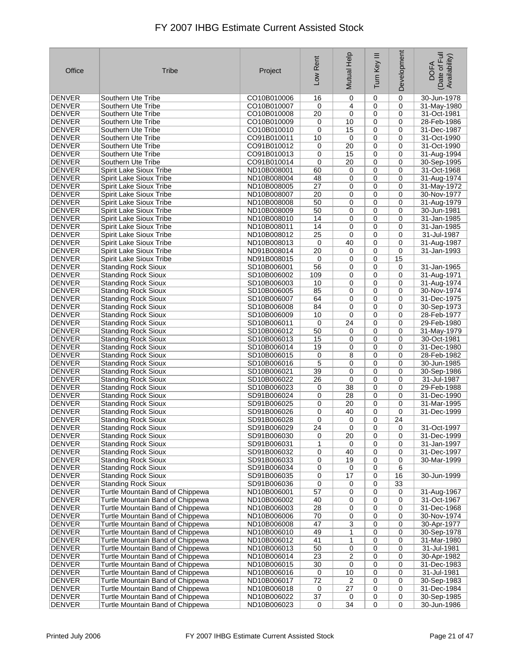| Office                         | Tribe                                                                | Project                    | Low Rent             | Mutual Help          | Ξ<br>Tum Key   | Development      | Date of Full<br>Availability)<br><b>DOFA</b> |
|--------------------------------|----------------------------------------------------------------------|----------------------------|----------------------|----------------------|----------------|------------------|----------------------------------------------|
| <b>DENVER</b>                  | Southern Ute Tribe                                                   | CO10B010006                | 16                   | 0                    | 0              | $\mathbf 0$      | 30-Jun-1978                                  |
| <b>DENVER</b>                  | Southern Ute Tribe                                                   | CO10B010007                | 0                    | 4                    | 0              | 0                | 31-May-1980                                  |
| <b>DENVER</b>                  | Southern Ute Tribe                                                   | CO10B010008                | 20                   | 0                    | 0              | 0                | 31-Oct-1981                                  |
| <b>DENVER</b>                  | Southern Ute Tribe                                                   | CO10B010009                | 0                    | 10                   | 0              | 0                | 28-Feb-1986                                  |
| <b>DENVER</b>                  | Southern Ute Tribe                                                   | CO10B010010                | 0                    | 15                   | 0              | 0                | 31-Dec-1987                                  |
| <b>DENVER</b>                  | Southern Ute Tribe                                                   | CO91B010011                | 10                   | 0                    | 0              | 0                | 31-Oct-1990                                  |
| <b>DENVER</b>                  | Southern Ute Tribe                                                   | CO91B010012                | 0                    | 20                   | 0              | 0                | 31-Oct-1990                                  |
| <b>DENVER</b>                  | Southern Ute Tribe                                                   | CO91B010013                | 0                    | 15                   | 0              | 0                | 31-Aug-1994                                  |
| <b>DENVER</b>                  | Southern Ute Tribe                                                   | CO91B010014                | 0                    | 20                   | 0              | 0                | 30-Sep-1995                                  |
| <b>DENVER</b>                  | Spirit Lake Sioux Tribe                                              | ND10B008001                | 60<br>48             | 0                    | 0              | 0<br>0           | 31-Oct-1968                                  |
| <b>DENVER</b><br><b>DENVER</b> | <b>Spirit Lake Sioux Tribe</b>                                       | ND10B008004                | 27                   | 0                    | 0              | 0                | 31-Aug-1974                                  |
| <b>DENVER</b>                  | Spirit Lake Sioux Tribe<br>Spirit Lake Sioux Tribe                   | ND10B008005<br>ND10B008007 | 20                   | 0<br>0               | 0<br>0         | $\mathbf 0$      | 31-May-1972<br>30-Nov-1977                   |
| <b>DENVER</b>                  | Spirit Lake Sioux Tribe                                              | ND10B008008                | 50                   | 0                    | 0              | 0                | 31-Aug-1979                                  |
| <b>DENVER</b>                  | Spirit Lake Sioux Tribe                                              | ND10B008009                | 50                   | 0                    | 0              | 0                | 30-Jun-1981                                  |
| <b>DENVER</b>                  | Spirit Lake Sioux Tribe                                              | ND10B008010                | 14                   | 0                    | 0              | $\mathbf 0$      | 31-Jan-1985                                  |
| DENVER                         | <b>Spirit Lake Sioux Tribe</b>                                       | ND10B008011                | 14                   | 0                    | $\mathbf 0$    | 0                | 31-Jan-1985                                  |
| <b>DENVER</b>                  | Spirit Lake Sioux Tribe                                              | ND10B008012                | 25                   | 0                    | 0              | 0                | 31-Jul-1987                                  |
| <b>DENVER</b>                  | Spirit Lake Sioux Tribe                                              | ND10B008013                | 0                    | 40                   | 0              | 0                | 31-Aug-1987                                  |
| <b>DENVER</b>                  | Spirit Lake Sioux Tribe                                              | ND91B008014                | 20                   | 0                    | 0              | $\mathbf 0$      | 31-Jan-1993                                  |
| <b>DENVER</b>                  | Spirit Lake Sioux Tribe                                              | ND91B008015                | 0                    | 0                    | 0              | 15               |                                              |
| DENVER                         | <b>Standing Rock Sioux</b>                                           | SD10B006001                | 56                   | 0                    | 0              | 0                | 31-Jan-1965                                  |
| <b>DENVER</b>                  | <b>Standing Rock Sioux</b>                                           | SD10B006002                | 109                  | 0                    | 0              | 0                | 31-Aug-1971                                  |
| <b>DENVER</b>                  | <b>Standing Rock Sioux</b>                                           | SD10B006003                | 10                   | 0                    | 0              | 0                | 31-Aug-1974                                  |
| <b>DENVER</b>                  | <b>Standing Rock Sioux</b>                                           | SD10B006005                | 85                   | 0                    | 0              | 0                | 30-Nov-1974                                  |
| <b>DENVER</b>                  | <b>Standing Rock Sioux</b>                                           | SD10B006007                | 64                   | 0                    | 0              | 0                | 31-Dec-1975                                  |
| <b>DENVER</b>                  | <b>Standing Rock Sioux</b>                                           | SD10B006008                | 84                   | 0                    | 0              | 0                | 30-Sep-1973                                  |
| <b>DENVER</b>                  | <b>Standing Rock Sioux</b>                                           | SD10B006009                | 10                   | 0                    | 0              | 0                | 28-Feb-1977                                  |
| DENVER                         | <b>Standing Rock Sioux</b>                                           | SD10B006011                | 0                    | 24                   | 0              | 0                | 29-Feb-1980                                  |
| <b>DENVER</b>                  | <b>Standing Rock Sioux</b>                                           | SD10B006012                | 50                   | 0                    | 0              | 0                | 31-May-1979                                  |
| DENVER                         | <b>Standing Rock Sioux</b>                                           | SD10B006013                | 15                   | 0                    | 0              | 0                | 30-Oct-1981                                  |
| <b>DENVER</b>                  | <b>Standing Rock Sioux</b>                                           | SD10B006014                | 19                   | 0                    | 0              | 0                | 31-Dec-1980                                  |
| <b>DENVER</b>                  | <b>Standing Rock Sioux</b>                                           | SD10B006015                | 0                    | 8                    | 0              | 0                | 28-Feb-1982                                  |
| <b>DENVER</b>                  | <b>Standing Rock Sioux</b>                                           | SD10B006016                | 5                    | 0                    | 0              | 0                | 30-Jun-1985                                  |
| <b>DENVER</b>                  | <b>Standing Rock Sioux</b>                                           | SD10B006021                | 39                   | 0                    | 0              | 0                | 30-Sep-1986                                  |
| <b>DENVER</b>                  | <b>Standing Rock Sioux</b>                                           | SD10B006022                | 26                   | 0                    | 0              | 0                | 31-Jul-1987                                  |
| <b>DENVER</b>                  | <b>Standing Rock Sioux</b>                                           | SD10B006023                | 0                    | 38                   | 0              | 0                | 29-Feb-1988                                  |
| DENVER                         | <b>Standing Rock Sioux</b>                                           | SD91B006024                | 0                    | 28                   | 0              | 0                | 31-Dec-1990                                  |
| <b>DENVER</b><br><b>DENVER</b> | <b>Standing Rock Sioux</b>                                           | SD91B006025<br>SD91B006026 | 0                    | 20<br>40             | 0              | 0                | 31-Mar-1995                                  |
| <b>DENVER</b>                  | <b>Standing Rock Sioux</b>                                           | SD91B006028                | 0                    |                      | 0<br>0         | 0                | 31-Dec-1999                                  |
| <b>DENVER</b>                  | <b>Standing Rock Sioux</b><br><b>Standing Rock Sioux</b>             |                            | 0<br>$\overline{24}$ | 0                    | 0              | 24<br>$\pmb{0}$  | 31-Oct-1997                                  |
| DENVER                         | <b>Standing Rock Sioux</b>                                           | SD91B006029<br>SD91B006030 | 0                    | 0<br>20              | 0              | 0                | 31-Dec-1999                                  |
| <b>DENVER</b>                  | <b>Standing Rock Sioux</b>                                           | SD91B006031                | 1                    | 0                    | 0              | 0                | 31-Jan-1997                                  |
| <b>DENVER</b>                  | Standing Rock Sioux                                                  | SD91B006032                | 0                    | 40                   | 0              | 0                | 31-Dec-1997                                  |
| <b>DENVER</b>                  | <b>Standing Rock Sioux</b>                                           | SD91B006033                | 0                    | 19                   | 0              | 0                | 30-Mar-1999                                  |
| DENVER                         | <b>Standing Rock Sioux</b>                                           | SD91B006034                | 0                    | 0                    | 0              | 6                |                                              |
| DENVER                         | <b>Standing Rock Sioux</b>                                           | SD91B006035                | 0                    | 17                   | 0              | 16               | 30-Jun-1999                                  |
| <b>DENVER</b>                  | <b>Standing Rock Sioux</b>                                           | SD91B006036                | 0                    | 0                    | 0              | 33               |                                              |
| DENVER                         | Turtle Mountain Band of Chippewa                                     | ND10B006001                | 57                   | 0                    | 0              | 0                | 31-Aug-1967                                  |
| <b>DENVER</b>                  | Turtle Mountain Band of Chippewa                                     | ND10B006002                | 40                   | 0                    | 0              | 0                | 31-Oct-1967                                  |
| DENVER                         | Turtle Mountain Band of Chippewa                                     | ND10B006003                | 28                   | 0                    | 0              | 0                | 31-Dec-1968                                  |
| <b>DENVER</b>                  | Turtle Mountain Band of Chippewa                                     | ND10B006006                | 70                   | 0                    | 0              | 0                | 30-Nov-1974                                  |
| <b>DENVER</b>                  | Turtle Mountain Band of Chippewa                                     | ND10B006008                | 47                   | 3                    | 0              | 0                | 30-Apr-1977                                  |
| <b>DENVER</b>                  | Turtle Mountain Band of Chippewa                                     | ND10B006010                | 49                   | 1                    | 0              | 0                | 30-Sep-1978                                  |
| <b>DENVER</b>                  | Turtle Mountain Band of Chippewa                                     | ND10B006012                | 41                   | 1                    | 0              | 0                | 31-Mar-1980                                  |
| DENVER                         | Turtle Mountain Band of Chippewa                                     | ND10B006013                | 50                   | 0                    | 0              | 0                | 31-Jul-1981                                  |
| <b>DENVER</b>                  | Turtle Mountain Band of Chippewa                                     | ND10B006014                | 23                   | 2                    | 0              | 0                | 30-Apr-1982                                  |
| <b>DENVER</b>                  | Turtle Mountain Band of Chippewa                                     | ND10B006015                | 30                   | 0                    | 0              | 0                | 31-Dec-1983                                  |
| DENVER                         | Turtle Mountain Band of Chippewa                                     | ND10B006016                | 0                    | 10                   | 0              | 0                | 31-Jul-1981                                  |
| DENVER                         | Turtle Mountain Band of Chippewa                                     | ND10B006017                | 72                   | 2                    | 0              | 0                | 30-Sep-1983                                  |
| DENVER                         | Turtle Mountain Band of Chippewa                                     | ND10B006018                | 0                    | 27                   | 0              | 0                | 31-Dec-1984                                  |
| <b>DENVER</b><br>DENVER        | Turtle Mountain Band of Chippewa<br>Turtle Mountain Band of Chippewa | ND10B006022<br>ND10B006023 | 37<br>$\pmb{0}$      | 0<br>$\overline{34}$ | 0<br>$\pmb{0}$ | 0<br>$\mathbf 0$ | 30-Sep-1985<br>30-Jun-1986                   |
|                                |                                                                      |                            |                      |                      |                |                  |                                              |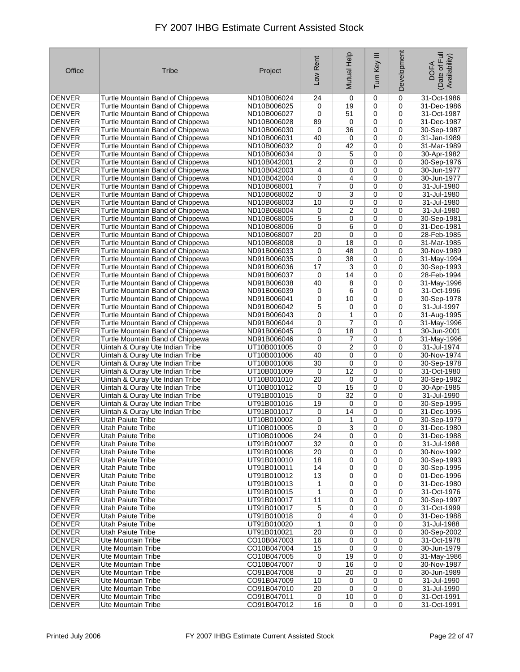| Office                         | Tribe                                                                | Project                    | Low Rent  | Mutual Help    | Ξ<br>Tum Key | Development      | Date of Full<br>Availability)<br><b>DOFA</b> |
|--------------------------------|----------------------------------------------------------------------|----------------------------|-----------|----------------|--------------|------------------|----------------------------------------------|
| <b>DENVER</b>                  | Turtle Mountain Band of Chippewa                                     | ND10B006024                | 24        | 0              | 0            | 0                | 31-Oct-1986                                  |
| <b>DENVER</b>                  | Turtle Mountain Band of Chippewa                                     | ND10B006025                | 0         | 19             | 0            | 0                | 31-Dec-1986                                  |
| <b>DENVER</b>                  | Turtle Mountain Band of Chippewa                                     | ND10B006027                | 0         | 51             | 0            | 0                | 31-Oct-1987                                  |
| <b>DENVER</b>                  | Turtle Mountain Band of Chippewa                                     | ND10B006028                | 89        | 0              | 0            | 0                | 31-Dec-1987                                  |
| <b>DENVER</b>                  | Turtle Mountain Band of Chippewa                                     | ND10B006030                | 0         | 36             | 0            | 0                | 30-Sep-1987                                  |
| <b>DENVER</b>                  | Turtle Mountain Band of Chippewa                                     | ND10B006031                | 40        | 0              | 0            | 0                | 31-Jan-1989                                  |
| <b>DENVER</b>                  | Turtle Mountain Band of Chippewa                                     | ND10B006032                | 0         | 42             | 0            | 0                | 31-Mar-1989                                  |
| <b>DENVER</b>                  | Turtle Mountain Band of Chippewa                                     | ND10B006034                | 0         | 5              | 0            | 0                | 30-Apr-1982                                  |
| <b>DENVER</b>                  | Turtle Mountain Band of Chippewa                                     | ND10B042001                | 2         | 0              | 0            | 0                | 30-Sep-1976                                  |
| <b>DENVER</b>                  | Turtle Mountain Band of Chippewa                                     | ND10B042003                | 4         | 0              | 0            | 0                | 30-Jun-1977                                  |
| <b>DENVER</b><br><b>DENVER</b> | Turtle Mountain Band of Chippewa<br>Turtle Mountain Band of Chippewa | ND10B042004<br>ND10B068001 | 0<br>7    | 4<br>0         | 0<br>0       | 0<br>0           | 30-Jun-1977<br>31-Jul-1980                   |
| <b>DENVER</b>                  | Turtle Mountain Band of Chippewa                                     | ND10B068002                | 0         | 3              | 0            | 0                | 31-Jul-1980                                  |
| <b>DENVER</b>                  | Turtle Mountain Band of Chippewa                                     | ND10B068003                | 10        | 0              | 0            | 0                | 31-Jul-1980                                  |
| <b>DENVER</b>                  | Turtle Mountain Band of Chippewa                                     | ND10B068004                | 0         | 2              | 0            | 0                | 31-Jul-1980                                  |
| <b>DENVER</b>                  | Turtle Mountain Band of Chippewa                                     | ND10B068005                | 5         | 0              | 0            | 0                | 30-Sep-1981                                  |
| <b>DENVER</b>                  | Turtle Mountain Band of Chippewa                                     | ND10B068006                | 0         | 6              | 0            | 0                | 31-Dec-1981                                  |
| <b>DENVER</b>                  | Turtle Mountain Band of Chippewa                                     | ND10B068007                | 20        | 0              | 0            | 0                | 28-Feb-1985                                  |
| <b>DENVER</b>                  | Turtle Mountain Band of Chippewa                                     | ND10B068008                | 0         | 18             | 0            | 0                | 31-Mar-1985                                  |
| <b>DENVER</b>                  | Turtle Mountain Band of Chippewa                                     | ND91B006033                | 0         | 48             | 0            | 0                | 30-Nov-1989                                  |
| <b>DENVER</b>                  | Turtle Mountain Band of Chippewa                                     | ND91B006035                | 0         | 38             | 0            | 0                | 31-May-1994                                  |
| <b>DENVER</b>                  | Turtle Mountain Band of Chippewa                                     | ND91B006036                | 17        | 3              | 0            | 0                | 30-Sep-1993                                  |
| <b>DENVER</b>                  | Turtle Mountain Band of Chippewa                                     | ND91B006037                | 0         | 14             | 0            | 0                | 28-Feb-1994                                  |
| <b>DENVER</b>                  | Turtle Mountain Band of Chippewa                                     | ND91B006038                | 40        | 8              | 0            | 0                | 31-May-1996                                  |
| <b>DENVER</b>                  | Turtle Mountain Band of Chippewa                                     | ND91B006039                | 0         | 6              | 0            | 0                | 31-Oct-1996                                  |
| <b>DENVER</b>                  | Turtle Mountain Band of Chippewa                                     | ND91B006041                | 0         | 10             | 0            | 0                | 30-Sep-1978                                  |
| <b>DENVER</b>                  | Turtle Mountain Band of Chippewa                                     | ND91B006042                | 5         | 0              | 0            | 0                | 31-Jul-1997                                  |
| <b>DENVER</b>                  | Turtle Mountain Band of Chippewa                                     | ND91B006043                | 0         | 1              | 0            | 0                | 31-Aug-1995                                  |
| DENVER                         | Turtle Mountain Band of Chippewa                                     | ND91B006044                | 0         | 7              | 0            | 0                | 31-May-1996                                  |
| <b>DENVER</b>                  | Turtle Mountain Band of Chippewa                                     | ND91B006045                | 0         | 18             | 0            | $\mathbf{1}$     | 30-Jun-2001                                  |
| DENVER                         | Turtle Mountain Band of Chippewa                                     | ND91B006046                | 0         | 7              | 0            | 0                | 31-May-1996                                  |
| <b>DENVER</b>                  | Uintah & Ouray Ute Indian Tribe                                      | UT10B001005                | 0         | $\overline{c}$ | 0            | 0                | 31-Jul-1974                                  |
| <b>DENVER</b>                  | Uintah & Ouray Ute Indian Tribe                                      | UT10B001006                | 40        | 0              | 0            | 0                | 30-Nov-1974                                  |
| <b>DENVER</b>                  | Uintah & Ouray Ute Indian Tribe                                      | UT10B001008                | 30        | 0<br>12        | $\mathbf 0$  | 0<br>0           | 30-Sep-1978                                  |
| <b>DENVER</b><br>DENVER        | Uintah & Ouray Ute Indian Tribe<br>Uintah & Ouray Ute Indian Tribe   | UT10B001009<br>UT10B001010 | 0<br>20   | 0              | 0<br>0       | 0                | 31-Oct-1980<br>30-Sep-1982                   |
| <b>DENVER</b>                  | Uintah & Ouray Ute Indian Tribe                                      | UT10B001012                | 0         | 15             | 0            | 0                | 30-Apr-1985                                  |
| <b>DENVER</b>                  | Uintah & Ouray Ute Indian Tribe                                      | UT91B001015                | 0         | 32             | 0            | 0                | 31-Jul-1990                                  |
| <b>DENVER</b>                  | Uintah & Ouray Ute Indian Tribe                                      | UT91B001016                | 19        | 0              | 0            | 0                | 30-Sep-1995                                  |
| <b>DENVER</b>                  | Uintah & Ouray Ute Indian Tribe                                      | UT91B001017                | 0         | 14             | 0            | 0                | 31-Dec-1995                                  |
| <b>DENVER</b>                  | Utah Paiute Tribe                                                    | UT10B010002                | 0         | 1              | 0            | 0                | 30-Sep-1979                                  |
| <b>DENVER</b>                  | <b>Utah Paiute Tribe</b>                                             | UT10B010005                | $\pmb{0}$ | $\overline{3}$ | 0            | 0                | 31-Dec-1980                                  |
| DENVER                         | Utah Paiute Tribe                                                    | UT10B010006                | 24        | 0              | 0            | 0                | 31-Dec-1988                                  |
| DENVER                         | <b>Utah Paiute Tribe</b>                                             | UT91B010007                | 32        | 0              | 0            | 0                | 31-Jul-1988                                  |
| DENVER                         | Utah Paiute Tribe                                                    | UT91B010008                | 20        | 0              | 0            | 0                | 30-Nov-1992                                  |
| DENVER                         | Utah Paiute Tribe                                                    | UT91B010010                | 18        | 0              | 0            | 0                | 30-Sep-1993                                  |
| DENVER                         | Utah Paiute Tribe                                                    | UT91B010011                | 14        | 0              | $\mathbf 0$  | 0                | 30-Sep-1995                                  |
| DENVER                         | Utah Paiute Tribe                                                    | UT91B010012                | 13        | 0              | 0            | 0                | 01-Dec-1996                                  |
| <b>DENVER</b>                  | Utah Paiute Tribe                                                    | UT91B010013                | 1         | 0              | 0            | 0                | 31-Dec-1980                                  |
| DENVER                         | Utah Paiute Tribe                                                    | UT91B010015                | 1         | 0              | 0            | 0                | 31-Oct-1976                                  |
| <b>DENVER</b>                  | Utah Paiute Tribe                                                    | UT91B010017                | 11        | 0              | 0            | 0                | 30-Sep-1997                                  |
| <b>DENVER</b>                  | Utah Paiute Tribe                                                    | UT91B010017                | 5         | 0              | 0            | 0                | 31-Oct-1999                                  |
| DENVER                         | Utah Paiute Tribe<br>Utah Paiute Tribe                               | UT91B010018                | 0<br>1    | 4              | 0            | 0<br>$\mathbf 0$ | 31-Dec-1988                                  |
| DENVER                         |                                                                      | UT91B010020                |           | 0              | 0            | 0                | 31-Jul-1988                                  |
| <b>DENVER</b><br><b>DENVER</b> | Utah Paiute Tribe<br>Ute Mountain Tribe                              | UT91B010021<br>CO10B047003 | 20<br>16  | 0<br>0         | 0<br>0       | 0                | 30-Sep-2002<br>31-Oct-1978                   |
| DENVER                         | Ute Mountain Tribe                                                   | CO10B047004                | 15        | 0              | 0            | 0                | 30-Jun-1979                                  |
| <b>DENVER</b>                  | Ute Mountain Tribe                                                   | CO10B047005                | 0         | 19             | 0            | 0                | 31-May-1986                                  |
| <b>DENVER</b>                  | Ute Mountain Tribe                                                   | CO10B047007                | 0         | 16             | 0            | 0                | 30-Nov-1987                                  |
| DENVER                         | Ute Mountain Tribe                                                   | CO91B047008                | 0         | 20             | 0            | 0                | 30-Jun-1989                                  |
| DENVER                         | Ute Mountain Tribe                                                   | CO91B047009                | 10        | 0              | 0            | 0                | 31-Jul-1990                                  |
| <b>DENVER</b>                  | Ute Mountain Tribe                                                   | CO91B047010                | 20        | 0              | 0            | 0                | 31-Jul-1990                                  |
| <b>DENVER</b>                  | Ute Mountain Tribe                                                   | CO91B047011                | 0         | 10             | 0            | 0                | 31-Oct-1991                                  |
| DENVER                         | Ute Mountain Tribe                                                   | CO91B047012                | 16        | 0              | 0            | 0                | 31-Oct-1991                                  |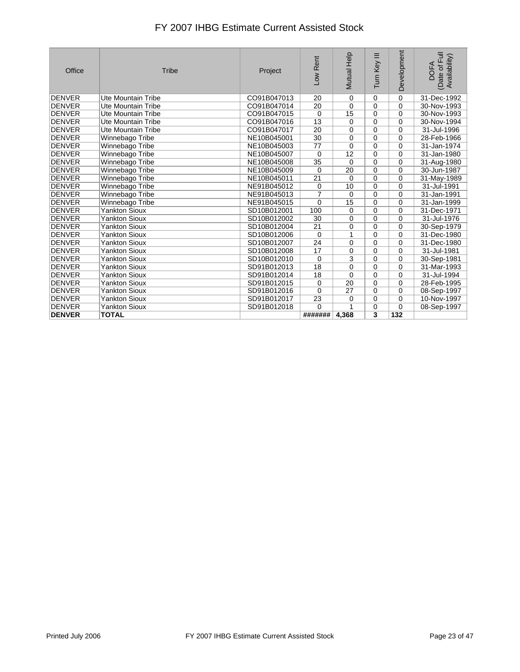| Office        | <b>Tribe</b>         | Project     | Low Rent        | Mutual Help             | Turn Key III            | Development    | (Date of Full<br>Availability)<br><b>DOFA</b> |
|---------------|----------------------|-------------|-----------------|-------------------------|-------------------------|----------------|-----------------------------------------------|
| <b>DENVER</b> | Ute Mountain Tribe   | CO91B047013 | 20              | 0                       | 0                       | $\mathbf 0$    | 31-Dec-1992                                   |
| <b>DENVER</b> | Ute Mountain Tribe   | CO91B047014 | 20              | $\mathbf 0$             | $\pmb{0}$               | $\mathbf 0$    | 30-Nov-1993                                   |
| <b>DENVER</b> | Ute Mountain Tribe   | CO91B047015 | $\mathbf 0$     | $\overline{15}$         | $\mathbf 0$             | $\mathbf 0$    | 30-Nov-1993                                   |
| <b>DENVER</b> | Ute Mountain Tribe   | CO91B047016 | $\overline{13}$ | 0                       | $\mathbf 0$             | $\Omega$       | 30-Nov-1994                                   |
| <b>DENVER</b> | Ute Mountain Tribe   | CO91B047017 | 20              | 0                       | $\mathbf 0$             | $\Omega$       | 31-Jul-1996                                   |
| <b>DENVER</b> | Winnebago Tribe      | NE10B045001 | 30              | 0                       | $\mathbf 0$             | $\mathbf 0$    | 28-Feb-1966                                   |
| <b>DENVER</b> | Winnebago Tribe      | NE10B045003 | 77              | 0                       | $\overline{0}$          | $\mathbf 0$    | 31-Jan-1974                                   |
| <b>DENVER</b> | Winnebago Tribe      | NE10B045007 | $\mathbf 0$     | $\overline{12}$         | $\mathbf 0$             | $\mathbf 0$    | 31-Jan-1980                                   |
| <b>DENVER</b> | Winnebago Tribe      | NE10B045008 | 35              | $\Omega$                | $\boldsymbol{0}$        | $\mathbf 0$    | 31-Aug-1980                                   |
| <b>DENVER</b> | Winnebago Tribe      | NE10B045009 | $\mathbf 0$     | $\overline{20}$         | $\overline{0}$          | $\Omega$       | 30-Jun-1987                                   |
| <b>DENVER</b> | Winnebago Tribe      | NE10B045011 | $\overline{21}$ | $\mathbf 0$             | $\overline{0}$          | $\Omega$       | 31-May-1989                                   |
| <b>DENVER</b> | Winnebago Tribe      | NE91B045012 | 0               | 10                      | $\mathbf 0$             | $\mathbf 0$    | 31-Jul-1991                                   |
| <b>DENVER</b> | Winnebago Tribe      | NE91B045013 | $\overline{7}$  | 0                       | $\mathbf 0$             | $\Omega$       | 31-Jan-1991                                   |
| <b>DENVER</b> | Winnebago Tribe      | NE91B045015 | $\mathbf 0$     | 15                      | $\mathbf 0$             | $\mathbf 0$    | 31-Jan-1999                                   |
| <b>DENVER</b> | <b>Yankton Sioux</b> | SD10B012001 | 100             | 0                       | $\overline{0}$          | $\Omega$       | 31-Dec-1971                                   |
| <b>DENVER</b> | <b>Yankton Sioux</b> | SD10B012002 | 30              | 0                       | $\mathbf 0$             | $\Omega$       | 31-Jul-1976                                   |
| <b>DENVER</b> | <b>Yankton Sioux</b> | SD10B012004 | 21              | 0                       | $\overline{0}$          | $\mathbf 0$    | 30-Sep-1979                                   |
| <b>DENVER</b> | <b>Yankton Sioux</b> | SD10B012006 | $\mathbf 0$     | 1                       | $\mathbf 0$             | $\Omega$       | 31-Dec-1980                                   |
| <b>DENVER</b> | <b>Yankton Sioux</b> | SD10B012007 | 24              | 0                       | $\mathbf 0$             | $\Omega$       | 31-Dec-1980                                   |
| <b>DENVER</b> | <b>Yankton Sioux</b> | SD10B012008 | 17              | 0                       | $\pmb{0}$               | $\Omega$       | 31-Jul-1981                                   |
| <b>DENVER</b> | <b>Yankton Sioux</b> | SD10B012010 | $\mathbf 0$     | $\overline{\mathbf{3}}$ | $\mathbf 0$             | $\mathbf 0$    | 30-Sep-1981                                   |
| <b>DENVER</b> | <b>Yankton Sioux</b> | SD91B012013 | 18              | 0                       | $\mathbf 0$             | $\Omega$       | 31-Mar-1993                                   |
| <b>DENVER</b> | <b>Yankton Sioux</b> | SD91B012014 | 18              | $\Omega$                | $\mathbf 0$             | $\Omega$       | 31-Jul-1994                                   |
| <b>DENVER</b> | <b>Yankton Sioux</b> | SD91B012015 | 0               | 20                      | $\mathbf 0$             | $\mathbf 0$    | 28-Feb-1995                                   |
| <b>DENVER</b> | <b>Yankton Sioux</b> | SD91B012016 | $\overline{0}$  | $\overline{27}$         | $\overline{0}$          | $\overline{0}$ | 08-Sep-1997                                   |
| DENVER        | <b>Yankton Sioux</b> | SD91B012017 | 23              | 0                       | 0                       | $\mathbf 0$    | 10-Nov-1997                                   |
| <b>DENVER</b> | <b>Yankton Sioux</b> | SD91B012018 | $\overline{0}$  |                         | $\mathbf 0$             | $\Omega$       | 08-Sep-1997                                   |
| <b>DENVER</b> | <b>TOTAL</b>         |             | #######         | 4.368                   | $\overline{\mathbf{3}}$ | 132            |                                               |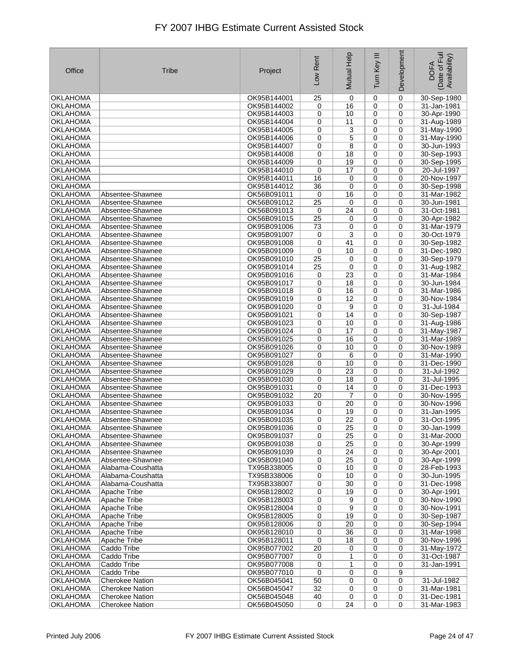| Office                             | <b>Tribe</b>                         | Project                    | Low Rent    | Mutual Help     | Ξ<br>Turn Key  | Development | Date of Full<br>Availability)<br><b>DOFA</b> |
|------------------------------------|--------------------------------------|----------------------------|-------------|-----------------|----------------|-------------|----------------------------------------------|
| OKLAHOMA                           |                                      | OK95B144001                | 25          | 0               | $\mathbf 0$    | 0           | 30-Sep-1980                                  |
| OKLAHOMA                           |                                      | OK95B144002                | 0           | 16              | 0              | 0           | 31-Jan-1981                                  |
| OKLAHOMA                           |                                      | OK95B144003                | 0           | 10              | 0              | 0           | 30-Apr-1990                                  |
| <b>OKLAHOMA</b>                    |                                      | OK95B144004                | 0           | 11              | 0              | 0           | 31-Aug-1989                                  |
| <b>OKLAHOMA</b>                    |                                      | OK95B144005                | 0           | 3               | 0              | 0           | 31-May-1990                                  |
| <b>OKLAHOMA</b>                    |                                      | OK95B144006                | 0           | 5               | 0              | 0           | 31-May-1990                                  |
| <b>OKLAHOMA</b>                    |                                      | OK95B144007                | 0           | 8               | 0              | 0           | 30-Jun-1993                                  |
| OKLAHOMA                           |                                      | OK95B144008                | 0           | 18              | 0              | $\mathbf 0$ | 30-Sep-1993                                  |
| <b>OKLAHOMA</b>                    |                                      | OK95B144009                | 0           | 19              | 0              | 0           | 30-Sep-1995                                  |
| OKLAHOMA                           |                                      | OK95B144010                | 0           | 17              | 0              | 0           | 20-Jul-1997                                  |
| OKLAHOMA                           |                                      | OK95B144011                | 16          | 0               | 0              | $\mathbf 0$ | 20-Nov-1997                                  |
| <b>OKLAHOMA</b>                    |                                      | OK95B144012                | 36          | 0               | 0              | 0           | 30-Sep-1998                                  |
| <b>OKLAHOMA</b><br><b>OKLAHOMA</b> | Absentee-Shawnee<br>Absentee-Shawnee | OK56B091011<br>OK56B091012 | 0<br>25     | 16<br>0         | 0<br>0         | 0<br>0      | 31-Mar-1982<br>30-Jun-1981                   |
| <b>OKLAHOMA</b>                    | Absentee-Shawnee                     | OK56B091013                | 0           | 24              | $\mathbf 0$    | $\mathbf 0$ | 31-Oct-1981                                  |
| <b>OKLAHOMA</b>                    | Absentee-Shawnee                     | OK56B091015                | 25          | 0               | 0              | $\mathbf 0$ | 30-Apr-1982                                  |
| OKLAHOMA                           | Absentee-Shawnee                     | OK95B091006                | 73          | 0               | 0              | 0           | 31-Mar-1979                                  |
| <b>OKLAHOMA</b>                    | Absentee-Shawnee                     | OK95B091007                | 0           | 3               | 0              | 0           | 30-Oct-1979                                  |
| <b>OKLAHOMA</b>                    | Absentee-Shawnee                     | OK95B091008                | 0           | 41              | 0              | 0           | 30-Sep-1982                                  |
| <b>OKLAHOMA</b>                    | Absentee-Shawnee                     | OK95B091009                | $\mathbf 0$ | 10              | 0              | 0           | 31-Dec-1980                                  |
| <b>OKLAHOMA</b>                    | Absentee-Shawnee                     | OK95B091010                | 25          | 0               | 0              | 0           | 30-Sep-1979                                  |
| <b>OKLAHOMA</b>                    | Absentee-Shawnee                     | OK95B091014                | 25          | 0               | 0              | 0           | 31-Aug-1982                                  |
| <b>OKLAHOMA</b>                    | Absentee-Shawnee                     | OK95B091016                | 0           | 23              | 0              | 0           | 31-Mar-1984                                  |
| <b>OKLAHOMA</b>                    | Absentee-Shawnee                     | OK95B091017                | 0           | 18              | 0              | 0           | 30-Jun-1984                                  |
| <b>OKLAHOMA</b>                    | Absentee-Shawnee                     | OK95B091018                | 0           | 16              | 0              | 0           | 31-Mar-1986                                  |
| OKLAHOMA                           | Absentee-Shawnee                     | OK95B091019                | 0           | 12              | 0              | 0           | 30-Nov-1984                                  |
| <b>OKLAHOMA</b>                    | Absentee-Shawnee                     | OK95B091020                | 0           | 9               | 0              | 0           | 31-Jul-1984                                  |
| <b>OKLAHOMA</b>                    | Absentee-Shawnee                     | OK95B091021                | 0           | 14              | 0              | 0           | 30-Sep-1987                                  |
| OKLAHOMA                           | Absentee-Shawnee                     | OK95B091023                | 0           | 10              | 0              | 0           | 31-Aug-1986                                  |
| <b>OKLAHOMA</b>                    | Absentee-Shawnee                     | OK95B091024                | 0           | 17              | 0              | 0           | 31-May-1987                                  |
| <b>OKLAHOMA</b>                    | Absentee-Shawnee                     | OK95B091025                | 0           | 16              | 0              | 0           | 31-Mar-1989                                  |
| OKLAHOMA                           | Absentee-Shawnee                     | OK95B091026                | 0           | 10              | 0              | 0           | 30-Nov-1989                                  |
| <b>OKLAHOMA</b>                    | Absentee-Shawnee                     | OK95B091027                | 0           | 6               | 0              | 0           | 31-Mar-1990                                  |
| <b>OKLAHOMA</b>                    | Absentee-Shawnee                     | OK95B091028                | 0           | 10              | 0              | 0           | 31-Dec-1990                                  |
| <b>OKLAHOMA</b>                    | Absentee-Shawnee                     | OK95B091029                | 0           | 23              | 0              | 0           | 31-Jul-1992                                  |
| OKLAHOMA                           | Absentee-Shawnee                     | OK95B091030                | 0           | 18              | 0              | 0           | 31-Jul-1995                                  |
| <b>OKLAHOMA</b>                    | Absentee-Shawnee                     | OK95B091031                | 0           | 14              | 0              | 0           | 31-Dec-1993                                  |
| <b>OKLAHOMA</b><br>OKLAHOMA        | Absentee-Shawnee<br>Absentee-Shawnee | OK95B091032<br>OK95B091033 | 20<br>0     | 7<br>20         | 0<br>0         | 0<br>0      | 30-Nov-1995<br>30-Nov-1996                   |
| <b>OKLAHOMA</b>                    | Absentee-Shawnee                     | OK95B091034                | 0           | 19              | 0              | 0           | 31-Jan-1995                                  |
| <b>OKLAHOMA</b>                    | Absentee-Shawnee                     | OK95B091035                | 0           | 22              | 0              | 0           | 31-Oct-1995                                  |
| <b>OKLAHOMA</b>                    | Absentee-Shawnee                     | OK95B091036                | 0           | $\overline{25}$ | 0              | 0           | 30-Jan-1999                                  |
| <b>OKLAHOMA</b>                    | Absentee-Shawnee                     | OK95B091037                | 0           | 25              | 0              | 0           | 31-Mar-2000                                  |
| <b>OKLAHOMA</b>                    | Absentee-Shawnee                     | OK95B091038                | 0           | 25              | 0              | 0           | 30-Apr-1999                                  |
| OKLAHOMA                           | Absentee-Shawnee                     | OK95B091039                | 0           | 24              | 0              | 0           | 30-Apr-2001                                  |
| <b>OKLAHOMA</b>                    | Absentee-Shawnee                     | OK95B091040                | 0           | 25              | 0              | 0           | 30-Apr-1999                                  |
| <b>OKLAHOMA</b>                    | Alabama-Coushatta                    | TX95B338005                | 0           | 10              | 0              | 0           | 28-Feb-1993                                  |
| OKLAHOMA                           | Alabama-Coushatta                    | TX95B338006                | 0           | 10              | 0              | 0           | 30-Jun-1995                                  |
| <b>OKLAHOMA</b>                    | Alabama-Coushatta                    | TX95B338007                | 0           | 30              | 0              | 0           | 31-Dec-1998                                  |
| <b>OKLAHOMA</b>                    | Apache Tribe                         | OK95B128002                | 0           | 19              | 0              | 0           | 30-Apr-1991                                  |
| <b>OKLAHOMA</b>                    | Apache Tribe                         | OK95B128003                | 0           | 9               | 0              | 0           | 30-Nov-1990                                  |
| <b>OKLAHOMA</b>                    | Apache Tribe                         | OK95B128004                | 0           | 9               | 0              | 0           | 30-Nov-1991                                  |
| <b>OKLAHOMA</b>                    | Apache Tribe                         | OK95B128005                | 0           | 19              | 0              | 0           | 30-Sep-1987                                  |
| <b>OKLAHOMA</b>                    | Apache Tribe                         | OK95B128006                | 0           | 20              | 0              | 0           | 30-Sep-1994                                  |
| OKLAHOMA                           | Apache Tribe                         | OK95B128010                | 0           | 36              | 0              | 0           | 31-Mar-1998                                  |
| <b>OKLAHOMA</b>                    | Apache Tribe                         | OK95B128011                | 0           | 18              | 0              | 0           | 30-Nov-1996                                  |
| <b>OKLAHOMA</b>                    | Caddo Tribe                          | OK95B077002                | 20          | 0               | 0              | 0           | 31-May-1972                                  |
| <b>OKLAHOMA</b>                    | Caddo Tribe                          | OK95B077007                | 0           | 1               | 0              | 0           | 31-Oct-1987                                  |
| <b>OKLAHOMA</b><br>OKLAHOMA        | Caddo Tribe<br>Caddo Tribe           | OK95B077008<br>OK95B077010 | 0<br>0      | 1<br>0          | 0<br>0         | 0<br>9      | 31-Jan-1991                                  |
| <b>OKLAHOMA</b>                    | <b>Cherokee Nation</b>               | OK56B045041                | 50          | 0               | 0              | 0           | 31-Jul-1982                                  |
| <b>OKLAHOMA</b>                    | <b>Cherokee Nation</b>               | OK56B045047                | 32          | 0               | 0              | 0           | 31-Mar-1981                                  |
| <b>OKLAHOMA</b>                    | <b>Cherokee Nation</b>               | OK56B045048                | 40          | 0               | 0              | 0           | 31-Dec-1981                                  |
| <b>OKLAHOMA</b>                    | <b>Cherokee Nation</b>               | OK56B045050                | 0           | $\overline{24}$ | $\overline{0}$ | 0           | 31-Mar-1983                                  |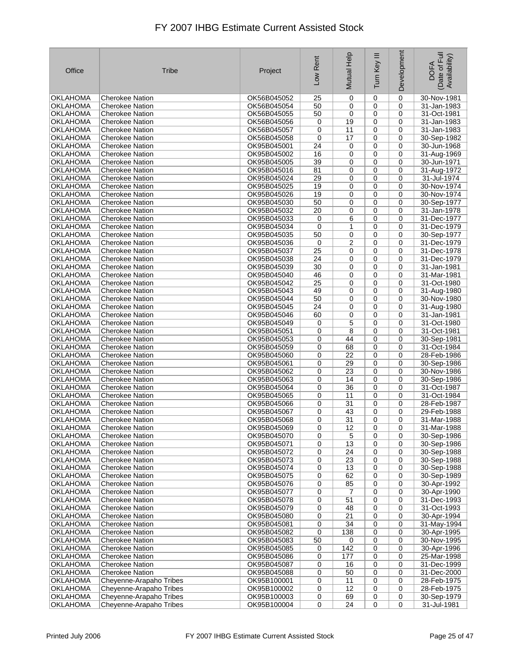| Office                             | <b>Tribe</b>                                       | Project                    | Low Rent | Mutual Help | Ξ<br>Turn Key | Development      | Date of Full<br>Availability)<br><b>DOFA</b> |
|------------------------------------|----------------------------------------------------|----------------------------|----------|-------------|---------------|------------------|----------------------------------------------|
| OKLAHOMA                           | <b>Cherokee Nation</b>                             | OK56B045052                | 25       | 0           | 0             | $\mathbf 0$      | 30-Nov-1981                                  |
| <b>OKLAHOMA</b>                    | <b>Cherokee Nation</b>                             | OK56B045054                | 50       | 0           | 0             | 0                | $31$ -Jan-1983                               |
| <b>OKLAHOMA</b>                    | Cherokee Nation                                    | OK56B045055                | 50       | 0           | 0             | 0                | 31-Oct-1981                                  |
| <b>OKLAHOMA</b>                    | <b>Cherokee Nation</b>                             | OK56B045056                | 0        | 19          | 0             | 0                | 31-Jan-1983                                  |
| OKLAHOMA                           | <b>Cherokee Nation</b>                             | OK56B045057                | 0        | 11          | 0             | 0                | 31-Jan-1983                                  |
| OKLAHOMA                           | <b>Cherokee Nation</b>                             | OK56B045058                | 0        | 17          | 0             | $\mathbf 0$      | 30-Sep-1982                                  |
| <b>OKLAHOMA</b>                    | <b>Cherokee Nation</b>                             | OK95B045001                | 24       | 0           | 0             | 0                | 30-Jun-1968                                  |
| <b>OKLAHOMA</b>                    | <b>Cherokee Nation</b>                             | OK95B045002                | 16       | 0           | 0             | 0                | 31-Aug-1969                                  |
| <b>OKLAHOMA</b>                    | <b>Cherokee Nation</b>                             | OK95B045005                | 39       | 0           | 0             | $\mathbf 0$      | 30-Jun-1971                                  |
| <b>OKLAHOMA</b>                    | <b>Cherokee Nation</b>                             | OK95B045016                | 81       | 0           | 0             | $\mathbf 0$      | 31-Aug-1972                                  |
| OKLAHOMA                           | <b>Cherokee Nation</b>                             | OK95B045024                | 29       | 0           | 0             | 0                | 31-Jul-1974                                  |
| <b>OKLAHOMA</b><br><b>OKLAHOMA</b> | <b>Cherokee Nation</b><br><b>Cherokee Nation</b>   | OK95B045025<br>OK95B045026 | 19<br>19 | 0<br>0      | 0<br>0        | 0<br>$\mathbf 0$ | 30-Nov-1974<br>30-Nov-1974                   |
| <b>OKLAHOMA</b>                    | <b>Cherokee Nation</b>                             | OK95B045030                | 50       | 0           | 0             | 0                | 30-Sep-1977                                  |
| OKLAHOMA                           | <b>Cherokee Nation</b>                             | OK95B045032                | 20       | 0           | $\mathbf 0$   | $\mathbf 0$      | 31-Jan-1978                                  |
| <b>OKLAHOMA</b>                    | <b>Cherokee Nation</b>                             | OK95B045033                | 0        | 6           | 0             | $\mathbf 0$      | 31-Dec-1977                                  |
| <b>OKLAHOMA</b>                    | <b>Cherokee Nation</b>                             | OK95B045034                | 0        | 1           | 0             | 0                | 31-Dec-1979                                  |
| OKLAHOMA                           | <b>Cherokee Nation</b>                             | OK95B045035                | 50       | 0           | 0             | $\mathbf 0$      | 30-Sep-1977                                  |
| <b>OKLAHOMA</b>                    | <b>Cherokee Nation</b>                             | OK95B045036                | 0        | 2           | 0             | 0                | 31-Dec-1979                                  |
| OKLAHOMA                           | <b>Cherokee Nation</b>                             | OK95B045037                | 25       | 0           | 0             | 0                | 31-Dec-1978                                  |
| <b>OKLAHOMA</b>                    | <b>Cherokee Nation</b>                             | OK95B045038                | 24       | 0           | 0             | 0                | 31-Dec-1979                                  |
| <b>OKLAHOMA</b>                    | <b>Cherokee Nation</b>                             | OK95B045039                | 30       | 0           | 0             | 0                | 31-Jan-1981                                  |
| <b>OKLAHOMA</b>                    | <b>Cherokee Nation</b>                             | OK95B045040                | 46       | 0           | 0             | 0                | 31-Mar-1981                                  |
| OKLAHOMA                           | <b>Cherokee Nation</b>                             | OK95B045042                | 25       | 0           | $\mathbf 0$   | 0                | 31-Oct-1980                                  |
| OKLAHOMA                           | <b>Cherokee Nation</b>                             | OK95B045043                | 49       | 0           | 0             | $\mathbf 0$      | 31-Aug-1980                                  |
| <b>OKLAHOMA</b>                    | <b>Cherokee Nation</b>                             | OK95B045044                | 50       | 0           | 0             | 0                | 30-Nov-1980                                  |
| <b>OKLAHOMA</b>                    | <b>Cherokee Nation</b>                             | OK95B045045                | 24       | 0           | 0             | 0                | 31-Aug-1980                                  |
| <b>OKLAHOMA</b>                    | <b>Cherokee Nation</b>                             | OK95B045046                | 60       | 0           | 0             | $\mathbf 0$      | 31-Jan-1981                                  |
| <b>OKLAHOMA</b>                    | Cherokee Nation                                    | OK95B045049                | 0        | 5           | $\mathbf 0$   | $\mathbf 0$      | 31-Oct-1980                                  |
| <b>OKLAHOMA</b>                    | <b>Cherokee Nation</b>                             | OK95B045051                | 0        | 8           | 0             | $\mathbf 0$      | 31-Oct-1981                                  |
| <b>OKLAHOMA</b>                    | <b>Cherokee Nation</b>                             | OK95B045053                | 0        | 44          | 0             | 0                | 30-Sep-1981                                  |
| <b>OKLAHOMA</b>                    | <b>Cherokee Nation</b>                             | OK95B045059                | 0        | 68          | 0             | 0                | 31-Oct-1984                                  |
| <b>OKLAHOMA</b>                    | <b>Cherokee Nation</b>                             | OK95B045060                | 0        | 22          | 0             | 0                | 28-Feb-1986                                  |
| <b>OKLAHOMA</b>                    | <b>Cherokee Nation</b>                             | OK95B045061                | 0        | 29          | 0             | $\mathbf 0$      | 30-Sep-1986                                  |
| <b>OKLAHOMA</b>                    | <b>Cherokee Nation</b>                             | OK95B045062                | 0        | 23          | 0             | 0                | 30-Nov-1986                                  |
| <b>OKLAHOMA</b>                    | <b>Cherokee Nation</b>                             | OK95B045063                | 0        | 14          | 0             | 0                | 30-Sep-1986                                  |
| <b>OKLAHOMA</b><br><b>OKLAHOMA</b> | <b>Cherokee Nation</b>                             | OK95B045064<br>OK95B045065 | 0        | 36          | 0             | $\mathbf 0$<br>0 | 31-Oct-1987                                  |
| <b>OKLAHOMA</b>                    | <b>Cherokee Nation</b><br><b>Cherokee Nation</b>   | OK95B045066                | 0<br>0   | 11<br>31    | 0<br>0        | 0                | 31-Oct-1984<br>28-Feb-1987                   |
| <b>OKLAHOMA</b>                    | <b>Cherokee Nation</b>                             | OK95B045067                | 0        | 43          | 0             | 0                | 29-Feb-1988                                  |
| OKLAHOMA                           | <b>Cherokee Nation</b>                             | OK95B045068                | 0        | 31          | $\mathbf 0$   | 0                | 31-Mar-1988                                  |
| <b>OKLAHOMA</b>                    | <b>Cherokee Nation</b>                             | OK95B045069                | 0        | 12          | 0             | 0                | 31-Mar-1988                                  |
| OKLAHOMA                           | <b>Cherokee Nation</b>                             | OK95B045070                | 0        | 5           | 0             | 0                | 30-Sep-1986                                  |
| <b>OKLAHOMA</b>                    | <b>Cherokee Nation</b>                             | OK95B045071                | 0        | 13          | 0             | 0                | 30-Sep-1986                                  |
| <b>OKLAHOMA</b>                    | <b>Cherokee Nation</b>                             | OK95B045072                | 0        | 24          | 0             | 0                | 30-Sep-1988                                  |
| <b>OKLAHOMA</b>                    | <b>Cherokee Nation</b>                             | OK95B045073                | 0        | 23          | 0             | 0                | 30-Sep-1988                                  |
| <b>OKLAHOMA</b>                    | <b>Cherokee Nation</b>                             | OK95B045074                | 0        | 13          | $\mathbf 0$   | 0                | 30-Sep-1988                                  |
| <b>OKLAHOMA</b>                    | <b>Cherokee Nation</b>                             | OK95B045075                | 0        | 62          | 0             | 0                | 30-Sep-1989                                  |
| OKLAHOMA                           | <b>Cherokee Nation</b>                             | OK95B045076                | 0        | 85          | 0             | $\mathbf 0$      | 30-Apr-1992                                  |
| <b>OKLAHOMA</b>                    | Cherokee Nation                                    | OK95B045077                | 0        | 7           | 0             | 0                | 30-Apr-1990                                  |
| <b>OKLAHOMA</b>                    | <b>Cherokee Nation</b>                             | OK95B045078                | 0        | 51          | 0             | 0                | 31-Dec-1993                                  |
| OKLAHOMA                           | <b>Cherokee Nation</b>                             | OK95B045079                | 0        | 48          | 0             | 0                | 31-Oct-1993                                  |
| <b>OKLAHOMA</b>                    | <b>Cherokee Nation</b>                             | OK95B045080                | 0        | 21          | 0             | 0                | 30-Apr-1994                                  |
| <b>OKLAHOMA</b>                    | <b>Cherokee Nation</b>                             | OK95B045081                | 0        | 34          | 0             | 0                | 31-May-1994                                  |
| OKLAHOMA                           | <b>Cherokee Nation</b>                             | OK95B045082                | 0        | 138         | 0             | 0                | 30-Apr-1995                                  |
| <b>OKLAHOMA</b>                    | <b>Cherokee Nation</b>                             | OK95B045083                | 50       | 0           | 0             | 0                | 30-Nov-1995                                  |
| <b>OKLAHOMA</b>                    | Cherokee Nation                                    | OK95B045085                | 0        | 142         | 0             | 0                | 30-Apr-1996                                  |
| <b>OKLAHOMA</b>                    | <b>Cherokee Nation</b>                             | OK95B045086                | 0        | 177         | 0             | 0                | 25-Mar-1998                                  |
| OKLAHOMA                           | <b>Cherokee Nation</b>                             | OK95B045087                | 0        | 16          | 0             | $\mathbf 0$      | 31-Dec-1999                                  |
| <b>OKLAHOMA</b>                    | <b>Cherokee Nation</b>                             | OK95B045088                | 0        | 50          | 0             | 0                | 31-Dec-2000                                  |
| <b>OKLAHOMA</b>                    | Cheyenne-Arapaho Tribes                            | OK95B100001                | 0        | 11          | 0             | 0                | 28-Feb-1975                                  |
| <b>OKLAHOMA</b><br><b>OKLAHOMA</b> | Cheyenne-Arapaho Tribes<br>Cheyenne-Arapaho Tribes | OK95B100002<br>OK95B100003 | 0<br>0   | 12<br>69    | 0<br>0        | 0<br>0           | 28-Feb-1975<br>30-Sep-1979                   |
| <b>OKLAHOMA</b>                    | Cheyenne-Arapaho Tribes                            | OK95B100004                | 0        | 24          | $\mathbf 0$   | 0                | 31-Jul-1981                                  |
|                                    |                                                    |                            |          |             |               |                  |                                              |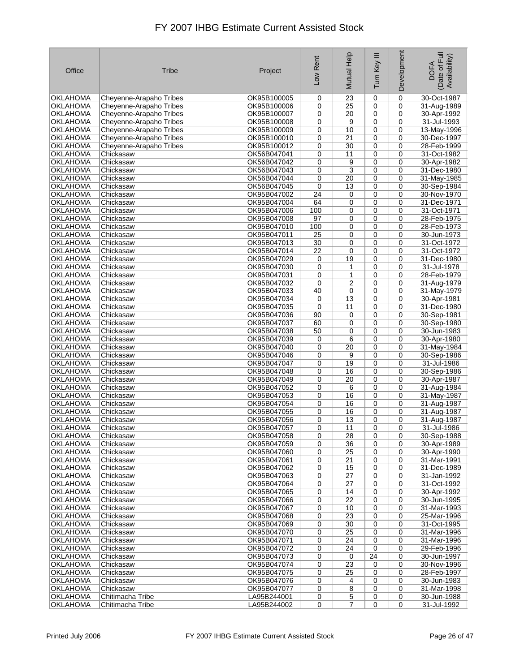| Office          | <b>Tribe</b>            | Project     | Low Rent        | Mutual Help     | Ξ<br>Turn Key | Development | Date of Full<br>Availability)<br><b>DOFA</b> |
|-----------------|-------------------------|-------------|-----------------|-----------------|---------------|-------------|----------------------------------------------|
| OKLAHOMA        | Cheyenne-Arapaho Tribes | OK95B100005 | 0               | 23              | 0             | 0           | 30-Oct-1987                                  |
| <b>OKLAHOMA</b> | Cheyenne-Arapaho Tribes | OK95B100006 | 0               | 25              | 0             | 0           | 31-Aug-1989                                  |
| <b>OKLAHOMA</b> | Cheyenne-Arapaho Tribes | OK95B100007 | 0               | 20              | 0             | 0           | 30-Apr-1992                                  |
| <b>OKLAHOMA</b> | Cheyenne-Arapaho Tribes | OK95B100008 | 0               | 9               | 0             | 0           | 31-Jul-1993                                  |
| OKLAHOMA        | Cheyenne-Arapaho Tribes | OK95B100009 | 0               | 10              | 0             | 0           | 13-May-1996                                  |
| OKLAHOMA        | Cheyenne-Arapaho Tribes | OK95B100010 | 0               | 21              | 0             | 0           | 30-Dec-1997                                  |
| <b>OKLAHOMA</b> | Cheyenne-Arapaho Tribes | OK95B100012 | 0               | 30              | 0             | 0           | 28-Feb-1999                                  |
| <b>OKLAHOMA</b> | Chickasaw               | OK56B047041 | 0               | 11              | 0             | 0           | 31-Oct-1982                                  |
| <b>OKLAHOMA</b> | Chickasaw               | OK56B047042 | 0               | 9               | 0             | 0           | 30-Apr-1982                                  |
| <b>OKLAHOMA</b> | Chickasaw               | OK56B047043 | 0               | 3               | $\mathbf 0$   | 0           | 31-Dec-1980                                  |
| OKLAHOMA        | Chickasaw               | OK56B047044 | 0               | 20              | 0             | 0           | 31-May-1985                                  |
| <b>OKLAHOMA</b> | Chickasaw               | OK56B047045 | 0               | 13              | 0             | 0           | 30-Sep-1984                                  |
| <b>OKLAHOMA</b> | Chickasaw               | OK95B047002 | 24              | 0               | 0             | 0           | 30-Nov-1970                                  |
| <b>OKLAHOMA</b> | Chickasaw               | OK95B047004 | 64              | 0               | 0             | 0           | 31-Dec-1971                                  |
| <b>OKLAHOMA</b> | Chickasaw               | OK95B047006 | 100             | 0               | 0             | 0           | 31-Oct-1971                                  |
| <b>OKLAHOMA</b> | Chickasaw               | OK95B047008 | 97              | 0               | 0             | 0           | 28-Feb-1975                                  |
| <b>OKLAHOMA</b> | Chickasaw               | OK95B047010 | 100             | 0               | 0             | 0           | 28-Feb-1973                                  |
| <b>OKLAHOMA</b> | Chickasaw               | OK95B047011 | $\overline{25}$ | 0               | 0             | 0           | 30-Jun-1973                                  |
| <b>OKLAHOMA</b> | Chickasaw               | OK95B047013 | 30              | 0               | 0             | 0           | 31-Oct-1972                                  |
| OKLAHOMA        | Chickasaw               | OK95B047014 | 22              | 0               | 0             | 0           | 31-Oct-1972                                  |
| <b>OKLAHOMA</b> | Chickasaw               | OK95B047029 | 0               | 19              | 0             | 0           | 31-Dec-1980                                  |
| <b>OKLAHOMA</b> | Chickasaw               | OK95B047030 | 0               | 1               | 0             | 0           | 31-Jul-1978                                  |
| <b>OKLAHOMA</b> | Chickasaw               | OK95B047031 | 0               | $\mathbf{1}$    | 0             | 0           | 28-Feb-1979                                  |
| OKLAHOMA        | Chickasaw               | OK95B047032 | 0               | 2               | 0             | 0           | 31-Aug-1979                                  |
| OKLAHOMA        | Chickasaw               | OK95B047033 | 40              | 0               | 0             | 0           | 31-May-1979                                  |
| <b>OKLAHOMA</b> | Chickasaw               | OK95B047034 | 0               | 13              | 0             | 0           | 30-Apr-1981                                  |
| <b>OKLAHOMA</b> | Chickasaw               | OK95B047035 | 0               | 11              | 0             | 0           | 31-Dec-1980                                  |
| <b>OKLAHOMA</b> | Chickasaw               | OK95B047036 | 90              | 0               | 0             | 0           | 30-Sep-1981                                  |
| <b>OKLAHOMA</b> | Chickasaw               | OK95B047037 | 60              | 0               | 0             | 0           | 30-Sep-1980                                  |
| OKLAHOMA        | Chickasaw               | OK95B047038 | 50              | 0               | 0             | 0           | 30-Jun-1983                                  |
| <b>OKLAHOMA</b> | Chickasaw               | OK95B047039 | 0               | 6               | 0             | 0           | 30-Apr-1980                                  |
| <b>OKLAHOMA</b> | Chickasaw               | OK95B047040 | 0               | $\overline{20}$ | 0             | 0           | 31-May-1984                                  |
| <b>OKLAHOMA</b> | Chickasaw               | OK95B047046 | 0               | 9               | 0             | 0           | 30-Sep-1986                                  |
| <b>OKLAHOMA</b> | Chickasaw               | OK95B047047 | 0               | 19              | $\mathbf 0$   | $\mathbf 0$ | 31-Jul-1986                                  |
| <b>OKLAHOMA</b> | Chickasaw               | OK95B047048 | 0               | 16              | 0             | 0           | 30-Sep-1986                                  |
| <b>OKLAHOMA</b> | Chickasaw               | OK95B047049 | 0               | 20              | 0             | 0           | 30-Apr-1987                                  |
| <b>OKLAHOMA</b> | Chickasaw               | OK95B047052 | 0               | 6               | 0             | 0           | 31-Aug-1984                                  |
| <b>OKLAHOMA</b> | Chickasaw               | OK95B047053 | 0               | 16              | 0             | 0           | 31-May-1987                                  |
| <b>OKLAHOMA</b> | Chickasaw               | OK95B047054 | 0               | 16              | 0             | 0           | 31-Aug-1987                                  |
| <b>OKLAHOMA</b> | Chickasaw               | OK95B047055 | 0               | 16              | 0             | 0           | 31-Aug-1987                                  |
| <b>OKLAHOMA</b> | Chickasaw               | OK95B047056 | 0               | 13              | 0             | 0           | 31-Aug-1987                                  |
| <b>OKLAHOMA</b> | Chickasaw               | OK95B047057 | 0               | 11              | 0             | 0           | 31-Jul-1986                                  |
| OKLAHOMA        | Chickasaw               | OK95B047058 | 0               | 28              | 0             | 0           | 30-Sep-1988                                  |
| <b>OKLAHOMA</b> | Chickasaw               | OK95B047059 | 0               | 36              | 0             | 0           | 30-Apr-1989                                  |
| OKLAHOMA        | Chickasaw               | OK95B047060 | 0               | 25              | 0             | 0           | 30-Apr-1990                                  |
| OKLAHOMA        | Chickasaw               | OK95B047061 | 0               | 21              | 0             | 0           | 31-Mar-1991                                  |
| <b>OKLAHOMA</b> | Chickasaw               | OK95B047062 | 0               | 15              | 0             | 0           | 31-Dec-1989                                  |
| OKLAHOMA        | Chickasaw               | OK95B047063 | 0               | 27              | 0             | 0           | 31-Jan-1992                                  |
| OKLAHOMA        | Chickasaw               | OK95B047064 | 0               | 27              | 0             | 0           | 31-Oct-1992                                  |
| <b>OKLAHOMA</b> | Chickasaw               | OK95B047065 | 0               | 14              | 0             | 0           | 30-Apr-1992                                  |
| <b>OKLAHOMA</b> | Chickasaw               | OK95B047066 | 0               | 22              | 0             | 0           | 30-Jun-1995                                  |
| <b>OKLAHOMA</b> | Chickasaw               | OK95B047067 | 0               | 10              | 0             | 0           | 31-Mar-1993                                  |
| <b>OKLAHOMA</b> | Chickasaw               | OK95B047068 | 0               | 23              | 0             | 0           | 25-Mar-1996                                  |
| <b>OKLAHOMA</b> | Chickasaw               | OK95B047069 | 0               | 30              | 0             | 0           | 31-Oct-1995                                  |
| OKLAHOMA        | Chickasaw               | OK95B047070 | 0               | 25              | 0             | 0           | 31-Mar-1996                                  |
| OKLAHOMA        | Chickasaw               | OK95B047071 | 0               | 24              | 0             | 0           | 31-Mar-1996                                  |
| <b>OKLAHOMA</b> | Chickasaw               | OK95B047072 | 0               | 24              | 0             | 0           | 29-Feb-1996                                  |
| <b>OKLAHOMA</b> | Chickasaw               | OK95B047073 | 0               | 0               | 24            | 0           | 30-Jun-1997                                  |
| <b>OKLAHOMA</b> | Chickasaw               | OK95B047074 | 0               | 23              | 0             | 0           | 30-Nov-1996                                  |
| <b>OKLAHOMA</b> | Chickasaw               | OK95B047075 | 0               | 25              | 0             | 0           | 28-Feb-1997                                  |
| OKLAHOMA        | Chickasaw               | OK95B047076 | 0               | 4               | 0             | 0           | 30-Jun-1983                                  |
| OKLAHOMA        | Chickasaw               | OK95B047077 | 0               | 8               | 0             | 0           | 31-Mar-1998                                  |
| <b>OKLAHOMA</b> | Chitimacha Tribe        | LA95B244001 | 0               | 5               | 0             | 0           | 30-Jun-1988                                  |
| <b>OKLAHOMA</b> | Chitimacha Tribe        | LA95B244002 | 0               | 7               | $\mathbf 0$   | 0           | 31-Jul-1992                                  |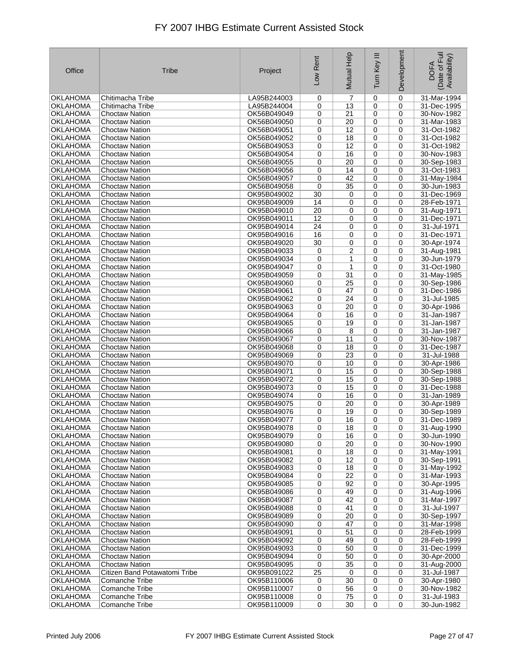| Office          | <b>Tribe</b>                  | Project     | Low Rent    | Mutual Help     | Ξ<br>Tum Key | Development | Date of Full<br>Availability)<br><b>DOFA</b> |
|-----------------|-------------------------------|-------------|-------------|-----------------|--------------|-------------|----------------------------------------------|
| OKLAHOMA        | Chitimacha Tribe              | LA95B244003 | 0           | 7               | 0            | 0           | 31-Mar-1994                                  |
| <b>OKLAHOMA</b> | Chitimacha Tribe              | LA95B244004 | 0           | 13              | 0            | 0           | 31-Dec-1995                                  |
| <b>OKLAHOMA</b> | Choctaw Nation                | OK56B049049 | 0           | $\overline{21}$ | 0            | 0           | 30-Nov-1982                                  |
| <b>OKLAHOMA</b> | <b>Choctaw Nation</b>         | OK56B049050 | 0           | 20              | 0            | 0           | 31-Mar-1983                                  |
| OKLAHOMA        | <b>Choctaw Nation</b>         | OK56B049051 | 0           | 12              | 0            | 0           | 31-Oct-1982                                  |
| OKLAHOMA        | <b>Choctaw Nation</b>         | OK56B049052 | 0           | 18              | 0            | 0           | 31-Oct-1982                                  |
| <b>OKLAHOMA</b> | <b>Choctaw Nation</b>         | OK56B049053 | 0           | 12              | 0            | 0           | 31-Oct-1982                                  |
| <b>OKLAHOMA</b> | <b>Choctaw Nation</b>         | OK56B049054 | 0           | 16              | 0            | 0           | 30-Nov-1983                                  |
| <b>OKLAHOMA</b> | <b>Choctaw Nation</b>         | OK56B049055 | 0           | 20              | 0            | 0           | 30-Sep-1983                                  |
| <b>OKLAHOMA</b> | <b>Choctaw Nation</b>         | OK56B049056 | 0           | 14              | 0            | 0           | 31-Oct-1983                                  |
| OKLAHOMA        | <b>Choctaw Nation</b>         | OK56B049057 | 0           | 42              | 0            | 0           | 31-May-1984                                  |
| <b>OKLAHOMA</b> | <b>Choctaw Nation</b>         | OK56B049058 | 0           | 35              | 0            | 0           | 30-Jun-1983                                  |
| <b>OKLAHOMA</b> | <b>Choctaw Nation</b>         | OK95B049002 | 30          | 0               | 0            | 0           | 31-Dec-1969                                  |
| <b>OKLAHOMA</b> | <b>Choctaw Nation</b>         | OK95B049009 | 14          | 0               | 0            | 0           | 28-Feb-1971                                  |
| <b>OKLAHOMA</b> | <b>Choctaw Nation</b>         | OK95B049010 | 20          | 0               | 0            | 0           | 31-Aug-1971                                  |
| <b>OKLAHOMA</b> | <b>Choctaw Nation</b>         | OK95B049011 | 12          | 0               | 0            | 0           | 31-Dec-1971                                  |
| OKLAHOMA        | <b>Choctaw Nation</b>         | OK95B049014 | 24          | 0               | 0            | 0           | 31-Jul-1971                                  |
| OKLAHOMA        | <b>Choctaw Nation</b>         | OK95B049016 | 16          | 0               | 0            | 0           | 31-Dec-1971                                  |
| <b>OKLAHOMA</b> | <b>Choctaw Nation</b>         | OK95B049020 | 30          | 0               | 0            | 0           | 30-Apr-1974                                  |
| OKLAHOMA        | <b>Choctaw Nation</b>         | OK95B049033 | 0           | 2               | 0            | 0           | 31-Aug-1981                                  |
| <b>OKLAHOMA</b> | <b>Choctaw Nation</b>         | OK95B049034 | 0           | 1               | 0            | 0           | 30-Jun-1979                                  |
| <b>OKLAHOMA</b> | Choctaw Nation                | OK95B049047 | 0           | $\mathbf{1}$    | 0            | 0           | 31-Oct-1980                                  |
| <b>OKLAHOMA</b> | <b>Choctaw Nation</b>         | OK95B049059 | 0           | 31              | 0            | 0           | 31-May-1985                                  |
| OKLAHOMA        | <b>Choctaw Nation</b>         | OK95B049060 | 0           | 25              | 0            | 0           | 30-Sep-1986                                  |
| OKLAHOMA        | <b>Choctaw Nation</b>         | OK95B049061 | 0           | 47              | 0            | 0           | 31-Dec-1986                                  |
| <b>OKLAHOMA</b> | <b>Choctaw Nation</b>         | OK95B049062 | 0           | 24              | 0            | 0           | 31-Jul-1985                                  |
| <b>OKLAHOMA</b> | <b>Choctaw Nation</b>         | OK95B049063 | 0           | 20              | 0            | 0           | 30-Apr-1986                                  |
| <b>OKLAHOMA</b> | <b>Choctaw Nation</b>         | OK95B049064 | 0           | 16              | 0            | 0           | 31-Jan-1987                                  |
| <b>OKLAHOMA</b> | <b>Choctaw Nation</b>         | OK95B049065 | 0           | 19              | 0            | 0           | 31-Jan-1987                                  |
| <b>OKLAHOMA</b> | <b>Choctaw Nation</b>         | OK95B049066 | 0           | 8               | 0            | 0           | 31-Jan-1987                                  |
| <b>OKLAHOMA</b> | <b>Choctaw Nation</b>         | OK95B049067 | 0           | 11              | 0            | 0           | 30-Nov-1987                                  |
| <b>OKLAHOMA</b> | <b>Choctaw Nation</b>         | OK95B049068 | 0           | 18              | 0            | 0           | 31-Dec-1987                                  |
| <b>OKLAHOMA</b> | <b>Choctaw Nation</b>         | OK95B049069 | 0           | 23              | 0            | 0           | 31-Jul-1988                                  |
| <b>OKLAHOMA</b> | <b>Choctaw Nation</b>         | OK95B049070 | 0           | 10              | $\mathbf 0$  | 0           | 30-Apr-1986                                  |
| <b>OKLAHOMA</b> | <b>Choctaw Nation</b>         | OK95B049071 | 0           | 15              | 0            | 0           | 30-Sep-1988                                  |
| <b>OKLAHOMA</b> | <b>Choctaw Nation</b>         | OK95B049072 | 0           | 15              | 0            | 0           | 30-Sep-1988                                  |
| <b>OKLAHOMA</b> | <b>Choctaw Nation</b>         | OK95B049073 | 0           | 15              | 0            | 0           | 31-Dec-1988                                  |
| <b>OKLAHOMA</b> | <b>Choctaw Nation</b>         | OK95B049074 | 0           | 16              | 0            | 0           | 31-Jan-1989                                  |
| <b>OKLAHOMA</b> | <b>Choctaw Nation</b>         | OK95B049075 | 0           | 20              | 0            | 0           | 30-Apr-1989                                  |
| <b>OKLAHOMA</b> | <b>Choctaw Nation</b>         | OK95B049076 | 0           | 19              | 0            | 0           | 30-Sep-1989                                  |
| <b>OKLAHOMA</b> | <b>Choctaw Nation</b>         | OK95B049077 | 0           | 16              | 0            | 0           | 31-Dec-1989                                  |
| <b>OKLAHOMA</b> | <b>Choctaw Nation</b>         | OK95B049078 | 0           | 18              | 0            | 0           | 31-Aug-1990                                  |
| OKLAHOMA        | <b>Choctaw Nation</b>         | OK95B049079 | 0           | 16              | 0            | 0           | 30-Jun-1990                                  |
| <b>OKLAHOMA</b> | <b>Choctaw Nation</b>         | OK95B049080 | 0           | 20              | 0            | 0           | 30-Nov-1990                                  |
| <b>OKLAHOMA</b> | <b>Choctaw Nation</b>         | OK95B049081 | 0           | 18              | 0            | 0           | 31-May-1991                                  |
| <b>OKLAHOMA</b> | <b>Choctaw Nation</b>         | OK95B049082 | 0           | 12              | 0            | 0           | 30-Sep-1991                                  |
| <b>OKLAHOMA</b> | <b>Choctaw Nation</b>         | OK95B049083 | 0           | 18              | 0            | 0           | 31-May-1992                                  |
| <b>OKLAHOMA</b> | <b>Choctaw Nation</b>         | OK95B049084 | 0           | 22              | 0            | 0           | 31-Mar-1993                                  |
| OKLAHOMA        | <b>Choctaw Nation</b>         | OK95B049085 | 0           | 92              | 0            | 0           | 30-Apr-1995                                  |
| <b>OKLAHOMA</b> | <b>Choctaw Nation</b>         | OK95B049086 | 0           | 49              | 0            | 0           | 31-Aug-1996                                  |
| <b>OKLAHOMA</b> | <b>Choctaw Nation</b>         | OK95B049087 | 0           | 42              | 0            | 0           | 31-Mar-1997                                  |
| <b>OKLAHOMA</b> | <b>Choctaw Nation</b>         | OK95B049088 | 0           | 41              | 0            | 0           | 31-Jul-1997                                  |
| <b>OKLAHOMA</b> | <b>Choctaw Nation</b>         | OK95B049089 | 0           | 20              | 0            | 0           | 30-Sep-1997                                  |
| <b>OKLAHOMA</b> | <b>Choctaw Nation</b>         | OK95B049090 | 0           | 47              | 0            | 0           | 31-Mar-1998                                  |
| OKLAHOMA        | <b>Choctaw Nation</b>         | OK95B049091 | 0           | 51              | 0            | 0           | 28-Feb-1999                                  |
| OKLAHOMA        | <b>Choctaw Nation</b>         | OK95B049092 | 0           | 49              | 0            | 0           | 28-Feb-1999                                  |
| <b>OKLAHOMA</b> | <b>Choctaw Nation</b>         | OK95B049093 | 0           | 50              | 0            | 0           | 31-Dec-1999                                  |
| <b>OKLAHOMA</b> | <b>Choctaw Nation</b>         | OK95B049094 | 0           | 50              | 0            | 0           | 30-Apr-2000                                  |
| <b>OKLAHOMA</b> | <b>Choctaw Nation</b>         | OK95B049095 | $\mathbf 0$ | 35              | 0            | 0           | 31-Aug-2000                                  |
| <b>OKLAHOMA</b> | Citizen Band Potawatomi Tribe | OK95B091022 | 25          | 0               | 0            | 0           | 31-Jul-1987                                  |
| <b>OKLAHOMA</b> | Comanche Tribe                | OK95B110006 | 0           | 30              | 0            | 0           | 30-Apr-1980                                  |
| OKLAHOMA        | Comanche Tribe                | OK95B110007 | 0           | 56              | 0            | 0           | 30-Nov-1982                                  |
| <b>OKLAHOMA</b> | Comanche Tribe                | OK95B110008 | 0           | 75              | 0            | 0           | 31-Jul-1983                                  |
| <b>OKLAHOMA</b> | Comanche Tribe                | OK95B110009 | 0           | 30              | $\mathbf 0$  | 0           | 30-Jun-1982                                  |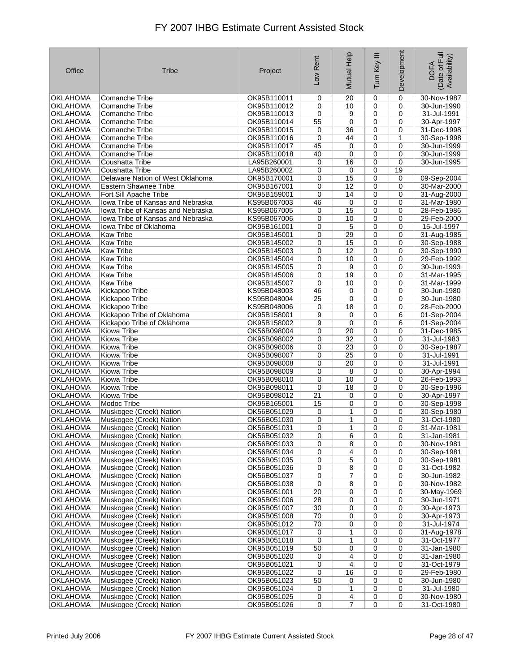| Office                      | Tribe                                              | Project                    | Low Rent         | Mutual Help     | Ξ<br>Turn Key  | Development      | Date of Full<br>Availability)<br><b>DOFA</b> |
|-----------------------------|----------------------------------------------------|----------------------------|------------------|-----------------|----------------|------------------|----------------------------------------------|
| OKLAHOMA                    | Comanche Tribe                                     | OK95B110011                | 0                | 20              | $\mathbf 0$    | $\mathbf 0$      | 30-Nov-1987                                  |
| OKLAHOMA                    | <b>Comanche Tribe</b>                              | OK95B110012                | 0                | 10              | 0              | 0                | 30-Jun-1990                                  |
| OKLAHOMA                    | Comanche Tribe                                     | OK95B110013                | 0                | 9               | 0              | 0                | 31-Jul-1991                                  |
| OKLAHOMA                    | Comanche Tribe                                     | OK95B110014                | 55               | 0               | 0              | $\mathbf 0$      | 30-Apr-1997                                  |
| OKLAHOMA                    | Comanche Tribe                                     | OK95B110015                | 0                | 36              | $\mathbf 0$    | 0                | 31-Dec-1998                                  |
| OKLAHOMA                    | <b>Comanche Tribe</b>                              | OK95B110016                | 0                | 44              | 0              | $\mathbf{1}$     | 30-Sep-1998                                  |
| OKLAHOMA                    | <b>Comanche Tribe</b>                              | OK95B110017                | 45               | 0               | 0              | 0                | 30-Jun-1999                                  |
| OKLAHOMA                    | Comanche Tribe                                     | OK95B110018                | 40               | 0               | 0              | 0                | 30-Jun-1999                                  |
| <b>OKLAHOMA</b>             | Coushatta Tribe                                    | LA95B260001                | 0                | 16              | $\mathbf 0$    | $\mathbf 0$      | 30-Jun-1995                                  |
| OKLAHOMA                    | Coushatta Tribe                                    | LA95B260002                | 0                | 0               | $\mathbf 0$    | 19               |                                              |
| OKLAHOMA                    | Delaware Nation of West Oklahoma                   | OK95B170001                | 0                | 15              | $\mathbf 0$    | $\mathbf 0$      | 09-Sep-2004                                  |
| OKLAHOMA                    | Eastern Shawnee Tribe                              | OK95B167001                | 0                | 12              | 0              | 0                | 30-Mar-2000                                  |
| OKLAHOMA                    | Fort Sill Apache Tribe                             | OK95B159001                | 0                | 14              | 0              | $\mathbf 0$      | 31-Aug-2000                                  |
| <b>OKLAHOMA</b>             | Iowa Tribe of Kansas and Nebraska                  | KS95B067003                | 46               | 0               | 0              | 0                | 31-Mar-1980                                  |
| <b>OKLAHOMA</b>             | lowa Tribe of Kansas and Nebraska                  | KS95B067005                | 0                | 15              | $\mathbf 0$    | 0                | 28-Feb-1986                                  |
| <b>OKLAHOMA</b>             | lowa Tribe of Kansas and Nebraska                  | KS95B067006                | 0                | 10              | $\mathbf 0$    | $\mathbf 0$      | 29-Feb-2000                                  |
| OKLAHOMA                    | lowa Tribe of Oklahoma                             | OK95B161001                | 0                | 5               | $\mathbf 0$    | 0                | 15-Jul-1997                                  |
| OKLAHOMA                    | <b>Kaw Tribe</b>                                   | OK95B145001<br>OK95B145002 | 0                | 29              | $\mathbf 0$    | $\mathbf 0$      | 31-Aug-1985                                  |
| <b>OKLAHOMA</b>             | <b>Kaw Tribe</b><br><b>Kaw Tribe</b>               |                            | 0                | 15<br>12        | 0              | 0                | 30-Sep-1988                                  |
| OKLAHOMA<br>OKLAHOMA        | <b>Kaw Tribe</b>                                   | OK95B145003<br>OK95B145004 | 0<br>0           | 10              | 0<br>0         | 0<br>$\mathbf 0$ | 30-Sep-1990<br>29-Feb-1992                   |
| <b>OKLAHOMA</b>             | <b>Kaw Tribe</b>                                   | OK95B145005                | 0                | 9               | 0              | 0                | 30-Jun-1993                                  |
| <b>OKLAHOMA</b>             | <b>Kaw Tribe</b>                                   | OK95B145006                | 0                | 19              | $\mathbf 0$    | $\mathbf 0$      | 31-Mar-1995                                  |
| OKLAHOMA                    | <b>Kaw Tribe</b>                                   | OK95B145007                | 0                | 10              | 0              | 0                | 31-Mar-1999                                  |
| OKLAHOMA                    | Kickapoo Tribe                                     | KS95B048003                | 46               | 0               | $\mathbf 0$    | $\mathbf 0$      | 30-Jun-1980                                  |
| <b>OKLAHOMA</b>             | Kickapoo Tribe                                     | KS95B048004                | 25               | 0               | 0              | 0                | 30-Jun-1980                                  |
| OKLAHOMA                    | Kickapoo Tribe                                     | KS95B048006                | 0                | 18              | 0              | $\mathbf 0$      | 28-Feb-2000                                  |
| <b>OKLAHOMA</b>             | Kickapoo Tribe of Oklahoma                         | OK95B158001                | 9                | 0               | $\mathbf 0$    | 6                | 01-Sep-2004                                  |
| <b>OKLAHOMA</b>             | Kickapoo Tribe of Oklahoma                         | OK95B158002                | 9                | 0               | $\mathbf 0$    | 6                | 01-Sep-2004                                  |
| OKLAHOMA                    | Kiowa Tribe                                        | OK56B098004                | 0                | 20              | $\mathbf 0$    | $\mathbf 0$      | 31-Dec-1985                                  |
| OKLAHOMA                    | Kiowa Tribe                                        | OK95B098002                | 0                | 32              | 0              | 0                | 31-Jul-1983                                  |
| OKLAHOMA                    | Kiowa Tribe                                        | OK95B098006                | 0                | $\overline{23}$ | 0              | 0                | 30-Sep-1987                                  |
| <b>OKLAHOMA</b>             | Kiowa Tribe                                        | OK95B098007                | 0                | 25              | 0              | $\mathbf 0$      | 31-Jul-1991                                  |
| <b>OKLAHOMA</b>             | Kiowa Tribe                                        | OK95B098008                | 0                | 20              | $\mathbf 0$    | $\mathbf 0$      | 31-Jul-1991                                  |
| OKLAHOMA                    | Kiowa Tribe                                        | OK95B098009                | 0                | 8               | $\mathbf 0$    | $\mathbf 0$      | 30-Apr-1994                                  |
| <b>OKLAHOMA</b>             | Kiowa Tribe                                        | OK95B098010                | 0                | 10              | $\mathbf 0$    | 0                | 26-Feb-1993                                  |
| <b>OKLAHOMA</b>             | Kiowa Tribe                                        | OK95B098011                | $\mathbf 0$      | 18              | $\mathbf 0$    | $\mathbf 0$      | 30-Sep-1996                                  |
| OKLAHOMA                    | Kiowa Tribe                                        | OK95B098012                | 21               | 0               | 0              | 0                | 30-Apr-1997                                  |
| <b>OKLAHOMA</b>             | Modoc Tribe                                        | OK95B165001                | 15               | 0               | 0              | 0                | 30-Sep-1998                                  |
| OKLAHOMA                    | Muskogee (Creek) Nation                            | OK56B051029                | 0                | 1               | 0              | $\mathbf 0$      | 30-Sep-1980                                  |
| OKLAHOMA                    | Muskogee (Creek) Nation                            | OK56B051030                | 0                | 1               | $\mathbf 0$    | 0                | 31-Oct-1980                                  |
| <b>OKLAHOMA</b>             | Muskogee (Creek) Nation                            | OK56B051031                | 0                | 1               | 0              | 0                | 31-Mar-1981                                  |
| <b>OKLAHOMA</b>             | Muskogee (Creek) Nation                            | OK56B051032                | 0                | 6               | 0              | 0                | 31-Jan-1981                                  |
| <b>OKLAHOMA</b>             | Muskogee (Creek) Nation                            | OK56B051033                | 0                | 8               | 0              | 0                | 30-Nov-1981                                  |
| OKLAHOMA                    | Muskogee (Creek) Nation                            | OK56B051034                | 0                | 4               | 0              | 0                | 30-Sep-1981                                  |
| <b>OKLAHOMA</b>             | Muskogee (Creek) Nation                            | OK56B051035                | 0                | 5               | 0              | 0                | 30-Sep-1981                                  |
| <b>OKLAHOMA</b>             | Muskogee (Creek) Nation                            | OK56B051036                | 0                | 8               | $\mathbf 0$    | 0                | 31-Oct-1982                                  |
| <b>OKLAHOMA</b><br>OKLAHOMA | Muskogee (Creek) Nation<br>Muskogee (Creek) Nation | OK56B051037<br>OK56B051038 | 0<br>$\mathbf 0$ | 7<br>8          | 0<br>0         | 0<br>0           | 30-Jun-1982<br>30-Nov-1982                   |
| <b>OKLAHOMA</b>             | Muskogee (Creek) Nation                            | OK95B051001                | 20               | 0               | 0              | 0                | 30-May-1969                                  |
| <b>OKLAHOMA</b>             | Muskogee (Creek) Nation                            | OK95B051006                | 28               | 0               | 0              | 0                | 30-Jun-1971                                  |
| OKLAHOMA                    | Muskogee (Creek) Nation                            | OK95B051007                | 30               | 0               | 0              | $\mathbf 0$      | 30-Apr-1973                                  |
| <b>OKLAHOMA</b>             | Muskogee (Creek) Nation                            | OK95B051008                | 70               | 0               | 0              | 0                | 30-Apr-1973                                  |
| <b>OKLAHOMA</b>             | Muskogee (Creek) Nation                            | OK95B051012                | 70               | 0               | 0              | $\mathbf 0$      | 31-Jul-1974                                  |
| OKLAHOMA                    | Muskogee (Creek) Nation                            | OK95B051017                | 0                | 1               | $\mathbf 0$    | 0                | 31-Aug-1978                                  |
| <b>OKLAHOMA</b>             | Muskogee (Creek) Nation                            | OK95B051018                | 0                | 1               | 0              | 0                | 31-Oct-1977                                  |
| <b>OKLAHOMA</b>             | Muskogee (Creek) Nation                            | OK95B051019                | 50               | 0               | 0              | 0                | 31-Jan-1980                                  |
| <b>OKLAHOMA</b>             | Muskogee (Creek) Nation                            | OK95B051020                | 0                | 4               | 0              | 0                | 31-Jan-1980                                  |
| <b>OKLAHOMA</b>             | Muskogee (Creek) Nation                            | OK95B051021                | 0                | 4               | $\mathbf 0$    | $\mathbf 0$      | 31-Oct-1979                                  |
| <b>OKLAHOMA</b>             | Muskogee (Creek) Nation                            | OK95B051022                | 0                | 16              | 0              | 0                | 29-Feb-1980                                  |
| <b>OKLAHOMA</b>             | Muskogee (Creek) Nation                            | OK95B051023                | 50               | 0               | $\mathbf 0$    | $\mathbf 0$      | 30-Jun-1980                                  |
| OKLAHOMA                    | Muskogee (Creek) Nation                            | OK95B051024                | 0                | 1               | 0              | 0                | 31-Jul-1980                                  |
| <b>OKLAHOMA</b>             | Muskogee (Creek) Nation                            | OK95B051025                | 0                | 4               | 0              | 0                | 30-Nov-1980                                  |
| <b>OKLAHOMA</b>             | Muskogee (Creek) Nation                            | OK95B051026                | $\pmb{0}$        | 7               | $\overline{0}$ | 0                | 31-Oct-1980                                  |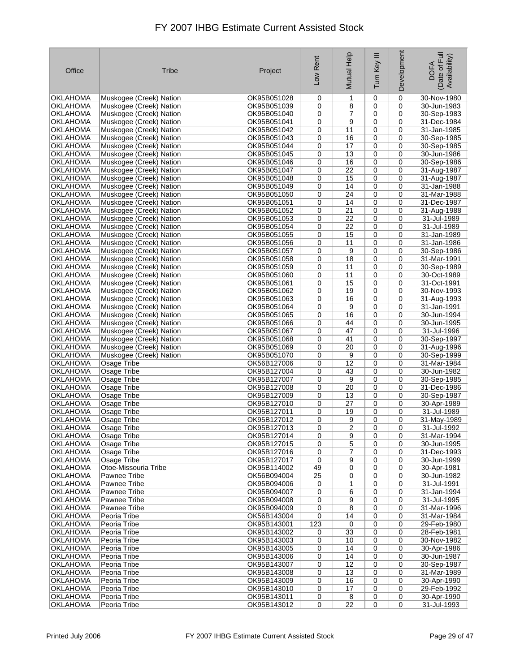| Office                             | Tribe                                              | Project                    | Low Rent    | Mutual Help     | Ξ<br>Turn Key  | Development | Date of Full<br>Availability)<br><b>DOFA</b> |
|------------------------------------|----------------------------------------------------|----------------------------|-------------|-----------------|----------------|-------------|----------------------------------------------|
| OKLAHOMA                           | Muskogee (Creek) Nation                            | OK95B051028                | 0           | 1               | $\mathbf 0$    | 0           | 30-Nov-1980                                  |
| OKLAHOMA                           | Muskogee (Creek) Nation                            | OK95B051039                | 0           | 8               | 0              | $\mathbf 0$ | 30-Jun-1983                                  |
| <b>OKLAHOMA</b>                    | Muskogee (Creek) Nation                            | OK95B051040                | 0           | 7               | $\mathbf 0$    | 0           | 30-Sep-1983                                  |
| OKLAHOMA                           | Muskogee (Creek) Nation                            | OK95B051041                | 0           | 9               | 0              | 0           | 31-Dec-1984                                  |
| OKLAHOMA                           | Muskogee (Creek) Nation                            | OK95B051042                | 0           | 11              | 0              | 0           | 31-Jan-1985                                  |
| OKLAHOMA                           | Muskogee (Creek) Nation                            | OK95B051043                | 0           | 16              | 0              | 0           | 30-Sep-1985                                  |
| OKLAHOMA                           | Muskogee (Creek) Nation                            | OK95B051044                | 0           | 17              | 0              | 0           | 30-Sep-1985                                  |
| <b>OKLAHOMA</b><br><b>OKLAHOMA</b> | Muskogee (Creek) Nation                            | OK95B051045                | 0           | 13              | 0              | 0           | 30-Jun-1986                                  |
| OKLAHOMA                           | Muskogee (Creek) Nation<br>Muskogee (Creek) Nation | OK95B051046<br>OK95B051047 | 0<br>0      | 16<br>22        | 0<br>0         | 0<br>0      | 30-Sep-1986<br>31-Aug-1987                   |
| OKLAHOMA                           | Muskogee (Creek) Nation                            | OK95B051048                | 0           | 15              | $\mathbf 0$    | $\mathbf 0$ | 31-Aug-1987                                  |
| <b>OKLAHOMA</b>                    | Muskogee (Creek) Nation                            | OK95B051049                | 0           | 14              | 0              | 0           | 31-Jan-1988                                  |
| OKLAHOMA                           | Muskogee (Creek) Nation                            | OK95B051050                | 0           | 24              | 0              | 0           | 31-Mar-1988                                  |
| OKLAHOMA                           | Muskogee (Creek) Nation                            | OK95B051051                | 0           | 14              | 0              | 0           | 31-Dec-1987                                  |
| <b>OKLAHOMA</b>                    | Muskogee (Creek) Nation                            | OK95B051052                | 0           | 21              | $\mathbf 0$    | 0           | 31-Aug-1988                                  |
| OKLAHOMA                           | Muskogee (Creek) Nation                            | OK95B051053                | 0           | 22              | 0              | $\mathbf 0$ | 31-Jul-1989                                  |
| OKLAHOMA                           | Muskogee (Creek) Nation                            | OK95B051054                | 0           | 22              | 0              | 0           | 31-Jul-1989                                  |
| OKLAHOMA                           | Muskogee (Creek) Nation                            | OK95B051055                | 0           | 15              | 0              | $\mathbf 0$ | 31-Jan-1989                                  |
| <b>OKLAHOMA</b>                    | Muskogee (Creek) Nation                            | OK95B051056                | 0           | 11              | 0              | 0           | 31-Jan-1986                                  |
| OKLAHOMA                           | Muskogee (Creek) Nation                            | OK95B051057                | 0           | 9               | $\mathbf 0$    | 0           | 30-Sep-1986                                  |
| <b>OKLAHOMA</b>                    | Muskogee (Creek) Nation                            | OK95B051058                | 0           | 18              | 0              | $\mathbf 0$ | 31-Mar-1991                                  |
| <b>OKLAHOMA</b>                    | Muskogee (Creek) Nation                            | OK95B051059                | 0           | 11              | 0              | 0           | 30-Sep-1989                                  |
| OKLAHOMA                           | Muskogee (Creek) Nation                            | OK95B051060                | 0           | 11              | 0              | $\mathbf 0$ | 30-Oct-1989                                  |
| OKLAHOMA                           | Muskogee (Creek) Nation                            | OK95B051061                | 0           | 15              | 0              | 0           | 31-Oct-1991                                  |
| OKLAHOMA                           | Muskogee (Creek) Nation                            | OK95B051062                | 0           | 19              | 0              | 0           | 30-Nov-1993                                  |
| <b>OKLAHOMA</b>                    | Muskogee (Creek) Nation                            | OK95B051063                | 0           | 16              | 0              | 0           | 31-Aug-1993                                  |
| <b>OKLAHOMA</b>                    | Muskogee (Creek) Nation                            | OK95B051064                | 0           | 9               | 0              | 0           | 31-Jan-1991                                  |
| <b>OKLAHOMA</b><br>OKLAHOMA        | Muskogee (Creek) Nation<br>Muskogee (Creek) Nation | OK95B051065<br>OK95B051066 | 0<br>0      | 16<br>44        | 0<br>0         | 0<br>0      | 30-Jun-1994<br>30-Jun-1995                   |
| OKLAHOMA                           | Muskogee (Creek) Nation                            | OK95B051067                | 0           | 47              | 0              | 0           | 31-Jul-1996                                  |
| OKLAHOMA                           | Muskogee (Creek) Nation                            | OK95B051068                | 0           | 41              | 0              | 0           | 30-Sep-1997                                  |
| OKLAHOMA                           | Muskogee (Creek) Nation                            | OK95B051069                | 0           | 20              | 0              | 0           | 31-Aug-1996                                  |
| OKLAHOMA                           | Muskogee (Creek) Nation                            | OK95B051070                | 0           | 9               | 0              | 0           | 30-Sep-1999                                  |
| <b>OKLAHOMA</b>                    | Osage Tribe                                        | OK56B127006                | 0           | 12              | 0              | 0           | 31-Mar-1984                                  |
| OKLAHOMA                           | Osage Tribe                                        | OK95B127004                | 0           | 43              | 0              | 0           | 30-Jun-1982                                  |
| OKLAHOMA                           | Osage Tribe                                        | OK95B127007                | 0           | 9               | 0              | 0           | 30-Sep-1985                                  |
| <b>OKLAHOMA</b>                    | Osage Tribe                                        | OK95B127008                | 0           | 20              | 0              | 0           | 31-Dec-1986                                  |
| <b>OKLAHOMA</b>                    | Osage Tribe                                        | OK95B127009                | 0           | 13              | 0              | 0           | 30-Sep-1987                                  |
| <b>OKLAHOMA</b>                    | Osage Tribe                                        | OK95B127010                | 0           | 27              | 0              | 0           | 30-Apr-1989                                  |
| <b>OKLAHOMA</b>                    | Osage Tribe                                        | OK95B127011                | 0           | 19              | $\mathbf 0$    | $\mathbf 0$ | 31-Jul-1989                                  |
| OKLAHOMA                           | Osage Tribe                                        | OK95B127012                | 0           | 9               | 0              | 0           | 31-May-1989                                  |
| <b>OKLAHOMA</b>                    | <b>Osage Tribe</b>                                 | OK95B127013                | 0           | $\overline{2}$  | 0              | 0           | 31-Jul-1992                                  |
| <b>OKLAHOMA</b>                    | Osage Tribe                                        | OK95B127014                | 0           | 9               | 0              | 0           | 31-Mar-1994                                  |
| <b>OKLAHOMA</b><br>OKLAHOMA        | Osage Tribe<br>Osage Tribe                         | OK95B127015<br>OK95B127016 | 0<br>0      | 5<br>7          | 0<br>0         | 0<br>0      | 30-Jun-1995<br>31-Dec-1993                   |
| <b>OKLAHOMA</b>                    | Osage Tribe                                        | OK95B127017                | 0           | 9               | $\mathbf 0$    | 0           | 30-Jun-1999                                  |
| <b>OKLAHOMA</b>                    | Otoe-Missouria Tribe                               | OK95B114002                | 49          | 0               | 0              | 0           | 30-Apr-1981                                  |
| OKLAHOMA                           | Pawnee Tribe                                       | OK56B094004                | 25          | 0               | 0              | 0           | 30-Jun-1982                                  |
| <b>OKLAHOMA</b>                    | Pawnee Tribe                                       | OK95B094006                | 0           | 1               | 0              | 0           | 31-Jul-1991                                  |
| <b>OKLAHOMA</b>                    | Pawnee Tribe                                       | OK95B094007                | 0           | 6               | 0              | 0           | 31-Jan-1994                                  |
| <b>OKLAHOMA</b>                    | Pawnee Tribe                                       | OK95B094008                | 0           | 9               | 0              | 0           | 31-Jul-1995                                  |
| OKLAHOMA                           | Pawnee Tribe                                       | OK95B094009                | 0           | 8               | 0              | 0           | 31-Mar-1996                                  |
| <b>OKLAHOMA</b>                    | Peoria Tribe                                       | OK56B143004                | 0           | 14              | 0              | 0           | 31-Mar-1984                                  |
| <b>OKLAHOMA</b>                    | Peoria Tribe                                       | OK95B143001                | 123         | 0               | 0              | 0           | 29-Feb-1980                                  |
| OKLAHOMA                           | Peoria Tribe                                       | OK95B143002                | 0           | 33              | 0              | 0           | 28-Feb-1981                                  |
| <b>OKLAHOMA</b>                    | Peoria Tribe                                       | OK95B143003                | 0           | 10              | 0              | 0           | 30-Nov-1982                                  |
| <b>OKLAHOMA</b>                    | Peoria Tribe                                       | OK95B143005                | 0           | 14              | 0              | 0           | 30-Apr-1986                                  |
| <b>OKLAHOMA</b>                    | Peoria Tribe                                       | OK95B143006                | 0           | 14              | 0              | 0           | 30-Jun-1987                                  |
| <b>OKLAHOMA</b>                    | Peoria Tribe                                       | OK95B143007                | 0           | 12              | 0              | 0           | 30-Sep-1987                                  |
| OKLAHOMA                           | Peoria Tribe                                       | OK95B143008                | 0           | 13              | 0              | 0           | 31-Mar-1989                                  |
| <b>OKLAHOMA</b><br><b>OKLAHOMA</b> | Peoria Tribe<br>Peoria Tribe                       | OK95B143009<br>OK95B143010 | 0<br>0      | 16<br>17        | 0<br>0         | 0<br>0      | 30-Apr-1990<br>29-Feb-1992                   |
| <b>OKLAHOMA</b>                    | Peoria Tribe                                       | OK95B143011                | 0           | 8               | 0              | 0           | 30-Apr-1990                                  |
| <b>OKLAHOMA</b>                    | Peoria Tribe                                       | OK95B143012                | $\mathbf 0$ | $\overline{22}$ | $\overline{0}$ | $\mathbf 0$ | 31-Jul-1993                                  |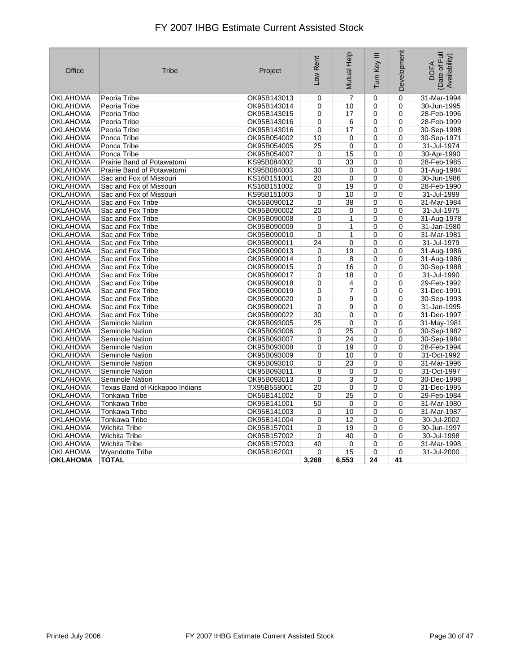| Office          | <b>Tribe</b>                   | Project     | Low Rent        | Mutual Help     | Ξ<br>Turn Key | Development | Date of Full<br>Availability)<br><b>DOFA</b> |
|-----------------|--------------------------------|-------------|-----------------|-----------------|---------------|-------------|----------------------------------------------|
| <b>OKLAHOMA</b> | Peoria Tribe                   | OK95B143013 | 0               | $\overline{7}$  | $\mathbf 0$   | $\mathbf 0$ | 31-Mar-1994                                  |
| OKLAHOMA        | Peoria Tribe                   | OK95B143014 | 0               | 10              | 0             | 0           | 30-Jun-1995                                  |
| OKLAHOMA        | Peoria Tribe                   | OK95B143015 | 0               | 17              | 0             | 0           | 28-Feb-1996                                  |
| OKLAHOMA        | Peoria Tribe                   | OK95B143016 | 0               | 6               | 0             | 0           | 28-Feb-1999                                  |
| OKLAHOMA        | Peoria Tribe                   | OK95B143016 | $\mathbf 0$     | 17              | 0             | 0           | 30-Sep-1998                                  |
| OKLAHOMA        | Ponca Tribe                    | OK95B054002 | 10              | 0               | $\mathbf 0$   | 0           | 30-Sep-1971                                  |
| OKLAHOMA        | Ponca Tribe                    | OK95B054005 | 25              | 0               | 0             | 0           | 31-Jul-1974                                  |
| OKLAHOMA        | Ponca Tribe                    | OK95B054007 | $\mathbf 0$     | 15              | 0             | 0           | 30-Apr-1990                                  |
| <b>OKLAHOMA</b> | Prairie Band of Potawatomi     | KS95B084002 | $\mathbf 0$     | 33              | 0             | 0           | 28-Feb-1985                                  |
| OKLAHOMA        | Prairie Band of Potawatomi     | KS95B084003 | 30              | 0               | 0             | 0           | 31-Aug-1984                                  |
| OKLAHOMA        | Sac and Fox of Missouri        | KS16B151001 | 20              | 0               | 0             | 0           | 30-Jun-1986                                  |
| OKLAHOMA        | Sac and Fox of Missouri        | KS16B151002 | 0               | 19              | 0             | 0           | 28-Feb-1990                                  |
| OKLAHOMA        | Sac and Fox of Missouri        | KS95B151003 | 0               | 10              | $\mathbf 0$   | 0           | 31-Jul-1999                                  |
| OKLAHOMA        | Sac and Fox Tribe              | OK56B090012 | 0               | 38              | 0             | 0           | 31-Mar-1984                                  |
| OKLAHOMA        | Sac and Fox Tribe              | OK95B090002 | $\overline{20}$ | 0               | 0             | 0           | 31-Jul-1975                                  |
| OKLAHOMA        | Sac and Fox Tribe              | OK95B090008 | 0               | $\mathbf{1}$    | 0             | 0           | 31-Aug-1978                                  |
| OKLAHOMA        | Sac and Fox Tribe              | OK95B090009 | 0               | 1               | $\mathbf 0$   | $\mathbf 0$ | 31-Jan-1980                                  |
| OKLAHOMA        | Sac and Fox Tribe              | OK95B090010 | 0               | 1               | 0             | 0           | 31-Mar-1981                                  |
| OKLAHOMA        | Sac and Fox Tribe              | OK95B090011 | 24              | 0               | 0             | 0           | 31-Jul-1979                                  |
| OKLAHOMA        | Sac and Fox Tribe              | OK95B090013 | 0               | 19              | $\Omega$      | 0           | 31-Aug-1986                                  |
| OKLAHOMA        | Sac and Fox Tribe              | OK95B090014 | 0               | 8               | 0             | 0           | 31-Aug-1986                                  |
| OKLAHOMA        | Sac and Fox Tribe              | OK95B090015 | 0               | 16              | $\mathbf 0$   | 0           | 30-Sep-1988                                  |
| OKLAHOMA        | Sac and Fox Tribe              | OK95B090017 | 0               | 18              | 0             | 0           | 31-Jul-1990                                  |
| OKLAHOMA        | Sac and Fox Tribe              | OK95B090018 | 0               | 4               | $\Omega$      | 0           | 29-Feb-1992                                  |
| OKLAHOMA        | Sac and Fox Tribe              | OK95B090019 | 0               | 7               | 0             | 0           | 31-Dec-1991                                  |
| OKLAHOMA        | Sac and Fox Tribe              | OK95B090020 | 0               | 9               | 0             | 0           | 30-Sep-1993                                  |
| OKLAHOMA        | Sac and Fox Tribe              | OK95B090021 | 0               | 9               | 0             | 0           | 31-Jan-1995                                  |
| OKLAHOMA        | Sac and Fox Tribe              | OK95B090022 | 30              | 0               | $\Omega$      | 0           | 31-Dec-1997                                  |
| OKLAHOMA        | Seminole Nation                | OK95B093005 | 25              | 0               | $\mathbf 0$   | 0           | 31-May-1981                                  |
| OKLAHOMA        | Seminole Nation                | OK95B093006 | 0               | 25              | 0             | 0           | 30-Sep-1982                                  |
| OKLAHOMA        | Seminole Nation                | OK95B093007 | $\mathbf 0$     | 24              | $\mathbf 0$   | $\mathbf 0$ | 30-Sep-1984                                  |
| OKLAHOMA        | Seminole Nation                | OK95B093008 | $\Omega$        | 19              | $\Omega$      | 0           | 28-Feb-1994                                  |
| OKLAHOMA        | <b>Seminole Nation</b>         | OK95B093009 | 0               | 10              | 0             | 0           | 31-Oct-1992                                  |
| OKLAHOMA        | <b>Seminole Nation</b>         | OK95B093010 | 0               | $\overline{23}$ | 0             | 0           | 31-Mar-1996                                  |
| OKLAHOMA        | Seminole Nation                | OK95B093011 | 8               | 0               | 0             | 0           | 31-Oct-1997                                  |
| OKLAHOMA        | Seminole Nation                | OK95B093013 | 0               | 3               | 0             | 0           | 30-Dec-1998                                  |
| OKLAHOMA        | Texas Band of Kickapoo Indians | TX95B558001 | 20              | 0               | 0             | $\mathbf 0$ | 31-Dec-1995                                  |
| OKLAHOMA        | <b>Tonkawa Tribe</b>           | OK56B141002 | 0               | $\overline{25}$ | $\mathbf 0$   | 0           | 29-Feb-1984                                  |
| OKLAHOMA        | Tonkawa Tribe                  | OK95B141001 | 50              | 0               | 0             | 0           | 31-Mar-1980                                  |
| OKLAHOMA        | Tonkawa Tribe                  | OK95B141003 | $\mathbf 0$     | 10              | 0             | 0           | 31-Mar-1987                                  |
| <b>OKLAHOMA</b> | <b>Tonkawa Tribe</b>           | OK95B141004 | 0               | 12              | 0             | 0           | 30-Jul-2002                                  |
| OKLAHOMA        | <b>Wichita Tribe</b>           | OK95B157001 | 0               | 19              | 0             | 0           | 30-Jun-1997                                  |
| OKLAHOMA        | Wichita Tribe                  | OK95B157002 | 0               | 40              | 0             | 0           | 30-Jul-1998                                  |
| OKLAHOMA        | <b>Wichita Tribe</b>           | OK95B157003 | 40              | $\mathbf 0$     | 0             | $\mathbf 0$ | 31-Mar-1998                                  |
| OKLAHOMA        | <b>Wyandotte Tribe</b>         | OK95B162001 | 0               | 15              | $\mathbf 0$   | 0           | 31-Jul-2000                                  |
| <b>OKLAHOMA</b> | <b>TOTAL</b>                   |             | 3,268           | 6,553           | 24            | 41          |                                              |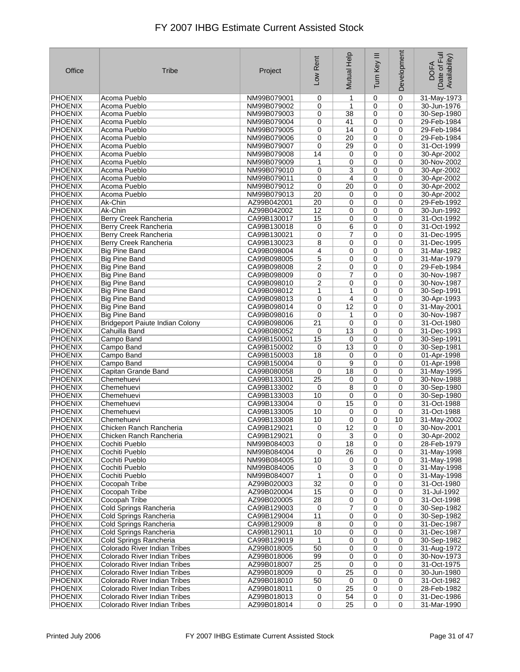| Office                           | Tribe                                  | Project                    | Low Rent    | Mutual Help | Ξ<br>Tum Key | Development | Date of Full<br>Availability)<br><b>DOFA</b> |
|----------------------------------|----------------------------------------|----------------------------|-------------|-------------|--------------|-------------|----------------------------------------------|
| <b>PHOENIX</b>                   | Acoma Pueblo                           | NM99B079001                | 0           | 1           | 0            | 0           | 31-May-1973                                  |
| <b>PHOENIX</b>                   | Acoma Pueblo                           | NM99B079002                | 0           | 1           | 0            | 0           | 30-Jun-1976                                  |
| <b>PHOENIX</b>                   | Acoma Pueblo                           | NM99B079003                | 0           | 38          | 0            | 0           | 30-Sep-1980                                  |
| <b>PHOENIX</b>                   | Acoma Pueblo                           | NM99B079004                | 0           | 41          | $\mathbf 0$  | 0           | 29-Feb-1984                                  |
| <b>PHOENIX</b>                   | Acoma Pueblo                           | NM99B079005                | 0           | 14          | $\mathbf 0$  | $\mathbf 0$ | 29-Feb-1984                                  |
| <b>PHOENIX</b>                   | Acoma Pueblo                           | NM99B079006                | 0           | 20          | 0            | $\mathbf 0$ | 29-Feb-1984                                  |
| <b>PHOENIX</b>                   | Acoma Pueblo                           | NM99B079007                | 0           | 29          | $\mathbf 0$  | 0           | 31-Oct-1999                                  |
| <b>PHOENIX</b>                   | Acoma Pueblo                           | NM99B079008                | 14          | 0           | 0            | $\mathbf 0$ | 30-Apr-2002                                  |
| <b>PHOENIX</b>                   | Acoma Pueblo                           | NM99B079009                | 1           | 0           | $\mathbf 0$  | $\mathbf 0$ | 30-Nov-2002                                  |
| <b>PHOENIX</b>                   | Acoma Pueblo                           | NM99B079010                | 0           | 3           | $\mathbf 0$  | $\mathbf 0$ | 30-Apr-2002                                  |
| <b>PHOENIX</b>                   | Acoma Pueblo                           | NM99B079011                | 0           | 4           | $\mathbf 0$  | 0           | 30-Apr-2002                                  |
| <b>PHOENIX</b>                   | Acoma Pueblo                           | NM99B079012                | 0           | 20          | $\mathbf 0$  | 0           | 30-Apr-2002                                  |
| <b>PHOENIX</b>                   | Acoma Pueblo                           | NM99B079013                | 20          | 0           | 0            | 0           | 30-Apr-2002                                  |
| <b>PHOENIX</b>                   | Ak-Chin                                | AZ99B042001                | 20          | 0           | $\mathbf 0$  | 0           | 29-Feb-1992                                  |
| <b>PHOENIX</b>                   | Ak-Chin                                | AZ99B042002                | 12          | 0           | 0            | 0           | 30-Jun-1992                                  |
| <b>PHOENIX</b>                   | Berry Creek Rancheria                  | CA99B130017                | 15          | 0           | $\mathbf 0$  | $\mathbf 0$ | 31-Oct-1992                                  |
| <b>PHOENIX</b>                   | Berry Creek Rancheria                  | CA99B130018                | 0           | 6           | $\mathbf 0$  | $\mathbf 0$ | 31-Oct-1992                                  |
| <b>PHOENIX</b>                   | Berry Creek Rancheria                  | CA99B130021                | 0           | 7           | $\mathbf 0$  | $\mathbf 0$ | 31-Dec-1995                                  |
| <b>PHOENIX</b>                   | Berry Creek Rancheria                  | CA99B130023                | 8           | 0           | $\mathbf 0$  | 0           | 31-Dec-1995                                  |
| <b>PHOENIX</b>                   | <b>Big Pine Band</b>                   | CA99B098004                | 4           | 0           | 0            | $\mathbf 0$ | 31-Mar-1982                                  |
| <b>PHOENIX</b>                   | <b>Big Pine Band</b>                   | CA99B098005                | 5           | 0           | $\mathbf 0$  | 0           | 31-Mar-1979                                  |
| <b>PHOENIX</b>                   | <b>Big Pine Band</b>                   | CA99B098008                | 2           | 0           | 0            | $\mathbf 0$ | 29-Feb-1984                                  |
| <b>PHOENIX</b>                   | <b>Big Pine Band</b>                   | CA99B098009                | 0           | 7           | $\mathbf 0$  | 0           | 30-Nov-1987                                  |
| <b>PHOENIX</b>                   | <b>Big Pine Band</b>                   | CA99B098010                | 2           | 0           | $\mathbf 0$  | 0           | 30-Nov-1987                                  |
| <b>PHOENIX</b>                   | <b>Big Pine Band</b>                   | CA99B098012                | 1           | 1           | $\mathbf 0$  | $\mathbf 0$ | 30-Sep-1991                                  |
| <b>PHOENIX</b>                   | <b>Big Pine Band</b>                   | CA99B098013                | 0           | 4           | $\mathbf 0$  | 0           | 30-Apr-1993                                  |
| <b>PHOENIX</b>                   | <b>Big Pine Band</b>                   | CA99B098014                | 0           | 12          | 0            | 0           | 31-May-2001                                  |
| <b>PHOENIX</b>                   | <b>Big Pine Band</b>                   | CA99B098016                | 0           | 1           | $\mathbf 0$  | $\mathbf 0$ | 30-Nov-1987                                  |
| <b>PHOENIX</b>                   | <b>Bridgeport Paiute Indian Colony</b> | CA99B098006                | 21          | 0           | $\mathbf 0$  | $\mathbf 0$ | 31-Oct-1980                                  |
| <b>PHOENIX</b>                   | Cahuilla Band                          | CA99B080052                | $\mathbf 0$ | 13          | 0            | $\mathbf 0$ | 31-Dec-1993                                  |
| <b>PHOENIX</b>                   | Campo Band                             | CA99B150001                | 15          | 0           | 0            | 0           | 30-Sep-1991                                  |
| <b>PHOENIX</b>                   | Campo Band                             | CA99B150002                | 0           | 13          | 0            | 0<br>0      | 30-Sep-1981                                  |
| <b>PHOENIX</b>                   | Campo Band                             | CA99B150003                | 18          | 0           | 0            | $\mathbf 0$ | 01-Apr-1998                                  |
| <b>PHOENIX</b><br><b>PHOENIX</b> | Campo Band<br>Capitan Grande Band      | CA99B150004<br>CA99B080058 | 0<br>0      | 9<br>18     | 0<br>0       | 0           | 01-Apr-1998<br>31-May-1995                   |
| <b>PHOENIX</b>                   | Chemehuevi                             | CA99B133001                | 25          | 0           | 0            | $\mathbf 0$ | 30-Nov-1988                                  |
| <b>PHOENIX</b>                   | Chemehuevi                             | CA99B133002                | $\mathbf 0$ | 8           | 0            | 0           | 30-Sep-1980                                  |
| <b>PHOENIX</b>                   | Chemehuevi                             | CA99B133003                | 10          | 0           | 0            | 0           | 30-Sep-1980                                  |
| <b>PHOENIX</b>                   | Chemehuevi                             | CA99B133004                | 0           | 15          | 0            | 0           | 31-Oct-1988                                  |
| <b>PHOENIX</b>                   | Chemehuevi                             | CA99B133005                | 10          | 0           | 0            | 0           | 31-Oct-1988                                  |
| <b>PHOENIX</b>                   | Chemehuevi                             | CA99B133008                | 10          | 0           | 0            | 10          | 31-May-2002                                  |
| <b>PHOENIX</b>                   | Chicken Ranch Rancheria                | CA99B129021                | 0           | 12          | $\pmb{0}$    | 0           | 30-Nov-2001                                  |
| PHOENIX                          | Chicken Ranch Rancheria                | CA99B129021                | 0           | 3           | 0            | 0           | 30-Apr-2002                                  |
| <b>PHOENIX</b>                   | Cochiti Pueblo                         | NM99B084003                | 0           | 18          | 0            | 0           | 28-Feb-1979                                  |
| PHOENIX                          | Cochiti Pueblo                         | NM99B084004                | 0           | 26          | 0            | 0           | 31-May-1998                                  |
| PHOENIX                          | Cochiti Pueblo                         | NM99B084005                | 10          | 0           | 0            | 0           | 31-May-1998                                  |
| PHOENIX                          | Cochiti Pueblo                         | NM99B084006                | 0           | 3           | 0            | 0           | 31-May-1998                                  |
| PHOENIX                          | Cochiti Pueblo                         | NM99B084007                | 1           | 0           | 0            | 0           | 31-May-1998                                  |
| <b>PHOENIX</b>                   | Cocopah Tribe                          | AZ99B020003                | 32          | 0           | 0            | 0           | 31-Oct-1980                                  |
| PHOENIX                          | Cocopah Tribe                          | AZ99B020004                | 15          | 0           | 0            | 0           | 31-Jul-1992                                  |
| <b>PHOENIX</b>                   | Cocopah Tribe                          | AZ99B020005                | 28          | 0           | 0            | 0           | 31-Oct-1998                                  |
| <b>PHOENIX</b>                   | Cold Springs Rancheria                 | CA99B129003                | 0           | 7           | 0            | 0           | 30-Sep-1982                                  |
| <b>PHOENIX</b>                   | Cold Springs Rancheria                 | CA99B129004                | 11          | 0           | 0            | 0           | 30-Sep-1982                                  |
| <b>PHOENIX</b>                   | Cold Springs Rancheria                 | CA99B129009                | 8           | 0           | 0            | 0           | 31-Dec-1987                                  |
| <b>PHOENIX</b>                   | Cold Springs Rancheria                 | CA99B129011                | 10          | 0           | 0            | 0           | 31-Dec-1987                                  |
| <b>PHOENIX</b>                   | Cold Springs Rancheria                 | CA99B129019                | 1           | 0           | 0            | 0           | 30-Sep-1982                                  |
| PHOENIX                          | Colorado River Indian Tribes           | AZ99B018005                | 50          | 0           | 0            | 0           | 31-Aug-1972                                  |
| <b>PHOENIX</b>                   | Colorado River Indian Tribes           | AZ99B018006                | 99          | 0           | 0            | $\mathbf 0$ | 30-Nov-1973                                  |
| PHOENIX                          | Colorado River Indian Tribes           | AZ99B018007                | 25          | 0           | 0            | 0           | 31-Oct-1975                                  |
| PHOENIX                          | Colorado River Indian Tribes           | AZ99B018009                | 0           | 25          | 0            | 0           | 30-Jun-1980                                  |
| <b>PHOENIX</b>                   | Colorado River Indian Tribes           | AZ99B018010                | 50          | 0           | 0            | 0           | 31-Oct-1982                                  |
| PHOENIX                          | Colorado River Indian Tribes           | AZ99B018011                | 0           | 25          | 0            | 0           | 28-Feb-1982                                  |
| <b>PHOENIX</b>                   | Colorado River Indian Tribes           | AZ99B018013                | 0           | 54          | 0            | 0           | 31-Dec-1986                                  |
| <b>PHOENIX</b>                   | Colorado River Indian Tribes           | AZ99B018014                | $\mathbf 0$ | 25          | $\mathbf 0$  | 0           | 31-Mar-1990                                  |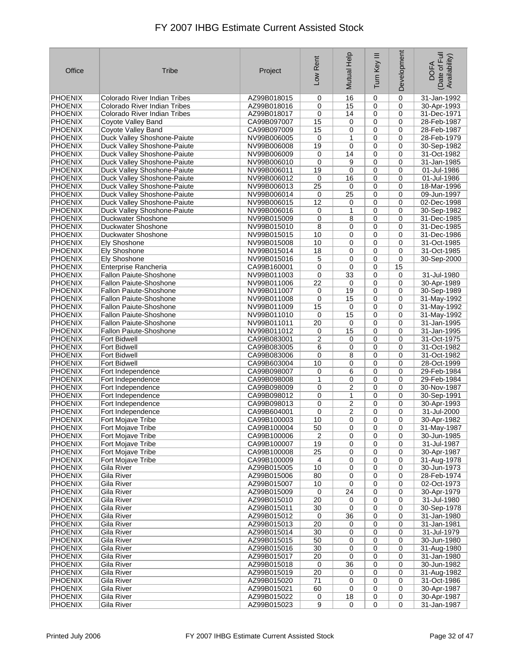| Office                           | Tribe                                                      | Project                    | Low Rent             | Mutual Help     | Ξ<br>Turn Key              | Development      | Date of Full<br>Availability)<br><b>DOFA</b> |
|----------------------------------|------------------------------------------------------------|----------------------------|----------------------|-----------------|----------------------------|------------------|----------------------------------------------|
| <b>PHOENIX</b>                   | Colorado River Indian Tribes                               | AZ99B018015                | 0                    | 16              | 0                          | $\mathbf 0$      | 31-Jan-1992                                  |
| <b>PHOENIX</b>                   | Colorado River Indian Tribes                               | AZ99B018016                | 0                    | 15              | 0                          | 0                | 30-Apr-1993                                  |
| <b>PHOENIX</b>                   | Colorado River Indian Tribes                               | AZ99B018017                | 0                    | 14              | $\mathbf 0$                | 0                | 31-Dec-1971                                  |
| <b>PHOENIX</b>                   | Coyote Valley Band                                         | CA99B097007                | 15                   | 0               | 0                          | 0                | 28-Feb-1987                                  |
| <b>PHOENIX</b>                   | Coyote Valley Band                                         | CA99B097009                | 15                   | 0               | 0                          | 0                | 28-Feb-1987                                  |
| <b>PHOENIX</b>                   | Duck Valley Shoshone-Paiute                                | NV99B006005                | 0                    | 1               | 0                          | 0                | 28-Feb-1979                                  |
| <b>PHOENIX</b>                   | Duck Valley Shoshone-Paiute                                | NV99B006008                | 19                   | 0<br>14         | 0                          | 0                | 30-Sep-1982                                  |
| <b>PHOENIX</b><br><b>PHOENIX</b> | Duck Valley Shoshone-Paiute                                | NV99B006009<br>NV99B006010 | 0<br>0               | 9               | 0<br>0                     | 0<br>$\mathbf 0$ | 31-Oct-1982                                  |
| <b>PHOENIX</b>                   | Duck Valley Shoshone-Paiute<br>Duck Valley Shoshone-Paiute | NV99B006011                | 19                   | 0               | 0                          | 0                | 31-Jan-1985<br>01-Jul-1986                   |
| <b>PHOENIX</b>                   | Duck Valley Shoshone-Paiute                                | NV99B006012                | 0                    | 16              | 0                          | 0                | 01-Jul-1986                                  |
| <b>PHOENIX</b>                   | Duck Valley Shoshone-Paiute                                | NV99B006013                | 25                   | 0               | 0                          | 0                | 18-Mar-1996                                  |
| <b>PHOENIX</b>                   | Duck Valley Shoshone-Paiute                                | NV99B006014                | 0                    | 25              | 0                          | $\mathbf 0$      | 09-Jun-1997                                  |
| <b>PHOENIX</b>                   | Duck Valley Shoshone-Paiute                                | NV99B006015                | 12                   | 0               | 0                          | 0                | 02-Dec-1998                                  |
| <b>PHOENIX</b>                   | Duck Valley Shoshone-Paiute                                | NV99B006016                | 0                    | 1               | $\mathbf 0$                | 0                | 30-Sep-1982                                  |
| <b>PHOENIX</b>                   | Duckwater Shoshone                                         | NV99B015009                | 0                    | 8               | 0                          | $\mathbf 0$      | 31-Dec-1985                                  |
| <b>PHOENIX</b>                   | Duckwater Shoshone                                         | NV99B015010                | 8                    | 0               | 0                          | 0                | 31-Dec-1985                                  |
| <b>PHOENIX</b>                   | Duckwater Shoshone                                         | NV99B015015                | 10                   | 0               | 0                          | 0                | 31-Dec-1986                                  |
| <b>PHOENIX</b>                   | Ely Shoshone                                               | NV99B015008                | 10                   | 0               | 0                          | 0                | 31-Oct-1985                                  |
| <b>PHOENIX</b>                   | Ely Shoshone                                               | NV99B015014                | 18                   | 0               | 0                          | 0                | 31-Oct-1985                                  |
| <b>PHOENIX</b>                   | <b>Ely Shoshone</b>                                        | NV99B015016                | 5                    | 0               | 0                          | 0                | 30-Sep-2000                                  |
| <b>PHOENIX</b>                   | Enterprise Rancheria                                       | CA99B160001                | 0                    | 0               | $\mathbf 0$                | 15               |                                              |
| <b>PHOENIX</b>                   | <b>Fallon Paiute-Shoshone</b>                              | NV99B011003                | 0                    | 33              | 0                          | 0                | 31-Jul-1980                                  |
| <b>PHOENIX</b>                   | <b>Fallon Paiute-Shoshone</b>                              | NV99B011006                | 22                   | 0               | $\mathbf 0$                | 0                | 30-Apr-1989                                  |
| <b>PHOENIX</b>                   | Fallon Paiute-Shoshone                                     | NV99B011007                | 0                    | 19              | 0                          | 0                | 30-Sep-1989                                  |
| <b>PHOENIX</b>                   | <b>Fallon Paiute-Shoshone</b>                              | NV99B011008                | 0                    | 15              | 0                          | 0                | 31-May-1992                                  |
| <b>PHOENIX</b><br><b>PHOENIX</b> | <b>Fallon Paiute-Shoshone</b>                              | NV99B011009<br>NV99B011010 | 15<br>$\mathbf 0$    | 0<br>15         | 0<br>0                     | 0<br>$\mathbf 0$ | 31-May-1992                                  |
| <b>PHOENIX</b>                   | <b>Fallon Paiute-Shoshone</b><br>Fallon Paiute-Shoshone    | NV99B011011                | 20                   | 0               | 0                          | 0                | 31-May-1992<br>31-Jan-1995                   |
| <b>PHOENIX</b>                   | <b>Fallon Paiute-Shoshone</b>                              | NV99B011012                | 0                    | 15              | 0                          | $\mathbf 0$      | 31-Jan-1995                                  |
| <b>PHOENIX</b>                   | <b>Fort Bidwell</b>                                        | CA99B083001                | 2                    | 0               | 0                          | 0                | 31-Oct-1975                                  |
| <b>PHOENIX</b>                   | <b>Fort Bidwell</b>                                        | CA99B083005                | 6                    | 0               | 0                          | 0                | 31-Oct-1982                                  |
| <b>PHOENIX</b>                   | Fort Bidwell                                               | CA99B083006                | 0                    | 8               | 0                          | 0                | 31-Oct-1982                                  |
| <b>PHOENIX</b>                   | <b>Fort Bidwell</b>                                        | CA99B603004                | 10                   | 0               | $\mathbf 0$                | 0                | 28-Oct-1999                                  |
| <b>PHOENIX</b>                   | Fort Independence                                          | CA99B098007                | 0                    | 6               | 0                          | 0                | 29-Feb-1984                                  |
| <b>PHOENIX</b>                   | Fort Independence                                          | CA99B098008                | 1                    | 0               | 0                          | 0                | 29-Feb-1984                                  |
| <b>PHOENIX</b>                   | Fort Independence                                          | CA99B098009                | 0                    | $\overline{2}$  | 0                          | 0                | 30-Nov-1987                                  |
| <b>PHOENIX</b>                   | Fort Independence                                          | CA99B098012                | 0                    | 1               | 0                          | 0                | 30-Sep-1991                                  |
| <b>PHOENIX</b>                   | Fort Independence                                          | CA99B098013                | 0                    | $\overline{c}$  | 0                          | 0                | 30-Apr-1993                                  |
| <b>PHOENIX</b>                   | Fort Independence                                          | CA99B604001                | 0                    | $\overline{2}$  | 0                          | 0                | 31-Jul-2000                                  |
| <b>PHOENIX</b>                   | Fort Mojave Tribe                                          | CA99B100003                | 10                   | 0               | 0                          | 0                | 30-Apr-1982                                  |
| <b>PHOENIX</b>                   | Fort Mojave Tribe                                          | CA99B100004                | $\overline{50}$      | 0               | 0                          | 0                | 31-May-1987                                  |
| PHOENIX                          | Fort Mojave Tribe                                          | CA99B100006                | $\overline{2}$<br>19 | 0<br>0          | 0                          | 0<br>0           | 30-Jun-1985                                  |
| PHOENIX<br>PHOENIX               | Fort Mojave Tribe<br>Fort Mojave Tribe                     | CA99B100007<br>CA99B100008 | 25                   | 0               | 0<br>0                     | 0                | 31-Jul-1987<br>30-Apr-1987                   |
| PHOENIX                          | Fort Mojave Tribe                                          | CA99B100009                | 4                    | 0               | $\mathbf 0$                | 0                | 31-Aug-1978                                  |
| <b>PHOENIX</b>                   | Gila River                                                 | AZ99B015005                | 10                   | 0               | $\mathbf 0$                | 0                | 30-Jun-1973                                  |
| PHOENIX                          | Gila River                                                 | AZ99B015006                | 80                   | 0               | 0                          | 0                | 28-Feb-1974                                  |
| <b>PHOENIX</b>                   | Gila River                                                 | AZ99B015007                | 10                   | 0               | 0                          | 0                | 02-Oct-1973                                  |
| PHOENIX                          | Gila River                                                 | AZ99B015009                | 0                    | $\overline{24}$ | 0                          | 0                | 30-Apr-1979                                  |
| PHOENIX                          | Gila River                                                 | AZ99B015010                | 20                   | 0               | 0                          | 0                | 31-Jul-1980                                  |
| PHOENIX                          | Gila River                                                 | AZ99B015011                | 30                   | 0               | 0                          | 0                | 30-Sep-1978                                  |
| PHOENIX                          | Gila River                                                 | AZ99B015012                | 0                    | 36              | 0                          | 0                | 31-Jan-1980                                  |
| <b>PHOENIX</b>                   | Gila River                                                 | AZ99B015013                | 20                   | 0               | 0                          | 0                | 31-Jan-1981                                  |
| <b>PHOENIX</b>                   | Gila River                                                 | AZ99B015014                | 30                   | 0               | $\mathbf 0$                | 0                | 31-Jul-1979                                  |
| <b>PHOENIX</b>                   | Gila River                                                 | AZ99B015015                | 50                   | 0               | 0                          | 0                | 30-Jun-1980                                  |
| PHOENIX                          | Gila River                                                 | AZ99B015016                | 30                   | 0               | 0                          | 0                | 31-Aug-1980                                  |
| <b>PHOENIX</b>                   | Gila River                                                 | AZ99B015017                | 20                   | $\pmb{0}$       | 0                          | 0                | 31-Jan-1980                                  |
| PHOENIX<br>PHOENIX               | Gila River<br>Gila River                                   | AZ99B015018<br>AZ99B015019 | 0<br>20              | 36<br>0         | $\mathbf 0$<br>$\mathbf 0$ | 0<br>0           | 30-Jun-1982<br>31-Aug-1982                   |
| PHOENIX                          | Gila River                                                 | AZ99B015020                | 71                   | 0               | 0                          | 0                | 31-Oct-1986                                  |
| PHOENIX                          | Gila River                                                 | AZ99B015021                | 60                   | 0               | 0                          | 0                | 30-Apr-1987                                  |
| PHOENIX                          | Gila River                                                 | AZ99B015022                | 0                    | 18              | 0                          | 0                | 30-Apr-1987                                  |
| PHOENIX                          | Gila River                                                 | AZ99B015023                | 9                    | $\pmb{0}$       | $\overline{0}$             | 0                | 31-Jan-1987                                  |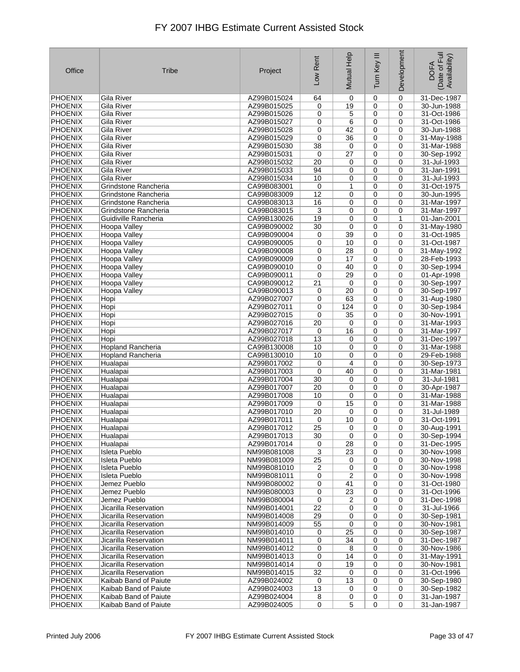| Office                    | Tribe                                 | Project                    | Low Rent        | Mutual Help     | Ξ<br>Turn Key  | Development | Date of Full<br>Availability)<br><b>DOFA</b> |
|---------------------------|---------------------------------------|----------------------------|-----------------|-----------------|----------------|-------------|----------------------------------------------|
| <b>PHOENIX</b>            | Gila River                            | AZ99B015024                | 64              | 0               | 0              | 0           | 31-Dec-1987                                  |
| <b>PHOENIX</b>            | Gila River                            | AZ99B015025                | 0               | 19              | 0              | 0           | 30-Jun-1988                                  |
| <b>PHOENIX</b>            | Gila River                            | AZ99B015026                | 0               | 5               | $\mathbf 0$    | $\mathbf 0$ | 31-Oct-1986                                  |
| <b>PHOENIX</b>            | Gila River                            | AZ99B015027                | 0               | 6               | $\mathbf 0$    | 0           | 31-Oct-1986                                  |
| <b>PHOENIX</b>            | Gila River                            | AZ99B015028                | 0               | 42              | $\mathbf 0$    | 0           | 30-Jun-1988                                  |
| PHOENIX                   | Gila River                            | AZ99B015029                | 0               | 36              | $\mathbf 0$    | 0           | 31-May-1988                                  |
| <b>PHOENIX</b>            | <b>Gila River</b>                     | AZ99B015030                | 38              | 0               | $\mathbf 0$    | 0           | 31-Mar-1988                                  |
| <b>PHOENIX</b>            | Gila River                            | AZ99B015031                | 0               | $\overline{27}$ | $\mathbf 0$    | 0           | 30-Sep-1992                                  |
| <b>PHOENIX</b>            | Gila River                            | AZ99B015032                | 20              | 0               | $\mathbf 0$    | $\mathbf 0$ | 31-Jul-1993                                  |
| <b>PHOENIX</b>            | Gila River                            | AZ99B015033                | 94              | 0               | $\mathbf 0$    | $\mathbf 0$ | 31-Jan-1991                                  |
| <b>PHOENIX</b>            | Gila River                            | AZ99B015034                | 10              | 0               | $\mathbf 0$    | $\mathbf 0$ | 31-Jul-1993                                  |
| <b>PHOENIX</b>            | Grindstone Rancheria                  | CA99B083001                | 0               | 1               | $\mathbf 0$    | 0           | 31-Oct-1975                                  |
| PHOENIX                   | Grindstone Rancheria                  | CA99B083009                | 12              | 0               | 0              | 0           | 30-Jun-1995                                  |
| <b>PHOENIX</b>            | Grindstone Rancheria                  | CA99B083013                | 16              | 0               | $\mathbf 0$    | 0           | 31-Mar-1997                                  |
| PHOENIX                   | Grindstone Rancheria                  | CA99B083015                | 3               | 0               | 0              | 0           | 31-Mar-1997                                  |
| <b>PHOENIX</b>            | Guidiville Rancheria                  | CA99B130026                | 19              | 0               | $\mathbf 0$    | 1           | 01-Jan-2001                                  |
| <b>PHOENIX</b>            | Hoopa Valley                          | CA99B090002                | 30              | 0               | $\mathbf 0$    | 0           | 31-May-1980                                  |
| PHOENIX                   | Hoopa Valley                          | CA99B090004                | 0               | 39              | $\mathbf 0$    | $\mathbf 0$ | 31-Oct-1985                                  |
| <b>PHOENIX</b>            | Hoopa Valley                          | CA99B090005                | 0               | 10              | $\mathbf 0$    | 0           | 31-Oct-1987                                  |
| PHOENIX                   | <b>Hoopa Valley</b>                   | CA99B090008                | 0               | 28              | 0              | 0           | 31-May-1992                                  |
| <b>PHOENIX</b>            | <b>Hoopa Valley</b>                   | CA99B090009                | 0               | 17              | $\mathbf 0$    | 0           | 28-Feb-1993                                  |
| <b>PHOENIX</b>            | <b>Hoopa Valley</b>                   | CA99B090010                | 0               | 40              | $\mathbf 0$    | $\mathbf 0$ | 30-Sep-1994                                  |
| <b>PHOENIX</b>            | Hoopa Valley                          | CA99B090011                | $\mathbf 0$     | 29              | $\mathbf 0$    | 0           | 01-Apr-1998                                  |
| <b>PHOENIX</b>            | Hoopa Valley                          | CA99B090012                | 21              | 0               | $\mathbf 0$    | 0           | 30-Sep-1997                                  |
| PHOENIX                   | <b>Hoopa Valley</b>                   | CA99B090013                | 0               | $\overline{20}$ | $\mathbf 0$    | 0           | 30-Sep-1997                                  |
| <b>PHOENIX</b>            | Hopi                                  | AZ99B027007                | 0               | 63              | 0              | 0           | 31-Aug-1980                                  |
| PHOENIX                   | Hopi                                  | AZ99B027011                | 0               | 124             | 0              | 0           | 30-Sep-1984                                  |
| <b>PHOENIX</b>            | Hopi                                  | AZ99B027015                | 0               | 35              | $\mathbf 0$    | 0           | 30-Nov-1991                                  |
| <b>PHOENIX</b>            | Hopi                                  | AZ99B027016                | 20              | 0               | $\mathbf 0$    | $\mathbf 0$ | 31-Mar-1993                                  |
| <b>PHOENIX</b>            | Hopi                                  | AZ99B027017                | $\mathbf 0$     | 16              | $\mathbf 0$    | 0           | 31-Mar-1997                                  |
| <b>PHOENIX</b>            | Hopi                                  | AZ99B027018                | 13              | 0               | $\mathbf 0$    | 0           | 31-Dec-1997                                  |
| PHOENIX                   | <b>Hopland Rancheria</b>              | CA99B130008                | 10              | 0               | $\mathbf 0$    | 0           | 31-Mar-1988                                  |
| <b>PHOENIX</b>            | <b>Hopland Rancheria</b>              | CA99B130010                | 10              | 0               | 0              | 0           | 29-Feb-1988                                  |
| <b>PHOENIX</b>            | Hualapai                              | AZ99B017002                | 0               | $\overline{4}$  | 0              | 0           | 30-Sep-1973                                  |
| <b>PHOENIX</b>            | Hualapai                              | AZ99B017003                | $\mathbf 0$     | 40              | $\mathbf 0$    | 0           | 31-Mar-1981                                  |
| <b>PHOENIX</b>            | Hualapai                              | AZ99B017004                | 30              | 0               | 0              | $\mathbf 0$ | 31-Jul-1981                                  |
| PHOENIX                   | Hualapai                              | AZ99B017007                | 20              | 0               | 0              | 0           | 30-Apr-1987                                  |
| PHOENIX                   | Hualapai                              | AZ99B017008                | 10              | 0               | 0              | 0           | 31-Mar-1988                                  |
| <b>PHOENIX</b>            | Hualapai                              | AZ99B017009                | 0               | 15              | 0              | 0           | 31-Mar-1988                                  |
| <b>PHOENIX</b>            | Hualapai                              | AZ99B017010                | 20              | 0               | 0              | 0           | 31-Jul-1989                                  |
| <b>PHOENIX</b>            | Hualapai                              | AZ99B017011                | 0               | 10              | 0              | 0           | 31-Oct-1991                                  |
| <b>PHOENIX</b>            | Hualapai                              | AZ99B017012                | $\overline{25}$ | 0               | 0              | 0           | 30-Aug-1991                                  |
| <b>PHOENIX</b>            | Hualapai                              | AZ99B017013<br>AZ99B017014 | 30              | 0               | 0              | 0           | 30-Sep-1994                                  |
| <b>PHOENIX</b>            | Hualapai                              | NM99B081008                | 0               | 28              | 0              | 0           | 31-Dec-1995<br>30-Nov-1998                   |
| <b>PHOENIX</b><br>PHOENIX | Isleta Pueblo<br><b>Isleta Pueblo</b> | NM99B081009                | 3<br>25         | 23<br>0         | 0<br>0         | 0<br>0      | 30-Nov-1998                                  |
| PHOENIX                   | Isleta Pueblo                         | NM99B081010                | 2               | 0               | 0              | 0           | 30-Nov-1998                                  |
| <b>PHOENIX</b>            | Isleta Pueblo                         | NM99B081011                | 0               | 2               | 0              | 0           | 30-Nov-1998                                  |
| <b>PHOENIX</b>            | Jemez Pueblo                          | NM99B080002                | 0               | 41              | 0              | 0           | 31-Oct-1980                                  |
| PHOENIX                   | Jemez Pueblo                          | NM99B080003                | 0               | 23              | 0              | 0           | 31-Oct-1996                                  |
| <b>PHOENIX</b>            | Jemez Pueblo                          | NM99B080004                | 0               | 2               | 0              | 0           | 31-Dec-1998                                  |
| PHOENIX                   | Jicarilla Reservation                 | NM99B014001                | 22              | 0               | 0              | 0           | 31-Jul-1966                                  |
| PHOENIX                   | Jicarilla Reservation                 | NM99B014008                | 29              | 0               | 0              | 0           | 30-Sep-1981                                  |
| <b>PHOENIX</b>            | Jicarilla Reservation                 | NM99B014009                | 55              | 0               | 0              | 0           | 30-Nov-1981                                  |
| PHOENIX                   | Jicarilla Reservation                 | NM99B014010                | 0               | 25              | 0              | 0           | 30-Sep-1987                                  |
| PHOENIX                   | Jicarilla Reservation                 | NM99B014011                | 0               | 34              | 0              | 0           | 31-Dec-1987                                  |
| PHOENIX                   | Jicarilla Reservation                 | NM99B014012                | 0               | 8               | 0              | 0           | 30-Nov-1986                                  |
| PHOENIX                   | Jicarilla Reservation                 | NM99B014013                | 0               | 14              | 0              | 0           | 31-May-1991                                  |
| PHOENIX                   | Jicarilla Reservation                 | NM99B014014                | 0               | 19              | 0              | 0           | 30-Nov-1981                                  |
| <b>PHOENIX</b>            | Jicarilla Reservation                 | NM99B014015                | 32              | 0               | 0              | 0           | 31-Oct-1996                                  |
| PHOENIX                   | Kaibab Band of Paiute                 | AZ99B024002                | 0               | 13              | 0              | 0           | 30-Sep-1980                                  |
| PHOENIX                   | Kaibab Band of Paiute                 | AZ99B024003                | 13              | 0               | 0              | 0           | 30-Sep-1982                                  |
| <b>PHOENIX</b>            | Kaibab Band of Paiute                 | AZ99B024004                | 8               | 0               | 0              | $\pmb{0}$   | 31-Jan-1987                                  |
| <b>PHOENIX</b>            | Kaibab Band of Paiute                 | AZ99B024005                | $\mathbf 0$     | 5               | $\overline{0}$ | 0           | 31-Jan-1987                                  |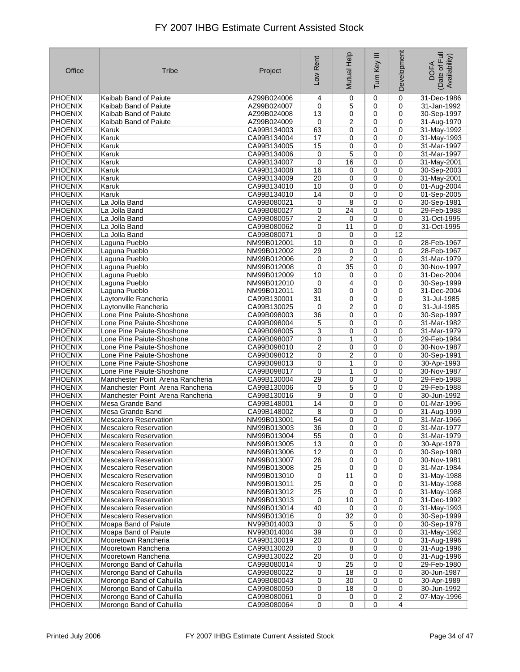| Office                           | Tribe                            | Project                    | Low Rent        | Mutual Help         | Ξ<br>Turn Key  | Development      | Date of Full<br>Availability)<br><b>DOFA</b> |
|----------------------------------|----------------------------------|----------------------------|-----------------|---------------------|----------------|------------------|----------------------------------------------|
| <b>PHOENIX</b>                   | Kaibab Band of Paiute            | AZ99B024006                | 4               | 0                   | $\mathbf 0$    | $\mathbf 0$      | 31-Dec-1986                                  |
| <b>PHOENIX</b>                   | Kaibab Band of Paiute            | AZ99B024007                | $\mathbf 0$     | 5                   | 0              | $\mathbf 0$      | 31-Jan-1992                                  |
| <b>PHOENIX</b>                   | Kaibab Band of Paiute            | AZ99B024008                | 13              | 0                   | 0              | 0                | 30-Sep-1997                                  |
| <b>PHOENIX</b>                   | Kaibab Band of Paiute            | AZ99B024009                | 0               | $\overline{2}$      | $\mathbf 0$    | 0                | 31-Aug-1970                                  |
| <b>PHOENIX</b>                   | Karuk                            | CA99B134003                | 63              | 0                   | 0              | 0                | 31-May-1992                                  |
| <b>PHOENIX</b>                   | Karuk                            | CA99B134004                | 17              | 0                   | 0              | 0                | 31-May-1993                                  |
| <b>PHOENIX</b>                   | Karuk                            | CA99B134005                | 15              | 0                   | 0              | 0                | 31-Mar-1997                                  |
| <b>PHOENIX</b>                   | Karuk                            | CA99B134006                | 0               | 5                   | 0              | 0                | 31-Mar-1997                                  |
| <b>PHOENIX</b>                   | Karuk                            | CA99B134007                | 0               | 16                  | 0              | $\mathbf 0$      | 31-May-2001                                  |
| <b>PHOENIX</b>                   | Karuk                            | CA99B134008                | 16              | 0                   | 0              | $\mathbf 0$      | 30-Sep-2003                                  |
| <b>PHOENIX</b>                   | Karuk                            | CA99B134009                | 20              | 0                   | 0              | $\mathbf 0$      | 31-May-2001                                  |
| <b>PHOENIX</b>                   | Karuk                            | CA99B134010                | 10              | 0                   | 0              | 0                | 01-Aug-2004                                  |
| PHOENIX                          | Karuk                            | CA99B134010                | 14              | 0                   | 0              | $\mathbf 0$      | 01-Sep-2005                                  |
| <b>PHOENIX</b>                   | La Jolla Band                    | CA99B080021                | 0               | 8                   | 0              | 0                | 30-Sep-1981                                  |
| <b>PHOENIX</b>                   | La Jolla Band                    | CA99B080027                | 0               | 24                  | 0              | 0                | 29-Feb-1988                                  |
| <b>PHOENIX</b>                   | La Jolla Band                    | CA99B080057                | $\overline{c}$  | 0                   | 0              | $\mathbf 0$      | 31-Oct-1995                                  |
| <b>PHOENIX</b>                   | La Jolla Band                    | CA99B080062                | 0               | 11                  | 0              | 0                | 31-Oct-1995                                  |
| <b>PHOENIX</b>                   | La Jolla Band                    | CA99B080071                | $\mathbf 0$     | 0                   | 0              | 12               |                                              |
|                                  |                                  |                            |                 | 0                   | 0              | 0                |                                              |
| <b>PHOENIX</b>                   | Laguna Pueblo                    | NM99B012001<br>NM99B012002 | 10              |                     |                |                  | 28-Feb-1967                                  |
| <b>PHOENIX</b><br><b>PHOENIX</b> | Laguna Pueblo                    |                            | 29              | 0<br>$\overline{2}$ | 0              | 0<br>$\mathbf 0$ | 28-Feb-1967                                  |
|                                  | Laguna Pueblo                    | NM99B012006                | 0               |                     | 0              |                  | 31-Mar-1979                                  |
| <b>PHOENIX</b>                   | Laguna Pueblo                    | NM99B012008                | 0               | 35                  | 0              | $\mathbf 0$      | 30-Nov-1997                                  |
| <b>PHOENIX</b>                   | Laguna Pueblo                    | NM99B012009                | 10              | 0                   | 0              | $\mathbf 0$      | 31-Dec-2004                                  |
| <b>PHOENIX</b>                   | Laguna Pueblo                    | NM99B012010                | 0               | 4                   | 0              | 0                | 30-Sep-1999                                  |
| <b>PHOENIX</b>                   | Laguna Pueblo                    | NM99B012011                | 30              | 0                   | 0              | 0                | 31-Dec-2004                                  |
| <b>PHOENIX</b>                   | Laytonville Rancheria            | CA99B130001                | 31              | 0                   | 0              | 0                | 31-Jul-1985                                  |
| <b>PHOENIX</b>                   | Laytonville Rancheria            | CA99B130025                | 0               | 2                   | 0              | 0                | 31-Jul-1985                                  |
| <b>PHOENIX</b>                   | Lone Pine Paiute-Shoshone        | CA99B098003                | 36              | 0                   | 0              | 0                | 30-Sep-1997                                  |
| <b>PHOENIX</b>                   | Lone Pine Paiute-Shoshone        | CA99B098004                | 5               | 0                   | 0              | $\mathbf 0$      | 31-Mar-1982                                  |
| <b>PHOENIX</b>                   | Lone Pine Paiute-Shoshone        | CA99B098005                | 3               | 0                   | 0              | $\mathbf 0$      | 31-Mar-1979                                  |
| <b>PHOENIX</b>                   | Lone Pine Paiute-Shoshone        | CA99B098007                | 0               | 1                   | 0              | 0                | 29-Feb-1984                                  |
| PHOENIX                          | Lone Pine Paiute-Shoshone        | CA99B098010                | 2               | 0                   | 0              | 0                | 30-Nov-1987                                  |
| <b>PHOENIX</b>                   | Lone Pine Paiute-Shoshone        | CA99B098012                | 0               | 2                   | 0              | 0                | 30-Sep-1991                                  |
| <b>PHOENIX</b>                   | Lone Pine Paiute-Shoshone        | CA99B098013                | 0               | 1                   | 0              | 0                | 30-Apr-1993                                  |
| <b>PHOENIX</b>                   | Lone Pine Paiute-Shoshone        | CA99B098017                | $\mathbf 0$     | 1                   | $\mathbf 0$    | 0                | 30-Nov-1987                                  |
| <b>PHOENIX</b>                   | Manchester Point Arena Rancheria | CA99B130004                | 29              | 0                   | 0              | 0                | 29-Feb-1988                                  |
| <b>PHOENIX</b>                   | Manchester Point Arena Rancheria | CA99B130006                | 0               | 5                   | 0              | 0                | 29-Feb-1988                                  |
| PHOENIX                          | Manchester Point Arena Rancheria | CA99B130016                | 9               | 0                   | 0              | 0                | 30-Jun-1992                                  |
| <b>PHOENIX</b>                   | Mesa Grande Band                 | CA99B148001                | 14              | 0                   | 0              | 0                | 01-Mar-1996                                  |
| <b>PHOENIX</b>                   | Mesa Grande Band                 | CA99B148002                | 8               | 0                   | 0              | $\mathbf 0$      | 31-Aug-1999                                  |
| <b>PHOENIX</b>                   | <b>Mescalero Reservation</b>     | NM99B013001                | 54              | 0                   | $\mathbf 0$    | 0                | 31-Mar-1966                                  |
| PHOENIX                          | <b>Mescalero Reservation</b>     | NM99B013003                | $\overline{36}$ | 0                   | $\pmb{0}$      | 0                | 31-Mar-1977                                  |
| <b>PHOENIX</b>                   | <b>Mescalero Reservation</b>     | NM99B013004                | 55              | 0                   | 0              | 0                | 31-Mar-1979                                  |
| <b>PHOENIX</b>                   | <b>Mescalero Reservation</b>     | NM99B013005                | 13              | 0                   | 0              | 0                | 30-Apr-1979                                  |
| <b>PHOENIX</b>                   | <b>Mescalero Reservation</b>     | NM99B013006                | 12              | 0                   | 0              | 0                | 30-Sep-1980                                  |
| PHOENIX                          | <b>Mescalero Reservation</b>     | NM99B013007                | 26              | 0                   | 0              | 0                | 30-Nov-1981                                  |
| PHOENIX                          | <b>Mescalero Reservation</b>     | NM99B013008                | 25              | 0                   | 0              | 0                | 31-Mar-1984                                  |
| <b>PHOENIX</b>                   | <b>Mescalero Reservation</b>     | NM99B013010                | 0               | 11                  | $\mathbf 0$    | 0                | 31-May-1988                                  |
| <b>PHOENIX</b>                   | <b>Mescalero Reservation</b>     | NM99B013011                | 25              | 0                   | 0              | 0                | 31-May-1988                                  |
| PHOENIX                          | <b>Mescalero Reservation</b>     | NM99B013012                | 25              | 0                   | $\mathbf 0$    | 0                | 31-May-1988                                  |
| <b>PHOENIX</b>                   | <b>Mescalero Reservation</b>     | NM99B013013                | 0               | 10                  | 0              | $\pmb{0}$        | 31-Dec-1992                                  |
| PHOENIX                          | <b>Mescalero Reservation</b>     | NM99B013014                | 40              | 0                   | 0              | 0                | 31-May-1993                                  |
| PHOENIX                          | <b>Mescalero Reservation</b>     | NM99B013016                | 0               | 32                  | $\mathbf 0$    | 0                | 30-Sep-1999                                  |
| <b>PHOENIX</b>                   | Moapa Band of Paiute             | NV99B014003                | 0               | 5                   | 0              | 0                | 30-Sep-1978                                  |
| <b>PHOENIX</b>                   | Moapa Band of Paiute             | NV99B014004                | 39              | 0                   | $\mathbf 0$    | 0                | 31-May-1982                                  |
| <b>PHOENIX</b>                   | Mooretown Rancheria              | CA99B130019                | 20              | 0                   | 0              | 0                | 31-Aug-1996                                  |
| PHOENIX                          | Mooretown Rancheria              | CA99B130020                | 0               | 8                   | 0              | 0                | 31-Aug-1996                                  |
| <b>PHOENIX</b>                   | Mooretown Rancheria              | CA99B130022                | 20              | 0                   | 0              | 0                | 31-Aug-1996                                  |
| PHOENIX                          | Morongo Band of Cahuilla         | CA99B080014                | 0               | 25                  | $\mathbf 0$    | 0                | 29-Feb-1980                                  |
| PHOENIX                          | Morongo Band of Cahuilla         | CA99B080022                | 0               | 18                  | $\mathbf 0$    | 0                | 30-Jun-1987                                  |
| <b>PHOENIX</b>                   | Morongo Band of Cahuilla         | CA99B080043                | 0               | 30                  | $\mathbf 0$    | 0                | 30-Apr-1989                                  |
| PHOENIX                          | Morongo Band of Cahuilla         | CA99B080050                | 0               | 18                  | 0              | 0                | 30-Jun-1992                                  |
| PHOENIX                          | Morongo Band of Cahuilla         | CA99B080061                | $\pmb{0}$       | 0                   | 0              | 2                | 07-May-1996                                  |
| PHOENIX                          | Morongo Band of Cahuilla         | CA99B080064                | $\overline{0}$  | 0                   | $\overline{0}$ | $\overline{4}$   |                                              |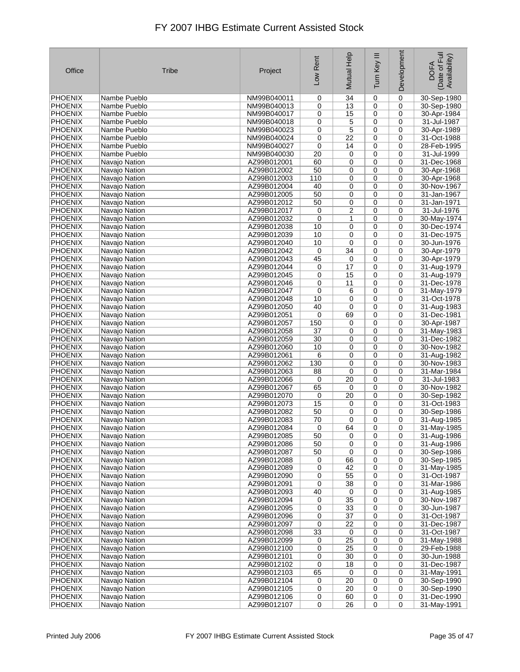| Office                           | <b>Tribe</b>                   | Project                    | Low Rent       | Mutual Help | Ξ<br>Turn Key | Development | Date of Full<br>Availability)<br><b>DOFA</b> |
|----------------------------------|--------------------------------|----------------------------|----------------|-------------|---------------|-------------|----------------------------------------------|
| <b>PHOENIX</b>                   | Nambe Pueblo                   | NM99B040011                | 0              | 34          | 0             | $\mathbf 0$ | 30-Sep-1980                                  |
| PHOENIX                          | Nambe Pueblo                   | NM99B040013                | 0              | 13          | 0             | $\mathbf 0$ | 30-Sep-1980                                  |
| <b>PHOENIX</b>                   | Nambe Pueblo                   | NM99B040017                | 0              | 15          | $\mathbf 0$   | 0           | 30-Apr-1984                                  |
| <b>PHOENIX</b>                   | Nambe Pueblo                   | NM99B040018                | 0              | 5           | 0             | 0           | 31-Jul-1987                                  |
| <b>PHOENIX</b>                   | Nambe Pueblo                   | NM99B040023                | 0              | 5           | 0             | 0           | 30-Apr-1989                                  |
| <b>PHOENIX</b>                   | Nambe Pueblo                   | NM99B040024                | 0              | 22          | 0             | 0           | 31-Oct-1988                                  |
| <b>PHOENIX</b>                   | Nambe Pueblo                   | NM99B040027                | 0              | 14          | 0             | 0           | 28-Feb-1995                                  |
| <b>PHOENIX</b>                   | Nambe Pueblo                   | NM99B040030                | 20             | 0           | 0             | 0           | 31-Jul-1999                                  |
| <b>PHOENIX</b>                   | Navajo Nation                  | AZ99B012001                | 60             | 0           | 0             | $\mathbf 0$ | 31-Dec-1968                                  |
| <b>PHOENIX</b>                   | Navajo Nation                  | AZ99B012002                | 50             | 0           | 0             | 0           | 30-Apr-1968                                  |
| <b>PHOENIX</b>                   | Navajo Nation                  | AZ99B012003                | 110<br>40      | 0           | 0             | 0           | 30-Apr-1968                                  |
| <b>PHOENIX</b><br><b>PHOENIX</b> | Navajo Nation<br>Navajo Nation | AZ99B012004<br>AZ99B012005 | 50             | 0<br>0      | 0<br>0        | 0<br>0      | 30-Nov-1967<br>31-Jan-1967                   |
| <b>PHOENIX</b>                   | Navajo Nation                  | AZ99B012012                | 50             | 0           | 0             | 0           | 31-Jan-1971                                  |
| <b>PHOENIX</b>                   | Navajo Nation                  | AZ99B012017                | 0              | 2           | 0             | 0           | 31-Jul-1976                                  |
| <b>PHOENIX</b>                   | Navajo Nation                  | AZ99B012032                | 0              | 1           | 0             | 0           | 30-May-1974                                  |
| <b>PHOENIX</b>                   | Navajo Nation                  | AZ99B012038                | 10             | 0           | 0             | 0           | 30-Dec-1974                                  |
| <b>PHOENIX</b>                   | Navajo Nation                  | AZ99B012039                | 10             | 0           | 0             | 0           | 31-Dec-1975                                  |
| <b>PHOENIX</b>                   | Navajo Nation                  | AZ99B012040                | 10             | 0           | 0             | 0           | 30-Jun-1976                                  |
| <b>PHOENIX</b>                   | Navajo Nation                  | AZ99B012042                | 0              | 34          | 0             | 0           | 30-Apr-1979                                  |
| <b>PHOENIX</b>                   | Navajo Nation                  | AZ99B012043                | 45             | 0           | 0             | 0           | 30-Apr-1979                                  |
| <b>PHOENIX</b>                   | Navajo Nation                  | AZ99B012044                | 0              | 17          | 0             | 0           | 31-Aug-1979                                  |
| <b>PHOENIX</b>                   | Navajo Nation                  | AZ99B012045                | 0              | 15          | 0             | 0           | 31-Aug-1979                                  |
| <b>PHOENIX</b>                   | Navajo Nation                  | AZ99B012046                | 0              | 11          | 0             | 0           | 31-Dec-1978                                  |
| <b>PHOENIX</b>                   | Navajo Nation                  | AZ99B012047                | 0              | 6           | 0             | 0           | 31-May-1979                                  |
| <b>PHOENIX</b>                   | Navajo Nation                  | AZ99B012048                | 10             | 0           | 0             | 0           | 31-Oct-1978                                  |
| <b>PHOENIX</b>                   | Navajo Nation                  | AZ99B012050                | 40             | 0           | 0             | 0           | 31-Aug-1983                                  |
| <b>PHOENIX</b>                   | Navajo Nation                  | AZ99B012051                | 0              | 69          | 0             | 0           | 31-Dec-1981                                  |
| <b>PHOENIX</b>                   | Navajo Nation                  | AZ99B012057                | 150            | 0           | 0             | 0           | 30-Apr-1987                                  |
| <b>PHOENIX</b>                   | Navajo Nation                  | AZ99B012058                | 37             | 0           | 0             | 0           | 31-May-1983                                  |
| <b>PHOENIX</b>                   | Navajo Nation                  | AZ99B012059                | 30             | 0           | 0             | 0           | 31-Dec-1982                                  |
| <b>PHOENIX</b>                   | Navajo Nation                  | AZ99B012060                | 10             | 0           | 0             | 0           | 30-Nov-1982                                  |
| <b>PHOENIX</b>                   | Navajo Nation                  | AZ99B012061                | 6              | 0           | 0             | 0           | 31-Aug-1982                                  |
| <b>PHOENIX</b>                   | Navajo Nation                  | AZ99B012062                | 130            | 0           | 0             | 0           | 30-Nov-1983                                  |
| <b>PHOENIX</b>                   | Navajo Nation                  | AZ99B012063                | 88             | 0           | 0             | 0           | 31-Mar-1984                                  |
| <b>PHOENIX</b>                   | Navajo Nation                  | AZ99B012066                | 0              | 20          | 0             | 0           | 31-Jul-1983                                  |
| <b>PHOENIX</b><br><b>PHOENIX</b> | Navajo Nation<br>Navajo Nation | AZ99B012067<br>AZ99B012070 | 65             | 0<br>20     | 0<br>0        | 0<br>0      | 30-Nov-1982<br>30-Sep-1982                   |
| <b>PHOENIX</b>                   | Navajo Nation                  | AZ99B012073                | 0<br>15        | 0           | 0             | 0           | 31-Oct-1983                                  |
| <b>PHOENIX</b>                   | Navajo Nation                  | AZ99B012082                | 50             | 0           | 0             | 0           | 30-Sep-1986                                  |
| <b>PHOENIX</b>                   | Navajo Nation                  | AZ99B012083                | 70             | 0           | 0             | 0           | 31-Aug-1985                                  |
| PHOENIX                          | Navajo Nation                  | AZ99B012084                | 0              | 64          | 0             | 0           | 31-May-1985                                  |
| <b>PHOENIX</b>                   | Navajo Nation                  | AZ99B012085                | 50             | 0           | 0             | 0           | 31-Aug-1986                                  |
| <b>PHOENIX</b>                   | Navajo Nation                  | AZ99B012086                | 50             | 0           | 0             | 0           | 31-Aug-1986                                  |
| <b>PHOENIX</b>                   | Navajo Nation                  | AZ99B012087                | 50             | 0           | 0             | 0           | 30-Sep-1986                                  |
| PHOENIX                          | Navajo Nation                  | AZ99B012088                | 0              | 66          | 0             | 0           | 30-Sep-1985                                  |
| PHOENIX                          | Navajo Nation                  | AZ99B012089                | 0              | 42          | 0             | 0           | 31-May-1985                                  |
| <b>PHOENIX</b>                   | Navajo Nation                  | AZ99B012090                | 0              | 55          | 0             | 0           | 31-Oct-1987                                  |
| <b>PHOENIX</b>                   | Navajo Nation                  | AZ99B012091                | 0              | 38          | 0             | 0           | 31-Mar-1986                                  |
| PHOENIX                          | Navajo Nation                  | AZ99B012093                | 40             | 0           | 0             | 0           | 31-Aug-1985                                  |
| <b>PHOENIX</b>                   | Navajo Nation                  | AZ99B012094                | 0              | 35          | $\pmb{0}$     | 0           | 30-Nov-1987                                  |
| PHOENIX                          | Navajo Nation                  | AZ99B012095                | 0              | 33          | 0             | 0           | 30-Jun-1987                                  |
| PHOENIX                          | Navajo Nation                  | AZ99B012096                | 0              | 37          | 0             | 0           | 31-Oct-1987                                  |
| <b>PHOENIX</b>                   | Navajo Nation                  | AZ99B012097                | 0              | 22          | 0             | 0           | 31-Dec-1987                                  |
| PHOENIX                          | Navajo Nation                  | AZ99B012098                | 33             | 0           | 0             | 0           | 31-Oct-1987                                  |
| <b>PHOENIX</b>                   | Navajo Nation                  | AZ99B012099                | 0              | 25          | 0             | 0           | 31-May-1988                                  |
| PHOENIX<br>PHOENIX               | Navajo Nation<br>Navajo Nation | AZ99B012100<br>AZ99B012101 | 0<br>0         | 25<br>30    | 0<br>0        | 0<br>0      | 29-Feb-1988                                  |
| PHOENIX                          | Navajo Nation                  | AZ99B012102                | 0              | 18          | 0             | 0           | 30-Jun-1988<br>31-Dec-1987                   |
| PHOENIX                          | Navajo Nation                  | AZ99B012103                | 65             | 0           | 0             | 0           | 31-May-1991                                  |
| <b>PHOENIX</b>                   | Navajo Nation                  | AZ99B012104                | 0              | 20          | 0             | 0           | 30-Sep-1990                                  |
| PHOENIX                          | Navajo Nation                  | AZ99B012105                | 0              | 20          | 0             | 0           | 30-Sep-1990                                  |
| <b>PHOENIX</b>                   | Navajo Nation                  | AZ99B012106                | 0              | 60          | 0             | 0           | 31-Dec-1990                                  |
| PHOENIX                          | Navajo Nation                  | AZ99B012107                | $\overline{0}$ | 26          | 0             | $\mathbf 0$ | 31-May-1991                                  |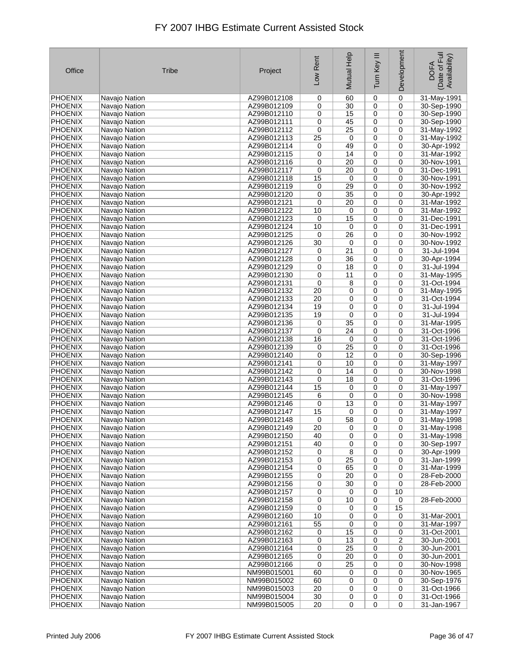| Office                           | <b>Tribe</b>                   | Project                    | Low Rent        | Mutual Help | Ξ<br>Turn Key | Development | Date of Full<br>Availability)<br><b>DOFA</b> |
|----------------------------------|--------------------------------|----------------------------|-----------------|-------------|---------------|-------------|----------------------------------------------|
| <b>PHOENIX</b>                   | Navajo Nation                  | AZ99B012108                | 0               | 60          | $\mathbf 0$   | 0           | 31-May-1991                                  |
| <b>PHOENIX</b>                   | Navajo Nation                  | AZ99B012109                | 0               | 30          | $\mathbf 0$   | $\mathbf 0$ | 30-Sep-1990                                  |
| <b>PHOENIX</b>                   | Navajo Nation                  | AZ99B012110                | 0               | 15          | 0             | 0           | 30-Sep-1990                                  |
| <b>PHOENIX</b>                   | Navajo Nation                  | AZ99B012111                | 0               | 45          | 0             | 0           | 30-Sep-1990                                  |
| <b>PHOENIX</b>                   | Navajo Nation                  | AZ99B012112                | 0               | 25          | 0             | 0           | 31-May-1992                                  |
| PHOENIX                          | Navajo Nation                  | AZ99B012113                | 25              | 0           | 0             | 0           | 31-May-1992                                  |
| <b>PHOENIX</b>                   | Navajo Nation                  | AZ99B012114                | 0               | 49          | 0             | 0           | 30-Apr-1992                                  |
| <b>PHOENIX</b>                   | Navajo Nation                  | AZ99B012115                | 0               | 14          | 0             | 0           | 31-Mar-1992                                  |
| <b>PHOENIX</b>                   | Navajo Nation                  | AZ99B012116                | 0               | 20          | 0             | $\mathbf 0$ | 30-Nov-1991                                  |
| <b>PHOENIX</b>                   | Navajo Nation                  | AZ99B012117                | 0               | 20          | 0             | 0           | 31-Dec-1991                                  |
| <b>PHOENIX</b>                   | Navajo Nation                  | AZ99B012118                | 15              | $\mathbf 0$ | 0             | 0           | 30-Nov-1991                                  |
| <b>PHOENIX</b>                   | Navajo Nation                  | AZ99B012119                | 0               | 29          | 0             | 0           | 30-Nov-1992                                  |
| <b>PHOENIX</b>                   | Navajo Nation                  | AZ99B012120                | 0               | 35          | 0             | 0           | 30-Apr-1992                                  |
| <b>PHOENIX</b>                   | Navajo Nation                  | AZ99B012121                | 0               | 20          | 0             | 0           | 31-Mar-1992                                  |
| <b>PHOENIX</b>                   | Navajo Nation                  | AZ99B012122                | 10              | 0           | $\mathbf 0$   | 0           | 31-Mar-1992                                  |
| <b>PHOENIX</b>                   | Navajo Nation                  | AZ99B012123                | 0               | 15          | 0             | 0           | 31-Dec-1991                                  |
| <b>PHOENIX</b>                   | Navajo Nation                  | AZ99B012124                | 10              | 0           | 0             | 0           | 31-Dec-1991                                  |
| <b>PHOENIX</b>                   | Navajo Nation                  | AZ99B012125                | 0               | 26          | 0             | 0           | 30-Nov-1992                                  |
| <b>PHOENIX</b>                   | Navajo Nation                  | AZ99B012126                | 30              | 0           | 0             | 0           | 30-Nov-1992                                  |
| <b>PHOENIX</b>                   | Navajo Nation                  | AZ99B012127                | 0               | 21          | 0             | 0           | 31-Jul-1994                                  |
| <b>PHOENIX</b>                   | Navajo Nation                  | AZ99B012128                | 0               | 36          | 0             | 0           | 30-Apr-1994                                  |
| <b>PHOENIX</b>                   | Navajo Nation                  | AZ99B012129                | 0               | 18          | 0             | 0           | 31-Jul-1994                                  |
| <b>PHOENIX</b>                   | Navajo Nation                  | AZ99B012130                | 0               | 11          | 0             | 0           | 31-May-1995                                  |
| <b>PHOENIX</b>                   | Navajo Nation                  | AZ99B012131                | 0               | 8           | 0             | 0           | 31-Oct-1994                                  |
| <b>PHOENIX</b>                   | Navajo Nation                  | AZ99B012132                | 20              | 0           | 0             | 0           | 31-May-1995                                  |
| <b>PHOENIX</b>                   | Navajo Nation                  | AZ99B012133                | 20              | 0           | 0             | 0           | 31-Oct-1994                                  |
| <b>PHOENIX</b>                   | Navajo Nation                  | AZ99B012134                | 19              | 0           | 0             | 0           | 31-Jul-1994                                  |
| <b>PHOENIX</b>                   | Navajo Nation                  | AZ99B012135                | 19              | 0           | 0             | 0           | 31-Jul-1994                                  |
| <b>PHOENIX</b>                   | Navajo Nation                  | AZ99B012136                | 0               | 35          | 0             | 0           | 31-Mar-1995                                  |
| <b>PHOENIX</b>                   | Navajo Nation                  | AZ99B012137                | 0               | 24          | 0             | 0           | 31-Oct-1996                                  |
| <b>PHOENIX</b>                   | Navajo Nation                  | AZ99B012138                | 16              | 0           | 0             | 0           | 31-Oct-1996                                  |
| <b>PHOENIX</b>                   | Navajo Nation                  | AZ99B012139                | 0               | 25<br>12    | 0             | 0<br>0      | 31-Oct-1996                                  |
| <b>PHOENIX</b><br><b>PHOENIX</b> | Navajo Nation<br>Navajo Nation | AZ99B012140<br>AZ99B012141 | 0<br>0          | 10          | 0<br>0        | 0           | 30-Sep-1996<br>31-May-1997                   |
| <b>PHOENIX</b>                   | Navajo Nation                  | AZ99B012142                | 0               | 14          | 0             | 0           | 30-Nov-1998                                  |
| <b>PHOENIX</b>                   | Navajo Nation                  | AZ99B012143                | 0               | 18          | 0             | 0           | 31-Oct-1996                                  |
| <b>PHOENIX</b>                   | Navajo Nation                  | AZ99B012144                | 15              | 0           | 0             | 0           | 31-May-1997                                  |
| <b>PHOENIX</b>                   | Navajo Nation                  | AZ99B012145                | 6               | 0           | 0             | 0           | 30-Nov-1998                                  |
| <b>PHOENIX</b>                   | Navajo Nation                  | AZ99B012146                | 0               | 13          | 0             | 0           | 31-May-1997                                  |
| <b>PHOENIX</b>                   | Navajo Nation                  | AZ99B012147                | 15              | 0           | 0             | $\mathbf 0$ | 31-May-1997                                  |
| <b>PHOENIX</b>                   | Navajo Nation                  | AZ99B012148                | 0               | 58          | $\mathbf 0$   | 0           | 31-May-1998                                  |
| <b>PHOENIX</b>                   | Navajo Nation                  | AZ99B012149                | $\overline{20}$ | 0           | 0             | 0           | 31-May-1998                                  |
| <b>PHOENIX</b>                   | Navajo Nation                  | AZ99B012150                | 40              | 0           | 0             | 0           | 31-May-1998                                  |
| <b>PHOENIX</b>                   | Navajo Nation                  | AZ99B012151                | 40              | 0           | 0             | 0           | 30-Sep-1997                                  |
| <b>PHOENIX</b>                   | Navajo Nation                  | AZ99B012152                | 0               | 8           | 0             | 0           | 30-Apr-1999                                  |
| PHOENIX                          | Navajo Nation                  | AZ99B012153                | 0               | 25          | 0             | 0           | 31-Jan-1999                                  |
| PHOENIX                          | Navajo Nation                  | AZ99B012154                | 0               | 65          | 0             | 0           | 31-Mar-1999                                  |
| <b>PHOENIX</b>                   | Navajo Nation                  | AZ99B012155                | 0               | 20          | 0             | 0           | 28-Feb-2000                                  |
| <b>PHOENIX</b>                   | Navajo Nation                  | AZ99B012156                | 0               | 30          | 0             | 0           | 28-Feb-2000                                  |
| PHOENIX                          | Navajo Nation                  | AZ99B012157                | 0               | 0           | 0             | 10          |                                              |
| <b>PHOENIX</b>                   | Navajo Nation                  | AZ99B012158                | 0               | 10          | 0             | $\pmb{0}$   | 28-Feb-2000                                  |
| <b>PHOENIX</b>                   | Navajo Nation                  | AZ99B012159                | 0               | 0           | 0             | 15          |                                              |
| PHOENIX                          | Navajo Nation                  | AZ99B012160                | 10              | 0           | 0             | 0           | 31-Mar-2001                                  |
| <b>PHOENIX</b>                   | Navajo Nation                  | AZ99B012161                | 55              | 0           | 0             | 0           | 31-Mar-1997                                  |
| PHOENIX                          | Navajo Nation                  | AZ99B012162                | 0               | 15          | 0             | 0           | 31-Oct-2001                                  |
| <b>PHOENIX</b>                   | Navajo Nation                  | AZ99B012163                | 0               | 13          | 0             | 2           | 30-Jun-2001                                  |
| PHOENIX                          | Navajo Nation                  | AZ99B012164                | 0               | 25          | 0             | 0           | 30-Jun-2001                                  |
| <b>PHOENIX</b>                   | Navajo Nation                  | AZ99B012165                | 0               | 20          | 0             | 0           | 30-Jun-2001                                  |
| <b>PHOENIX</b>                   | Navajo Nation                  | AZ99B012166                | 0               | 25          | 0             | 0           | 30-Nov-1998                                  |
| PHOENIX<br><b>PHOENIX</b>        | Navajo Nation<br>Navajo Nation | NM99B015001<br>NM99B015002 | 60<br>60        | 0<br>0      | 0<br>0        | 0<br>0      | 30-Nov-1965                                  |
| PHOENIX                          | Navajo Nation                  | NM99B015003                | 20              | 0           | 0             | 0           | 30-Sep-1976<br>31-Oct-1966                   |
| <b>PHOENIX</b>                   | Navajo Nation                  | NM99B015004                | 30              | 0           | 0             | 0           | 31-Oct-1966                                  |
| PHOENIX                          | Navajo Nation                  | NM99B015005                | $\overline{20}$ | 0           | 0             | $\mathbf 0$ | 31-Jan-1967                                  |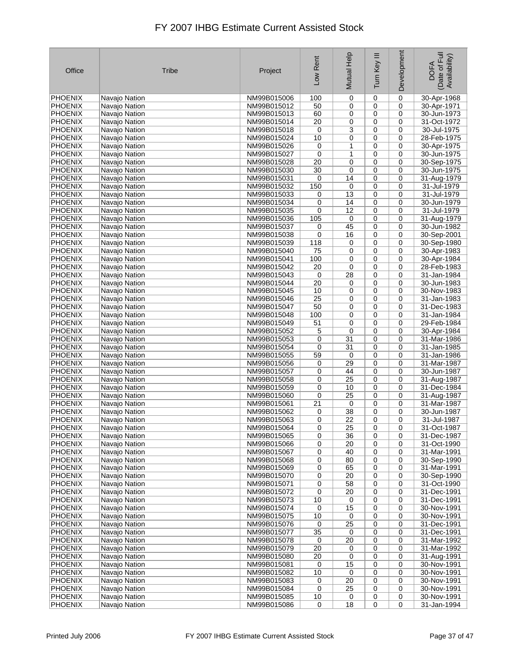| Office                           | <b>Tribe</b>                   | Project                    | Low Rent          | Mutual Help           | Ξ<br>Turn Key    | Development      | Date of Full<br>Availability)<br><b>DOFA</b> |
|----------------------------------|--------------------------------|----------------------------|-------------------|-----------------------|------------------|------------------|----------------------------------------------|
| <b>PHOENIX</b>                   | Navajo Nation                  | NM99B015006                | 100               | 0                     | 0                | $\mathbf 0$      | 30-Apr-1968                                  |
| <b>PHOENIX</b>                   | Navajo Nation                  | NM99B015012                | 50                | 0                     | 0                | $\mathbf 0$      | 30-Apr-1971                                  |
| <b>PHOENIX</b>                   | Navajo Nation                  | NM99B015013                | 60                | 0                     | $\mathbf 0$      | 0                | 30-Jun-1973                                  |
| <b>PHOENIX</b>                   | Navajo Nation                  | NM99B015014                | 20                | 0                     | 0                | 0                | 31-Oct-1972                                  |
| <b>PHOENIX</b>                   | Navajo Nation                  | NM99B015018                | 0                 | 3                     | 0                | 0                | 30-Jul-1975                                  |
| <b>PHOENIX</b>                   | Navajo Nation                  | NM99B015024                | 10                | 0                     | 0                | 0                | 28-Feb-1975                                  |
| <b>PHOENIX</b>                   | Navajo Nation                  | NM99B015026                | 0                 | 1                     | 0                | 0                | 30-Apr-1975                                  |
| <b>PHOENIX</b>                   | Navajo Nation                  | NM99B015027                | 0                 | 1                     | 0                | 0                | 30-Jun-1975                                  |
| <b>PHOENIX</b>                   | Navajo Nation                  | NM99B015028                | 20                | 0                     | 0                | 0                | 30-Sep-1975                                  |
| <b>PHOENIX</b>                   | Navajo Nation                  | NM99B015030                | 30                | 0                     | 0                | 0                | 30-Jun-1975                                  |
| <b>PHOENIX</b>                   | Navajo Nation                  | NM99B015031                | 0                 | 14                    | 0                | 0                | 31-Aug-1979                                  |
| <b>PHOENIX</b>                   | Navajo Nation                  | NM99B015032                | 150               | 0                     | 0                | 0                | 31-Jul-1979                                  |
| <b>PHOENIX</b><br><b>PHOENIX</b> | Navajo Nation                  | NM99B015033                | 0                 | 13<br>14              | 0                | 0<br>0           | 31-Jul-1979                                  |
| <b>PHOENIX</b>                   | Navajo Nation                  | NM99B015034<br>NM99B015035 | 0<br>0            | 12                    | 0<br>$\mathbf 0$ | 0                | 30-Jun-1979                                  |
| <b>PHOENIX</b>                   | Navajo Nation<br>Navajo Nation | NM99B015036                | 105               | 0                     | 0                | 0                | 31-Jul-1979<br>31-Aug-1979                   |
| <b>PHOENIX</b>                   | Navajo Nation                  | NM99B015037                | 0                 | 45                    | 0                | 0                | 30-Jun-1982                                  |
| <b>PHOENIX</b>                   | Navajo Nation                  | NM99B015038                | 0                 | 16                    | 0                | 0                | 30-Sep-2001                                  |
| <b>PHOENIX</b>                   | Navajo Nation                  | NM99B015039                | 118               | 0                     | 0                | 0                | 30-Sep-1980                                  |
| <b>PHOENIX</b>                   | Navajo Nation                  | NM99B015040                | 75                | 0                     | 0                | 0                | 30-Apr-1983                                  |
| <b>PHOENIX</b>                   | Navajo Nation                  | NM99B015041                | 100               | 0                     | 0                | 0                | 30-Apr-1984                                  |
| <b>PHOENIX</b>                   | Navajo Nation                  | NM99B015042                | 20                | 0                     | $\mathbf 0$      | 0                | 28-Feb-1983                                  |
| <b>PHOENIX</b>                   | Navajo Nation                  | NM99B015043                | 0                 | 28                    | 0                | 0                | 31-Jan-1984                                  |
| <b>PHOENIX</b>                   | Navajo Nation                  | NM99B015044                | 20                | 0                     | 0                | 0                | 30-Jun-1983                                  |
| <b>PHOENIX</b>                   | Navajo Nation                  | NM99B015045                | 10                | 0                     | 0                | 0                | 30-Nov-1983                                  |
| <b>PHOENIX</b>                   | Navajo Nation                  | NM99B015046                | 25                | 0                     | 0                | 0                | 31-Jan-1983                                  |
| PHOENIX                          | Navajo Nation                  | NM99B015047                | 50                | 0                     | 0                | 0                | 31-Dec-1983                                  |
| <b>PHOENIX</b>                   | Navajo Nation                  | NM99B015048                | 100               | 0                     | 0                | 0                | 31-Jan-1984                                  |
| <b>PHOENIX</b>                   | Navajo Nation                  | NM99B015049                | 51                | 0                     | 0                | 0                | 29-Feb-1984                                  |
| <b>PHOENIX</b>                   | Navajo Nation                  | NM99B015052                | 5                 | 0                     | 0                | 0                | 30-Apr-1984                                  |
| <b>PHOENIX</b>                   | Navajo Nation                  | NM99B015053                | 0                 | 31                    | 0                | 0                | 31-Mar-1986                                  |
| <b>PHOENIX</b>                   | Navajo Nation                  | NM99B015054                | 0                 | 31                    | 0                | 0                | 31-Jan-1985                                  |
| <b>PHOENIX</b>                   | Navajo Nation                  | NM99B015055                | 59                | 0                     | 0                | 0                | 31-Jan-1986                                  |
| <b>PHOENIX</b>                   | Navajo Nation                  | NM99B015056                | 0                 | 29                    | 0                | 0                | 31-Mar-1987                                  |
| <b>PHOENIX</b>                   | Navajo Nation                  | NM99B015057                | 0                 | 44                    | 0                | 0                | 30-Jun-1987                                  |
| <b>PHOENIX</b>                   | Navajo Nation                  | NM99B015058                | 0                 | 25                    | 0                | 0                | 31-Aug-1987                                  |
| <b>PHOENIX</b>                   | Navajo Nation                  | NM99B015059                | 0                 | 10                    | 0                | 0                | 31-Dec-1984                                  |
| <b>PHOENIX</b>                   | Navajo Nation                  | NM99B015060                | 0                 | 25                    | 0                | 0                | 31-Aug-1987                                  |
| <b>PHOENIX</b>                   | Navajo Nation                  | NM99B015061                | 21                | 0                     | 0                | 0                | 31-Mar-1987                                  |
| <b>PHOENIX</b>                   | Navajo Nation                  | NM99B015062                | 0                 | 38                    | 0                | 0                | 30-Jun-1987                                  |
| <b>PHOENIX</b><br>PHOENIX        | Navajo Nation<br>Navajo Nation | NM99B015063<br>NM99B015064 | 0<br>0            | 22<br>$\overline{25}$ | $\mathbf 0$<br>0 | 0<br>0           | 31-Jul-1987<br>31-Oct-1987                   |
| PHOENIX                          | Navajo Nation                  | NM99B015065                | 0                 | 36                    | 0                | 0                | 31-Dec-1987                                  |
| <b>PHOENIX</b>                   | Navajo Nation                  | NM99B015066                | 0                 | 20                    | 0                | 0                | 31-Oct-1990                                  |
| <b>PHOENIX</b>                   | Navajo Nation                  | NM99B015067                | 0                 | 40                    | 0                | 0                | 31-Mar-1991                                  |
| <b>PHOENIX</b>                   | Navajo Nation                  | NM99B015068                | 0                 | 80                    | 0                | 0                | 30-Sep-1990                                  |
| PHOENIX                          | Navajo Nation                  | NM99B015069                | 0                 | 65                    | 0                | 0                | 31-Mar-1991                                  |
| <b>PHOENIX</b>                   | Navajo Nation                  | NM99B015070                | 0                 | 20                    | 0                | 0                | 30-Sep-1990                                  |
| <b>PHOENIX</b>                   | Navajo Nation                  | NM99B015071                | 0                 | 58                    | 0                | 0                | 31-Oct-1990                                  |
| PHOENIX                          | Navajo Nation                  | NM99B015072                | 0                 | 20                    | 0                | 0                | 31-Dec-1991                                  |
| PHOENIX                          | Navajo Nation                  | NM99B015073                | 10                | 0                     | 0                | 0                | 31-Dec-1991                                  |
| <b>PHOENIX</b>                   | Navajo Nation                  | NM99B015074                | 0                 | 15                    | 0                | 0                | 30-Nov-1991                                  |
| PHOENIX                          | Navajo Nation                  | NM99B015075                | 10                | 0                     | 0                | 0                | 30-Nov-1991                                  |
| <b>PHOENIX</b>                   | Navajo Nation                  | NM99B015076                | 0                 | 25                    | 0                | 0                | 31-Dec-1991                                  |
| PHOENIX                          | Navajo Nation                  | NM99B015077                | 35                | 0                     | 0                | 0                | 31-Dec-1991                                  |
| <b>PHOENIX</b>                   | Navajo Nation                  | NM99B015078                | 0                 | 20                    | 0                | 0                | 31-Mar-1992                                  |
| PHOENIX                          | Navajo Nation                  | NM99B015079                | 20                | 0                     | 0                | 0                | 31-Mar-1992                                  |
| PHOENIX                          | Navajo Nation                  | NM99B015080                | 20                | 0                     | 0                | 0                | 31-Aug-1991                                  |
| PHOENIX                          | Navajo Nation                  | NM99B015081                | 0                 | 15                    | 0                | 0                | 30-Nov-1991                                  |
| <b>PHOENIX</b>                   | Navajo Nation                  | NM99B015082                | 10                | 0                     | $\mathbf 0$      | 0                | 30-Nov-1991                                  |
| <b>PHOENIX</b>                   | Navajo Nation                  | NM99B015083                | 0                 | 20                    | 0                | 0                | 30-Nov-1991                                  |
| PHOENIX                          | Navajo Nation                  | NM99B015084                | 0                 | 25                    | 0                | 0                | 30-Nov-1991                                  |
| <b>PHOENIX</b><br>PHOENIX        | Navajo Nation<br>Navajo Nation | NM99B015085<br>NM99B015086 | 10<br>$\mathbf 0$ | 0<br>18               | 0<br>0           | 0<br>$\mathbf 0$ | 30-Nov-1991<br>31-Jan-1994                   |
|                                  |                                |                            |                   |                       |                  |                  |                                              |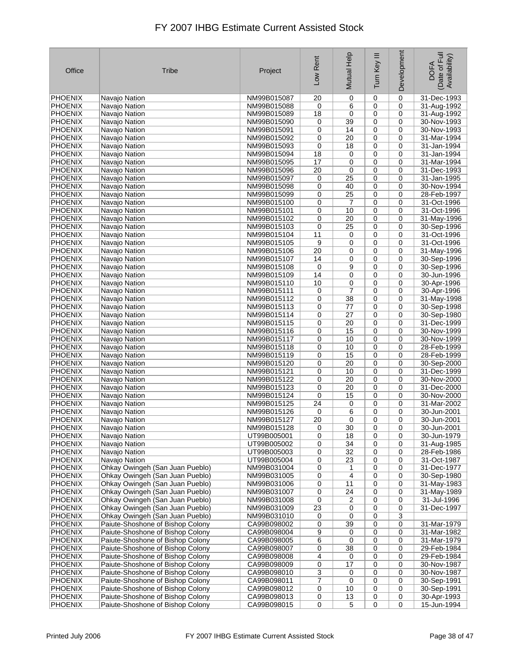| Office                           | Tribe                                                                | Project                    | Low Rent | Mutual Help           | Ξ<br>Turn Key    | Development      | Date of Full<br>Availability)<br><b>DOFA</b> |
|----------------------------------|----------------------------------------------------------------------|----------------------------|----------|-----------------------|------------------|------------------|----------------------------------------------|
| <b>PHOENIX</b>                   | Navajo Nation                                                        | NM99B015087                | 20       | 0                     | 0                | 0                | 31-Dec-1993                                  |
| <b>PHOENIX</b>                   | Navajo Nation                                                        | NM99B015088                | 0        | 6                     | 0                | 0                | 31-Aug-1992                                  |
| <b>PHOENIX</b>                   | Navajo Nation                                                        | NM99B015089                | 18       | 0                     | $\mathbf 0$      | 0                | 31-Aug-1992                                  |
| <b>PHOENIX</b>                   | Navajo Nation                                                        | NM99B015090                | 0        | 39                    | 0                | 0                | 30-Nov-1993                                  |
| <b>PHOENIX</b>                   | Navajo Nation                                                        | NM99B015091                | 0        | 14                    | 0                | 0                | 30-Nov-1993                                  |
| <b>PHOENIX</b>                   | Navajo Nation                                                        | NM99B015092                | 0        | 20                    | 0                | 0                | 31-Mar-1994                                  |
| <b>PHOENIX</b>                   | Navajo Nation                                                        | NM99B015093                | 0        | 18                    | 0                | 0                | 31-Jan-1994                                  |
| <b>PHOENIX</b>                   | Navajo Nation                                                        | NM99B015094                | 18       | 0                     | 0                | 0                | 31-Jan-1994                                  |
| PHOENIX<br><b>PHOENIX</b>        | Navajo Nation<br>Navajo Nation                                       | NM99B015095<br>NM99B015096 | 17<br>20 | 0<br>0                | 0<br>0           | $\mathbf 0$<br>0 | 31-Mar-1994<br>31-Dec-1993                   |
| <b>PHOENIX</b>                   | Navajo Nation                                                        | NM99B015097                | 0        | 25                    | 0                | 0                | 31-Jan-1995                                  |
| <b>PHOENIX</b>                   | Navajo Nation                                                        | NM99B015098                | 0        | 40                    | 0                | 0                | 30-Nov-1994                                  |
| <b>PHOENIX</b>                   | Navajo Nation                                                        | NM99B015099                | 0        | 25                    | 0                | 0                | 28-Feb-1997                                  |
| <b>PHOENIX</b>                   | Navajo Nation                                                        | NM99B015100                | 0        | 7                     | 0                | 0                | 31-Oct-1996                                  |
| <b>PHOENIX</b>                   | Navajo Nation                                                        | NM99B015101                | 0        | 10                    | $\mathbf 0$      | 0                | 31-Oct-1996                                  |
| <b>PHOENIX</b>                   | Navajo Nation                                                        | NM99B015102                | 0        | 20                    | 0                | 0                | 31-May-1996                                  |
| <b>PHOENIX</b>                   | Navajo Nation                                                        | NM99B015103                | 0        | 25                    | 0                | 0                | 30-Sep-1996                                  |
| <b>PHOENIX</b>                   | Navajo Nation                                                        | NM99B015104                | 11       | 0                     | 0                | 0                | 31-Oct-1996                                  |
| <b>PHOENIX</b>                   | Navajo Nation                                                        | NM99B015105                | 9        | 0                     | 0                | 0                | 31-Oct-1996                                  |
| <b>PHOENIX</b>                   | Navajo Nation                                                        | NM99B015106                | 20       | 0                     | 0                | 0                | 31-May-1996                                  |
| <b>PHOENIX</b>                   | Navajo Nation                                                        | NM99B015107                | 14       | 0                     | 0                | 0                | 30-Sep-1996                                  |
| <b>PHOENIX</b>                   | Navajo Nation                                                        | NM99B015108                | 0        | 9                     | 0                | 0                | 30-Sep-1996                                  |
| <b>PHOENIX</b>                   | Navajo Nation                                                        | NM99B015109                | 14       | 0                     | 0                | 0                | 30-Jun-1996                                  |
| <b>PHOENIX</b>                   | Navajo Nation                                                        | NM99B015110                | 10       | 0                     | 0                | 0                | 30-Apr-1996                                  |
| <b>PHOENIX</b>                   | Navajo Nation                                                        | NM99B015111                | 0        | $\overline{7}$        | 0                | 0                | 30-Apr-1996                                  |
| <b>PHOENIX</b>                   | Navajo Nation                                                        | NM99B015112                | 0        | 38                    | 0                | 0                | 31-May-1998                                  |
| <b>PHOENIX</b><br><b>PHOENIX</b> | Navajo Nation                                                        | NM99B015113<br>NM99B015114 | 0<br>0   | 77<br>$\overline{27}$ | 0<br>0           | 0<br>0           | 30-Sep-1998<br>30-Sep-1980                   |
| <b>PHOENIX</b>                   | Navajo Nation<br>Navajo Nation                                       | NM99B015115                | 0        | 20                    | 0                | 0                | 31-Dec-1999                                  |
| <b>PHOENIX</b>                   | Navajo Nation                                                        | NM99B015116                | 0        | 15                    | 0                | 0                | 30-Nov-1999                                  |
| <b>PHOENIX</b>                   | Navajo Nation                                                        | NM99B015117                | 0        | 10                    | 0                | 0                | 30-Nov-1999                                  |
| <b>PHOENIX</b>                   | Navajo Nation                                                        | NM99B015118                | 0        | 10                    | 0                | 0                | 28-Feb-1999                                  |
| <b>PHOENIX</b>                   | Navajo Nation                                                        | NM99B015119                | 0        | 15                    | 0                | 0                | 28-Feb-1999                                  |
| <b>PHOENIX</b>                   | Navajo Nation                                                        | NM99B015120                | 0        | 20                    | $\mathbf 0$      | 0                | 30-Sep-2000                                  |
| <b>PHOENIX</b>                   | Navajo Nation                                                        | NM99B015121                | 0        | 10                    | 0                | 0                | 31-Dec-1999                                  |
| <b>PHOENIX</b>                   | Navajo Nation                                                        | NM99B015122                | 0        | 20                    | 0                | 0                | 30-Nov-2000                                  |
| <b>PHOENIX</b>                   | Navajo Nation                                                        | NM99B015123                | 0        | 20                    | 0                | 0                | 31-Dec-2000                                  |
| <b>PHOENIX</b>                   | Navajo Nation                                                        | NM99B015124                | 0        | 15                    | 0                | 0                | 30-Nov-2000                                  |
| <b>PHOENIX</b>                   | Navajo Nation                                                        | NM99B015125                | 24       | 0                     | 0                | 0                | 31-Mar-2002                                  |
| <b>PHOENIX</b>                   | Navajo Nation                                                        | NM99B015126                | 0        | 6                     | 0                | 0                | 30-Jun-2001                                  |
| <b>PHOENIX</b>                   | Navajo Nation                                                        | NM99B015127                | 20       | 0                     | 0                | 0                | 30-Jun-2001                                  |
| <b>PHOENIX</b>                   | Navajo Nation                                                        | NM99B015128                | 0        | $\overline{30}$       | 0                | 0                | 30-Jun-2001                                  |
| <b>PHOENIX</b>                   | Navajo Nation<br>Navajo Nation                                       | UT99B005001                | 0        | 18<br>34              | 0                | 0<br>0           | 30-Jun-1979                                  |
| <b>PHOENIX</b><br><b>PHOENIX</b> | Navajo Nation                                                        | UT99B005002<br>UT99B005003 | 0<br>0   | 32                    | 0<br>0           | 0                | 31-Aug-1985<br>28-Feb-1986                   |
| <b>PHOENIX</b>                   | Navajo Nation                                                        | UT99B005004                | 0        | 23                    | 0                | 0                | 31-Oct-1987                                  |
| <b>PHOENIX</b>                   | Ohkay Owingeh (San Juan Pueblo)                                      | NM99B031004                | 0        | 1                     | $\mathbf 0$      | 0                | 31-Dec-1977                                  |
| <b>PHOENIX</b>                   | Ohkay Owingeh (San Juan Pueblo)                                      | NM99B031005                | 0        | 4                     | 0                | 0                | 30-Sep-1980                                  |
| <b>PHOENIX</b>                   | Ohkay Owingeh (San Juan Pueblo)                                      | NM99B031006                | 0        | 11                    | 0                | 0                | 31-May-1983                                  |
| <b>PHOENIX</b>                   | Ohkay Owingeh (San Juan Pueblo)                                      | NM99B031007                | 0        | 24                    | 0                | 0                | 31-May-1989                                  |
| <b>PHOENIX</b>                   | Ohkay Owingeh (San Juan Pueblo)                                      | NM99B031008                | 0        | 2                     | 0                | 0                | 31-Jul-1996                                  |
| <b>PHOENIX</b>                   | Ohkay Owingeh (San Juan Pueblo)                                      | NM99B031009                | 23       | 0                     | 0                | 0                | 31-Dec-1997                                  |
| <b>PHOENIX</b>                   | Ohkay Owingeh (San Juan Pueblo)                                      | NM99B031010                | 0        | 0                     | 0                | 3                |                                              |
| <b>PHOENIX</b>                   | Paiute-Shoshone of Bishop Colony                                     | CA99B098002                | 0        | 39                    | 0                | 0                | 31-Mar-1979                                  |
| <b>PHOENIX</b>                   | Paiute-Shoshone of Bishop Colony                                     | CA99B098004                | 9        | 0                     | 0                | 0                | 31-Mar-1982                                  |
| <b>PHOENIX</b>                   | Paiute-Shoshone of Bishop Colony                                     | CA99B098005                | 6        | 0                     | 0                | 0                | 31-Mar-1979                                  |
| PHOENIX                          | Paiute-Shoshone of Bishop Colony                                     | CA99B098007                | 0        | 38                    | 0                | 0                | 29-Feb-1984                                  |
| <b>PHOENIX</b>                   | Paiute-Shoshone of Bishop Colony                                     | CA99B098008                | 4        | 0                     | 0                | 0                | 29-Feb-1984                                  |
| PHOENIX<br>PHOENIX               | Paiute-Shoshone of Bishop Colony<br>Paiute-Shoshone of Bishop Colony | CA99B098009<br>CA99B098010 | 0<br>3   | 17<br>0               | $\mathbf 0$<br>0 | 0<br>0           | 30-Nov-1987<br>30-Nov-1987                   |
| <b>PHOENIX</b>                   | Paiute-Shoshone of Bishop Colony                                     | CA99B098011                | 7        | 0                     | 0                | 0                | 30-Sep-1991                                  |
| PHOENIX                          | Paiute-Shoshone of Bishop Colony                                     | CA99B098012                | 0        | 10                    | 0                | 0                | 30-Sep-1991                                  |
| <b>PHOENIX</b>                   | Paiute-Shoshone of Bishop Colony                                     | CA99B098013                | 0        | 13                    | 0                | 0                | 30-Apr-1993                                  |
| PHOENIX                          | Paiute-Shoshone of Bishop Colony                                     | CA99B098015                | 0        | $\,$ 5 $\,$           | $\mathbf 0$      | $\mathbf 0$      | 15-Jun-1994                                  |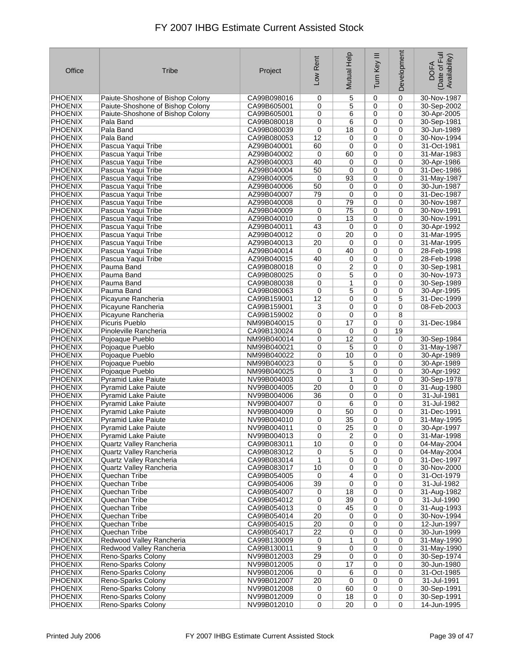| Office                           | Tribe                                    | Project                    | Low Rent    | Mutual Help      | Ξ<br>Turn Key              | Development | Date of Full<br>Availability)<br><b>DOFA</b> |
|----------------------------------|------------------------------------------|----------------------------|-------------|------------------|----------------------------|-------------|----------------------------------------------|
| <b>PHOENIX</b>                   | Paiute-Shoshone of Bishop Colony         | CA99B098016                | 0           | 5                | 0                          | $\mathbf 0$ | 30-Nov-1987                                  |
| <b>PHOENIX</b>                   | Paiute-Shoshone of Bishop Colony         | CA99B605001                | 0           | 5                | 0                          | 0           | 30-Sep-2002                                  |
| <b>PHOENIX</b>                   | Paiute-Shoshone of Bishop Colony         | CA99B605001                | 0           | 6                | $\mathbf 0$                | 0           | 30-Apr-2005                                  |
| <b>PHOENIX</b>                   | Pala Band                                | CA99B080018                | 0           | 6                | 0                          | 0           | 30-Sep-1981                                  |
| <b>PHOENIX</b>                   | Pala Band                                | CA99B080039                | 0           | 18               | 0                          | 0           | 30-Jun-1989                                  |
| <b>PHOENIX</b>                   | Pala Band                                | CA99B080053                | 12          | 0                | 0                          | 0           | 30-Nov-1994                                  |
| <b>PHOENIX</b>                   | Pascua Yaqui Tribe                       | AZ99B040001                | 60          | 0                | 0                          | 0           | 31-Oct-1981                                  |
| <b>PHOENIX</b>                   | Pascua Yaqui Tribe                       | AZ99B040002                | 0           | 60               | 0                          | 0           | 31-Mar-1983                                  |
| <b>PHOENIX</b>                   | Pascua Yaqui Tribe<br>Pascua Yaqui Tribe | AZ99B040003                | 40          | 0                | $\mathbf 0$                | $\mathbf 0$ | 30-Apr-1986                                  |
| <b>PHOENIX</b><br><b>PHOENIX</b> | Pascua Yaqui Tribe                       | AZ99B040004<br>AZ99B040005 | 50<br>0     | 0<br>93          | 0<br>0                     | 0<br>0      | 31-Dec-1986<br>31-May-1987                   |
| <b>PHOENIX</b>                   | Pascua Yaqui Tribe                       | AZ99B040006                | 50          | 0                | 0                          | 0           | 30-Jun-1987                                  |
| <b>PHOENIX</b>                   | Pascua Yaqui Tribe                       | AZ99B040007                | 79          | 0                | 0                          | $\mathbf 0$ | 31-Dec-1987                                  |
| <b>PHOENIX</b>                   | Pascua Yaqui Tribe                       | AZ99B040008                | 0           | 79               | 0                          | 0           | 30-Nov-1987                                  |
| <b>PHOENIX</b>                   | Pascua Yaqui Tribe                       | AZ99B040009                | 0           | 75               | $\mathbf 0$                | 0           | 30-Nov-1991                                  |
| <b>PHOENIX</b>                   | Pascua Yaqui Tribe                       | AZ99B040010                | $\mathbf 0$ | 13               | 0                          | $\mathbf 0$ | 30-Nov-1991                                  |
| <b>PHOENIX</b>                   | Pascua Yaqui Tribe                       | AZ99B040011                | 43          | 0                | 0                          | 0           | 30-Apr-1992                                  |
| <b>PHOENIX</b>                   | Pascua Yaqui Tribe                       | AZ99B040012                | $\mathbf 0$ | 20               | 0                          | 0           | 31-Mar-1995                                  |
| <b>PHOENIX</b>                   | Pascua Yaqui Tribe                       | AZ99B040013                | 20          | 0                | 0                          | 0           | 31-Mar-1995                                  |
| <b>PHOENIX</b>                   | Pascua Yaqui Tribe                       | AZ99B040014                | 0           | 40               | 0                          | 0           | 28-Feb-1998                                  |
| <b>PHOENIX</b>                   | Pascua Yaqui Tribe                       | AZ99B040015                | 40          | 0                | 0                          | 0           | 28-Feb-1998                                  |
| <b>PHOENIX</b>                   | Pauma Band                               | CA99B080018                | 0           | 2                | 0                          | 0           | 30-Sep-1981                                  |
| <b>PHOENIX</b>                   | Pauma Band                               | CA99B080025                | 0           | 5                | 0                          | $\mathbf 0$ | 30-Nov-1973                                  |
| <b>PHOENIX</b>                   | Pauma Band                               | CA99B080038                | 0           | 1                | $\mathbf 0$                | 0           | 30-Sep-1989                                  |
| <b>PHOENIX</b>                   | Pauma Band                               | CA99B080063                | 0           | 5                | 0                          | 0           | 30-Apr-1995                                  |
| <b>PHOENIX</b>                   | Picayune Rancheria                       | CA99B159001                | 12          | 0                | 0                          | 5           | 31-Dec-1999                                  |
| <b>PHOENIX</b>                   | Picayune Rancheria                       | CA99B159001                | 3           | 0                | 0                          | 0           | 08-Feb-2003                                  |
| <b>PHOENIX</b>                   | Picayune Rancheria                       | CA99B159002                | 0           | 0                | 0                          | 8           |                                              |
| <b>PHOENIX</b>                   | Picuris Pueblo                           | NM99B040015                | 0           | 17               | 0                          | 0           | 31-Dec-1984                                  |
| <b>PHOENIX</b>                   | Pinoleville Rancheria                    | CA99B130024                | 0           | 0                | 0                          | 19          |                                              |
| <b>PHOENIX</b><br><b>PHOENIX</b> | Pojoaque Pueblo<br>Pojoaque Pueblo       | NM99B040014<br>NM99B040021 | 0<br>0      | 12<br>5          | 0<br>0                     | 0<br>0      | 30-Sep-1984<br>31-May-1987                   |
| <b>PHOENIX</b>                   | Pojoaque Pueblo                          | NM99B040022                | 0           | 10               | 0                          | 0           | 30-Apr-1989                                  |
| <b>PHOENIX</b>                   | Pojoaque Pueblo                          | NM99B040023                | 0           | 5                | $\mathbf 0$                | 0           | 30-Apr-1989                                  |
| <b>PHOENIX</b>                   | Pojoaque Pueblo                          | NM99B040025                | 0           | 3                | 0                          | 0           | 30-Apr-1992                                  |
| <b>PHOENIX</b>                   | <b>Pyramid Lake Paiute</b>               | NV99B004003                | 0           | 1                | 0                          | 0           | 30-Sep-1978                                  |
| <b>PHOENIX</b>                   | <b>Pyramid Lake Paiute</b>               | NV99B004005                | 20          | 0                | 0                          | 0           | 31-Aug-1980                                  |
| <b>PHOENIX</b>                   | <b>Pyramid Lake Paiute</b>               | NV99B004006                | 36          | 0                | 0                          | 0           | 31-Jul-1981                                  |
| <b>PHOENIX</b>                   | <b>Pyramid Lake Paiute</b>               | NV99B004007                | 0           | 6                | 0                          | 0           | 31-Jul-1982                                  |
| <b>PHOENIX</b>                   | <b>Pyramid Lake Paiute</b>               | NV99B004009                | 0           | 50               | 0                          | 0           | 31-Dec-1991                                  |
| <b>PHOENIX</b>                   | <b>Pyramid Lake Paiute</b>               | NV99B004010                | 0           | 35               | 0                          | 0           | 31-May-1995                                  |
| <b>PHOENIX</b>                   | Pyramid Lake Paiute                      | NV99B004011                | 0           | $\overline{25}$  | 0                          | 0           | 30-Apr-1997                                  |
| PHOENIX                          | <b>Pyramid Lake Paiute</b>               | NV99B004013                | 0           | 2                | 0                          | 0           | 31-Mar-1998                                  |
| PHOENIX                          | Quartz Valley Rancheria                  | CA99B083011                | 10          | 0                | 0                          | 0           | 04-May-2004                                  |
| PHOENIX                          | Quartz Valley Rancheria                  | CA99B083012                | 0           | 5                | 0                          | 0           | 04-May-2004                                  |
| PHOENIX<br>PHOENIX               | Quartz Valley Rancheria                  | CA99B083014<br>CA99B083017 | 1<br>10     | $\mathbf 0$<br>0 | $\mathbf 0$<br>$\mathbf 0$ | 0<br>0      | 31-Dec-1997<br>30-Nov-2000                   |
| PHOENIX                          | Quartz Valley Rancheria<br>Quechan Tribe | CA99B054005                | 0           | 4                | $\mathbf 0$                | 0           | 31-Oct-1979                                  |
| <b>PHOENIX</b>                   | Quechan Tribe                            | CA99B054006                | 39          | 0                | 0                          | 0           | 31-Jul-1982                                  |
| <b>PHOENIX</b>                   | Quechan Tribe                            | CA99B054007                | 0           | 18               | 0                          | 0           | 31-Aug-1982                                  |
| PHOENIX                          | Quechan Tribe                            | CA99B054012                | 0           | 39               | 0                          | 0           | 31-Jul-1990                                  |
| <b>PHOENIX</b>                   | Quechan Tribe                            | CA99B054013                | 0           | 45               | 0                          | 0           | 31-Aug-1993                                  |
| <b>PHOENIX</b>                   | Quechan Tribe                            | CA99B054014                | 20          | 0                | 0                          | 0           | 30-Nov-1994                                  |
| <b>PHOENIX</b>                   | Quechan Tribe                            | CA99B054015                | 20          | 0                | 0                          | 0           | 12-Jun-1997                                  |
| <b>PHOENIX</b>                   | Quechan Tribe                            | CA99B054017                | 22          | 0                | $\mathbf 0$                | 0           | 30-Jun-1999                                  |
| <b>PHOENIX</b>                   | Redwood Valley Rancheria                 | CA99B130009                | 0           | 1                | 0                          | 0           | 31-May-1990                                  |
| PHOENIX                          | Redwood Valley Rancheria                 | CA99B130011                | 9           | 0                | 0                          | 0           | 31-May-1990                                  |
| <b>PHOENIX</b>                   | Reno-Sparks Colony                       | NV99B012003                | 29          | 0                | $\pmb{0}$                  | 0           | 30-Sep-1974                                  |
| PHOENIX                          | Reno-Sparks Colony                       | NV99B012005                | 0           | 17               | $\mathbf 0$                | 0           | 30-Jun-1980                                  |
| PHOENIX                          | Reno-Sparks Colony                       | NV99B012006                | 0           | 6                | $\mathbf 0$                | 0           | 31-Oct-1985                                  |
| <b>PHOENIX</b>                   | Reno-Sparks Colony                       | NV99B012007                | 20          | 0                | 0                          | 0           | 31-Jul-1991                                  |
| PHOENIX                          | Reno-Sparks Colony                       | NV99B012008                | 0           | 60               | 0                          | 0           | 30-Sep-1991                                  |
| <b>PHOENIX</b>                   | Reno-Sparks Colony                       | NV99B012009<br>NV99B012010 | 0           | 18<br>20         | 0                          | 0           | 30-Sep-1991<br>14-Jun-1995                   |
| PHOENIX                          | Reno-Sparks Colony                       |                            | 0           |                  | 0                          | 0           |                                              |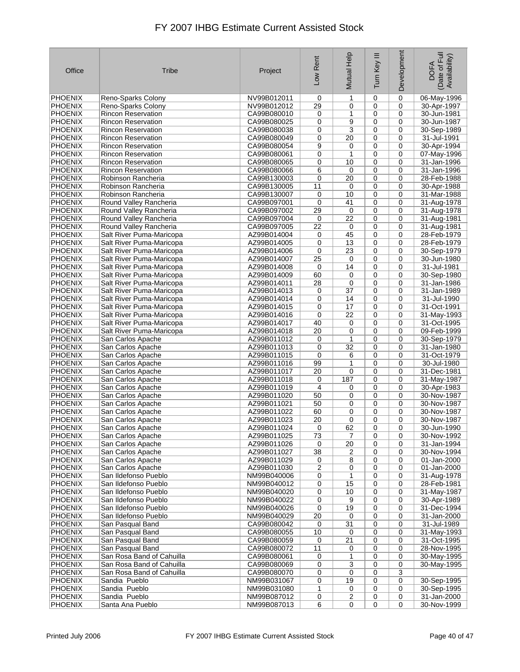| Office                           | <b>Tribe</b>              | Project                    | Low Rent                | Mutual Help     | Ξ<br>Turn Key | Development | Date of Full<br>Availability)<br><b>DOFA</b> |
|----------------------------------|---------------------------|----------------------------|-------------------------|-----------------|---------------|-------------|----------------------------------------------|
| <b>PHOENIX</b>                   | Reno-Sparks Colony        | NV99B012011                | 0                       | 1               | $\mathbf 0$   | 0           | 06-May-1996                                  |
| <b>PHOENIX</b>                   | Reno-Sparks Colony        | NV99B012012                | 29                      | 0               | 0             | $\mathbf 0$ | 30-Apr-1997                                  |
| <b>PHOENIX</b>                   | Rincon Reservation        | CA99B080010                | 0                       | 1               | 0             | 0           | 30-Jun-1981                                  |
| <b>PHOENIX</b>                   | <b>Rincon Reservation</b> | CA99B080025                | 0                       | 9               | 0             | 0           | 30-Jun-1987                                  |
| <b>PHOENIX</b>                   | <b>Rincon Reservation</b> | CA99B080038                | 0                       | 3               | 0             | 0           | 30-Sep-1989                                  |
| <b>PHOENIX</b>                   | <b>Rincon Reservation</b> | CA99B080049                | 0                       | 20              | 0             | 0           | 31-Jul-1991                                  |
| <b>PHOENIX</b>                   | <b>Rincon Reservation</b> | CA99B080054                | 9                       | 0               | 0             | 0           | 30-Apr-1994                                  |
| <b>PHOENIX</b>                   | Rincon Reservation        | CA99B080061                | 0                       | 1               | 0             | 0           | 07-May-1996                                  |
| <b>PHOENIX</b>                   | <b>Rincon Reservation</b> | CA99B080065                | 0                       | 10              | 0             | $\mathbf 0$ | 31-Jan-1996                                  |
| <b>PHOENIX</b>                   | <b>Rincon Reservation</b> | CA99B080066                | 6                       | 0               | 0             | 0           | 31-Jan-1996                                  |
| <b>PHOENIX</b>                   | Robinson Rancheria        | CA99B130003                | 0                       | 20              | 0             | 0           | 28-Feb-1988                                  |
| <b>PHOENIX</b>                   | Robinson Rancheria        | CA99B130005                | 11                      | 0               | 0             | 0           | 30-Apr-1988                                  |
| <b>PHOENIX</b>                   | Robinson Rancheria        | CA99B130007                | 0                       | 10              | 0             | 0           | 31-Mar-1988                                  |
| <b>PHOENIX</b>                   | Round Valley Rancheria    | CA99B097001                | 0                       | 41              | 0             | 0           | 31-Aug-1978                                  |
| <b>PHOENIX</b>                   | Round Valley Rancheria    | CA99B097002                | 29                      | 0               | $\mathbf 0$   | 0           | 31-Aug-1978                                  |
| <b>PHOENIX</b>                   | Round Valley Rancheria    | CA99B097004                | 0                       | 22              | 0             | 0           | 31-Aug-1981                                  |
| <b>PHOENIX</b>                   | Round Valley Rancheria    | CA99B097005                | 22                      | 0               | 0             | 0           | 31-Aug-1981                                  |
| <b>PHOENIX</b>                   | Salt River Puma-Maricopa  | AZ99B014004                | 0                       | 45              | 0             | 0           | 28-Feb-1979                                  |
| <b>PHOENIX</b>                   | Salt River Puma-Maricopa  | AZ99B014005                | 0                       | 13              | 0             | 0           | 28-Feb-1979                                  |
|                                  |                           |                            | 0                       | 23              | $\mathbf 0$   | 0           | 30-Sep-1979                                  |
| <b>PHOENIX</b><br><b>PHOENIX</b> | Salt River Puma-Maricopa  | AZ99B014006<br>AZ99B014007 |                         | 0               |               | $\mathbf 0$ |                                              |
|                                  | Salt River Puma-Maricopa  |                            | 25                      | 14              | 0             | 0           | 30-Jun-1980                                  |
| <b>PHOENIX</b>                   | Salt River Puma-Maricopa  | AZ99B014008<br>AZ99B014009 | 0                       |                 | 0             |             | 31-Jul-1981                                  |
| <b>PHOENIX</b>                   | Salt River Puma-Maricopa  |                            | 60                      | 0               | 0             | 0           | 30-Sep-1980                                  |
| <b>PHOENIX</b>                   | Salt River Puma-Maricopa  | AZ99B014011                | 28                      | 0               | 0             | 0           | 31-Jan-1986                                  |
| <b>PHOENIX</b>                   | Salt River Puma-Maricopa  | AZ99B014013                | 0                       | $\overline{37}$ | 0             | 0           | 31-Jan-1989                                  |
| <b>PHOENIX</b>                   | Salt River Puma-Maricopa  | AZ99B014014                | 0                       | 14              | 0             | 0           | 31-Jul-1990                                  |
| <b>PHOENIX</b>                   | Salt River Puma-Maricopa  | AZ99B014015                | 0                       | 17              | 0             | 0           | 31-Oct-1991                                  |
| <b>PHOENIX</b>                   | Salt River Puma-Maricopa  | AZ99B014016                | $\mathbf 0$             | $\overline{22}$ | 0             | 0           | 31-May-1993                                  |
| <b>PHOENIX</b>                   | Salt River Puma-Maricopa  | AZ99B014017                | 40                      | 0               | 0             | 0           | 31-Oct-1995                                  |
| <b>PHOENIX</b>                   | Salt River Puma-Maricopa  | AZ99B014018                | 20                      | $\mathbf 0$     | 0             | 0           | 09-Feb-1999                                  |
| <b>PHOENIX</b>                   | San Carlos Apache         | AZ99B011012                | 0                       | 1               | 0             | 0           | 30-Sep-1979                                  |
| <b>PHOENIX</b>                   | San Carlos Apache         | AZ99B011013                | 0                       | 32              | 0             | 0           | 31-Jan-1980                                  |
| <b>PHOENIX</b>                   | San Carlos Apache         | AZ99B011015                | 0                       | 6               | 0             | 0           | 31-Oct-1979                                  |
| <b>PHOENIX</b>                   | San Carlos Apache         | AZ99B011016                | 99                      | 1               | 0             | 0           | 30-Jul-1980                                  |
| <b>PHOENIX</b>                   | San Carlos Apache         | AZ99B011017                | 20                      | 0               | 0             | 0           | 31-Dec-1981                                  |
| <b>PHOENIX</b>                   | San Carlos Apache         | AZ99B011018                | 0                       | 187             | 0             | 0           | 31-May-1987                                  |
| <b>PHOENIX</b>                   | San Carlos Apache         | AZ99B011019                | 4                       | 0               | 0             | 0           | 30-Apr-1983                                  |
| <b>PHOENIX</b>                   | San Carlos Apache         | AZ99B011020                | 50                      | 0               | 0             | 0           | 30-Nov-1987                                  |
| <b>PHOENIX</b>                   | San Carlos Apache         | AZ99B011021                | 50                      | 0               | 0             | 0           | 30-Nov-1987                                  |
| <b>PHOENIX</b>                   | San Carlos Apache         | AZ99B011022                | 60                      | 0               | 0             | $\mathbf 0$ | 30-Nov-1987                                  |
| <b>PHOENIX</b>                   | San Carlos Apache         | AZ99B011023                | 20                      | 0               | $\mathbf 0$   | 0           | 30-Nov-1987                                  |
| <b>PHOENIX</b>                   | San Carlos Apache         | AZ99B011024                | 0                       | 62              | 0             | 0           | 30-Jun-1990                                  |
| <b>PHOENIX</b>                   | San Carlos Apache         | AZ99B011025                | 73                      | 7               | 0             | 0           | 30-Nov-1992                                  |
| <b>PHOENIX</b>                   | San Carlos Apache         | AZ99B011026                | 0                       | 20              | 0             | 0           | 31-Jan-1994                                  |
| <b>PHOENIX</b>                   | San Carlos Apache         | AZ99B011027                | 38                      | 2               | 0             | 0           | 30-Nov-1994                                  |
| PHOENIX                          | San Carlos Apache         | AZ99B011029                | 0                       | 8               | $\mathbf 0$   | 0           | 01-Jan-2000                                  |
| PHOENIX                          | San Carlos Apache         | AZ99B011030                | $\overline{\mathbf{c}}$ | 0               | 0             | 0           | 01-Jan-2000                                  |
| <b>PHOENIX</b>                   | San Ildefonso Pueblo      | NM99B040006                | 0                       | 1               | 0             | 0           | 31-Aug-1978                                  |
| <b>PHOENIX</b>                   | San Ildefonso Pueblo      | NM99B040012                | 0                       | 15              | 0             | 0           | 28-Feb-1981                                  |
| PHOENIX                          | San Ildefonso Pueblo      | NM99B040020                | 0                       | 10              | 0             | 0           | 31-May-1987                                  |
| <b>PHOENIX</b>                   | San Ildefonso Pueblo      | NM99B040022                | 0                       | 9               | $\pmb{0}$     | 0           | 30-Apr-1989                                  |
| <b>PHOENIX</b>                   | San Ildefonso Pueblo      | NM99B040026                | 0                       | 19              | 0             | 0           | 31-Dec-1994                                  |
| PHOENIX                          | San Ildefonso Pueblo      | NM99B040029                | 20                      | 0               | 0             | 0           | 31-Jan-2000                                  |
| <b>PHOENIX</b>                   | San Pasqual Band          | CA99B080042                | 0                       | 31              | 0             | 0           | 31-Jul-1989                                  |
| PHOENIX                          | San Pasqual Band          | CA99B080055                | 10                      | 0               | 0             | 0           | 31-May-1993                                  |
| PHOENIX                          | San Pasqual Band          | CA99B080059                | 0                       | 21              | 0             | 0           | 31-Oct-1995                                  |
| PHOENIX                          | San Pasqual Band          | CA99B080072                | 11                      | 0               | 0             | 0           | 28-Nov-1995                                  |
| PHOENIX                          | San Rosa Band of Cahuilla | CA99B080061                | 0                       | 1               | 0             | 0           | 30-May-1995                                  |
| <b>PHOENIX</b>                   | San Rosa Band of Cahuilla | CA99B080069                | 0                       | 3               | 0             | 0           | 30-May-1995                                  |
| PHOENIX                          | San Rosa Band of Cahuilla | CA99B080070                | 0                       | 0               | 0             | 3           |                                              |
| <b>PHOENIX</b>                   | Sandia Pueblo             | NM99B031067                | 0                       | 19              | 0             | 0           | 30-Sep-1995                                  |
| PHOENIX                          | Sandia Pueblo             | NM99B031080                | 1                       | 0               | 0             | 0           | 30-Sep-1995                                  |
| <b>PHOENIX</b>                   | Sandia Pueblo             | NM99B087012                | 0                       | 2               | 0             | 0           | 31-Jan-2000                                  |
| PHOENIX                          | Santa Ana Pueblo          | NM99B087013                | 6                       | 0               | 0             | $\mathbf 0$ | 30-Nov-1999                                  |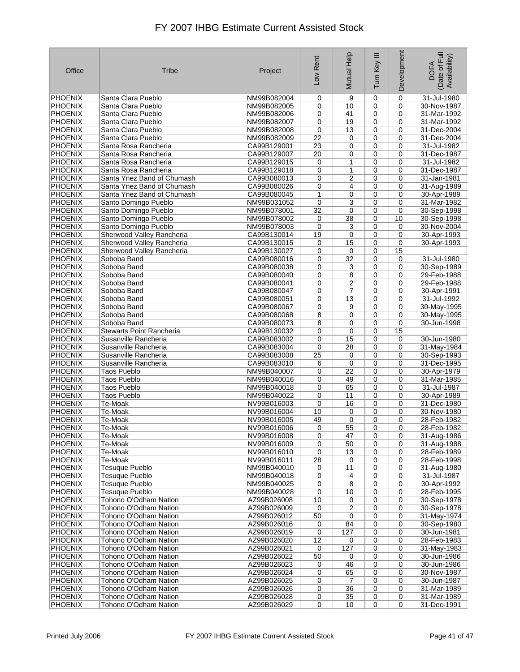| Office         | Tribe                      | Project                    | Low Rent        | Mutual Help             | Ξ<br>Turn Key  | Development | Date of Full<br>Availability)<br><b>DOFA</b> |
|----------------|----------------------------|----------------------------|-----------------|-------------------------|----------------|-------------|----------------------------------------------|
| <b>PHOENIX</b> | Santa Clara Pueblo         | NM99B082004                | 0               | 9                       | $\mathbf 0$    | $\pmb{0}$   | 31-Jul-1980                                  |
| <b>PHOENIX</b> | Santa Clara Pueblo         | NM99B082005                | 0               | 10                      | 0              | $\mathbf 0$ | 30-Nov-1987                                  |
| <b>PHOENIX</b> | Santa Clara Pueblo         | NM99B082006                | 0               | 41                      | 0              | $\mathbf 0$ | 31-Mar-1992                                  |
| <b>PHOENIX</b> | Santa Clara Pueblo         | NM99B082007                | 0               | 19                      | $\mathbf 0$    | 0           | 31-Mar-1992                                  |
| <b>PHOENIX</b> | Santa Clara Pueblo         | NM99B082008                | 0               | 13                      | 0              | 0           | 31-Dec-2004                                  |
| <b>PHOENIX</b> | Santa Clara Pueblo         | NM99B082009                | 22              | 0                       | 0              | 0           | 31-Dec-2004                                  |
| <b>PHOENIX</b> | Santa Rosa Rancheria       | CA99B129001                | 23              | 0                       | 0              | 0           | 31-Jul-1982                                  |
| <b>PHOENIX</b> | Santa Rosa Rancheria       | CA99B129007                | 20              | 0                       | 0              | 0           | 31-Dec-1987                                  |
| <b>PHOENIX</b> | Santa Rosa Rancheria       | CA99B129015                | 0               | 1                       | 0              | $\mathbf 0$ | 31-Jul-1982                                  |
| <b>PHOENIX</b> | Santa Rosa Rancheria       | CA99B129018                | 0               | 1                       | 0              | $\mathbf 0$ | 31-Dec-1987                                  |
| <b>PHOENIX</b> | Santa Ynez Band of Chumash | CA99B080013                | 0               | $\overline{2}$          | 0              | $\mathbf 0$ | 31-Jan-1981                                  |
| <b>PHOENIX</b> | Santa Ynez Band of Chumash | CA99B080026                | 0               | 4                       | 0              | 0           | 31-Aug-1989                                  |
| <b>PHOENIX</b> | Santa Ynez Band of Chumash | CA99B080045                | 1               | 0                       | 0              | $\mathbf 0$ | 30-Apr-1989                                  |
| <b>PHOENIX</b> | Santo Domingo Pueblo       | NM99B031052                | 0               | 3                       | 0              | $\mathbf 0$ | 31-Mar-1982                                  |
| <b>PHOENIX</b> | Santo Domingo Pueblo       | NM99B078001                | 32              | 0                       | 0              | $\mathbf 0$ | 30-Sep-1998                                  |
| <b>PHOENIX</b> | Santo Domingo Pueblo       | NM99B078002                | 0               | 38                      | 0              | 10          | 30-Sep-1998                                  |
| <b>PHOENIX</b> | Santo Domingo Pueblo       | NM99B078003                | 0               | 3                       | 0              | 0           | 30-Nov-2004                                  |
| <b>PHOENIX</b> | Sherwood Valley Rancheria  | CA99B130014                | 19              | 0                       | 0              | $\mathbf 0$ | 30-Apr-1993                                  |
| <b>PHOENIX</b> | Sherwood Valley Rancheria  | CA99B130015                | 0               | 15                      | 0              | 0           | 30-Apr-1993                                  |
| <b>PHOENIX</b> | Sherwood Valley Rancheria  | CA99B130027                |                 | 0                       | 0              | 15          |                                              |
| <b>PHOENIX</b> | Soboba Band                | CA99B080016                | 0<br>0          | $\overline{32}$         | $\mathbf 0$    | $\mathbf 0$ | 31-Jul-1980                                  |
| <b>PHOENIX</b> |                            |                            | 0               | 3                       | $\mathbf 0$    | 0           |                                              |
|                | Soboba Band                | CA99B080038<br>CA99B080040 |                 |                         |                |             | 30-Sep-1989                                  |
| <b>PHOENIX</b> | Soboba Band                |                            | 0               | 8                       | $\mathbf 0$    | 0           | 29-Feb-1988                                  |
| <b>PHOENIX</b> | Soboba Band                | CA99B080041                | 0               | 2                       | $\mathbf 0$    | 0           | 29-Feb-1988                                  |
| <b>PHOENIX</b> | Soboba Band                | CA99B080047                | 0               | $\overline{7}$          | $\mathbf 0$    | 0           | 30-Apr-1991                                  |
| <b>PHOENIX</b> | Soboba Band                | CA99B080051                | 0               | 13                      | 0              | 0           | 31-Jul-1992                                  |
| <b>PHOENIX</b> | Soboba Band                | CA99B080067                | 0               | 9                       | 0              | 0           | 30-May-1995                                  |
| <b>PHOENIX</b> | Soboba Band                | CA99B080068                | 8               | 0                       | $\mathbf 0$    | 0           | 30-May-1995                                  |
| <b>PHOENIX</b> | Soboba Band                | CA99B080073                | 8               | 0                       | $\mathbf 0$    | $\mathbf 0$ | 30-Jun-1998                                  |
| <b>PHOENIX</b> | Stewarts Point Rancheria   | CA99B130032                | 0               | 0                       | $\mathbf 0$    | 15          |                                              |
| <b>PHOENIX</b> | Susanville Rancheria       | CA99B083002                | 0               | 15                      | $\mathbf 0$    | 0           | 30-Jun-1980                                  |
| <b>PHOENIX</b> | Susanville Rancheria       | CA99B083004                | 0               | 28                      | 0              | 0           | 31-May-1984                                  |
| <b>PHOENIX</b> | Susanville Rancheria       | CA99B083008                | $\overline{25}$ | 0                       | 0              | 0           | 30-Sep-1993                                  |
| <b>PHOENIX</b> | Susanville Rancheria       | CA99B083010                | 6               | 0                       | $\mathbf 0$    | $\mathbf 0$ | 31-Dec-1995                                  |
| <b>PHOENIX</b> | Taos Pueblo                | NM99B040007                | 0               | 22                      | $\mathbf 0$    | 0           | 30-Apr-1979                                  |
| <b>PHOENIX</b> | Taos Pueblo                | NM99B040016                | 0               | 49                      | $\mathbf 0$    | 0           | 31-Mar-1985                                  |
| <b>PHOENIX</b> | <b>Taos Pueblo</b>         | NM99B040018                | 0               | 65                      | 0              | $\mathbf 0$ | 31-Jul-1987                                  |
| PHOENIX        | <b>Taos Pueblo</b>         | NM99B040022                | 0               | 11                      | 0              | 0           | 30-Apr-1989                                  |
| <b>PHOENIX</b> | Te-Moak                    | NV99B016003                | 0               | 16                      | 0              | 0           | 31-Dec-1980                                  |
| <b>PHOENIX</b> | Te-Moak                    | NV99B016004                | 10              | 0                       | 0              | $\mathbf 0$ | 30-Nov-1980                                  |
| <b>PHOENIX</b> | Te-Moak                    | NV99B016005                | 49              | 0                       | $\mathbf 0$    | 0           | 28-Feb-1982                                  |
| <b>PHOENIX</b> | Te-Moak                    | NV99B016006                | 0               | $\overline{55}$         | $\pmb{0}$      | 0           | 28-Feb-1982                                  |
| <b>PHOENIX</b> | Te-Moak                    | NV99B016008                | 0               | 47                      | 0              | 0           | 31-Aug-1986                                  |
| <b>PHOENIX</b> | Te-Moak                    | NV99B016009                | 0               | 50                      | 0              | 0           | 31-Aug-1988                                  |
| <b>PHOENIX</b> | Te-Moak                    | NV99B016010                | 0               | 13                      | 0              | $\mathbf 0$ | 28-Feb-1989                                  |
| PHOENIX        | Te-Moak                    | NV99B016011                | 28              | 0                       | 0              | 0           | 28-Feb-1998                                  |
| PHOENIX        | <b>Tesuque Pueblo</b>      | NM99B040010                | 0               | 11                      | 0              | $\mathbf 0$ | 31-Aug-1980                                  |
| <b>PHOENIX</b> | <b>Tesuque Pueblo</b>      | NM99B040018                | 0               | 4                       | 0              | 0           | 31-Jul-1987                                  |
| <b>PHOENIX</b> | <b>Tesuque Pueblo</b>      | NM99B040025                | 0               | 8                       | 0              | 0           | 30-Apr-1992                                  |
| PHOENIX        | <b>Tesuque Pueblo</b>      | NM99B040028                | 0               | 10                      | 0              | 0           | 28-Feb-1995                                  |
| <b>PHOENIX</b> | Tohono O'Odham Nation      | AZ99B026008                | 10              | 0                       | 0              | $\mathbf 0$ | 30-Sep-1978                                  |
| PHOENIX        | Tohono O'Odham Nation      | AZ99B026009                | 0               | $\overline{\mathbf{c}}$ | 0              | 0           | 30-Sep-1978                                  |
| PHOENIX        | Tohono O'Odham Nation      | AZ99B026012                | 50              | 0                       | $\mathbf 0$    | $\mathbf 0$ | 31-May-1974                                  |
| <b>PHOENIX</b> | Tohono O'Odham Nation      | AZ99B026016                | 0               | 84                      | 0              | 0           | 30-Sep-1980                                  |
| <b>PHOENIX</b> | Tohono O'Odham Nation      | AZ99B026019                | 0               | 127                     | 0              | 0           | 30-Jun-1981                                  |
| <b>PHOENIX</b> | Tohono O'Odham Nation      | AZ99B026020                | 12              | 0                       | 0              | 0           | 28-Feb-1983                                  |
| PHOENIX        | Tohono O'Odham Nation      | AZ99B026021                | 0               | 127                     | 0              | 0           | 31-May-1983                                  |
| <b>PHOENIX</b> | Tohono O'Odham Nation      | AZ99B026022                | 50              | 0                       | 0              | 0           | 30-Jun-1986                                  |
| <b>PHOENIX</b> | Tohono O'Odham Nation      | AZ99B026023                | 0               | 46                      | 0              | $\mathbf 0$ | 30-Jun-1986                                  |
| <b>PHOENIX</b> | Tohono O'Odham Nation      | AZ99B026024                | 0               | 65                      | $\mathbf 0$    | $\mathbf 0$ | 30-Nov-1987                                  |
| <b>PHOENIX</b> | Tohono O'Odham Nation      | AZ99B026025                | 0               | $\overline{7}$          | $\mathbf 0$    | 0           | 30-Jun-1987                                  |
| PHOENIX        | Tohono O'Odham Nation      | AZ99B026026                | 0               | 36                      | 0              | 0           | 31-Mar-1989                                  |
| <b>PHOENIX</b> | Tohono O'Odham Nation      | AZ99B026028                | $\pmb{0}$       | 35                      | 0              | $\pmb{0}$   | 31-Mar-1989                                  |
| PHOENIX        | Tohono O'Odham Nation      | AZ99B026029                | $\mathbf 0$     | 10                      | $\overline{0}$ | $\mathbf 0$ | 31-Dec-1991                                  |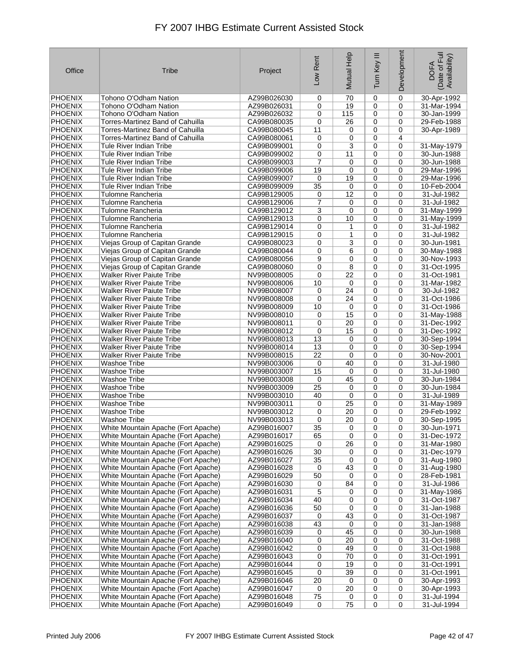| Office                           | Tribe                                                                      | Project                    | Low Rent             | Mutual Help  | Ξ<br>Turn Key | Development      | Date of Full<br>Availability)<br><b>DOFA</b> |
|----------------------------------|----------------------------------------------------------------------------|----------------------------|----------------------|--------------|---------------|------------------|----------------------------------------------|
| <b>PHOENIX</b>                   | Tohono O'Odham Nation                                                      | AZ99B026030                | 0                    | 70           | 0             | 0                | 30-Apr-1992                                  |
| <b>PHOENIX</b>                   | Tohono O'Odham Nation                                                      | AZ99B026031                | 0                    | 19           | 0             | $\mathbf 0$      | 31-Mar-1994                                  |
| <b>PHOENIX</b>                   | Tohono O'Odham Nation                                                      | AZ99B026032                | 0                    | 115          | 0             | 0                | 30-Jan-1999                                  |
| <b>PHOENIX</b>                   | Torres-Martinez Band of Cahuilla                                           | CA99B080035                | 0                    | 26           | 0             | $\mathbf 0$      | 29-Feb-1988                                  |
| <b>PHOENIX</b>                   | Torres-Martinez Band of Cahuilla                                           | CA99B080045                | 11                   | 0            | 0             | 0                | 30-Apr-1989                                  |
| <b>PHOENIX</b>                   | Torres-Martinez Band of Cahuilla                                           | CA99B080061                | 0                    | 0            | 0             | 4                |                                              |
| <b>PHOENIX</b>                   | Tule River Indian Tribe                                                    | CA99B099001                | 0                    | 3<br>11      | 0             | 0<br>0           | 31-May-1979<br>30-Jun-1988                   |
| <b>PHOENIX</b><br><b>PHOENIX</b> | Tule River Indian Tribe<br><b>Tule River Indian Tribe</b>                  | CA99B099002<br>CA99B099003 | 0<br>$\overline{7}$  | 0            | 0<br>0        | $\mathbf 0$      | 30-Jun-1988                                  |
| <b>PHOENIX</b>                   | Tule River Indian Tribe                                                    | CA99B099006                | 19                   | 0            | 0             | $\mathbf 0$      | 29-Mar-1996                                  |
| <b>PHOENIX</b>                   | Tule River Indian Tribe                                                    | CA99B099007                | 0                    | 19           | 0             | $\mathbf 0$      | 29-Mar-1996                                  |
| <b>PHOENIX</b>                   | <b>Tule River Indian Tribe</b>                                             | CA99B099009                | 35                   | 0            | 0             | 0                | 10-Feb-2004                                  |
| <b>PHOENIX</b>                   | Tulomne Rancheria                                                          | CA99B129005                | 0                    | 12           | 0             | $\mathbf 0$      | 31-Jul-1982                                  |
| <b>PHOENIX</b>                   | Tulomne Rancheria                                                          | CA99B129006                | 7                    | 0            | 0             | 0                | 31-Jul-1982                                  |
| <b>PHOENIX</b>                   | Tulomne Rancheria                                                          | CA99B129012                | 3                    | 0            | 0             | 0                | 31-May-1999                                  |
| <b>PHOENIX</b>                   | Tulomne Rancheria                                                          | CA99B129013                | 0                    | 10           | 0             | $\mathbf 0$      | 31-May-1999                                  |
| <b>PHOENIX</b>                   | Tulomne Rancheria                                                          | CA99B129014                | 0                    | 1            | 0             | $\mathbf 0$      | 31-Jul-1982                                  |
| <b>PHOENIX</b>                   | Tulomne Rancheria                                                          | CA99B129015                | 0                    | $\mathbf{1}$ | 0             | $\mathbf 0$      | 31-Jul-1982                                  |
| <b>PHOENIX</b>                   | Viejas Group of Capitan Grande                                             | CA99B080023                | 0                    | 3            | 0             | $\mathbf 0$      | 30-Jun-1981                                  |
| <b>PHOENIX</b><br><b>PHOENIX</b> | Viejas Group of Capitan Grande<br>Viejas Group of Capitan Grande           | CA99B080044<br>CA99B080056 | 0<br>9               | 6<br>0       | 0<br>0        | 0<br>$\mathbf 0$ | 30-May-1988<br>30-Nov-1993                   |
| <b>PHOENIX</b>                   | Viejas Group of Capitan Grande                                             | CA99B080060                | 0                    | 8            | 0             | 0                | 31-Oct-1995                                  |
| <b>PHOENIX</b>                   | Walker River Paiute Tribe                                                  | NV99B008005                | 0                    | 22           | 0             | $\mathbf 0$      | 31-Oct-1981                                  |
| <b>PHOENIX</b>                   | Walker River Paiute Tribe                                                  | NV99B008006                | 10                   | 0            | 0             | 0                | 31-Mar-1982                                  |
| <b>PHOENIX</b>                   | Walker River Paiute Tribe                                                  | NV99B008007                | 0                    | 24           | 0             | $\mathbf 0$      | 30-Jul-1982                                  |
| <b>PHOENIX</b>                   | <b>Walker River Paiute Tribe</b>                                           | NV99B008008                | 0                    | 24           | 0             | $\mathbf 0$      | 31-Oct-1986                                  |
| <b>PHOENIX</b>                   | Walker River Paiute Tribe                                                  | NV99B008009                | 10                   | 0            | 0             | 0                | 31-Oct-1986                                  |
| <b>PHOENIX</b>                   | Walker River Paiute Tribe                                                  | NV99B008010                | 0                    | 15           | 0             | 0                | 31-May-1988                                  |
| <b>PHOENIX</b>                   | Walker River Paiute Tribe                                                  | NV99B008011                | 0                    | 20           | 0             | 0                | 31-Dec-1992                                  |
| <b>PHOENIX</b>                   | <b>Walker River Paiute Tribe</b>                                           | NV99B008012                | $\mathbf 0$          | 15           | 0             | $\mathbf 0$      | 31-Dec-1992                                  |
| <b>PHOENIX</b><br><b>PHOENIX</b> | <b>Walker River Paiute Tribe</b><br>Walker River Paiute Tribe              | NV99B008013<br>NV99B008014 | 13<br>13             | 0<br>0       | 0<br>0        | 0<br>0           | 30-Sep-1994<br>30-Sep-1994                   |
| <b>PHOENIX</b>                   | Walker River Paiute Tribe                                                  | NV99B008015                | $\overline{22}$      | 0            | 0             | 0                | 30-Nov-2001                                  |
| <b>PHOENIX</b>                   | <b>Washoe Tribe</b>                                                        | NV99B003006                | 0                    | 40           | 0             | 0                | 31-Jul-1980                                  |
| <b>PHOENIX</b>                   | Washoe Tribe                                                               | NV99B003007                | 15                   | 0            | 0             | $\mathbf 0$      | 31-Jul-1980                                  |
| <b>PHOENIX</b>                   | Washoe Tribe                                                               | NV99B003008                | 0                    | 45           | 0             | $\mathbf 0$      | 30-Jun-1984                                  |
| <b>PHOENIX</b>                   | Washoe Tribe                                                               | NV99B003009                | 25                   | 0            | 0             | $\mathbf 0$      | 30-Jun-1984                                  |
| <b>PHOENIX</b>                   | Washoe Tribe                                                               | NV99B003010                | 40                   | 0            | 0             | 0                | 31-Jul-1989                                  |
| <b>PHOENIX</b>                   | Washoe Tribe                                                               | NV99B003011                | 0                    | 25           | 0             | 0                | 31-May-1989                                  |
| <b>PHOENIX</b><br><b>PHOENIX</b> | Washoe Tribe                                                               | NV99B003012                | 0                    | 20           | 0<br>0        | 0<br>0           | 29-Feb-1992                                  |
| <b>PHOENIX</b>                   | Washoe Tribe<br>White Mountain Apache (Fort Apache)                        | NV99B003013<br>AZ99B016007 | 0<br>$\overline{35}$ | 20<br>0      | 0             | 0                | 30-Sep-1995<br>30-Jun-1971                   |
| <b>PHOENIX</b>                   | White Mountain Apache (Fort Apache)                                        | AZ99B016017                | 65                   | 0            | 0             | 0                | 31-Dec-1972                                  |
| <b>PHOENIX</b>                   | White Mountain Apache (Fort Apache)                                        | AZ99B016025                | 0                    | 26           | 0             | 0                | 31-Mar-1980                                  |
| <b>PHOENIX</b>                   | White Mountain Apache (Fort Apache)                                        | AZ99B016026                | 30                   | 0            | 0             | 0                | 31-Dec-1979                                  |
| <b>PHOENIX</b>                   | White Mountain Apache (Fort Apache)                                        | AZ99B016027                | 35                   | 0            | 0             | 0                | 31-Aug-1980                                  |
| <b>PHOENIX</b>                   | White Mountain Apache (Fort Apache)                                        | AZ99B016028                | 0                    | 43           | 0             | 0                | 31-Aug-1980                                  |
| <b>PHOENIX</b>                   | White Mountain Apache (Fort Apache)                                        | AZ99B016029                | 50                   | 0            | 0             | 0                | 28-Feb-1981                                  |
| <b>PHOENIX</b>                   | White Mountain Apache (Fort Apache)                                        | AZ99B016030                | 0                    | 84           | 0             | 0                | 31-Jul-1986                                  |
| <b>PHOENIX</b><br><b>PHOENIX</b> | White Mountain Apache (Fort Apache)                                        | AZ99B016031                | 5                    | 0            | 0             | 0                | 31-May-1986                                  |
| <b>PHOENIX</b>                   | White Mountain Apache (Fort Apache)<br>White Mountain Apache (Fort Apache) | AZ99B016034<br>AZ99B016036 | 40<br>50             | 0<br>0       | 0<br>0        | 0<br>0           | 31-Oct-1987<br>31-Jan-1988                   |
| <b>PHOENIX</b>                   | White Mountain Apache (Fort Apache)                                        | AZ99B016037                | 0                    | 43           | 0             | 0                | 31-Oct-1987                                  |
| <b>PHOENIX</b>                   | White Mountain Apache (Fort Apache)                                        | AZ99B016038                | 43                   | 0            | 0             | 0                | 31-Jan-1988                                  |
| <b>PHOENIX</b>                   | White Mountain Apache (Fort Apache)                                        | AZ99B016039                | 0                    | 45           | 0             | 0                | 30-Jun-1988                                  |
| <b>PHOENIX</b>                   | White Mountain Apache (Fort Apache)                                        | AZ99B016040                | 0                    | 20           | 0             | 0                | 31-Oct-1988                                  |
| PHOENIX                          | White Mountain Apache (Fort Apache)                                        | AZ99B016042                | 0                    | 49           | 0             | 0                | 31-Oct-1988                                  |
| <b>PHOENIX</b>                   | White Mountain Apache (Fort Apache)                                        | AZ99B016043                | 0                    | 70           | 0             | 0                | 31-Oct-1991                                  |
| PHOENIX                          | White Mountain Apache (Fort Apache)                                        | AZ99B016044                | 0                    | 19           | 0             | 0                | 31-Oct-1991                                  |
| <b>PHOENIX</b>                   | White Mountain Apache (Fort Apache)                                        | AZ99B016045                | 0                    | 39           | 0             | 0                | 31-Oct-1991                                  |
| <b>PHOENIX</b>                   | White Mountain Apache (Fort Apache)                                        | AZ99B016046                | 20                   | 0            | 0             | 0                | 30-Apr-1993                                  |
| <b>PHOENIX</b><br><b>PHOENIX</b> | White Mountain Apache (Fort Apache)<br>White Mountain Apache (Fort Apache) | AZ99B016047<br>AZ99B016048 | 0<br>75              | 20<br>0      | 0<br>0        | 0<br>0           | 30-Apr-1993<br>31-Jul-1994                   |
| PHOENIX                          | White Mountain Apache (Fort Apache)                                        | AZ99B016049                | 0                    | 75           | 0             | 0                | 31-Jul-1994                                  |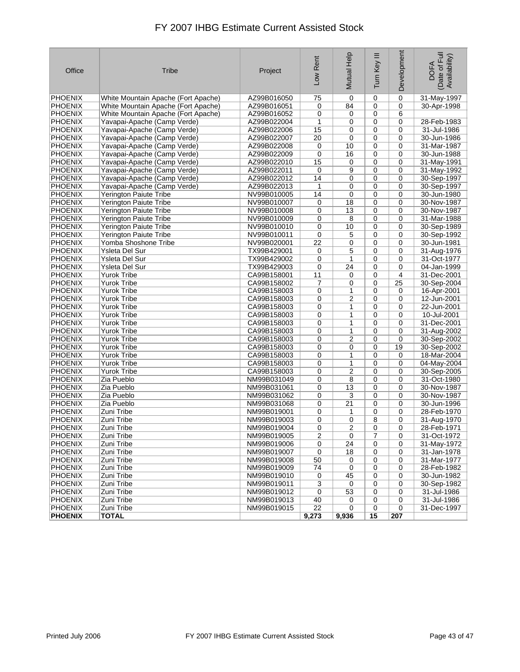| Office         | Tribe                               | Project                    | Low Rent        | Mutual Help    | Tum Key III    | Development      | Date of Full<br>Availability)<br><b>DOFA</b> |
|----------------|-------------------------------------|----------------------------|-----------------|----------------|----------------|------------------|----------------------------------------------|
| <b>PHOENIX</b> | White Mountain Apache (Fort Apache) | AZ99B016050                | 75              | 0              | $\mathbf 0$    | $\mathbf 0$      | 31-May-1997                                  |
| <b>PHOENIX</b> | White Mountain Apache (Fort Apache) | AZ99B016051                | 0               | 84             | $\mathbf 0$    | $\mathbf 0$      | 30-Apr-1998                                  |
| <b>PHOENIX</b> | White Mountain Apache (Fort Apache) | AZ99B016052                | 0               | 0              | $\mathbf 0$    | 6                |                                              |
| <b>PHOENIX</b> | Yavapai-Apache (Camp Verde)         | AZ99B022004                | $\mathbf{1}$    | 0              | $\mathbf 0$    | $\mathbf 0$      | 28-Feb-1983                                  |
| <b>PHOENIX</b> | Yavapai-Apache (Camp Verde)         | AZ99B022006                | 15              | 0              | 0              | 0                | 31-Jul-1986                                  |
| <b>PHOENIX</b> | Yavapai-Apache (Camp Verde)         | AZ99B022007                | 20              | 0              | 0              | $\mathbf 0$      | 30-Jun-1986                                  |
| <b>PHOENIX</b> | Yavapai-Apache (Camp Verde)         | AZ99B022008                | 0               | 10             | 0              | 0                | 31-Mar-1987                                  |
| <b>PHOENIX</b> | Yavapai-Apache (Camp Verde)         | AZ99B022009                | 0               | 16             | 0              | $\mathbf 0$      | 30-Jun-1988                                  |
| <b>PHOENIX</b> | Yavapai-Apache (Camp Verde)         | AZ99B022010                | 15              | 0              | $\mathbf 0$    | 0                | 31-May-1991                                  |
| <b>PHOENIX</b> | Yavapai-Apache (Camp Verde)         | AZ99B022011                | 0               | 9              | $\mathbf 0$    | 0                | 31-May-1992                                  |
| <b>PHOENIX</b> | Yavapai-Apache (Camp Verde)         | AZ99B022012                | 14              | 0              | 0              | $\mathbf 0$      | 30-Sep-1997                                  |
| <b>PHOENIX</b> | Yavapai-Apache (Camp Verde)         | AZ99B022013                | 1               | 0              | 0              | 0                | 30-Sep-1997                                  |
| <b>PHOENIX</b> | Yerington Paiute Tribe              | NV99B010005                | 14              | 0              | 0              | 0                | 30-Jun-1980                                  |
| <b>PHOENIX</b> | Yerington Paiute Tribe              | NV99B010007                | 0               | 18             | 0              | $\mathbf 0$      | 30-Nov-1987                                  |
| <b>PHOENIX</b> | Yerington Paiute Tribe              | NV99B010008                | 0               | 13             | 0              | $\mathbf 0$      | 30-Nov-1987                                  |
| <b>PHOENIX</b> | Yerington Paiute Tribe              | NV99B010009                | 0               | 8              | $\mathbf 0$    | $\mathbf 0$      | 31-Mar-1988                                  |
| <b>PHOENIX</b> | Yerington Paiute Tribe              | NV99B010010                | 0               | 10             | $\mathbf 0$    | 0                | 30-Sep-1989                                  |
| <b>PHOENIX</b> | Yerington Paiute Tribe              | NV99B010011                | 0               | 5              | $\mathbf 0$    | 0                | 30-Sep-1992                                  |
| <b>PHOENIX</b> | Yomba Shoshone Tribe                | NV99B020001                | $\overline{22}$ | 0              | 0              | $\mathbf 0$      | 30-Jun-1981                                  |
| <b>PHOENIX</b> |                                     | TX99B429001                |                 | 5              | 0              |                  |                                              |
| <b>PHOENIX</b> | Ysleta Del Sur                      | TX99B429002                | 0               | 1              |                | 0<br>$\mathbf 0$ | 31-Aug-1976                                  |
|                | Ysleta Del Sur                      |                            | 0               |                | $\mathbf 0$    |                  | 31-Oct-1977                                  |
| <b>PHOENIX</b> | Ysleta Del Sur                      | TX99B429003                | 0               | 24             | $\mathbf 0$    | $\mathbf 0$      | 04-Jan-1999                                  |
| <b>PHOENIX</b> | <b>Yurok Tribe</b>                  | CA99B158001                | 11              | 0              | $\mathbf 0$    | 4                | 31-Dec-2001                                  |
| <b>PHOENIX</b> | Yurok Tribe                         | CA99B158002                | 7               | 0              | 0              | 25               | 30-Sep-2004                                  |
| <b>PHOENIX</b> | Yurok Tribe                         | CA99B158003                | 0               | 1              | 0              | 0                | 16-Apr-2001                                  |
| <b>PHOENIX</b> | <b>Yurok Tribe</b>                  | CA99B158003                | 0               | 2              | 0              | $\mathbf 0$      | $12$ -Jun-2001                               |
| <b>PHOENIX</b> | <b>Yurok Tribe</b>                  | CA99B158003                | 0               | 1              | $\mathbf 0$    | $\mathbf 0$      | 22-Jun-2001                                  |
| <b>PHOENIX</b> | Yurok Tribe                         | CA99B158003                | $\mathbf 0$     | 1              | $\mathbf 0$    | 0                | 10-Jul-2001                                  |
| <b>PHOENIX</b> | <b>Yurok Tribe</b>                  | CA99B158003                | 0               | 1              | $\mathbf 0$    | 0                | 31-Dec-2001                                  |
| <b>PHOENIX</b> | <b>Yurok Tribe</b>                  | CA99B158003                | 0               | 1              | 0              | $\mathbf 0$      | 31-Aug-2002                                  |
| PHOENIX        | <b>Yurok Tribe</b>                  | CA99B158003                | 0               | 2              | $\mathbf 0$    | $\mathbf 0$      | 30-Sep-2002                                  |
| <b>PHOENIX</b> | Yurok Tribe                         | CA99B158003                | 0               | 0              | 0              | 19               | 30-Sep-2002                                  |
| <b>PHOENIX</b> | Yurok Tribe                         | CA99B158003                | 0               | 1              | 0              | $\mathbf 0$      | 18-Mar-2004                                  |
| <b>PHOENIX</b> | <b>Yurok Tribe</b>                  | CA99B158003                | 0               | 1              | $\mathbf 0$    | $\mathbf 0$      | 04-May-2004                                  |
| <b>PHOENIX</b> | Yurok Tribe                         | CA99B158003                | 0               | $\overline{2}$ | 0              | $\mathbf 0$      | 30-Sep-2005                                  |
| <b>PHOENIX</b> | Zia Pueblo                          | NM99B031049                | 0               | 8              | 0              | 0                | 31-Oct-1980                                  |
| <b>PHOENIX</b> | Zia Pueblo                          | NM99B031061                | 0               | 13             | 0              | $\mathbf 0$      | 30-Nov-1987                                  |
| <b>PHOENIX</b> | Zia Pueblo                          | NM99B031062                | 0               | 3              | 0              | $\mathbf 0$      | 30-Nov-1987                                  |
| <b>PHOENIX</b> | Zia Pueblo                          | NM99B031068                | 0               | 21             | 0              | $\mathbf 0$      | 30-Jun-1996                                  |
| <b>PHOENIX</b> | Zuni Tribe                          | NM99B019001                | 0               | 1              | 0              | 0                | 28-Feb-1970                                  |
| <b>PHOENIX</b> | Zuni Tribe                          | NM99B019003                | 0               | 0              | 8              | 0                | 31-Aug-1970                                  |
| <b>PHOENIX</b> | Zuni Tribe                          | NM99B019004                | $\overline{0}$  | $\overline{2}$ | $\overline{0}$ | 0                | 28-Feb-1971                                  |
| PHOENIX        | Zuni Tribe                          | NM99B019005                | 2               | 0              | 7              | 0                | 31-Oct-1972                                  |
| <b>PHOENIX</b> | Zuni Tribe                          | NM99B019006                | 0               | 24             | 0              | 0                | 31-May-1972                                  |
| <b>PHOENIX</b> | Zuni Tribe                          | NM99B019007                | $\pmb{0}$       | 18             | 0              | 0                | 31-Jan-1978                                  |
| PHOENIX        | Zuni Tribe                          | NM99B019008                | 50              | 0              | 0              | 0                | 31-Mar-1977                                  |
| PHOENIX        | Zuni Tribe                          | NM99B019009                | 74              | 0              | 0              | 0                | 28-Feb-1982                                  |
| PHOENIX        | Zuni Tribe                          | NM99B019010                | 0               | 45             | 0              | 0                | 30-Jun-1982                                  |
| PHOENIX        | Zuni Tribe                          | NM99B019011                | $\sqrt{3}$      | 0              | 0              | 0                | 30-Sep-1982                                  |
| PHOENIX        | Zuni Tribe                          | NM99B019012                | 0               | 53             | 0              | 0                | 31-Jul-1986                                  |
| <b>PHOENIX</b> | Zuni Tribe<br>Zuni Tribe            | NM99B019013<br>NM99B019015 | 40<br>22        | 0              | 0              | 0                | 31-Jul-1986<br>31-Dec-1997                   |
| PHOENIX        | <b>TOTAL</b>                        |                            |                 | 0              | 0              | 0<br>207         |                                              |
| <b>PHOENIX</b> |                                     |                            | 9,273           | 9,936          | 15             |                  |                                              |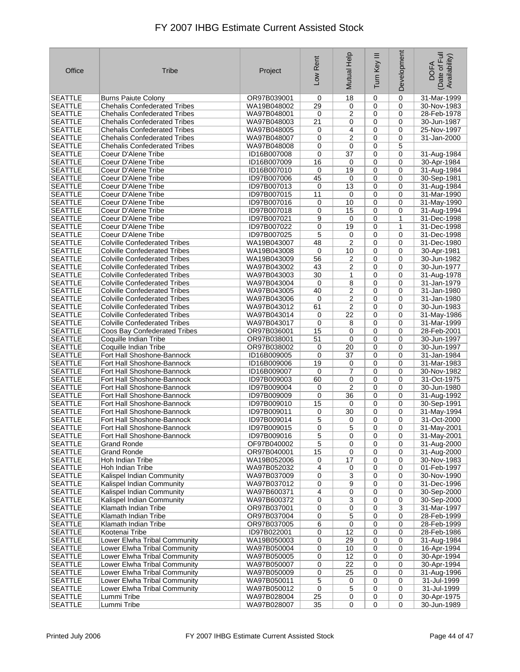| Office                           | Tribe                               | Project     | Low Rent        | Mutual Help     | Ξ<br>Turn Key  | Development  | Date of Full<br>Availability)<br><b>DOFA</b> |
|----------------------------------|-------------------------------------|-------------|-----------------|-----------------|----------------|--------------|----------------------------------------------|
| <b>SEATTLE</b>                   | <b>Burns Paiute Colony</b>          | OR97B039001 | 0               | 18              | $\mathbf 0$    | $\mathbf 0$  | 31-Mar-1999                                  |
| <b>SEATTLE</b>                   | <b>Chehalis Confederated Tribes</b> | WA19B048002 | 29              | 0               | 0              | $\mathbf 0$  | 30-Nov-1983                                  |
| <b>SEATTLE</b>                   | Chehalis Confederated Tribes        | WA97B048001 | 0               | 2               | 0              | 0            | 28-Feb-1978                                  |
| <b>SEATTLE</b>                   | <b>Chehalis Confederated Tribes</b> | WA97B048003 | 21              | 0               | 0              | 0            | 30-Jun-1987                                  |
| <b>SEATTLE</b>                   | <b>Chehalis Confederated Tribes</b> | WA97B048005 | 0               | 4               | 0              | 0            | 25-Nov-1997                                  |
| <b>SEATTLE</b>                   | <b>Chehalis Confederated Tribes</b> | WA97B048007 | 0               | $\overline{2}$  | 0              | 0            | 31-Jan-2000                                  |
| <b>SEATTLE</b>                   | <b>Chehalis Confederated Tribes</b> | WA97B048008 | 0               | 0               | 0              | 5            |                                              |
| <b>SEATTLE</b>                   | Coeur D'Alene Tribe                 | ID16B007008 | 0               | 37              | 0              | 0            | 31-Aug-1984                                  |
| <b>SEATTLE</b>                   | Coeur D'Alene Tribe                 | ID16B007009 | 16              | 0               | 0              | $\mathbf 0$  | 30-Apr-1984                                  |
| <b>SEATTLE</b>                   | Coeur D'Alene Tribe                 | ID16B007010 | 0               | 19              | 0              | 0            | 31-Aug-1984                                  |
| <b>SEATTLE</b>                   | Coeur D'Alene Tribe                 | ID97B007006 | 45              | 0               | 0              | $\mathbf 0$  | 30-Sep-1981                                  |
| <b>SEATTLE</b>                   | Coeur D'Alene Tribe                 | ID97B007013 | 0               | 13              | 0              | 0            | 31-Aug-1984                                  |
| <b>SEATTLE</b>                   | Coeur D'Alene Tribe                 | ID97B007015 | 11              | 0               | 0              | 0            | 31-Mar-1990                                  |
| <b>SEATTLE</b>                   | Coeur D'Alene Tribe                 | ID97B007016 | 0               | 10              | 0              | 0            | 31-May-1990                                  |
| <b>SEATTLE</b>                   | Coeur D'Alene Tribe                 | ID97B007018 | 0               | 15              | 0              | 0            | 31-Aug-1994                                  |
| <b>SEATTLE</b>                   | Coeur D'Alene Tribe                 | ID97B007021 | 9               | 0               | 0              | $\mathbf{1}$ | 31-Dec-1998                                  |
| <b>SEATTLE</b>                   | Coeur D'Alene Tribe                 | ID97B007022 | 0               | 19              | 0              | 1            | 31-Dec-1998                                  |
| <b>SEATTLE</b>                   | Coeur D'Alene Tribe                 | ID97B007025 | 5               | 0               | 0              | $\mathbf 0$  | 31-Dec-1998                                  |
| <b>SEATTLE</b>                   | <b>Colville Confederated Tribes</b> | WA19B043007 | 48              | 2               | 0              | 0            | 31-Dec-1980                                  |
| <b>SEATTLE</b>                   | <b>Colville Confederated Tribes</b> | WA19B043008 | 0               | 10              | 0              | 0            | 30-Apr-1981                                  |
| <b>SEATTLE</b>                   | <b>Colville Confederated Tribes</b> | WA19B043009 | 56              | 2               | 0              | 0            | 30-Jun-1982                                  |
| <b>SEATTLE</b>                   | <b>Colville Confederated Tribes</b> | WA97B043002 | 43              | 2               | 0              | 0            | 30-Jun-1977                                  |
| <b>SEATTLE</b>                   | <b>Colville Confederated Tribes</b> | WA97B043003 | 30              | 1               | 0              | $\mathbf 0$  | 31-Aug-1978                                  |
|                                  |                                     | WA97B043004 |                 |                 |                | 0            |                                              |
| <b>SEATTLE</b><br><b>SEATTLE</b> | <b>Colville Confederated Tribes</b> |             | 0               | 8<br>2          | 0              |              | 31-Jan-1979                                  |
|                                  | <b>Colville Confederated Tribes</b> | WA97B043005 | 40              |                 | 0              | 0            | 31-Jan-1980                                  |
| <b>SEATTLE</b>                   | <b>Colville Confederated Tribes</b> | WA97B043006 | 0               | 2               | 0              | 0            | 31-Jan-1980                                  |
| <b>SEATTLE</b>                   | <b>Colville Confederated Tribes</b> | WA97B043012 | 61              | 2               | 0              | 0            | 30-Jun-1983                                  |
| <b>SEATTLE</b>                   | <b>Colville Confederated Tribes</b> | WA97B043014 | 0               | 22              | 0              | 0            | 31-May-1986                                  |
| <b>SEATTLE</b>                   | <b>Colville Confederated Tribes</b> | WA97B043017 | 0               | 8               | 0              | 0            | 31-Mar-1999                                  |
| <b>SEATTLE</b>                   | Coos Bay Confederated Tribes        | OR97B036001 | 15              | 0               | 0              | $\mathbf 0$  | 28-Feb-2001                                  |
| <b>SEATTLE</b>                   | Coquille Indian Tribe               | OR97B038001 | 51              | 0               | 0              | 0            | 30-Jun-1997                                  |
| <b>SEATTLE</b>                   | Coquille Indian Tribe               | OR97B038002 | 0               | 20              | 0              | 0            | 30-Jun-1997                                  |
| <b>SEATTLE</b>                   | Fort Hall Shoshone-Bannock          | ID16B009005 | 0               | 37              | 0              | 0            | 31-Jan-1984                                  |
| <b>SEATTLE</b>                   | Fort Hall Shoshone-Bannock          | ID16B009006 | 19              | 0               | 0              | 0            | 31-Mar-1983                                  |
| <b>SEATTLE</b>                   | Fort Hall Shoshone-Bannock          | ID16B009007 | $\mathbf 0$     | 7               | $\mathbf 0$    | $\mathbf 0$  | 30-Nov-1982                                  |
| <b>SEATTLE</b>                   | Fort Hall Shoshone-Bannock          | ID97B009003 | 60              | 0               | 0              | 0            | 31-Oct-1975                                  |
| <b>SEATTLE</b>                   | Fort Hall Shoshone-Bannock          | ID97B009004 | 0               | $\overline{2}$  | 0              | 0            | 30-Jun-1980                                  |
| <b>SEATTLE</b>                   | Fort Hall Shoshone-Bannock          | ID97B009009 | 0               | 36              | 0              | 0            | 31-Aug-1992                                  |
| <b>SEATTLE</b>                   | Fort Hall Shoshone-Bannock          | ID97B009010 | 15              | 0               | 0              | 0            | 30-Sep-1991                                  |
| <b>SEATTLE</b>                   | Fort Hall Shoshone-Bannock          | ID97B009011 | 0               | 30              | 0              | 0            | 31-May-1994                                  |
| <b>SEATTLE</b>                   | Fort Hall Shoshone-Bannock          | ID97B009014 | 5               | 0               | $\mathbf 0$    | 0            | 31-Oct-2000                                  |
| <b>SEATTLE</b>                   | Fort Hall Shoshone-Bannock          | ID97B009015 | 0               | 5               | $\pmb{0}$      | 0            | 31-May-2001                                  |
| <b>SEATTLE</b>                   | Fort Hall Shoshone-Bannock          | ID97B009016 | 5               | 0               | 0              | 0            | 31-May-2001                                  |
| <b>SEATTLE</b>                   | <b>Grand Ronde</b>                  | OF97B040002 | 5               | 0               | 0              | 0            | 31-Aug-2000                                  |
| <b>SEATTLE</b>                   | <b>Grand Ronde</b>                  | OR97B040001 | 15              | 0               | 0              | 0            | 31-Aug-2000                                  |
| <b>SEATTLE</b>                   | Hoh Indian Tribe                    | WA19B052006 | 0               | 17              | 0              | 0            | 30-Nov-1983                                  |
| SEATTLE                          | Hoh Indian Tribe                    | WA97B052032 | 4               | 0               | 0              | $\mathbf 0$  | 01-Feb-1997                                  |
| <b>SEATTLE</b>                   | Kalispel Indian Community           | WA97B037009 | 0               | 3               | $\mathbf 0$    | 0            | 30-Nov-1990                                  |
| <b>SEATTLE</b>                   | Kalispel Indian Community           | WA97B037012 | 0               | 9               | 0              | 0            | 31-Dec-1996                                  |
| <b>SEATTLE</b>                   | Kalispel Indian Community           | WA97B600371 | 4               | 0               | 0              | 0            | 30-Sep-2000                                  |
| <b>SEATTLE</b>                   | Kalispel Indian Community           | WA97B600372 | 0               | $\overline{3}$  | 0              | $\pmb{0}$    | 30-Sep-2000                                  |
| <b>SEATTLE</b>                   | Klamath Indian Tribe                | OR97B037001 | 0               | 0               | 0              | 3            | 31-Mar-1997                                  |
| SEATTLE                          | Klamath Indian Tribe                | OR97B037004 | 0               | 5               | $\mathbf 0$    | 0            | 28-Feb-1999                                  |
| <b>SEATTLE</b>                   | Klamath Indian Tribe                | OR97B037005 | 6               | 0               | 0              | 0            | 28-Feb-1999                                  |
| <b>SEATTLE</b>                   | Kootenai Tribe                      | ID97B022001 | 0               | 12              | 0              | 0            | 28-Feb-1986                                  |
| <b>SEATTLE</b>                   | Lower Elwha Tribal Community        | WA19B050003 | 0               | 29              | 0              | 0            | 31-Aug-1984                                  |
| SEATTLE                          | Lower Elwha Tribal Community        | WA97B050004 | 0               | 10              | 0              | 0            | 16-Apr-1994                                  |
| <b>SEATTLE</b>                   | Lower Elwha Tribal Community        | WA97B050005 | 0               | 12              | 0              | $\mathbf 0$  | 30-Apr-1994                                  |
| <b>SEATTLE</b>                   | Lower Elwha Tribal Community        | WA97B050007 | 0               | $\overline{22}$ | 0              | $\mathbf 0$  | 30-Apr-1994                                  |
| SEATTLE                          | Lower Elwha Tribal Community        | WA97B050009 | 0               | 25              | 0              | 0            | 31-Aug-1996                                  |
| <b>SEATTLE</b>                   | Lower Elwha Tribal Community        | WA97B050011 | 5               | 0               | 0              | 0            | 31-Jul-1999                                  |
| <b>SEATTLE</b>                   | Lower Elwha Tribal Community        | WA97B050012 | 0               | 5               | 0              | 0            | 31-Jul-1999                                  |
| <b>SEATTLE</b>                   | Lummi Tribe                         | WA97B028004 | 25              | 0               | 0              | $\pmb{0}$    | 30-Apr-1975                                  |
| <b>SEATTLE</b>                   | Lummi Tribe                         | WA97B028007 | $\overline{35}$ | 0               | $\overline{0}$ | 0            | 30-Jun-1989                                  |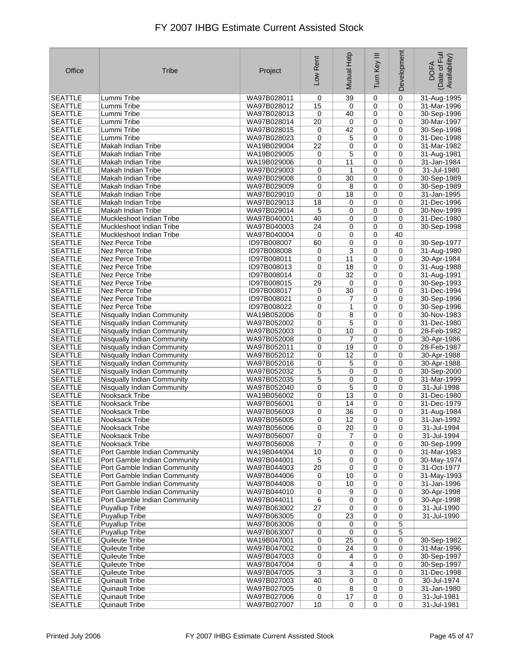| Office                           | Tribe                                                        | Project                    | Low Rent    | Mutual Help     | Ξ<br>Turn Key    | Development      | Date of Full<br>Availability)<br><b>DOFA</b> |
|----------------------------------|--------------------------------------------------------------|----------------------------|-------------|-----------------|------------------|------------------|----------------------------------------------|
| <b>SEATTLE</b>                   | Lummi Tribe                                                  | WA97B028011                | 0           | 39              | 0                | 0                | 31-Aug-1995                                  |
| <b>SEATTLE</b>                   | Lummi Tribe                                                  | WA97B028012                | 15          | 0               | 0                | 0                | 31-Mar-1996                                  |
| <b>SEATTLE</b>                   | Lummi Tribe                                                  | WA97B028013                | 0           | 40              | 0                | 0                | 30-Sep-1996                                  |
| <b>SEATTLE</b>                   | Lummi Tribe                                                  | WA97B028014                | 20          | 0               | 0                | 0                | 30-Mar-1997                                  |
| <b>SEATTLE</b>                   | Lummi Tribe                                                  | WA97B028015                | 0           | 42              | 0                | 0                | 30-Sep-1998                                  |
| <b>SEATTLE</b>                   | Lummi Tribe                                                  | WA97B028023                | 0           | 5               | 0                | 0                | 31-Dec-1998                                  |
| <b>SEATTLE</b>                   | Makah Indian Tribe                                           | WA19B029004                | 22          | 0               | 0                | 0                | 31-Mar-1982                                  |
| <b>SEATTLE</b>                   | Makah Indian Tribe                                           | WA19B029005                | 0           | 5               | 0                | 0                | 31-Aug-1981                                  |
| <b>SEATTLE</b>                   | Makah Indian Tribe                                           | WA19B029006                | 0           | 11              | 0                | $\mathbf 0$      | 31-Jan-1984                                  |
| <b>SEATTLE</b>                   | Makah Indian Tribe                                           | WA97B029003                | 0           | 1               | $\mathbf 0$      | 0                | 31-Jul-1980                                  |
| <b>SEATTLE</b>                   | Makah Indian Tribe                                           | WA97B029008                | 0           | 30              | 0                | $\mathbf 0$      | 30-Sep-1989                                  |
| <b>SEATTLE</b>                   | Makah Indian Tribe                                           | WA97B029009                | 0           | 8               | $\mathbf 0$      | 0                | 30-Sep-1989                                  |
| <b>SEATTLE</b>                   | Makah Indian Tribe<br>Makah Indian Tribe                     | WA97B029010                | 0           | 18              | 0<br>0           | $\mathbf 0$<br>0 | 31-Jan-1995                                  |
| <b>SEATTLE</b><br><b>SEATTLE</b> | Makah Indian Tribe                                           | WA97B029013<br>WA97B029014 | 18<br>5     | 0<br>0          | 0                | 0                | 31-Dec-1996<br>30-Nov-1999                   |
| <b>SEATTLE</b>                   | Muckleshoot Indian Tribe                                     | WA97B040001                | 40          | 0               | 0                | $\mathbf 0$      | 31-Dec-1980                                  |
| <b>SEATTLE</b>                   | Muckleshoot Indian Tribe                                     | WA97B040003                | 24          | 0               | $\mathbf 0$      | 0                | 30-Sep-1998                                  |
| <b>SEATTLE</b>                   | Muckleshoot Indian Tribe                                     | WA97B040004                | $\mathbf 0$ | 0               | 0                | 40               |                                              |
| <b>SEATTLE</b>                   | Nez Perce Tribe                                              | ID97B008007                | 60          | 0               | 0                | 0                | 30-Sep-1977                                  |
| <b>SEATTLE</b>                   | Nez Perce Tribe                                              | ID97B008008                | 0           | 3               | 0                | 0                | 31-Aug-1980                                  |
| <b>SEATTLE</b>                   | Nez Perce Tribe                                              | ID97B008011                | 0           | 11              | 0                | 0                | 30-Apr-1984                                  |
| <b>SEATTLE</b>                   | Nez Perce Tribe                                              | ID97B008013                | 0           | 18              | 0                | 0                | 31-Aug-1988                                  |
| <b>SEATTLE</b>                   | Nez Perce Tribe                                              | ID97B008014                | $\mathbf 0$ | 32              | 0                | 0                | 31-Aug-1991                                  |
| <b>SEATTLE</b>                   | Nez Perce Tribe                                              | ID97B008015                | 29          | 0               | $\mathbf 0$      | 0                | 30-Sep-1993                                  |
| <b>SEATTLE</b>                   | Nez Perce Tribe                                              | ID97B008017                | 0           | 30              | 0                | $\mathbf 0$      | 31-Dec-1994                                  |
| <b>SEATTLE</b>                   | Nez Perce Tribe                                              | ID97B008021                | 0           | 7               | 0                | 0                | 30-Sep-1996                                  |
| <b>SEATTLE</b>                   | Nez Perce Tribe                                              | ID97B008022                | 0           | 1               | 0                | 0                | 30-Sep-1996                                  |
| <b>SEATTLE</b>                   | Nisqually Indian Community                                   | WA19B052006                | 0           | 8               | 0                | $\mathbf 0$      | 30-Nov-1983                                  |
| <b>SEATTLE</b>                   | Nisqually Indian Community                                   | WA97B052002                | 0           | 5               | $\mathbf 0$      | $\mathbf 0$      | 31-Dec-1980                                  |
| <b>SEATTLE</b>                   | Nisqually Indian Community                                   | WA97B052003                | 0           | 10              | 0                | $\mathbf 0$      | 28-Feb-1982                                  |
| <b>SEATTLE</b>                   | Nisqually Indian Community                                   | WA97B052008                | 0           | 7               | 0                | 0                | 30-Apr-1986                                  |
| <b>SEATTLE</b>                   | Nisqually Indian Community                                   | WA97B052011                | 0           | 19              | 0                | 0                | 28-Feb-1987                                  |
| <b>SEATTLE</b>                   | Nisqually Indian Community                                   | WA97B052012                | 0           | 12              | 0                | 0                | 30-Apr-1988                                  |
| <b>SEATTLE</b>                   | Nisqually Indian Community                                   | WA97B052016                | 0           | 5               | 0                | 0                | 30-Apr-1988                                  |
| <b>SEATTLE</b>                   | Nisqually Indian Community                                   | WA97B052032                | 5           | 0               | 0                | 0                | 30-Sep-2000                                  |
| <b>SEATTLE</b>                   | Nisqually Indian Community                                   | WA97B052035                | 5           | 0               | 0                | 0                | 31-Mar-1999                                  |
| <b>SEATTLE</b>                   | Nisqually Indian Community                                   | WA97B052040                | 0           | 5               | 0                | 0                | 31-Jul-1998                                  |
| <b>SEATTLE</b>                   | Nooksack Tribe                                               | WA19B056002                | 0           | 13              | 0                | 0                | 31-Dec-1980                                  |
| <b>SEATTLE</b>                   | Nooksack Tribe                                               | WA97B056001                | 0           | 14              | 0                | 0                | 31-Dec-1979                                  |
| <b>SEATTLE</b>                   | Nooksack Tribe                                               | WA97B056003                | 0           | 36              | 0                | 0                | 31-Aug-1984                                  |
| <b>SEATTLE</b>                   | Nooksack Tribe                                               | WA97B056005                | 0           | 12              | 0                | 0                | 31-Jan-1992                                  |
| <b>SEATTLE</b>                   | Nooksack Tribe                                               | WA97B056006                | 0           | $\overline{20}$ | 0                | 0                | 31-Jul-1994                                  |
| <b>SEATTLE</b>                   | Nooksack Tribe                                               | WA97B056007                | 0           | 7               | 0                | 0                | 31-Jul-1994                                  |
| <b>SEATTLE</b>                   | Nooksack Tribe                                               | WA97B056008                | 7           | 0               | 0                | 0                | 30-Sep-1999                                  |
| SEATTLE                          | Port Gamble Indian Community<br>Port Gamble Indian Community | WA19B044004<br>WA97B044001 | 10          | 0               | 0<br>$\mathbf 0$ | 0                | 31-Mar-1983                                  |
| <b>SEATTLE</b><br><b>SEATTLE</b> | Port Gamble Indian Community                                 | WA97B044003                | 5<br>20     | 0<br>0          | 0                | 0<br>$\mathbf 0$ | 30-May-1974<br>31-Oct-1977                   |
| SEATTLE                          | Port Gamble Indian Community                                 | WA97B044006                |             | 10              | 0                | 0                | 31-May-1993                                  |
| <b>SEATTLE</b>                   | Port Gamble Indian Community                                 | WA97B044008                | 0<br>0      | 10              | 0                | 0                | 31-Jan-1996                                  |
| SEATTLE                          | Port Gamble Indian Community                                 | WA97B044010                | 0           | 9               | 0                | 0                | 30-Apr-1998                                  |
| <b>SEATTLE</b>                   | Port Gamble Indian Community                                 | WA97B044011                | 6           | 0               | 0                | 0                | 30-Apr-1998                                  |
| <b>SEATTLE</b>                   | <b>Puvallup Tribe</b>                                        | WA97B063002                | 27          | 0               | 0                | 0                | 31-Jul-1990                                  |
| <b>SEATTLE</b>                   | <b>Puyallup Tribe</b>                                        | WA97B063005                | 0           | 23              | 0                | 0                | 31-Jul-1990                                  |
| SEATTLE                          | Puyallup Tribe                                               | WA97B063006                | 0           | 0               | 0                | 5                |                                              |
| SEATTLE                          | Puyallup Tribe                                               | WA97B063007                | 0           | 0               | $\mathbf 0$      | 5                |                                              |
| <b>SEATTLE</b>                   | Quileute Tribe                                               | WA19B047001                | 0           | 25              | 0                | 0                | 30-Sep-1982                                  |
| <b>SEATTLE</b>                   | Quileute Tribe                                               | WA97B047002                | 0           | 24              | 0                | 0                | 31-Mar-1996                                  |
| <b>SEATTLE</b>                   | Quileute Tribe                                               | WA97B047003                | 0           | 4               | 0                | 0                | 30-Sep-1997                                  |
| <b>SEATTLE</b>                   | Quileute Tribe                                               | WA97B047004                | 0           | 4               | 0                | 0                | 30-Sep-1997                                  |
| SEATTLE                          | Quileute Tribe                                               | WA97B047005                | 3           | 3               | 0                | 0                | 31-Dec-1998                                  |
| SEATTLE                          | <b>Quinault Tribe</b>                                        | WA97B027003                | 40          | 0               | 0                | 0                | 30-Jul-1974                                  |
| <b>SEATTLE</b>                   | <b>Quinault Tribe</b>                                        | WA97B027005                | 0           | 8               | 0                | 0                | 31-Jan-1980                                  |
| <b>SEATTLE</b>                   | <b>Quinault Tribe</b>                                        | WA97B027006                | 0           | 17              | 0                | 0                | 31-Jul-1981                                  |
| <b>SEATTLE</b>                   | <b>Quinault Tribe</b>                                        | WA97B027007                | 10          | $\pmb{0}$       | $\overline{0}$   | 0                | 31-Jul-1981                                  |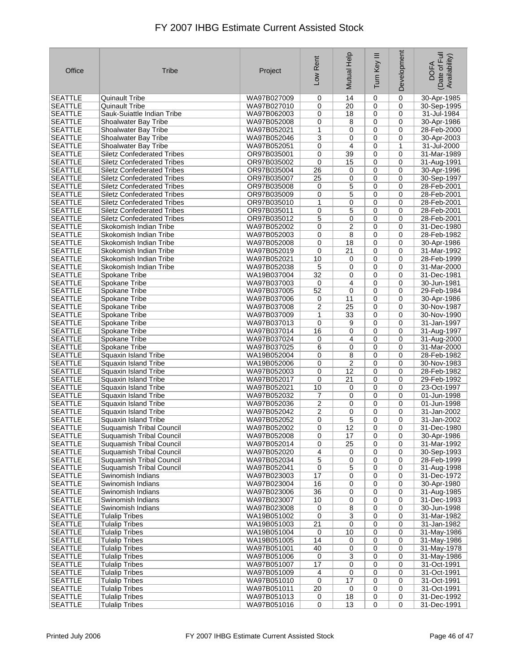| Office         | <b>Tribe</b>                      | Project     | Low Rent         | Mutual Help | Ξ<br>Turn Key                      | Development      | Date of Full<br>Availability)<br><b>DOFA</b> |
|----------------|-----------------------------------|-------------|------------------|-------------|------------------------------------|------------------|----------------------------------------------|
| <b>SEATTLE</b> | <b>Quinault Tribe</b>             | WA97B027009 | 0                | 14          | $\mathbf 0$                        | $\mathbf 0$      | 30-Apr-1985                                  |
| <b>SEATTLE</b> | <b>Quinault Tribe</b>             | WA97B027010 | 0                | 20          | 0                                  | 0                | 30-Sep-1995                                  |
| <b>SEATTLE</b> | Sauk-Suiattle Indian Tribe        | WA97B062003 | 0                | 18          | 0                                  | 0                | 31-Jul-1984                                  |
| <b>SEATTLE</b> | Shoalwater Bay Tribe              | WA97B052008 | 0                | 8           | 0                                  | 0                | 30-Apr-1986                                  |
| <b>SEATTLE</b> | Shoalwater Bay Tribe              | WA97B052021 | 1                | 0           | 0                                  | 0                | 28-Feb-2000                                  |
| <b>SEATTLE</b> | Shoalwater Bay Tribe              | WA97B052046 | 3                | 0           | 0                                  | 0                | 30-Apr-2003                                  |
| <b>SEATTLE</b> | Shoalwater Bay Tribe              | WA97B052051 | 0                | 4           | 0                                  | 1                | 31-Jul-2000                                  |
| <b>SEATTLE</b> | <b>Siletz Confederated Tribes</b> | OR97B035001 | 0                | 39          | 0                                  | 0                | 31-Mar-1989                                  |
| <b>SEATTLE</b> | <b>Siletz Confederated Tribes</b> | OR97B035002 | $\mathbf 0$      | 15          | 0                                  | $\mathbf 0$      | 31-Aug-1991                                  |
| <b>SEATTLE</b> | <b>Siletz Confederated Tribes</b> | OR97B035004 | 26               | 0           | 0                                  | 0                | 30-Apr-1996                                  |
| <b>SEATTLE</b> | <b>Siletz Confederated Tribes</b> | OR97B035007 | $\overline{25}$  | 0           | 0                                  | 0                | 30-Sep-1997                                  |
| <b>SEATTLE</b> | <b>Siletz Confederated Tribes</b> | OR97B035008 | 0                | 5           | 0                                  | 0                | 28-Feb-2001                                  |
| <b>SEATTLE</b> | <b>Siletz Confederated Tribes</b> | OR97B035009 | 0                | 5           | 0                                  | 0                | 28-Feb-2001                                  |
| <b>SEATTLE</b> | <b>Siletz Confederated Tribes</b> | OR97B035010 | 1                | 0           | 0                                  | 0                | 28-Feb-2001                                  |
| <b>SEATTLE</b> | <b>Siletz Confederated Tribes</b> | OR97B035011 | 0                | 5           | 0                                  | 0                | 28-Feb-2001                                  |
| <b>SEATTLE</b> | <b>Siletz Confederated Tribes</b> | OR97B035012 | 5                | 0           | 0                                  | $\mathbf 0$      | 28-Feb-2001                                  |
| <b>SEATTLE</b> | Skokomish Indian Tribe            | WA97B052002 | 0                | 2           | 0                                  | 0                | 31-Dec-1980                                  |
| <b>SEATTLE</b> | Skokomish Indian Tribe            | WA97B052003 | 0                | 8           | 0                                  | 0                | 28-Feb-1982                                  |
| <b>SEATTLE</b> | Skokomish Indian Tribe            | WA97B052008 | 0                | 18          | 0                                  | 0                | 30-Apr-1986                                  |
| <b>SEATTLE</b> | Skokomish Indian Tribe            | WA97B052019 | 0                | 21          | 0                                  | 0                | 31-Mar-1992                                  |
| <b>SEATTLE</b> | Skokomish Indian Tribe            | WA97B052021 | 10               | 0           | $\mathbf 0$                        | 0                | 28-Feb-1999                                  |
| <b>SEATTLE</b> | Skokomish Indian Tribe            | WA97B052038 | 5                | 0           | 0                                  | 0                | 31-Mar-2000                                  |
| <b>SEATTLE</b> | Spokane Tribe                     | WA19B037004 | 32               | 0           | 0                                  | $\mathbf 0$      | 31-Dec-1981                                  |
| <b>SEATTLE</b> | Spokane Tribe                     | WA97B037003 | 0                | 4           | 0                                  | 0                | 30-Jun-1981                                  |
| <b>SEATTLE</b> | Spokane Tribe                     | WA97B037005 | 52               | 0           | 0                                  | 0                | 29-Feb-1984                                  |
| <b>SEATTLE</b> | Spokane Tribe                     | WA97B037006 | 0                | 11          | 0                                  | 0                | 30-Apr-1986                                  |
| <b>SEATTLE</b> | Spokane Tribe                     | WA97B037008 | 2                | 25          | 0                                  | 0                | 30-Nov-1987                                  |
| <b>SEATTLE</b> | Spokane Tribe                     | WA97B037009 | 1                | 33          | 0                                  | 0                | 30-Nov-1990                                  |
| <b>SEATTLE</b> | Spokane Tribe                     | WA97B037013 | 0                | 9           | 0                                  | 0                | 31-Jan-1997                                  |
| <b>SEATTLE</b> | Spokane Tribe                     | WA97B037014 | 16               | 0           | 0                                  | 0                | 31-Aug-1997                                  |
| <b>SEATTLE</b> | Spokane Tribe                     | WA97B037024 | 0                | 4           | 0                                  | 0                | 31-Aug-2000                                  |
| <b>SEATTLE</b> | Spokane Tribe                     | WA97B037025 | 6                | 0           | 0                                  | 0                | 31-Mar-2000                                  |
| <b>SEATTLE</b> | Squaxin Island Tribe              | WA19B052004 | 0                | 8           | 0                                  | 0                | 28-Feb-1982                                  |
| <b>SEATTLE</b> | Squaxin Island Tribe              | WA19B052006 | 0                | 2           | $\mathbf 0$                        | 0                | 30-Nov-1983                                  |
| <b>SEATTLE</b> | Squaxin Island Tribe              | WA97B052003 | 0                | 12          | 0                                  | 0                | 28-Feb-1982                                  |
| <b>SEATTLE</b> | Squaxin Island Tribe              | WA97B052017 | 0                | 21          | 0                                  | 0                | 29-Feb-1992                                  |
| <b>SEATTLE</b> | Squaxin Island Tribe              | WA97B052021 | 10               | 0           | 0                                  | 0                | 23-Oct-1997                                  |
| <b>SEATTLE</b> | Squaxin Island Tribe              | WA97B052032 | 7                | 0           | 0                                  | 0                | 01-Jun-1998                                  |
| <b>SEATTLE</b> | Squaxin Island Tribe              | WA97B052036 | 2                | 0           | 0                                  | 0                | 01-Jun-1998                                  |
| <b>SEATTLE</b> | Squaxin Island Tribe              | WA97B052042 | 2                | 0           | 0                                  | 0                | 31-Jan-2002                                  |
| <b>SEATTLE</b> | Squaxin Island Tribe              | WA97B052052 | 0                | 5           | 0                                  | 0                | 31-Jan-2002                                  |
| <b>SEATTLE</b> | <b>Suquamish Tribal Council</b>   | WA97B052002 | 0                | 12          | $\pmb{0}$                          | 0                | 31-Dec-1980                                  |
| <b>SEATTLE</b> | Suquamish Tribal Council          | WA97B052008 | 0                | 17          | 0                                  | 0                | 30-Apr-1986                                  |
| <b>SEATTLE</b> | Suquamish Tribal Council          | WA97B052014 | 0                | 25          | 0                                  | 0                | 31-Mar-1992                                  |
| <b>SEATTLE</b> | <b>Suguamish Tribal Council</b>   | WA97B052020 | 4                | 0           | 0                                  | 0                | 30-Sep-1993                                  |
| <b>SEATTLE</b> | Suquamish Tribal Council          | WA97B052034 | 5                | $\mathbf 0$ | $\mathbf 0$                        | 0                | 28-Feb-1999                                  |
| SEATTLE        | Suquamish Tribal Council          | WA97B052041 | 0                | 5           | 0                                  | $\mathbf 0$      | 31-Aug-1998                                  |
| <b>SEATTLE</b> | Swinomish Indians                 | WA97B023003 | 17               | 0           | 0                                  | 0                | 31-Dec-1972                                  |
| <b>SEATTLE</b> | Swinomish Indians                 | WA97B023004 | 16               | 0           | 0                                  | 0                | 30-Apr-1980                                  |
| SEATTLE        | Swinomish Indians                 | WA97B023006 | 36               | 0           | 0                                  | 0                | 31-Aug-1985                                  |
| <b>SEATTLE</b> | Swinomish Indians                 | WA97B023007 | 10               | 0           | $\mathbf 0$                        | 0                | 31-Dec-1993                                  |
| <b>SEATTLE</b> | Swinomish Indians                 | WA97B023008 | 0                | 8           | $\mathbf 0$                        | 0                | 30-Jun-1998                                  |
| SEATTLE        | <b>Tulalip Tribes</b>             | WA19B051002 | 0                | 3           | 0                                  | 0                | 31-Mar-1982                                  |
| <b>SEATTLE</b> | <b>Tulalip Tribes</b>             | WA19B051003 | 21               | 0           | 0                                  | 0                | 31-Jan-1982                                  |
| <b>SEATTLE</b> | <b>Tulalip Tribes</b>             | WA19B051004 | 0                | 10          | 0                                  | 0                | 31-May-1986                                  |
| <b>SEATTLE</b> | <b>Tulalip Tribes</b>             | WA19B051005 | 14               | 0           | $\mathbf 0$                        | 0                | 31-May-1986                                  |
| SEATTLE        | <b>Tulalip Tribes</b>             | WA97B051001 | 40               | 0           | 0                                  | 0                | 31-May-1978                                  |
| <b>SEATTLE</b> | <b>Tulalip Tribes</b>             | WA97B051006 | 0                | 3           | 0                                  | $\mathbf 0$      | 31-May-1986                                  |
| <b>SEATTLE</b> | <b>Tulalip Tribes</b>             | WA97B051007 | 17               | 0           | 0                                  | $\mathbf 0$      | 31-Oct-1991                                  |
| SEATTLE        | <b>Tulalip Tribes</b>             | WA97B051009 | 4                | 0           | $\mathbf 0$                        | 0                | 31-Oct-1991                                  |
| <b>SEATTLE</b> | <b>Tulalip Tribes</b>             | WA97B051010 | $\mathbf 0$      | 17          | $\mathbf 0$                        | 0                | 31-Oct-1991                                  |
| <b>SEATTLE</b> | <b>Tulalip Tribes</b>             | WA97B051011 | 20               | 0           | 0                                  | 0                | 31-Oct-1991                                  |
| <b>SEATTLE</b> | <b>Tulalip Tribes</b>             | WA97B051013 | 0<br>$\mathbf 0$ | 18          | $\boldsymbol{0}$<br>$\overline{0}$ | 0<br>$\mathbf 0$ | 31-Dec-1992                                  |
| <b>SEATTLE</b> | <b>Tulalip Tribes</b>             | WA97B051016 |                  | 13          |                                    |                  | 31-Dec-1991                                  |